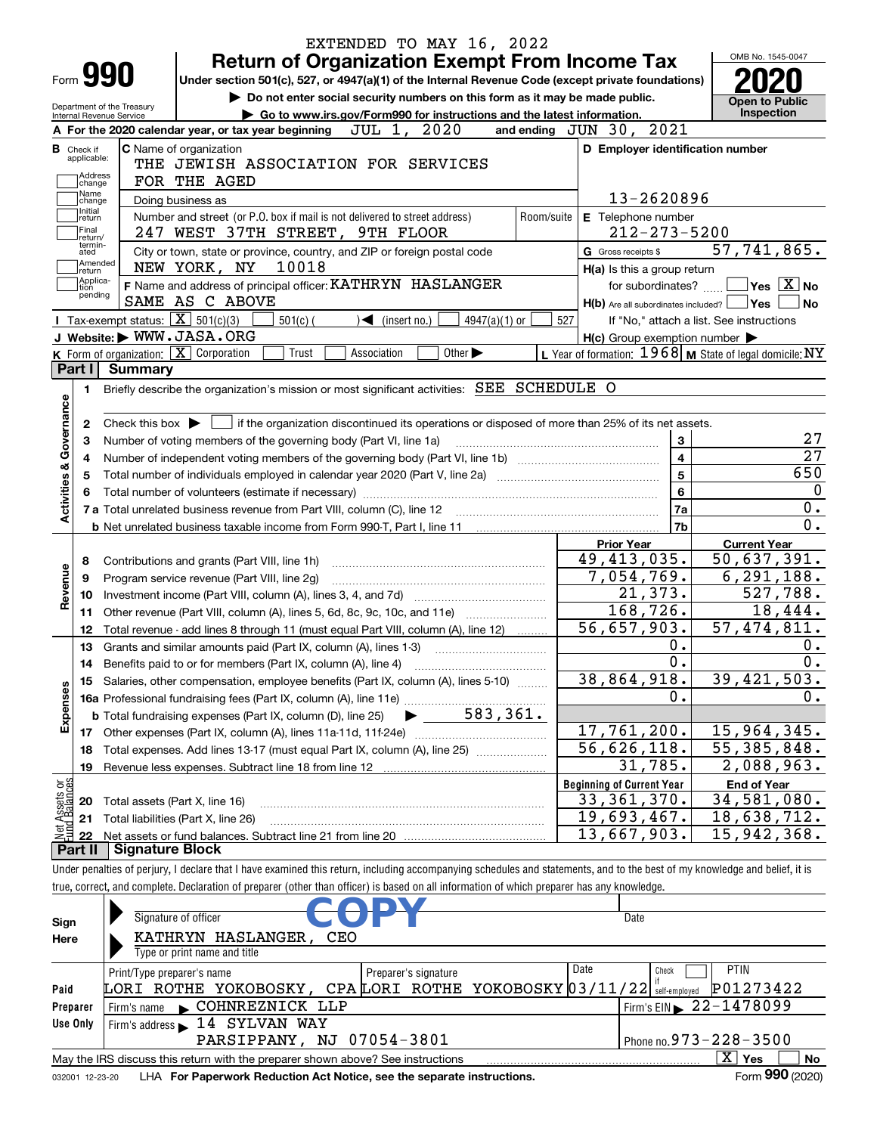|                                  |                        | EXTENDED TO MAY 16, 2022                                                                                                                                                   |                                                           |                                                              |                  |
|----------------------------------|------------------------|----------------------------------------------------------------------------------------------------------------------------------------------------------------------------|-----------------------------------------------------------|--------------------------------------------------------------|------------------|
|                                  |                        | <b>Return of Organization Exempt From Income Tax</b>                                                                                                                       |                                                           | OMB No. 1545-0047                                            |                  |
| Form 990                         |                        | Under section 501(c), 527, or 4947(a)(1) of the Internal Revenue Code (except private foundations)                                                                         |                                                           |                                                              |                  |
| Department of the Treasury       |                        | Do not enter social security numbers on this form as it may be made public.                                                                                                |                                                           | <b>Open to Public</b>                                        |                  |
| Internal Revenue Service         |                        | Go to www.irs.gov/Form990 for instructions and the latest information.                                                                                                     |                                                           | Inspection                                                   |                  |
|                                  |                        | JUL 1, 2020<br>A For the 2020 calendar year, or tax year beginning                                                                                                         | and ending JUN 30, 2021                                   |                                                              |                  |
| <b>B</b> Check if<br>applicable: |                        | <b>C</b> Name of organization                                                                                                                                              | D Employer identification number                          |                                                              |                  |
| Address                          |                        | THE JEWISH ASSOCIATION FOR SERVICES                                                                                                                                        |                                                           |                                                              |                  |
| change<br> Name                  |                        | FOR THE AGED                                                                                                                                                               |                                                           |                                                              |                  |
| change<br>Initial                |                        | Doing business as                                                                                                                                                          | 13-2620896                                                |                                                              |                  |
| return<br>Final                  |                        | Number and street (or P.O. box if mail is not delivered to street address)                                                                                                 | Room/suite<br>E Telephone number                          |                                                              |                  |
| return/<br>termin-               |                        | 247 WEST 37TH STREET, 9TH FLOOR                                                                                                                                            | $212 - 273 - 5200$                                        |                                                              |                  |
| ated<br>Amended                  |                        | City or town, state or province, country, and ZIP or foreign postal code                                                                                                   | G Gross receipts \$                                       | 57,741,865.                                                  |                  |
| return<br> Applica-              |                        | 10018<br>NEW YORK, NY                                                                                                                                                      | H(a) Is this a group return                               |                                                              |                  |
| tion<br>pending                  |                        | F Name and address of principal officer: KATHRYN HASLANGER                                                                                                                 | for subordinates?                                         | $\blacksquare$ Yes $\lceil$ $\overline{\mathrm{X}}\rceil$ No |                  |
|                                  |                        | SAME AS C ABOVE                                                                                                                                                            |                                                           | $H(b)$ Are all subordinates included? $\Box$ Yes             | No               |
|                                  |                        | Tax-exempt status: $\boxed{\mathbf{X}}$ 501(c)(3)<br>$501(c)$ (<br>$4947(a)(1)$ or<br>$\sqrt{\frac{1}{1}}$ (insert no.)                                                    | 527                                                       | If "No," attach a list. See instructions                     |                  |
|                                  |                        | J Website: WWW.JASA.ORG<br>Trust<br>Other $\blacktriangleright$                                                                                                            | $H(c)$ Group exemption number $\blacktriangleright$       |                                                              |                  |
| Part I                           | <b>Summary</b>         | K Form of organization: X Corporation<br>Association                                                                                                                       | L Year of formation: $1968$ M State of legal domicile: NY |                                                              |                  |
|                                  |                        |                                                                                                                                                                            |                                                           |                                                              |                  |
| 1.                               |                        | Briefly describe the organization's mission or most significant activities: SEE SCHEDULE O                                                                                 |                                                           |                                                              |                  |
| Governance                       |                        |                                                                                                                                                                            |                                                           |                                                              |                  |
| 2                                |                        | Check this box $\blacktriangleright$ $\Box$ if the organization discontinued its operations or disposed of more than 25% of its net assets.                                |                                                           | 3                                                            | 27               |
| з                                |                        | Number of voting members of the governing body (Part VI, line 1a)                                                                                                          |                                                           | $\overline{4}$                                               | $\overline{27}$  |
| 4<br>5                           |                        |                                                                                                                                                                            |                                                           | $\overline{5}$                                               | 650              |
|                                  |                        |                                                                                                                                                                            |                                                           | 6                                                            | 0                |
| <b>Activities &amp;</b>          |                        |                                                                                                                                                                            |                                                           | 7a                                                           | 0.               |
|                                  |                        |                                                                                                                                                                            |                                                           | 7b                                                           | $\overline{0}$ . |
|                                  |                        |                                                                                                                                                                            | <b>Prior Year</b>                                         | <b>Current Year</b>                                          |                  |
| 8                                |                        | Contributions and grants (Part VIII, line 1h)                                                                                                                              | 49,413,035.                                               | 50,637,391.                                                  |                  |
| evenue<br>9                      |                        | Program service revenue (Part VIII, line 2g)                                                                                                                               | 7,054,769.                                                | 6, 291, 188.                                                 |                  |
| 10                               |                        |                                                                                                                                                                            | 21,373.                                                   |                                                              | 527,788.         |
| ∝<br>11                          |                        | Other revenue (Part VIII, column (A), lines 5, 6d, 8c, 9c, 10c, and 11e)                                                                                                   | 168,726.                                                  |                                                              | 18,444.          |
| 12                               |                        | Total revenue - add lines 8 through 11 (must equal Part VIII, column (A), line 12)                                                                                         | 56,657,903.                                               | 57, 474, 811.                                                |                  |
| 13                               |                        | Grants and similar amounts paid (Part IX, column (A), lines 1-3)                                                                                                           |                                                           | 0.                                                           | 0.               |
| 14                               |                        | Benefits paid to or for members (Part IX, column (A), line 4)                                                                                                              |                                                           | $\overline{0}$ .                                             | 0.               |
|                                  |                        | 15 Salaries, other compensation, employee benefits (Part IX, column (A), lines 5-10)                                                                                       | 38,864,918.                                               | 39,421,503.                                                  |                  |
|                                  |                        |                                                                                                                                                                            |                                                           | 0.                                                           | 0.               |
| Expenses                         |                        |                                                                                                                                                                            |                                                           |                                                              |                  |
|                                  |                        |                                                                                                                                                                            | 17,761,200.                                               | 15,964,345.                                                  |                  |
| 18                               |                        | Total expenses. Add lines 13-17 (must equal Part IX, column (A), line 25)                                                                                                  | $\overline{56}$ , 626, 118.                               | 55, 385, 848.                                                |                  |
| 19                               |                        | Revenue less expenses. Subtract line 18 from line 12                                                                                                                       | 31,785.                                                   | 2,088,963.                                                   |                  |
|                                  |                        |                                                                                                                                                                            | <b>Beginning of Current Year</b>                          | <b>End of Year</b>                                           |                  |
| 20                               |                        | Total assets (Part X, line 16)                                                                                                                                             | 33,361,370.                                               | 34,581,080.                                                  |                  |
| : Assets or<br>dBalances<br>21   |                        | Total liabilities (Part X, line 26)                                                                                                                                        | 19,693,467.                                               | 18,638,712.                                                  |                  |
| 혧<br>22                          |                        |                                                                                                                                                                            | $\overline{1}3,667,903.$                                  | 15,942,368.                                                  |                  |
| Part II                          | <b>Signature Block</b> |                                                                                                                                                                            |                                                           |                                                              |                  |
|                                  |                        | Under penalties of perjury, I declare that I have examined this return, including accompanying schedules and statements, and to the best of my knowledge and belief, it is |                                                           |                                                              |                  |
|                                  |                        | true, correct, and complete. Declaration of preparer (other than officer) is based on all information of which preparer has any knowledge.                                 |                                                           |                                                              |                  |
|                                  |                        |                                                                                                                                                                            |                                                           |                                                              |                  |
| Sign                             |                        | Signature of officer                                                                                                                                                       | Date                                                      |                                                              |                  |
| Here                             |                        | <b>CEO</b><br>KATHRYN HASLANGER,                                                                                                                                           |                                                           |                                                              |                  |
|                                  |                        | Type or print name and title                                                                                                                                               |                                                           |                                                              |                  |

|                                                                                              | Type or print name and title                                                     |                                    |                                |  |  |  |  |  |
|----------------------------------------------------------------------------------------------|----------------------------------------------------------------------------------|------------------------------------|--------------------------------|--|--|--|--|--|
|                                                                                              | Print/Type preparer's name                                                       | Preparer's signature               | Date<br><b>PTIN</b><br>Check   |  |  |  |  |  |
| Paid                                                                                         | LORI ROTHE YOKOBOSKY, CPALORI ROTHE YOKOBOSKY 03/11/22 self-employed $P01273422$ |                                    |                                |  |  |  |  |  |
| Preparer                                                                                     | COHNREZNICK LLP<br>I Firm's name                                                 | $1$ Firm's EIN $\geq 22 - 1478099$ |                                |  |  |  |  |  |
| Use Only                                                                                     | Firm's address 14 SYLVAN WAY                                                     |                                    |                                |  |  |  |  |  |
|                                                                                              | PARSIPPANY, NJ 07054-3801                                                        |                                    | $1$ Phone no. 973 – 228 – 3500 |  |  |  |  |  |
| May the IRS discuss this return with the preparer shown above? See instructions<br>Yes<br>No |                                                                                  |                                    |                                |  |  |  |  |  |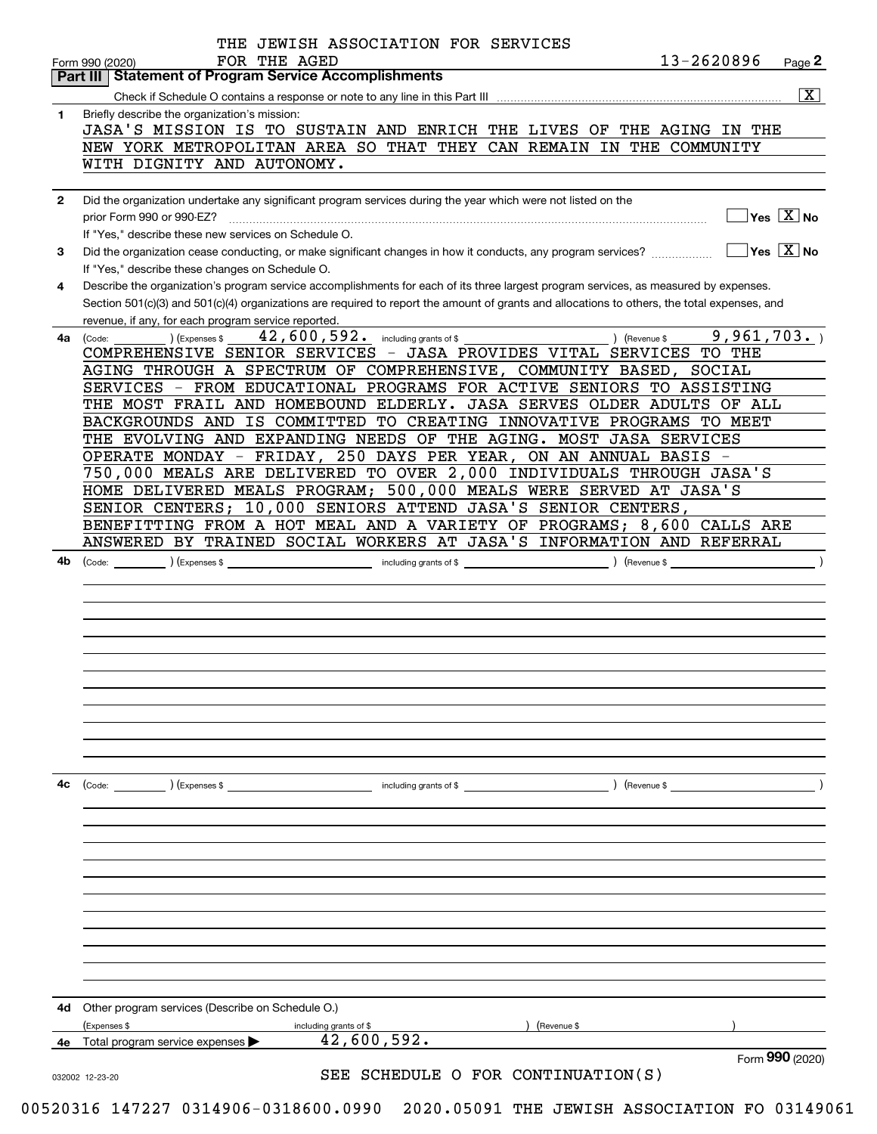|              | 13-2620896<br>FOR THE AGED<br>Form 990 (2020)<br><b>Part III   Statement of Program Service Accomplishments</b>                                                                         | Page 2                                    |
|--------------|-----------------------------------------------------------------------------------------------------------------------------------------------------------------------------------------|-------------------------------------------|
|              |                                                                                                                                                                                         | $\overline{\mathbf{X}}$                   |
| 1.           | Briefly describe the organization's mission:                                                                                                                                            |                                           |
|              | JASA'S MISSION IS TO SUSTAIN AND ENRICH THE LIVES OF THE AGING IN THE                                                                                                                   |                                           |
|              | NEW YORK METROPOLITAN AREA SO THAT THEY CAN REMAIN IN THE COMMUNITY                                                                                                                     |                                           |
|              | WITH DIGNITY AND AUTONOMY.                                                                                                                                                              |                                           |
| $\mathbf{2}$ | Did the organization undertake any significant program services during the year which were not listed on the                                                                            |                                           |
|              | prior Form 990 or 990-EZ?<br>If "Yes," describe these new services on Schedule O.                                                                                                       | $\overline{\ }$ Yes $\overline{\rm X}$ No |
| 3            | Did the organization cease conducting, or make significant changes in how it conducts, any program services?                                                                            | $\Box$ Yes $\Box$ No                      |
| 4            | If "Yes," describe these changes on Schedule O.<br>Describe the organization's program service accomplishments for each of its three largest program services, as measured by expenses. |                                           |
|              | Section 501(c)(3) and 501(c)(4) organizations are required to report the amount of grants and allocations to others, the total expenses, and                                            |                                           |
| 4a           | revenue, if any, for each program service reported.<br>) (Revenue \$9,961,703.)<br>$42$ , $600$ , $592$ or including grants of \$                                                       |                                           |
|              | COMPREHENSIVE SENIOR SERVICES - JASA PROVIDES VITAL SERVICES TO THE<br>AGING THROUGH A SPECTRUM OF COMPREHENSIVE, COMMUNITY BASED, SOCIAL                                               |                                           |
|              | SERVICES - FROM EDUCATIONAL PROGRAMS FOR ACTIVE SENIORS TO ASSISTING                                                                                                                    |                                           |
|              | THE MOST FRAIL AND HOMEBOUND ELDERLY. JASA SERVES OLDER ADULTS OF ALL                                                                                                                   |                                           |
|              | BACKGROUNDS AND IS COMMITTED TO CREATING INNOVATIVE PROGRAMS TO MEET                                                                                                                    |                                           |
|              | THE EVOLVING AND EXPANDING NEEDS OF THE AGING. MOST JASA SERVICES                                                                                                                       |                                           |
|              | OPERATE MONDAY - FRIDAY, 250 DAYS PER YEAR, ON AN ANNUAL BASIS -                                                                                                                        |                                           |
|              | 750,000 MEALS ARE DELIVERED TO OVER 2,000 INDIVIDUALS THROUGH JASA'S                                                                                                                    |                                           |
|              | HOME DELIVERED MEALS PROGRAM; 500,000 MEALS WERE SERVED AT JASA'S                                                                                                                       |                                           |
|              | SENIOR CENTERS; 10,000 SENIORS ATTEND JASA'S SENIOR CENTERS,                                                                                                                            |                                           |
|              | BENEFITTING FROM A HOT MEAL AND A VARIETY OF PROGRAMS; 8,600 CALLS ARE<br>ANSWERED BY TRAINED SOCIAL WORKERS AT JASA'S INFORMATION AND REFERRAL                                         |                                           |
|              |                                                                                                                                                                                         |                                           |
| 4b.          |                                                                                                                                                                                         |                                           |
|              |                                                                                                                                                                                         |                                           |
|              |                                                                                                                                                                                         |                                           |
|              |                                                                                                                                                                                         |                                           |
|              |                                                                                                                                                                                         |                                           |
|              |                                                                                                                                                                                         |                                           |
|              |                                                                                                                                                                                         |                                           |
|              |                                                                                                                                                                                         |                                           |
|              |                                                                                                                                                                                         |                                           |
|              |                                                                                                                                                                                         |                                           |
|              |                                                                                                                                                                                         |                                           |
|              |                                                                                                                                                                                         |                                           |
| 4с           | (Code:<br>) (Expenses \$<br>including grants of \$<br>) (Revenue \$                                                                                                                     |                                           |
|              |                                                                                                                                                                                         |                                           |
|              |                                                                                                                                                                                         |                                           |
|              |                                                                                                                                                                                         |                                           |
|              |                                                                                                                                                                                         |                                           |
|              |                                                                                                                                                                                         |                                           |
|              |                                                                                                                                                                                         |                                           |
|              |                                                                                                                                                                                         |                                           |
|              | Other program services (Describe on Schedule O.)<br>(Revenue \$<br>(Expenses \$                                                                                                         |                                           |
|              | including grants of \$                                                                                                                                                                  |                                           |
| 4d<br>4е     | 42,600,592.<br>Total program service expenses                                                                                                                                           | Form 990 (2020)                           |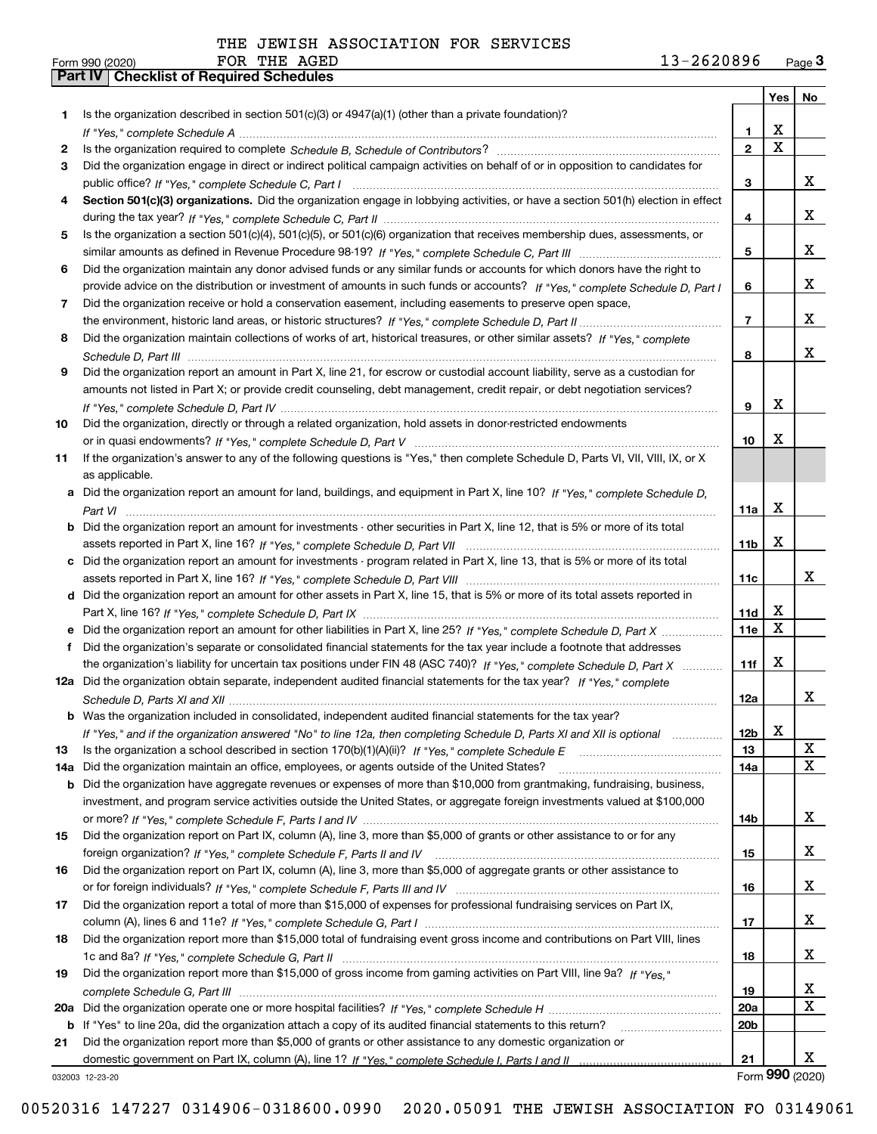|     |                                                                                                                                       |                 | Yes | No          |
|-----|---------------------------------------------------------------------------------------------------------------------------------------|-----------------|-----|-------------|
| 1.  | Is the organization described in section 501(c)(3) or 4947(a)(1) (other than a private foundation)?                                   |                 |     |             |
|     |                                                                                                                                       | 1               | х   |             |
| 2   |                                                                                                                                       | $\mathbf{2}$    | X   |             |
| 3   | Did the organization engage in direct or indirect political campaign activities on behalf of or in opposition to candidates for       |                 |     |             |
|     |                                                                                                                                       | 3               |     | X.          |
| 4   | Section 501(c)(3) organizations. Did the organization engage in lobbying activities, or have a section 501(h) election in effect      |                 |     |             |
|     |                                                                                                                                       | 4               |     | x           |
| 5   | Is the organization a section 501(c)(4), 501(c)(5), or 501(c)(6) organization that receives membership dues, assessments, or          |                 |     |             |
|     |                                                                                                                                       | 5               |     | x           |
| 6   | Did the organization maintain any donor advised funds or any similar funds or accounts for which donors have the right to             |                 |     |             |
|     | provide advice on the distribution or investment of amounts in such funds or accounts? If "Yes," complete Schedule D, Part I          | 6               |     | x           |
| 7   | Did the organization receive or hold a conservation easement, including easements to preserve open space,                             |                 |     |             |
|     |                                                                                                                                       | 7               |     | x           |
| 8   | Did the organization maintain collections of works of art, historical treasures, or other similar assets? If "Yes," complete          |                 |     |             |
|     |                                                                                                                                       | 8               |     | x           |
| 9   | Did the organization report an amount in Part X, line 21, for escrow or custodial account liability, serve as a custodian for         |                 |     |             |
|     | amounts not listed in Part X; or provide credit counseling, debt management, credit repair, or debt negotiation services?             |                 | х   |             |
|     |                                                                                                                                       | 9               |     |             |
| 10  | Did the organization, directly or through a related organization, hold assets in donor-restricted endowments                          |                 | х   |             |
|     | If the organization's answer to any of the following questions is "Yes," then complete Schedule D, Parts VI, VII, VIII, IX, or X      | 10              |     |             |
| 11  | as applicable.                                                                                                                        |                 |     |             |
|     | a Did the organization report an amount for land, buildings, and equipment in Part X, line 10? If "Yes," complete Schedule D,         |                 |     |             |
|     |                                                                                                                                       | 11a             | x   |             |
|     | <b>b</b> Did the organization report an amount for investments - other securities in Part X, line 12, that is 5% or more of its total |                 |     |             |
|     |                                                                                                                                       | 11b             | x   |             |
|     | c Did the organization report an amount for investments - program related in Part X, line 13, that is 5% or more of its total         |                 |     |             |
|     |                                                                                                                                       | 11c             |     | х           |
|     | d Did the organization report an amount for other assets in Part X, line 15, that is 5% or more of its total assets reported in       |                 |     |             |
|     |                                                                                                                                       | 11d             | X   |             |
|     | e Did the organization report an amount for other liabilities in Part X, line 25? If "Yes," complete Schedule D, Part X               | 11e             | х   |             |
| f   | Did the organization's separate or consolidated financial statements for the tax year include a footnote that addresses               |                 |     |             |
|     | the organization's liability for uncertain tax positions under FIN 48 (ASC 740)? If "Yes," complete Schedule D, Part X                | 11f             | х   |             |
|     | 12a Did the organization obtain separate, independent audited financial statements for the tax year? If "Yes," complete               |                 |     |             |
|     |                                                                                                                                       | 12a             |     | x           |
|     | <b>b</b> Was the organization included in consolidated, independent audited financial statements for the tax year?                    |                 |     |             |
|     | If "Yes," and if the organization answered "No" to line 12a, then completing Schedule D, Parts XI and XII is optional                 | 12 <sub>b</sub> | х   |             |
| 13  |                                                                                                                                       | 13              |     | $\mathbf X$ |
| 14a | Did the organization maintain an office, employees, or agents outside of the United States?                                           | 14a             |     | X           |
|     | <b>b</b> Did the organization have aggregate revenues or expenses of more than \$10,000 from grantmaking, fundraising, business,      |                 |     |             |
|     | investment, and program service activities outside the United States, or aggregate foreign investments valued at \$100,000            |                 |     |             |
|     |                                                                                                                                       | 14b             |     | x           |
| 15  | Did the organization report on Part IX, column (A), line 3, more than \$5,000 of grants or other assistance to or for any             |                 |     |             |
|     |                                                                                                                                       | 15              |     | X,          |
| 16  | Did the organization report on Part IX, column (A), line 3, more than \$5,000 of aggregate grants or other assistance to              |                 |     |             |
|     |                                                                                                                                       | 16              |     | X,          |
| 17  | Did the organization report a total of more than \$15,000 of expenses for professional fundraising services on Part IX,               |                 |     |             |
|     |                                                                                                                                       | 17              |     | X           |
| 18  | Did the organization report more than \$15,000 total of fundraising event gross income and contributions on Part VIII, lines          |                 |     | x           |
|     | Did the organization report more than \$15,000 of gross income from gaming activities on Part VIII, line 9a? If "Yes."                | 18              |     |             |
| 19  |                                                                                                                                       |                 |     | X           |
|     |                                                                                                                                       | 19<br>20a       |     | $\mathbf x$ |
| 20a | b If "Yes" to line 20a, did the organization attach a copy of its audited financial statements to this return?                        | 20 <sub>b</sub> |     |             |
| 21  | Did the organization report more than \$5,000 of grants or other assistance to any domestic organization or                           |                 |     |             |
|     |                                                                                                                                       | 21              |     | x           |
|     |                                                                                                                                       |                 |     |             |

032003 12-23-20

Form (2020) **990**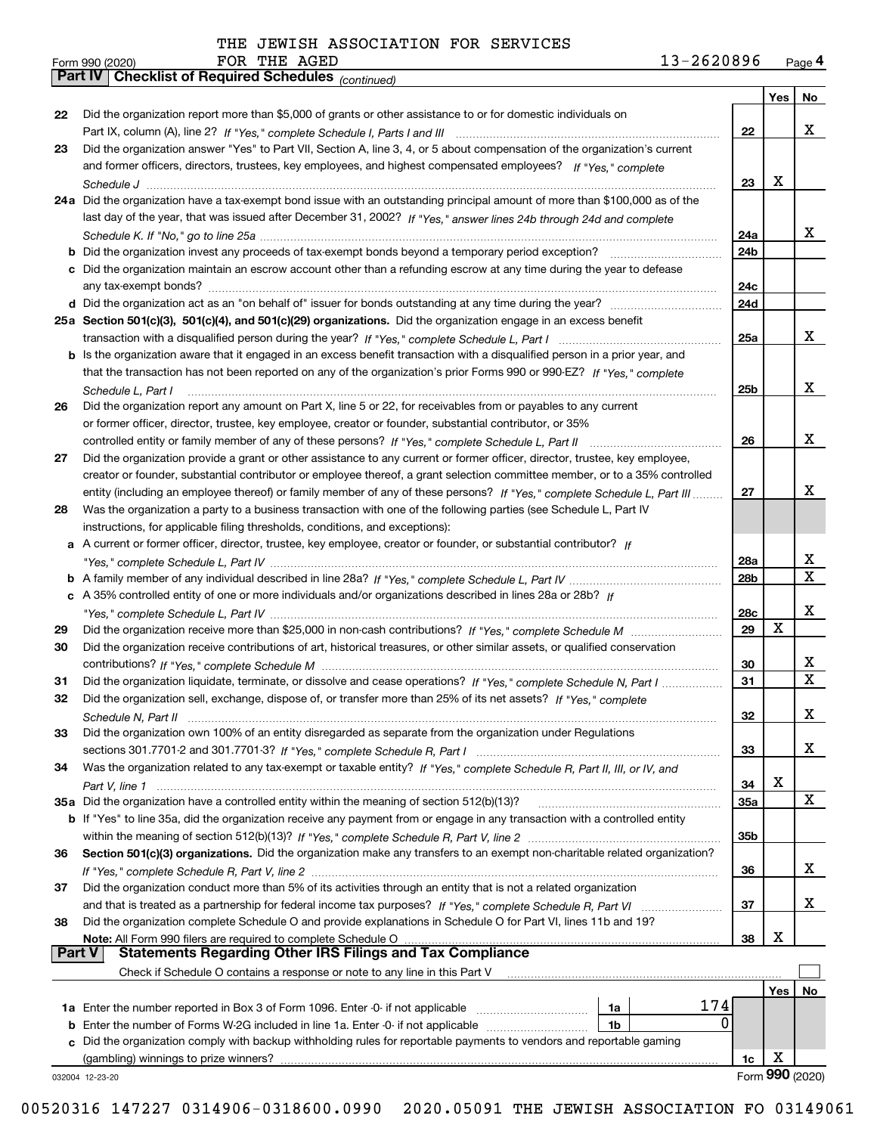*(continued)*

FOR THE AGED

| Form 990 (2020) |                                                       | FOR THE AGED |  | 13-2620896 | Page 4 |
|-----------------|-------------------------------------------------------|--------------|--|------------|--------|
|                 | Part IV   Checklist of Required Schedules (continued) |              |  |            |        |

|               |                                                                                                                              |                 | Yes $ $ | No                      |
|---------------|------------------------------------------------------------------------------------------------------------------------------|-----------------|---------|-------------------------|
| 22            | Did the organization report more than \$5,000 of grants or other assistance to or for domestic individuals on                |                 |         |                         |
|               |                                                                                                                              | 22              |         | x                       |
| 23            | Did the organization answer "Yes" to Part VII, Section A, line 3, 4, or 5 about compensation of the organization's current   |                 |         |                         |
|               | and former officers, directors, trustees, key employees, and highest compensated employees? If "Yes," complete               |                 |         |                         |
|               |                                                                                                                              | 23              | х       |                         |
|               | 24a Did the organization have a tax-exempt bond issue with an outstanding principal amount of more than \$100,000 as of the  |                 |         |                         |
|               | last day of the year, that was issued after December 31, 2002? If "Yes," answer lines 24b through 24d and complete           |                 |         |                         |
|               |                                                                                                                              | 24a             |         | x                       |
|               | <b>b</b> Did the organization invest any proceeds of tax-exempt bonds beyond a temporary period exception?                   | 24 <sub>b</sub> |         |                         |
|               | c Did the organization maintain an escrow account other than a refunding escrow at any time during the year to defease       |                 |         |                         |
|               |                                                                                                                              | 24c             |         |                         |
|               |                                                                                                                              | 24d             |         |                         |
|               | 25a Section 501(c)(3), 501(c)(4), and 501(c)(29) organizations. Did the organization engage in an excess benefit             |                 |         |                         |
|               |                                                                                                                              | 25a             |         | x                       |
|               | b Is the organization aware that it engaged in an excess benefit transaction with a disqualified person in a prior year, and |                 |         |                         |
|               | that the transaction has not been reported on any of the organization's prior Forms 990 or 990-EZ? If "Yes," complete        |                 |         |                         |
|               |                                                                                                                              |                 |         | X                       |
|               | Schedule L, Part I                                                                                                           | 25b             |         |                         |
| 26            | Did the organization report any amount on Part X, line 5 or 22, for receivables from or payables to any current              |                 |         |                         |
|               | or former officer, director, trustee, key employee, creator or founder, substantial contributor, or 35%                      |                 |         | X                       |
|               | controlled entity or family member of any of these persons? If "Yes," complete Schedule L, Part II                           | 26              |         |                         |
| 27            | Did the organization provide a grant or other assistance to any current or former officer, director, trustee, key employee,  |                 |         |                         |
|               | creator or founder, substantial contributor or employee thereof, a grant selection committee member, or to a 35% controlled  |                 |         |                         |
|               | entity (including an employee thereof) or family member of any of these persons? If "Yes," complete Schedule L, Part III     | 27              |         | x                       |
| 28            | Was the organization a party to a business transaction with one of the following parties (see Schedule L, Part IV            |                 |         |                         |
|               | instructions, for applicable filing thresholds, conditions, and exceptions):                                                 |                 |         |                         |
|               | a A current or former officer, director, trustee, key employee, creator or founder, or substantial contributor? If           |                 |         |                         |
|               |                                                                                                                              | 28a             |         | x                       |
|               |                                                                                                                              | 28b             |         | $\overline{\mathtt{x}}$ |
|               | c A 35% controlled entity of one or more individuals and/or organizations described in lines 28a or 28b? If                  |                 |         |                         |
|               |                                                                                                                              | 28c             |         | X                       |
| 29            |                                                                                                                              | 29              | X       |                         |
| 30            | Did the organization receive contributions of art, historical treasures, or other similar assets, or qualified conservation  |                 |         |                         |
|               |                                                                                                                              | 30              |         | х                       |
| 31            | Did the organization liquidate, terminate, or dissolve and cease operations? If "Yes," complete Schedule N, Part I           | 31              |         | $\overline{\mathtt{x}}$ |
| 32            | Did the organization sell, exchange, dispose of, or transfer more than 25% of its net assets? If "Yes," complete             |                 |         |                         |
|               |                                                                                                                              | 32              |         | x                       |
| 33            | Did the organization own 100% of an entity disregarded as separate from the organization under Regulations                   |                 |         |                         |
|               |                                                                                                                              | 33              |         | x                       |
| 34            | Was the organization related to any tax-exempt or taxable entity? If "Yes," complete Schedule R, Part II, III, or IV, and    |                 |         |                         |
|               |                                                                                                                              | 34              | х       |                         |
|               | 35a Did the organization have a controlled entity within the meaning of section 512(b)(13)?                                  | 35a             |         | X                       |
|               | b If "Yes" to line 35a, did the organization receive any payment from or engage in any transaction with a controlled entity  |                 |         |                         |
|               |                                                                                                                              | 35b             |         |                         |
| 36            | Section 501(c)(3) organizations. Did the organization make any transfers to an exempt non-charitable related organization?   |                 |         |                         |
|               |                                                                                                                              | 36              |         | x                       |
| 37            | Did the organization conduct more than 5% of its activities through an entity that is not a related organization             |                 |         |                         |
|               |                                                                                                                              | 37              |         | x                       |
| 38            | Did the organization complete Schedule O and provide explanations in Schedule O for Part VI, lines 11b and 19?               |                 |         |                         |
|               | Note: All Form 990 filers are required to complete Schedule O                                                                | 38              | х       |                         |
| <b>Part V</b> | <b>Statements Regarding Other IRS Filings and Tax Compliance</b>                                                             |                 |         |                         |
|               | Check if Schedule O contains a response or note to any line in this Part V                                                   |                 |         |                         |
|               |                                                                                                                              |                 |         |                         |
|               | 174                                                                                                                          |                 | Yes     | No                      |
|               | 1a<br>0                                                                                                                      |                 |         |                         |
| b             | Enter the number of Forms W-2G included in line 1a. Enter -0- if not applicable<br>1b                                        |                 |         |                         |
|               | c Did the organization comply with backup withholding rules for reportable payments to vendors and reportable gaming         |                 |         |                         |
|               | (gambling) winnings to prize winners?                                                                                        | 1c              | х       |                         |
|               | 032004 12-23-20                                                                                                              |                 |         | Form 990 (2020)         |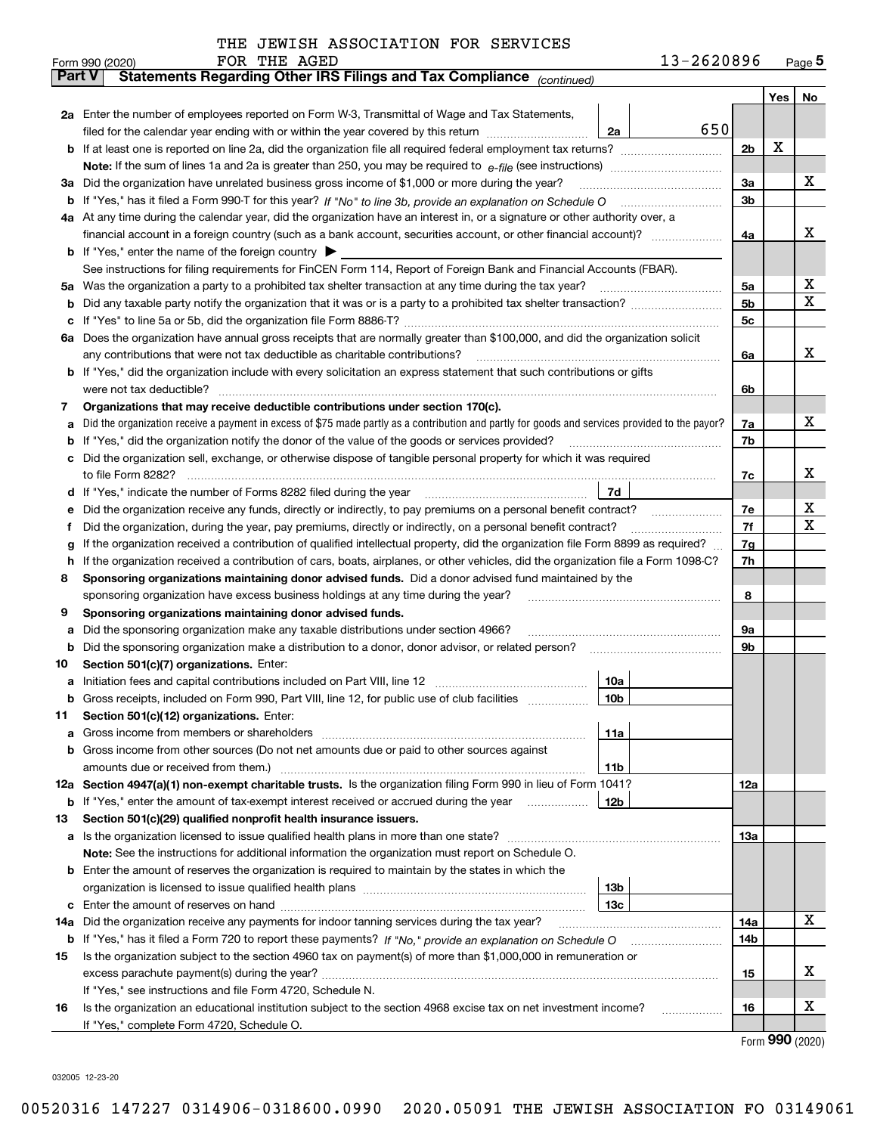|               | 13-2620896<br>FOR THE AGED<br>Form 990 (2020)                                                                                                                                                                                         |                |     | $_{\text{Page}}$ 5 |  |  |  |
|---------------|---------------------------------------------------------------------------------------------------------------------------------------------------------------------------------------------------------------------------------------|----------------|-----|--------------------|--|--|--|
| <b>Part V</b> | Statements Regarding Other IRS Filings and Tax Compliance (continued)                                                                                                                                                                 |                |     |                    |  |  |  |
|               |                                                                                                                                                                                                                                       |                | Yes | No                 |  |  |  |
|               | 2a Enter the number of employees reported on Form W-3, Transmittal of Wage and Tax Statements,                                                                                                                                        |                |     |                    |  |  |  |
|               | 650<br>filed for the calendar year ending with or within the year covered by this return<br>2a                                                                                                                                        |                |     |                    |  |  |  |
| b             |                                                                                                                                                                                                                                       | 2 <sub>b</sub> | х   |                    |  |  |  |
|               |                                                                                                                                                                                                                                       |                |     |                    |  |  |  |
| За            | Did the organization have unrelated business gross income of \$1,000 or more during the year?                                                                                                                                         |                |     |                    |  |  |  |
|               |                                                                                                                                                                                                                                       | 3a<br>3b       |     | х                  |  |  |  |
|               | 4a At any time during the calendar year, did the organization have an interest in, or a signature or other authority over, a                                                                                                          |                |     |                    |  |  |  |
|               |                                                                                                                                                                                                                                       |                |     |                    |  |  |  |
|               |                                                                                                                                                                                                                                       |                |     |                    |  |  |  |
|               | <b>b</b> If "Yes," enter the name of the foreign country $\blacktriangleright$                                                                                                                                                        |                |     |                    |  |  |  |
|               | See instructions for filing requirements for FinCEN Form 114, Report of Foreign Bank and Financial Accounts (FBAR).                                                                                                                   |                |     |                    |  |  |  |
| 5a            | Was the organization a party to a prohibited tax shelter transaction at any time during the tax year?                                                                                                                                 | 5a             |     | x                  |  |  |  |
| b             |                                                                                                                                                                                                                                       | 5 <sub>b</sub> |     | х                  |  |  |  |
| с             |                                                                                                                                                                                                                                       | 5c             |     |                    |  |  |  |
|               | 6a Does the organization have annual gross receipts that are normally greater than \$100,000, and did the organization solicit                                                                                                        |                |     |                    |  |  |  |
|               | any contributions that were not tax deductible as charitable contributions?                                                                                                                                                           | 6a             |     | x                  |  |  |  |
|               | <b>b</b> If "Yes," did the organization include with every solicitation an express statement that such contributions or gifts                                                                                                         |                |     |                    |  |  |  |
|               | were not tax deductible?                                                                                                                                                                                                              | 6b             |     |                    |  |  |  |
| 7             | Organizations that may receive deductible contributions under section 170(c).                                                                                                                                                         |                |     |                    |  |  |  |
| а             | Did the organization receive a payment in excess of \$75 made partly as a contribution and partly for goods and services provided to the payor?                                                                                       | 7a             |     | х                  |  |  |  |
| b             | If "Yes," did the organization notify the donor of the value of the goods or services provided?                                                                                                                                       | 7b             |     |                    |  |  |  |
| с             | Did the organization sell, exchange, or otherwise dispose of tangible personal property for which it was required                                                                                                                     |                |     |                    |  |  |  |
|               |                                                                                                                                                                                                                                       | 7c             |     | х                  |  |  |  |
| d             | 7d                                                                                                                                                                                                                                    |                |     |                    |  |  |  |
| е             | Did the organization receive any funds, directly or indirectly, to pay premiums on a personal benefit contract?                                                                                                                       | 7e             |     | х                  |  |  |  |
| f             | Did the organization, during the year, pay premiums, directly or indirectly, on a personal benefit contract?                                                                                                                          | 7f             |     | х                  |  |  |  |
|               | If the organization received a contribution of qualified intellectual property, did the organization file Form 8899 as required?                                                                                                      | 7g             |     |                    |  |  |  |
| h             | g<br>If the organization received a contribution of cars, boats, airplanes, or other vehicles, did the organization file a Form 1098-C?                                                                                               |                |     |                    |  |  |  |
|               | Sponsoring organizations maintaining donor advised funds. Did a donor advised fund maintained by the                                                                                                                                  | 7h             |     |                    |  |  |  |
| 8             |                                                                                                                                                                                                                                       |                |     |                    |  |  |  |
|               | sponsoring organization have excess business holdings at any time during the year?                                                                                                                                                    | 8              |     |                    |  |  |  |
| 9             | Sponsoring organizations maintaining donor advised funds.                                                                                                                                                                             |                |     |                    |  |  |  |
| а             | Did the sponsoring organization make any taxable distributions under section 4966?                                                                                                                                                    | 9а             |     |                    |  |  |  |
| b             | Did the sponsoring organization make a distribution to a donor, donor advisor, or related person?                                                                                                                                     | 9b             |     |                    |  |  |  |
| 10            | Section 501(c)(7) organizations. Enter:                                                                                                                                                                                               |                |     |                    |  |  |  |
|               | 10a<br>a Initiation fees and capital contributions included on Part VIII, line 12 [111] [12] [11] [12] [11] [12] [11] [12] [11] [12] [11] [12] [11] [12] [11] [12] [11] [12] [11] [12] [11] [12] [11] [12] [11] [12] [11] [12] [11] [ |                |     |                    |  |  |  |
|               | 10b <br>Gross receipts, included on Form 990, Part VIII, line 12, for public use of club facilities                                                                                                                                   |                |     |                    |  |  |  |
| 11            | Section 501(c)(12) organizations. Enter:                                                                                                                                                                                              |                |     |                    |  |  |  |
| a             | Gross income from members or shareholders<br>11a                                                                                                                                                                                      |                |     |                    |  |  |  |
| b             | Gross income from other sources (Do not net amounts due or paid to other sources against                                                                                                                                              |                |     |                    |  |  |  |
|               | 11 <sub>b</sub>                                                                                                                                                                                                                       |                |     |                    |  |  |  |
|               | 12a Section 4947(a)(1) non-exempt charitable trusts. Is the organization filing Form 990 in lieu of Form 1041?                                                                                                                        | 12a            |     |                    |  |  |  |
|               | 12b<br><b>b</b> If "Yes," enter the amount of tax-exempt interest received or accrued during the year                                                                                                                                 |                |     |                    |  |  |  |
| 13            | Section 501(c)(29) qualified nonprofit health insurance issuers.                                                                                                                                                                      |                |     |                    |  |  |  |
| a             | Is the organization licensed to issue qualified health plans in more than one state?                                                                                                                                                  | 13a            |     |                    |  |  |  |
|               | Note: See the instructions for additional information the organization must report on Schedule O.                                                                                                                                     |                |     |                    |  |  |  |
| b             | Enter the amount of reserves the organization is required to maintain by the states in which the                                                                                                                                      |                |     |                    |  |  |  |
|               | 13 <sub>b</sub>                                                                                                                                                                                                                       |                |     |                    |  |  |  |
|               | 13 <sub>c</sub>                                                                                                                                                                                                                       |                |     |                    |  |  |  |
| 14a           | Did the organization receive any payments for indoor tanning services during the tax year?                                                                                                                                            | 14a            |     | X                  |  |  |  |
|               | <b>b</b> If "Yes," has it filed a Form 720 to report these payments? If "No," provide an explanation on Schedule O                                                                                                                    | 14b            |     |                    |  |  |  |
|               | Is the organization subject to the section 4960 tax on payment(s) of more than \$1,000,000 in remuneration or                                                                                                                         |                |     |                    |  |  |  |
| 15            |                                                                                                                                                                                                                                       |                |     | x                  |  |  |  |
|               | excess parachute payment(s) during the year?                                                                                                                                                                                          | 15             |     |                    |  |  |  |
|               | If "Yes," see instructions and file Form 4720, Schedule N.                                                                                                                                                                            |                |     |                    |  |  |  |
| 16            | Is the organization an educational institution subject to the section 4968 excise tax on net investment income?                                                                                                                       | 16             |     | х                  |  |  |  |
|               | If "Yes," complete Form 4720, Schedule O.                                                                                                                                                                                             |                |     |                    |  |  |  |

Form (2020) **990**

032005 12-23-20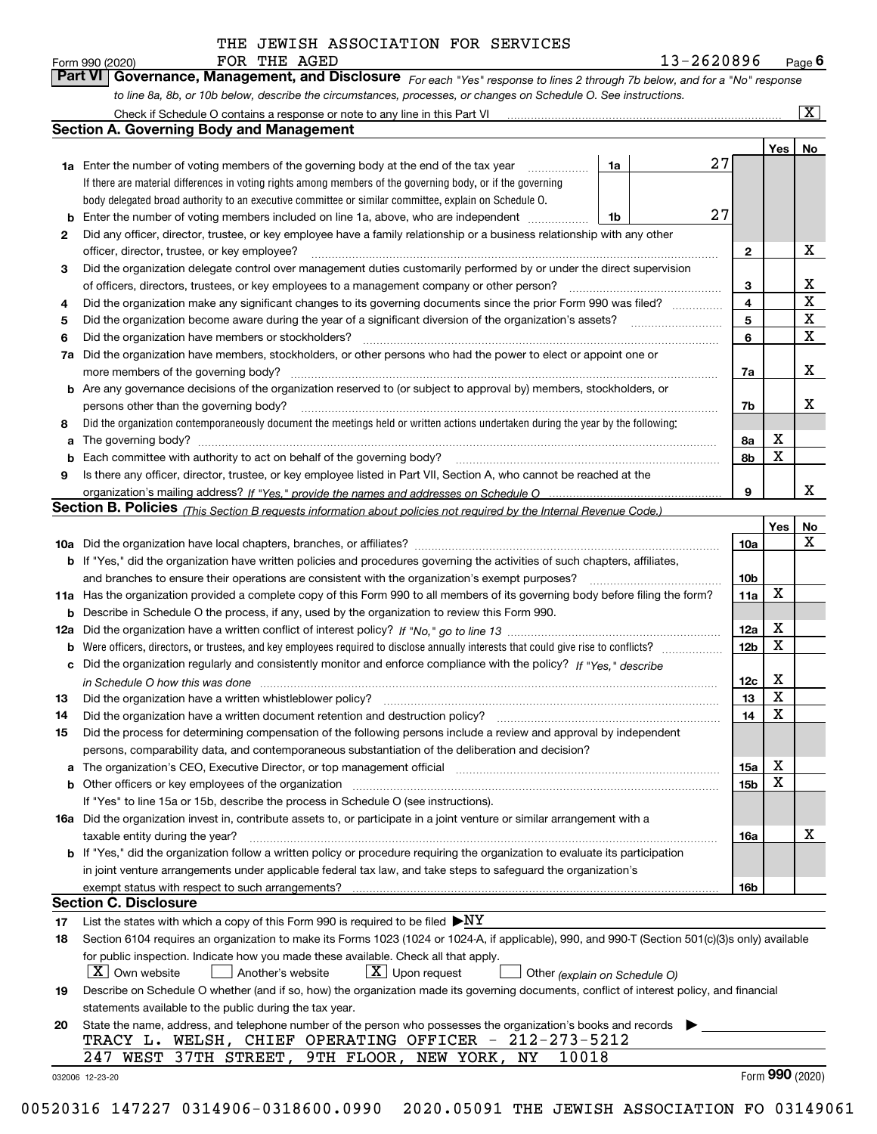FOR THE AGED 13-2620896

|    | THE AGED<br>FOR<br>Form 990 (2020)                                                                                          |    | 13-2620896 |     | $P_{\text{aqe}}$ 6 |
|----|-----------------------------------------------------------------------------------------------------------------------------|----|------------|-----|--------------------|
|    | Part VI Governance, Management, and Disclosure For each "Yes" response to lines 2 through 7b below, and for a "No" response |    |            |     |                    |
|    | to line 8a, 8b, or 10b below, describe the circumstances, processes, or changes on Schedule O. See instructions.            |    |            |     |                    |
|    | Check if Schedule O contains a response or note to any line in this Part VI                                                 |    |            |     |                    |
|    | Section A. Governing Body and Management                                                                                    |    |            |     |                    |
|    |                                                                                                                             |    |            | Yes | <b>No</b>          |
| 1a | Enter the number of voting members of the governing body at the end of the tax year                                         | 1a |            |     |                    |
|    | If there are material differences in voting rights among members of the governing body, or if the governing                 |    |            |     |                    |

|          | body delegated broad authority to an executive committee or similar committee, explain on Schedule O.                                                                                                                                                   |  |                         |             |              |
|----------|---------------------------------------------------------------------------------------------------------------------------------------------------------------------------------------------------------------------------------------------------------|--|-------------------------|-------------|--------------|
| b        | 27<br>Enter the number of voting members included on line 1a, above, who are independent<br>1b                                                                                                                                                          |  |                         |             |              |
| 2        | Did any officer, director, trustee, or key employee have a family relationship or a business relationship with any other                                                                                                                                |  |                         |             |              |
|          | officer, director, trustee, or key employee?                                                                                                                                                                                                            |  |                         |             | х            |
| 3        | Did the organization delegate control over management duties customarily performed by or under the direct supervision                                                                                                                                   |  |                         |             |              |
|          | of officers, directors, trustees, or key employees to a management company or other person?                                                                                                                                                             |  | 3                       |             | х            |
| 4        |                                                                                                                                                                                                                                                         |  | $\overline{\mathbf{4}}$ |             | $\mathbf X$  |
| 5        |                                                                                                                                                                                                                                                         |  | 5                       |             | $\mathbf X$  |
| 6        | Did the organization have members or stockholders?                                                                                                                                                                                                      |  | 6                       |             | $\mathbf{x}$ |
| 7a       | Did the organization have members, stockholders, or other persons who had the power to elect or appoint one or                                                                                                                                          |  |                         |             |              |
|          | more members of the governing body?                                                                                                                                                                                                                     |  | 7a                      |             | X            |
| b        | Are any governance decisions of the organization reserved to (or subject to approval by) members, stockholders, or                                                                                                                                      |  |                         |             |              |
|          | persons other than the governing body?                                                                                                                                                                                                                  |  | 7b                      |             | х            |
| 8        | Did the organization contemporaneously document the meetings held or written actions undertaken during the year by the following:                                                                                                                       |  |                         |             |              |
| a        |                                                                                                                                                                                                                                                         |  | 8a                      | х           |              |
| b        |                                                                                                                                                                                                                                                         |  | 8b                      | $\mathbf x$ |              |
| 9        | Is there any officer, director, trustee, or key employee listed in Part VII, Section A, who cannot be reached at the                                                                                                                                    |  |                         |             |              |
|          |                                                                                                                                                                                                                                                         |  | 9                       |             | x            |
|          | Section B. Policies <sub>(This Section B requests information about policies not required by the Internal Revenue Code.)</sub>                                                                                                                          |  |                         |             |              |
|          |                                                                                                                                                                                                                                                         |  |                         | Yes         | <u>No</u>    |
|          |                                                                                                                                                                                                                                                         |  | 10a                     |             | X            |
|          | <b>b</b> If "Yes," did the organization have written policies and procedures governing the activities of such chapters, affiliates,                                                                                                                     |  |                         |             |              |
|          | and branches to ensure their operations are consistent with the organization's exempt purposes?                                                                                                                                                         |  | 10 <sub>b</sub>         |             |              |
|          | 11a Has the organization provided a complete copy of this Form 990 to all members of its governing body before filing the form?                                                                                                                         |  | 11a                     | X           |              |
| b        | Describe in Schedule O the process, if any, used by the organization to review this Form 990.                                                                                                                                                           |  |                         |             |              |
| 12a      |                                                                                                                                                                                                                                                         |  | 12a                     | х           |              |
| b        | Were officers, directors, or trustees, and key employees required to disclose annually interests that could give rise to conflicts?                                                                                                                     |  | 12 <sub>b</sub>         | X           |              |
| с        | Did the organization regularly and consistently monitor and enforce compliance with the policy? If "Yes," describe                                                                                                                                      |  |                         |             |              |
|          | in Schedule O how this was done <i>manufacture content of the state of the state of the state of the state of the</i>                                                                                                                                   |  | 12c                     | X           |              |
| 13       | Did the organization have a written whistleblower policy?                                                                                                                                                                                               |  | 13                      | $\mathbf X$ |              |
| 14       | Did the organization have a written document retention and destruction policy?                                                                                                                                                                          |  | 14                      | X           |              |
| 15       | Did the process for determining compensation of the following persons include a review and approval by independent                                                                                                                                      |  |                         |             |              |
|          | persons, comparability data, and contemporaneous substantiation of the deliberation and decision?                                                                                                                                                       |  |                         |             |              |
|          | The organization's CEO, Executive Director, or top management official manufactured contains and contained a support of the organization's CEO, Executive Director, or top management official manufactured and contained and                           |  | 15a                     | х<br>X      |              |
| b        |                                                                                                                                                                                                                                                         |  | 15 <sub>b</sub>         |             |              |
|          | If "Yes" to line 15a or 15b, describe the process in Schedule O (see instructions).                                                                                                                                                                     |  |                         |             |              |
|          | 16a Did the organization invest in, contribute assets to, or participate in a joint venture or similar arrangement with a                                                                                                                               |  |                         |             |              |
|          | taxable entity during the year?<br><b>b</b> If "Yes," did the organization follow a written policy or procedure requiring the organization to evaluate its participation                                                                                |  | <b>16а</b>              |             | ▵            |
|          |                                                                                                                                                                                                                                                         |  |                         |             |              |
|          |                                                                                                                                                                                                                                                         |  |                         |             |              |
|          | in joint venture arrangements under applicable federal tax law, and take steps to safeguard the organization's                                                                                                                                          |  |                         |             |              |
|          | exempt status with respect to such arrangements?                                                                                                                                                                                                        |  | 16b                     |             |              |
|          | Section C. Disclosure                                                                                                                                                                                                                                   |  |                         |             |              |
| 17<br>18 | List the states with which a copy of this Form 990 is required to be filed $\blacktriangleright$ NY<br>Section 6104 requires an organization to make its Forms 1023 (1024 or 1024-A, if applicable), 990, and 990-T (Section 501(c)(3)s only) available |  |                         |             |              |

for public inspection. Indicate how you made these available. Check all that apply.

 *(explain on Schedule O)*  $\boxed{\textbf{X}}$  Own website  $\boxed{\phantom{1}}$  Another's website  $\boxed{\phantom{1}}$  Upon request  $\boxed{\phantom{1}}$  Other  $\boxed{\text{X}}$  Upon request

| 19 Describe on Schedule O whether (and if so, how) the organization made its governing documents, conflict of interest policy, and financial |
|----------------------------------------------------------------------------------------------------------------------------------------------|
| statements available to the public during the tax year.                                                                                      |

|  |  |                                                        | 20 State the name, address, and telephone number of the person who possesses the organization's books and records |  |
|--|--|--------------------------------------------------------|-------------------------------------------------------------------------------------------------------------------|--|
|  |  | TRACY L. WELSH, CHIEF OPERATING OFFICER - 212-273-5212 |                                                                                                                   |  |
|  |  | 247 WEST 37TH STREET, 9TH FLOOR, NEW YORK, NY 10018    |                                                                                                                   |  |

032006 12-23-20

X

Form (2020) **990**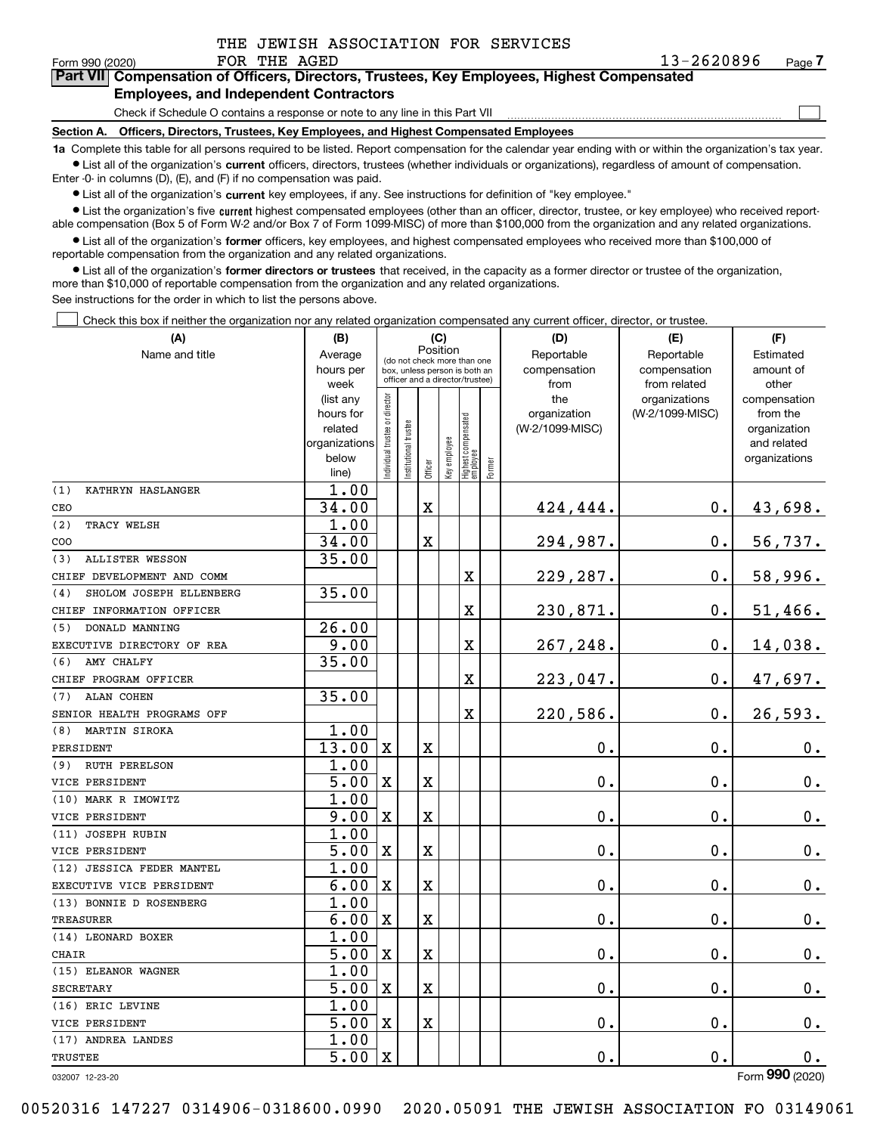|              | THE JEWISH ASSOCIATION FOR SERVICES |  |
|--------------|-------------------------------------|--|
| FOR THE AGED |                                     |  |

 $\frac{13-2620896}{\text{F} \cdot \text{P} \cdot \text{P} \cdot \text{P} \cdot \text{P} \cdot \text{P} \cdot \text{P} \cdot \text{P} \cdot \text{P} \cdot \text{P} \cdot \text{P} \cdot \text{P} \cdot \text{P} \cdot \text{P} \cdot \text{P} \cdot \text{P} \cdot \text{P} \cdot \text{P} \cdot \text{P} \cdot \text{P} \cdot \text{P} \cdot \text{P} \cdot \text{P} \cdot \text{P} \cdot \text{P} \cdot \text{P} \cdot \text{P} \cdot \text{P} \cdot \text{P} \cdot \text{$ 

 $\mathcal{L}^{\text{max}}$ 

| orm 990 (2020) <sup>.</sup> |                                               |  | FOR THE AGED |                                                                                            | 13-2620896 | Page <i>I</i> |
|-----------------------------|-----------------------------------------------|--|--------------|--------------------------------------------------------------------------------------------|------------|---------------|
|                             |                                               |  |              | Part VII Compensation of Officers, Directors, Trustees, Key Employees, Highest Compensated |            |               |
|                             | <b>Employees, and Independent Contractors</b> |  |              |                                                                                            |            |               |

Check if Schedule O contains a response or note to any line in this Part VII

**Section A. Officers, Directors, Trustees, Key Employees, and Highest Compensated Employees**

**1a**  Complete this table for all persons required to be listed. Report compensation for the calendar year ending with or within the organization's tax year. **•** List all of the organization's current officers, directors, trustees (whether individuals or organizations), regardless of amount of compensation.

Enter -0- in columns (D), (E), and (F) if no compensation was paid.

 $\bullet$  List all of the organization's  $\,$ current key employees, if any. See instructions for definition of "key employee."

**•** List the organization's five current highest compensated employees (other than an officer, director, trustee, or key employee) who received reportable compensation (Box 5 of Form W-2 and/or Box 7 of Form 1099-MISC) of more than \$100,000 from the organization and any related organizations.

**•** List all of the organization's former officers, key employees, and highest compensated employees who received more than \$100,000 of reportable compensation from the organization and any related organizations.

**former directors or trustees**  ¥ List all of the organization's that received, in the capacity as a former director or trustee of the organization, more than \$10,000 of reportable compensation from the organization and any related organizations.

See instructions for the order in which to list the persons above.

Check this box if neither the organization nor any related organization compensated any current officer, director, or trustee.  $\mathcal{L}^{\text{max}}$ 

| (A)                            | (B)                  |                               |                                                                  | (C)         |              |                                  |        | (D)                             | (E)             | (F)                         |
|--------------------------------|----------------------|-------------------------------|------------------------------------------------------------------|-------------|--------------|----------------------------------|--------|---------------------------------|-----------------|-----------------------------|
| Name and title                 | Average              |                               | (do not check more than one                                      | Position    |              |                                  |        | Reportable                      | Reportable      | Estimated                   |
|                                | hours per            |                               | box, unless person is both an<br>officer and a director/trustee) |             |              |                                  |        | compensation                    | compensation    | amount of                   |
|                                | week                 |                               |                                                                  |             |              |                                  |        | from                            | from related    | other                       |
|                                | (list any            |                               |                                                                  |             |              |                                  |        | the                             | organizations   | compensation                |
|                                | hours for<br>related |                               |                                                                  |             |              |                                  |        | organization<br>(W-2/1099-MISC) | (W-2/1099-MISC) | from the                    |
|                                | organizations        |                               |                                                                  |             |              |                                  |        |                                 |                 | organization<br>and related |
|                                | below                |                               |                                                                  |             |              |                                  |        |                                 |                 | organizations               |
|                                | line)                | ndividual trustee or director | nstitutional trustee                                             | Officer     | key employee | Highest compensated<br> employee | Former |                                 |                 |                             |
| (1)<br>KATHRYN HASLANGER       | 1.00                 |                               |                                                                  |             |              |                                  |        |                                 |                 |                             |
| CEO                            | 34.00                |                               |                                                                  | X           |              |                                  |        | 424,444.                        | 0.              | 43,698.                     |
| (2)<br>TRACY WELSH             | 1.00                 |                               |                                                                  |             |              |                                  |        |                                 |                 |                             |
| COO                            | 34.00                |                               |                                                                  | X           |              |                                  |        | 294,987.                        | $\mathbf{0}$ .  | 56,737.                     |
| ALLISTER WESSON<br>(3)         | 35.00                |                               |                                                                  |             |              |                                  |        |                                 |                 |                             |
| CHIEF DEVELOPMENT AND COMM     |                      |                               |                                                                  |             |              | X                                |        | 229,287.                        | 0.              | 58,996.                     |
| SHOLOM JOSEPH ELLENBERG<br>(4) | 35.00                |                               |                                                                  |             |              |                                  |        |                                 |                 |                             |
| CHIEF INFORMATION OFFICER      |                      |                               |                                                                  |             |              | X                                |        | 230,871.                        | $\mathbf{0}$ .  | 51,466.                     |
| DONALD MANNING<br>(5)          | $\overline{26.00}$   |                               |                                                                  |             |              |                                  |        |                                 |                 |                             |
| EXECUTIVE DIRECTORY OF REA     | 9.00                 |                               |                                                                  |             |              | X                                |        | 267,248.                        | 0.              | 14,038.                     |
| AMY CHALFY<br>(6)              | 35.00                |                               |                                                                  |             |              |                                  |        |                                 |                 |                             |
| CHIEF PROGRAM OFFICER          |                      |                               |                                                                  |             |              | X                                |        | 223,047.                        | $\mathbf{0}$ .  | 47,697.                     |
| ALAN COHEN<br>(7)              | 35.00                |                               |                                                                  |             |              |                                  |        |                                 |                 |                             |
| SENIOR HEALTH PROGRAMS OFF     |                      |                               |                                                                  |             |              | X                                |        | 220,586.                        | 0.              | 26,593.                     |
| <b>MARTIN SIROKA</b><br>(8)    | 1.00                 |                               |                                                                  |             |              |                                  |        |                                 |                 |                             |
| PERSIDENT                      | 13.00                | $\mathbf x$                   |                                                                  | X           |              |                                  |        | 0.                              | $\mathbf{0}$ .  | $\mathbf 0$ .               |
| <b>RUTH PERELSON</b><br>(9)    | 1.00                 |                               |                                                                  |             |              |                                  |        |                                 |                 |                             |
| VICE PERSIDENT                 | 5.00                 | $\mathbf X$                   |                                                                  | X           |              |                                  |        | 0.                              | $\mathbf 0$ .   | $\mathbf 0$ .               |
| (10) MARK R IMOWITZ            | 1.00                 |                               |                                                                  |             |              |                                  |        |                                 |                 |                             |
| VICE PERSIDENT                 | 9.00                 | $\mathbf x$                   |                                                                  | X           |              |                                  |        | $\mathbf 0$ .                   | $\mathbf 0$ .   | $0_{.}$                     |
| (11) JOSEPH RUBIN              | 1.00                 |                               |                                                                  |             |              |                                  |        |                                 |                 |                             |
| VICE PERSIDENT                 | 5.00                 | $\mathbf X$                   |                                                                  | X           |              |                                  |        | $\mathbf 0$ .                   | $\mathbf 0$ .   | $\mathbf 0$ .               |
| (12) JESSICA FEDER MANTEL      | 1.00                 |                               |                                                                  |             |              |                                  |        |                                 |                 |                             |
| EXECUTIVE VICE PERSIDENT       | 6.00                 | $\mathbf x$                   |                                                                  | X           |              |                                  |        | $\mathbf 0$ .                   | $\mathbf 0$ .   | 0.                          |
| (13) BONNIE D ROSENBERG        | 1.00                 |                               |                                                                  |             |              |                                  |        |                                 |                 |                             |
| <b>TREASURER</b>               | 6.00                 | $\mathbf X$                   |                                                                  | X           |              |                                  |        | 0.                              | $\mathbf 0$ .   | $\mathbf 0$ .               |
| (14) LEONARD BOXER             | 1.00                 |                               |                                                                  |             |              |                                  |        |                                 |                 |                             |
| CHAIR                          | 5.00                 | $\mathbf x$                   |                                                                  | X           |              |                                  |        | $\mathbf 0$ .                   | 0.              | $0_{.}$                     |
| (15) ELEANOR WAGNER            | 1.00                 |                               |                                                                  |             |              |                                  |        |                                 |                 |                             |
| <b>SECRETARY</b>               | 5.00                 | $\mathbf X$                   |                                                                  | $\mathbf X$ |              |                                  |        | $\mathbf 0$ .                   | $\mathbf 0$ .   | 0.                          |
| (16) ERIC LEVINE               | 1.00                 |                               |                                                                  |             |              |                                  |        |                                 |                 |                             |
| VICE PERSIDENT                 | 5.00                 | $\mathbf x$                   |                                                                  | X           |              |                                  |        | 0.                              | 0.              | 0.                          |
| (17) ANDREA LANDES             | 1.00                 |                               |                                                                  |             |              |                                  |        |                                 |                 |                             |
| TRUSTEE                        | 5.00                 | $\mathbf x$                   |                                                                  |             |              |                                  |        | 0.                              | $\mathbf 0$ .   | 0.                          |

032007 12-23-20

Form (2020) **990**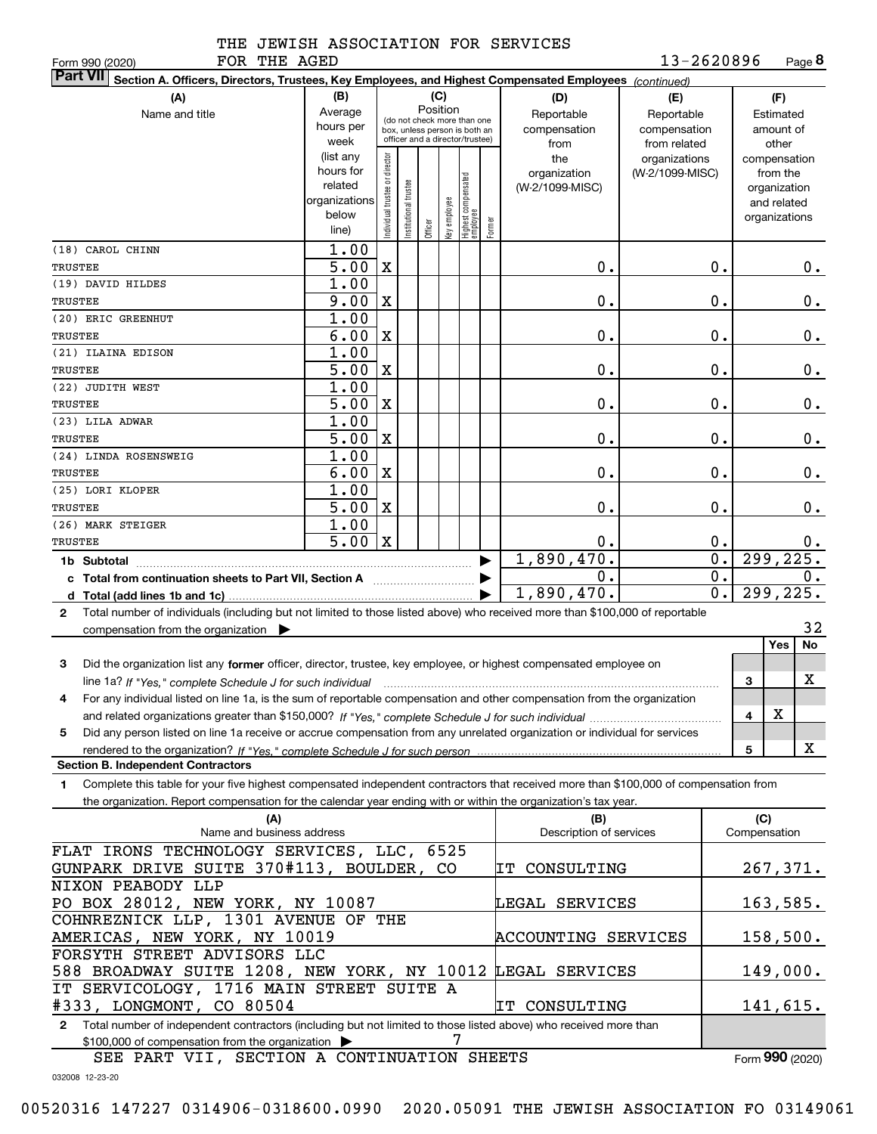| $\Omega$ $\Omega$ |  |
|-------------------|--|

032008 12-23-20

# THE JEWISH ASSOCIATION FOR SERVICES

FOR THE AGED

Form (2020) **990**

| FOR THE AGED<br>Form 990 (2020)                                                                                                                 |                   |                                |                       |          |              |                                                              |        |                         | 13-2620896      |                           |              | Page 8        |
|-------------------------------------------------------------------------------------------------------------------------------------------------|-------------------|--------------------------------|-----------------------|----------|--------------|--------------------------------------------------------------|--------|-------------------------|-----------------|---------------------------|--------------|---------------|
| <b>Part VII</b><br>Section A. Officers, Directors, Trustees, Key Employees, and Highest Compensated Employees (continued)                       |                   |                                |                       |          |              |                                                              |        |                         |                 |                           |              |               |
| (A)                                                                                                                                             | (B)               |                                |                       | (C)      |              |                                                              |        | (D)                     | (E)             |                           |              | (F)           |
| Name and title                                                                                                                                  | Average           |                                |                       | Position |              |                                                              |        | Reportable              | Reportable      |                           |              | Estimated     |
|                                                                                                                                                 | hours per         |                                |                       |          |              | (do not check more than one<br>box, unless person is both an |        | compensation            | compensation    |                           |              | amount of     |
|                                                                                                                                                 | week              |                                |                       |          |              | officer and a director/trustee)                              |        | from                    | from related    |                           |              | other         |
|                                                                                                                                                 | (list any         |                                |                       |          |              |                                                              |        | the                     | organizations   |                           |              | compensation  |
|                                                                                                                                                 | hours for         |                                |                       |          |              |                                                              |        | organization            | (W-2/1099-MISC) |                           |              | from the      |
|                                                                                                                                                 | related           |                                |                       |          |              |                                                              |        | (W-2/1099-MISC)         |                 |                           |              | organization  |
|                                                                                                                                                 | organizations     |                                |                       |          |              |                                                              |        |                         |                 |                           |              | and related   |
|                                                                                                                                                 | below             | Individual trustee or director | Institutional trustee |          | Key employee | Highest compensated<br> employee                             | Former |                         |                 |                           |              | organizations |
|                                                                                                                                                 | line)             |                                |                       | Officer  |              |                                                              |        |                         |                 |                           |              |               |
| (18) CAROL CHINN                                                                                                                                | 1.00              |                                |                       |          |              |                                                              |        |                         |                 |                           |              |               |
| <b>TRUSTEE</b>                                                                                                                                  | $\overline{5.00}$ | $\mathbf x$                    |                       |          |              |                                                              |        | 0.                      |                 | $\mathbf 0$ .             |              | 0.            |
| (19) DAVID HILDES                                                                                                                               | 1.00              |                                |                       |          |              |                                                              |        |                         |                 |                           |              |               |
| <b>TRUSTEE</b>                                                                                                                                  | 9.00              | $\mathbf X$                    |                       |          |              |                                                              |        | 0.                      |                 | $\mathbf 0$ .             |              | 0.            |
| (20) ERIC GREENHUT                                                                                                                              | 1.00              |                                |                       |          |              |                                                              |        |                         |                 |                           |              |               |
| <b>TRUSTEE</b>                                                                                                                                  | 6.00              | $\mathbf X$                    |                       |          |              |                                                              |        | 0.                      |                 | $\mathbf 0$ .             |              | 0.            |
| (21) ILAINA EDISON                                                                                                                              | 1.00              |                                |                       |          |              |                                                              |        |                         |                 |                           |              |               |
| <b>TRUSTEE</b>                                                                                                                                  | $\overline{5.00}$ | $\mathbf X$                    |                       |          |              |                                                              |        | 0.                      |                 | $\mathbf 0$ .             |              | 0.            |
| (22) JUDITH WEST                                                                                                                                | 1.00              |                                |                       |          |              |                                                              |        |                         |                 |                           |              |               |
| <b>TRUSTEE</b>                                                                                                                                  | $\overline{5.00}$ | $\mathbf X$                    |                       |          |              |                                                              |        | 0.                      |                 | 0.                        |              | 0.            |
| (23) LILA ADWAR                                                                                                                                 | 1.00              |                                |                       |          |              |                                                              |        |                         |                 |                           |              |               |
| <b>TRUSTEE</b>                                                                                                                                  | $\overline{5.00}$ | $\mathbf X$                    |                       |          |              |                                                              |        | 0.                      |                 | 0.                        |              | 0.            |
| (24) LINDA ROSENSWEIG                                                                                                                           | 1.00              |                                |                       |          |              |                                                              |        |                         |                 |                           |              |               |
| <b>TRUSTEE</b>                                                                                                                                  | 6.00              | $\mathbf X$                    |                       |          |              |                                                              |        | 0.                      |                 | 0.                        |              | 0.            |
| (25) LORI KLOPER                                                                                                                                | 1.00              |                                |                       |          |              |                                                              |        |                         |                 |                           |              |               |
| <b>TRUSTEE</b>                                                                                                                                  | 5.00              | $\mathbf X$                    |                       |          |              |                                                              |        | 0.                      |                 | $\mathbf 0$ .             |              | 0.            |
| (26) MARK STEIGER                                                                                                                               | 1.00              |                                |                       |          |              |                                                              |        |                         |                 |                           |              |               |
| <b>TRUSTEE</b>                                                                                                                                  | 5.00              | $\mathbf X$                    |                       |          |              |                                                              |        | 0.                      |                 | 0.                        |              | 0.            |
| 1b Subtotal                                                                                                                                     |                   |                                |                       |          |              |                                                              |        | 1,890,470.              |                 | $\overline{\mathbf{0}}$ . |              | 299, 225.     |
| c Total from continuation sheets to Part VII, Section A                                                                                         |                   |                                |                       |          |              |                                                              |        | 0.                      |                 | $\overline{0}$ .          |              | 0.            |
|                                                                                                                                                 |                   |                                |                       |          |              |                                                              |        | 1,890,470.              |                 | $\overline{0}$ .          |              | 299,225.      |
| Total number of individuals (including but not limited to those listed above) who received more than \$100,000 of reportable<br>2               |                   |                                |                       |          |              |                                                              |        |                         |                 |                           |              |               |
|                                                                                                                                                 |                   |                                |                       |          |              |                                                              |        |                         |                 |                           |              | 32            |
| compensation from the organization $\blacktriangleright$                                                                                        |                   |                                |                       |          |              |                                                              |        |                         |                 |                           |              | Yes<br>No     |
|                                                                                                                                                 |                   |                                |                       |          |              |                                                              |        |                         |                 |                           |              |               |
| 3<br>Did the organization list any former officer, director, trustee, key employee, or highest compensated employee on                          |                   |                                |                       |          |              |                                                              |        |                         |                 |                           |              |               |
| line 1a? If "Yes," complete Schedule J for such individual manufactured contained and the 1a? If "Yes," complete Schedule J for such individual |                   |                                |                       |          |              |                                                              |        |                         |                 |                           | 3            | х             |
| For any individual listed on line 1a, is the sum of reportable compensation and other compensation from the organization                        |                   |                                |                       |          |              |                                                              |        |                         |                 |                           |              |               |
|                                                                                                                                                 |                   |                                |                       |          |              |                                                              |        |                         |                 |                           | 4            | х             |
| Did any person listed on line 1a receive or accrue compensation from any unrelated organization or individual for services<br>5                 |                   |                                |                       |          |              |                                                              |        |                         |                 |                           |              |               |
|                                                                                                                                                 |                   |                                |                       |          |              |                                                              |        |                         |                 |                           | 5            | X             |
| <b>Section B. Independent Contractors</b>                                                                                                       |                   |                                |                       |          |              |                                                              |        |                         |                 |                           |              |               |
| Complete this table for your five highest compensated independent contractors that received more than \$100,000 of compensation from<br>1.      |                   |                                |                       |          |              |                                                              |        |                         |                 |                           |              |               |
| the organization. Report compensation for the calendar year ending with or within the organization's tax year.                                  |                   |                                |                       |          |              |                                                              |        |                         |                 |                           |              |               |
| (A)                                                                                                                                             |                   |                                |                       |          |              |                                                              |        | (B)                     |                 |                           | (C)          |               |
| Name and business address                                                                                                                       |                   |                                |                       |          |              |                                                              |        | Description of services |                 |                           | Compensation |               |
| FLAT IRONS TECHNOLOGY SERVICES, LLC, 6525                                                                                                       |                   |                                |                       |          |              |                                                              |        |                         |                 |                           |              |               |
| GUNPARK DRIVE SUITE 370#113, BOULDER, CO                                                                                                        |                   |                                |                       |          |              |                                                              |        | ΙT<br>CONSULTING        |                 |                           |              | 267,371.      |
| NIXON PEABODY LLP                                                                                                                               |                   |                                |                       |          |              |                                                              |        |                         |                 |                           |              |               |
| PO BOX 28012, NEW YORK, NY 10087                                                                                                                |                   |                                |                       |          |              |                                                              |        | LEGAL SERVICES          |                 |                           |              | 163,585.      |
| COHNREZNICK LLP, 1301 AVENUE OF THE                                                                                                             |                   |                                |                       |          |              |                                                              |        |                         |                 |                           |              |               |
| AMERICAS, NEW YORK, NY 10019                                                                                                                    |                   |                                |                       |          |              |                                                              |        | ACCOUNTING SERVICES     |                 |                           |              | 158,500.      |
| FORSYTH STREET ADVISORS LLC                                                                                                                     |                   |                                |                       |          |              |                                                              |        |                         |                 |                           |              |               |
| 588 BROADWAY SUITE 1208, NEW YORK, NY 10012                                                                                                     |                   |                                |                       |          |              |                                                              |        | LEGAL SERVICES          |                 |                           |              | 149,000.      |
| IT SERVICOLOGY, 1716 MAIN STREET SUITE A                                                                                                        |                   |                                |                       |          |              |                                                              |        |                         |                 |                           |              |               |
| #333, LONGMONT, CO 80504                                                                                                                        |                   |                                |                       |          |              |                                                              |        | IT CONSULTING           |                 |                           |              | 141,615.      |
| Total number of independent contractors (including but not limited to those listed above) who received more than<br>$\mathbf{2}$                |                   |                                |                       |          |              |                                                              |        |                         |                 |                           |              |               |
| \$100,000 of compensation from the organization >                                                                                               |                   |                                |                       |          | 7            |                                                              |        |                         |                 |                           |              |               |

SEE PART VII, SECTION A CONTINUATION SHEETS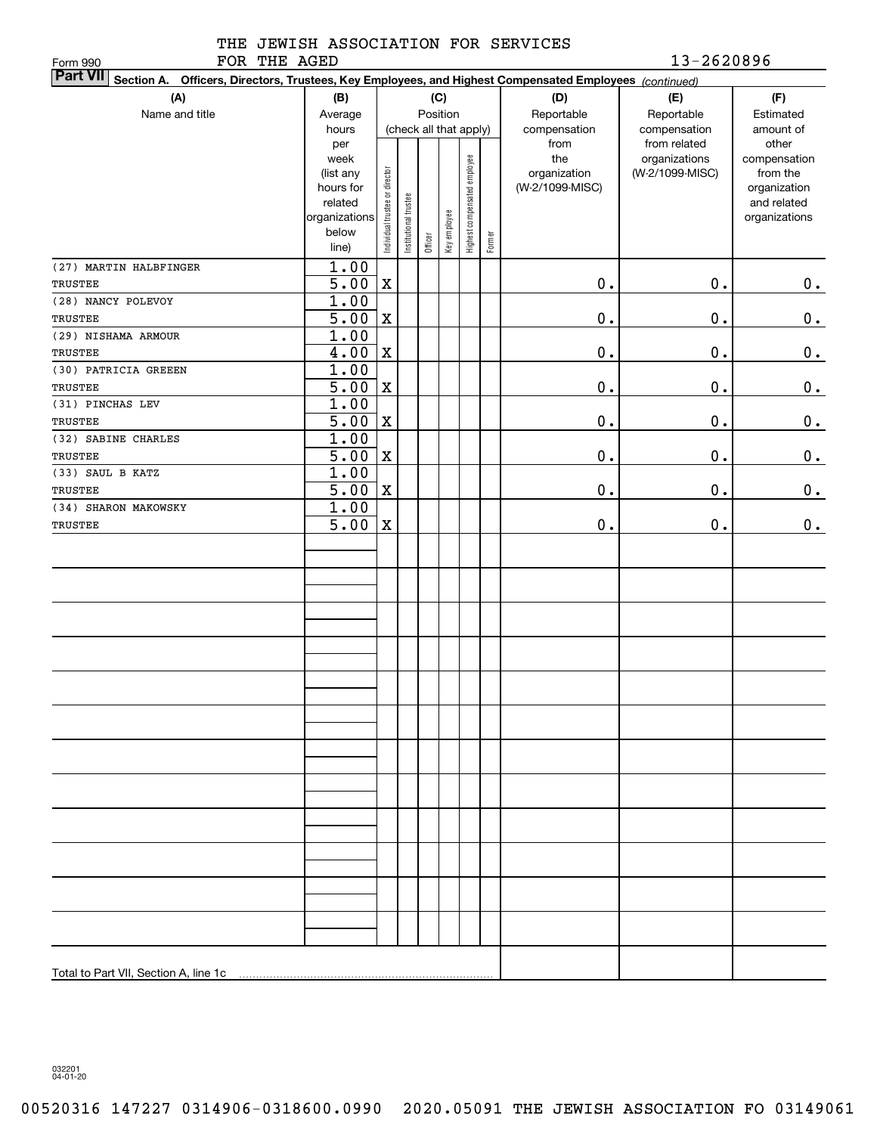| تنبي | u r  |
|------|------|
| ---  | ---- |

### THE JEWISH ASSOCIATION FOR SERVICES FOR THE AGED 200896

| FOR THE AGED<br>Form 990                                                                                        |                        |                                |                       |         |                        |                              |        |                                 | 13-2620896      |                             |
|-----------------------------------------------------------------------------------------------------------------|------------------------|--------------------------------|-----------------------|---------|------------------------|------------------------------|--------|---------------------------------|-----------------|-----------------------------|
| Part VII Section A. Officers, Directors, Trustees, Key Employees, and Highest Compensated Employees (continued) |                        |                                |                       |         |                        |                              |        |                                 |                 |                             |
| (A)                                                                                                             | (D)                    | (E)                            | (F)                   |         |                        |                              |        |                                 |                 |                             |
| Name and title                                                                                                  | Average                |                                |                       |         | Position               |                              |        | Reportable                      | Reportable      | Estimated                   |
|                                                                                                                 | hours                  |                                |                       |         | (check all that apply) |                              |        | compensation                    | compensation    | amount of                   |
|                                                                                                                 | per                    |                                |                       |         |                        |                              |        | from                            | from related    | other                       |
|                                                                                                                 | week                   |                                |                       |         |                        |                              |        | the                             | organizations   | compensation                |
|                                                                                                                 | (list any<br>hours for |                                |                       |         |                        |                              |        | organization<br>(W-2/1099-MISC) | (W-2/1099-MISC) | from the                    |
|                                                                                                                 | related                |                                |                       |         |                        |                              |        |                                 |                 | organization<br>and related |
|                                                                                                                 | organizations          | Individual trustee or director | Institutional trustee |         |                        | Highest compensated employee |        |                                 |                 | organizations               |
|                                                                                                                 | below                  |                                |                       |         | Key employee           |                              |        |                                 |                 |                             |
|                                                                                                                 | line)                  |                                |                       | Officer |                        |                              | Former |                                 |                 |                             |
| (27) MARTIN HALBFINGER                                                                                          | 1.00                   |                                |                       |         |                        |                              |        |                                 |                 |                             |
| TRUSTEE                                                                                                         | 5.00                   | $\mathbf X$                    |                       |         |                        |                              |        | $\mathbf 0$ .                   | 0.              | $\mathbf 0$ .               |
| (28) NANCY POLEVOY                                                                                              | 1.00                   |                                |                       |         |                        |                              |        |                                 |                 |                             |
| TRUSTEE                                                                                                         | 5.00                   | $\mathbf X$                    |                       |         |                        |                              |        | $\mathbf 0$ .                   | 0.              | $\mathbf 0$ .               |
| (29) NISHAMA ARMOUR                                                                                             | 1.00                   |                                |                       |         |                        |                              |        |                                 |                 |                             |
| TRUSTEE                                                                                                         | 4.00                   | $\mathbf X$                    |                       |         |                        |                              |        | $\mathbf 0$ .                   | 0.              | $\mathbf 0$ .               |
| (30) PATRICIA GREEEN                                                                                            | 1.00                   |                                |                       |         |                        |                              |        |                                 |                 |                             |
| TRUSTEE                                                                                                         | 5.00                   | $\mathbf X$                    |                       |         |                        |                              |        | $\mathbf 0$ .                   | 0.              | $\mathbf 0$ .               |
| (31) PINCHAS LEV                                                                                                | 1.00                   |                                |                       |         |                        |                              |        |                                 |                 |                             |
| TRUSTEE                                                                                                         | 5.00                   | $\mathbf X$                    |                       |         |                        |                              |        | $\mathbf 0$ .                   | 0.              | $\mathbf 0$ .               |
| (32) SABINE CHARLES                                                                                             | 1.00                   |                                |                       |         |                        |                              |        |                                 |                 |                             |
| <b>TRUSTEE</b>                                                                                                  | 5.00                   | $\mathbf X$                    |                       |         |                        |                              |        | $\mathbf 0$ .                   | 0.              | 0.                          |
| (33) SAUL B KATZ                                                                                                | 1.00                   |                                |                       |         |                        |                              |        |                                 |                 |                             |
| TRUSTEE                                                                                                         | 5.00                   | $\mathbf X$                    |                       |         |                        |                              |        | $\mathbf 0$ .                   | 0.              | 0.                          |
| (34) SHARON MAKOWSKY                                                                                            | 1.00                   |                                |                       |         |                        |                              |        |                                 |                 |                             |
| TRUSTEE                                                                                                         | 5.00                   | $\mathbf X$                    |                       |         |                        |                              |        | $\mathbf 0$ .                   | 0.              | 0.                          |
|                                                                                                                 |                        |                                |                       |         |                        |                              |        |                                 |                 |                             |
|                                                                                                                 |                        |                                |                       |         |                        |                              |        |                                 |                 |                             |
|                                                                                                                 |                        |                                |                       |         |                        |                              |        |                                 |                 |                             |
|                                                                                                                 |                        |                                |                       |         |                        |                              |        |                                 |                 |                             |
|                                                                                                                 |                        |                                |                       |         |                        |                              |        |                                 |                 |                             |
|                                                                                                                 |                        |                                |                       |         |                        |                              |        |                                 |                 |                             |
|                                                                                                                 |                        |                                |                       |         |                        |                              |        |                                 |                 |                             |
|                                                                                                                 |                        |                                |                       |         |                        |                              |        |                                 |                 |                             |
|                                                                                                                 |                        |                                |                       |         |                        |                              |        |                                 |                 |                             |
|                                                                                                                 |                        |                                |                       |         |                        |                              |        |                                 |                 |                             |
|                                                                                                                 |                        |                                |                       |         |                        |                              |        |                                 |                 |                             |
|                                                                                                                 |                        |                                |                       |         |                        |                              |        |                                 |                 |                             |
|                                                                                                                 |                        |                                |                       |         |                        |                              |        |                                 |                 |                             |
|                                                                                                                 |                        |                                |                       |         |                        |                              |        |                                 |                 |                             |
|                                                                                                                 |                        |                                |                       |         |                        |                              |        |                                 |                 |                             |
|                                                                                                                 |                        |                                |                       |         |                        |                              |        |                                 |                 |                             |
|                                                                                                                 |                        |                                |                       |         |                        |                              |        |                                 |                 |                             |
|                                                                                                                 |                        |                                |                       |         |                        |                              |        |                                 |                 |                             |
|                                                                                                                 |                        |                                |                       |         |                        |                              |        |                                 |                 |                             |
|                                                                                                                 |                        |                                |                       |         |                        |                              |        |                                 |                 |                             |
|                                                                                                                 |                        |                                |                       |         |                        |                              |        |                                 |                 |                             |
|                                                                                                                 |                        |                                |                       |         |                        |                              |        |                                 |                 |                             |
|                                                                                                                 |                        |                                |                       |         |                        |                              |        |                                 |                 |                             |
|                                                                                                                 |                        |                                |                       |         |                        |                              |        |                                 |                 |                             |
|                                                                                                                 |                        |                                |                       |         |                        |                              |        |                                 |                 |                             |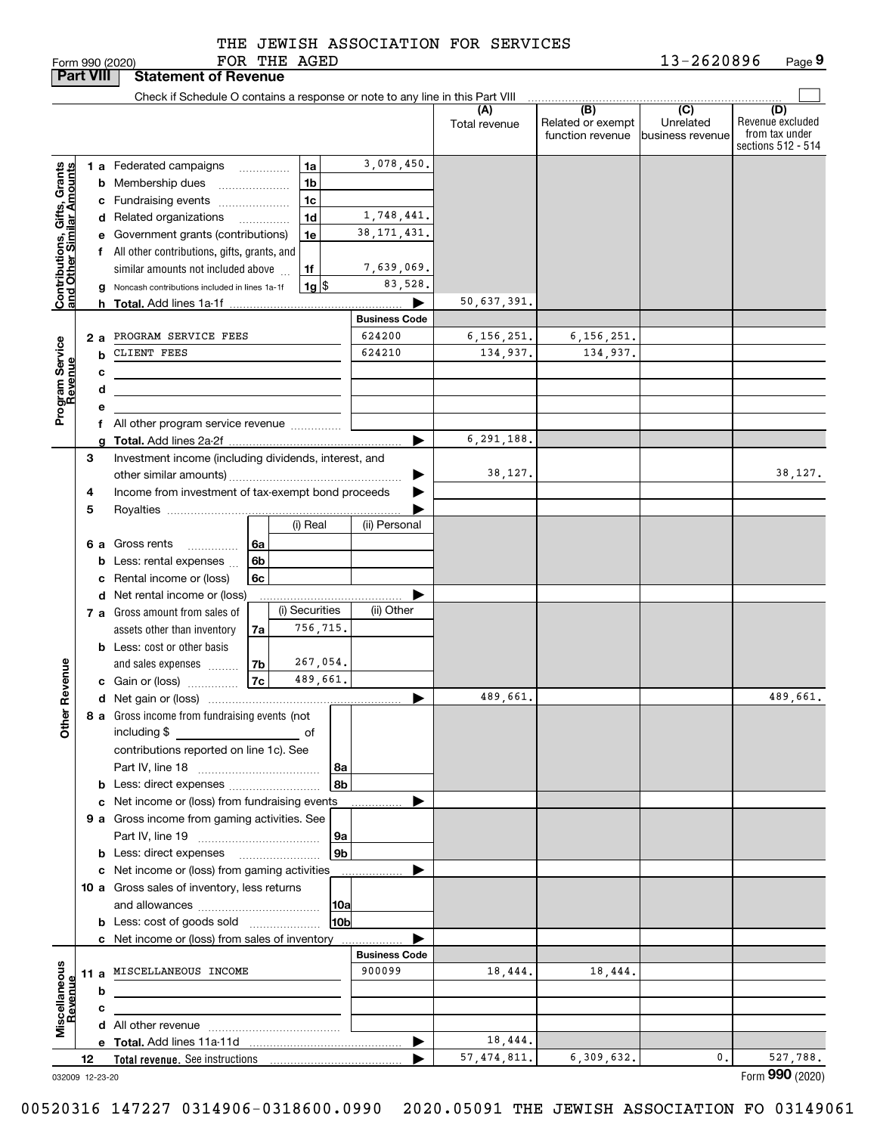|  |  | THE JEWISH ASSOCIATION FOR SERVICES |  |  |
|--|--|-------------------------------------|--|--|
|--|--|-------------------------------------|--|--|

|                                          |     |   | Form 990 (2020)                                                                  |      | FOR THE AGED |                |                      |                      |                                              | 13-2620896                                       | Page 9                                                          |
|------------------------------------------|-----|---|----------------------------------------------------------------------------------|------|--------------|----------------|----------------------|----------------------|----------------------------------------------|--------------------------------------------------|-----------------------------------------------------------------|
| <b>Part VIII</b>                         |     |   | <b>Statement of Revenue</b>                                                      |      |              |                |                      |                      |                                              |                                                  |                                                                 |
|                                          |     |   | Check if Schedule O contains a response or note to any line in this Part VIII    |      |              |                |                      |                      |                                              |                                                  |                                                                 |
|                                          |     |   |                                                                                  |      |              |                |                      | (A)<br>Total revenue | (B)<br>Related or exempt<br>function revenue | $\overline{C}$<br>Unrelated<br>Ibusiness revenue | (D)<br>Revenue excluded<br>from tax under<br>sections 512 - 514 |
|                                          |     |   | 1 a Federated campaigns                                                          |      |              | 1a             | 3,078,450.           |                      |                                              |                                                  |                                                                 |
| Gifts, Grants<br>uilar Amounts           |     |   | <b>b</b> Membership dues                                                         |      |              | 1 <sub>b</sub> |                      |                      |                                              |                                                  |                                                                 |
|                                          |     |   | c Fundraising events                                                             |      |              | 1 <sub>c</sub> |                      |                      |                                              |                                                  |                                                                 |
|                                          |     |   | d Related organizations                                                          |      |              | 1 <sub>d</sub> | 1,748,441.           |                      |                                              |                                                  |                                                                 |
|                                          |     |   | e Government grants (contributions)                                              |      |              | 1e             | 38, 171, 431.        |                      |                                              |                                                  |                                                                 |
|                                          |     |   | f All other contributions, gifts, grants, and                                    |      |              |                |                      |                      |                                              |                                                  |                                                                 |
| Contributions, Gift<br>and Other Similar |     |   | similar amounts not included above                                               |      |              | 1f             | 7,639,069.           |                      |                                              |                                                  |                                                                 |
|                                          |     |   | g Noncash contributions included in lines 1a-1f                                  |      |              | $1g$ \$        | 83,528.              |                      |                                              |                                                  |                                                                 |
|                                          |     |   |                                                                                  |      |              |                |                      | 50,637,391.          |                                              |                                                  |                                                                 |
|                                          |     |   |                                                                                  |      |              |                | <b>Business Code</b> |                      |                                              |                                                  |                                                                 |
|                                          | 2 a |   | PROGRAM SERVICE FEES                                                             |      |              |                | 624200               | 6, 156, 251.         | 6,156,251.                                   |                                                  |                                                                 |
|                                          |     | b | CLIENT FEES                                                                      |      |              |                | 624210               | 134,937.             | 134,937.                                     |                                                  |                                                                 |
|                                          |     | c |                                                                                  |      |              |                |                      |                      |                                              |                                                  |                                                                 |
|                                          |     | d |                                                                                  |      |              |                |                      |                      |                                              |                                                  |                                                                 |
| Program Service<br>Revenue               |     | е |                                                                                  |      |              |                |                      |                      |                                              |                                                  |                                                                 |
|                                          |     |   | f All other program service revenue                                              |      |              |                |                      |                      |                                              |                                                  |                                                                 |
|                                          |     | g |                                                                                  |      |              |                |                      | 6,291,188.           |                                              |                                                  |                                                                 |
|                                          | З   |   | Investment income (including dividends, interest, and                            |      |              |                |                      | 38,127.              |                                              |                                                  | 38,127.                                                         |
|                                          | 4   |   | Income from investment of tax-exempt bond proceeds                               |      |              |                | ▶                    |                      |                                              |                                                  |                                                                 |
|                                          | 5   |   |                                                                                  |      |              |                |                      |                      |                                              |                                                  |                                                                 |
|                                          |     |   |                                                                                  |      |              | (i) Real       | (ii) Personal        |                      |                                              |                                                  |                                                                 |
|                                          |     |   | <b>6 a</b> Gross rents                                                           | l 6a |              |                |                      |                      |                                              |                                                  |                                                                 |
|                                          |     |   | Less: rental expenses                                                            | 6b   |              |                |                      |                      |                                              |                                                  |                                                                 |
|                                          |     |   | c Rental income or (loss)                                                        | 6c   |              |                |                      |                      |                                              |                                                  |                                                                 |
|                                          |     |   | d Net rental income or (loss)                                                    |      |              |                |                      |                      |                                              |                                                  |                                                                 |
|                                          |     |   | <b>7 a</b> Gross amount from sales of                                            |      |              | (i) Securities | (ii) Other           |                      |                                              |                                                  |                                                                 |
|                                          |     |   | assets other than inventory                                                      | 7a   |              | 756,715.       |                      |                      |                                              |                                                  |                                                                 |
|                                          |     |   | <b>b</b> Less: cost or other basis                                               |      |              |                |                      |                      |                                              |                                                  |                                                                 |
|                                          |     |   | and sales expenses                                                               | 7b   |              | 267,054.       |                      |                      |                                              |                                                  |                                                                 |
| evenue                                   |     |   | c Gain or (loss)                                                                 | 7c   |              | 489,661.       |                      |                      |                                              |                                                  |                                                                 |
| č                                        |     |   |                                                                                  |      |              |                |                      | 489,661.             |                                              |                                                  | 489,661.                                                        |
| Other                                    |     |   | 8 a Gross income from fundraising events (not                                    |      |              |                |                      |                      |                                              |                                                  |                                                                 |
|                                          |     |   | including \$                                                                     |      |              | of             |                      |                      |                                              |                                                  |                                                                 |
|                                          |     |   | contributions reported on line 1c). See                                          |      |              |                |                      |                      |                                              |                                                  |                                                                 |
|                                          |     |   |                                                                                  |      |              | 8a<br>8b       |                      |                      |                                              |                                                  |                                                                 |
|                                          |     |   | <b>b</b> Less: direct expenses<br>c Net income or (loss) from fundraising events |      |              |                |                      |                      |                                              |                                                  |                                                                 |
|                                          |     |   | 9 a Gross income from gaming activities. See                                     |      |              |                |                      |                      |                                              |                                                  |                                                                 |
|                                          |     |   |                                                                                  |      |              | 9a             |                      |                      |                                              |                                                  |                                                                 |
|                                          |     |   |                                                                                  |      |              | 9 <sub>b</sub> |                      |                      |                                              |                                                  |                                                                 |
|                                          |     |   | c Net income or (loss) from gaming activities                                    |      |              |                | ▶                    |                      |                                              |                                                  |                                                                 |
|                                          |     |   | 10 a Gross sales of inventory, less returns                                      |      |              |                |                      |                      |                                              |                                                  |                                                                 |
|                                          |     |   |                                                                                  |      |              | 10a            |                      |                      |                                              |                                                  |                                                                 |
|                                          |     |   | <b>b</b> Less: cost of goods sold                                                |      |              | 10b            |                      |                      |                                              |                                                  |                                                                 |
|                                          |     |   | c Net income or (loss) from sales of inventory                                   |      |              |                |                      |                      |                                              |                                                  |                                                                 |
|                                          |     |   |                                                                                  |      |              |                | <b>Business Code</b> |                      |                                              |                                                  |                                                                 |
| Miscellaneous<br>Revenue                 |     |   | 11 a MISCELLANEOUS INCOME                                                        |      |              |                | 900099               | 18,444.              | 18,444.                                      |                                                  |                                                                 |
|                                          |     | b |                                                                                  |      |              |                |                      |                      |                                              |                                                  |                                                                 |
|                                          |     | c |                                                                                  |      |              |                |                      |                      |                                              |                                                  |                                                                 |
|                                          |     |   |                                                                                  |      |              |                |                      |                      |                                              |                                                  |                                                                 |
|                                          |     |   |                                                                                  |      |              |                | ▶                    | 18,444.              |                                              |                                                  |                                                                 |
|                                          | 12  |   |                                                                                  |      |              |                |                      | 57, 474, 811.        | 6,309,632.                                   | 0.                                               | 527,788.                                                        |

032009 12-23-20

Form (2020) **990**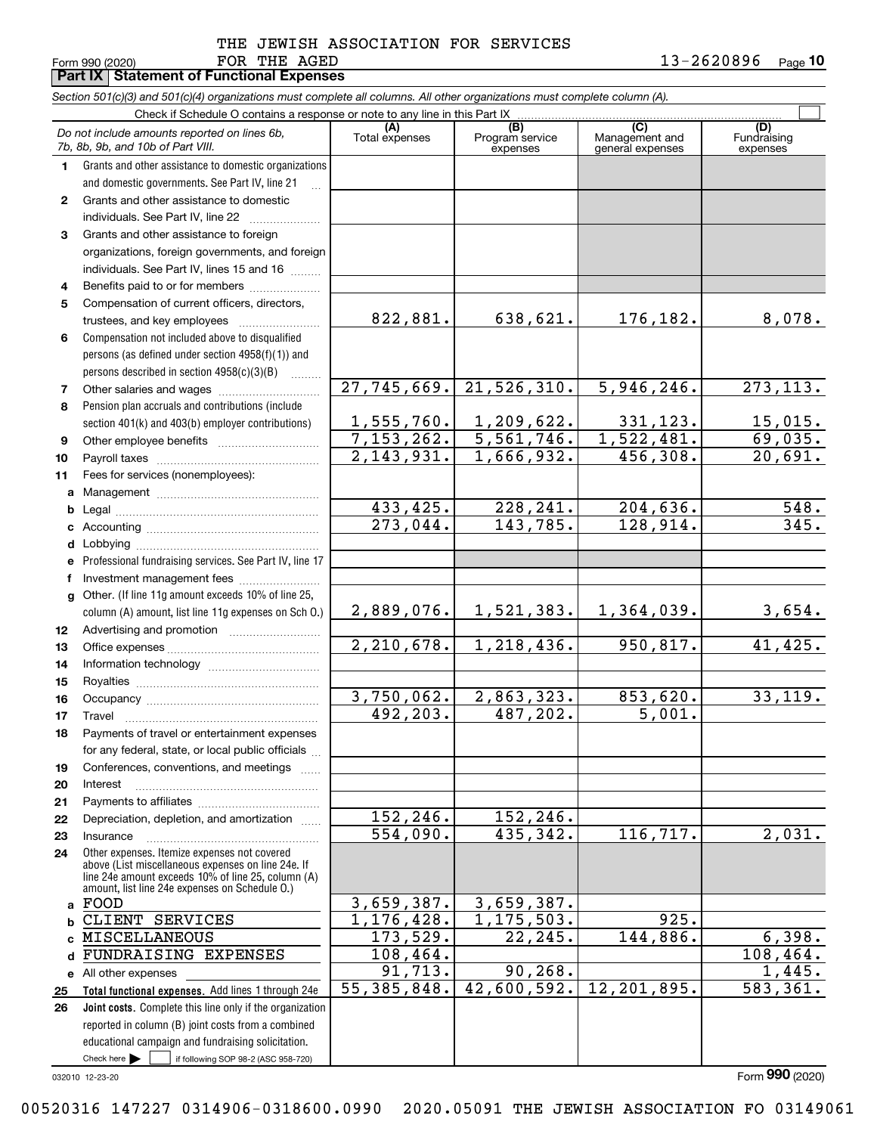# FOR THE AGED THE JEWISH ASSOCIATION FOR SERVICES

Form 990 (2020) **FOR THE AGED 1** 3-2 6 2 0 8 9 6 <sub>Page</sub> 10

|              | Section 501(c)(3) and 501(c)(4) organizations must complete all columns. All other organizations must complete column (A).<br>Check if Schedule O contains a response or note to any line in this Part IX. |                        |                           |                   |             |
|--------------|------------------------------------------------------------------------------------------------------------------------------------------------------------------------------------------------------------|------------------------|---------------------------|-------------------|-------------|
|              |                                                                                                                                                                                                            | (A)                    | (B)                       | (C)               | (D)         |
|              | Do not include amounts reported on lines 6b,<br>7b, 8b, 9b, and 10b of Part VIII.                                                                                                                          | Total expenses         | Program service           | Management and    | Fundraising |
| 1.           | Grants and other assistance to domestic organizations                                                                                                                                                      |                        | expenses                  | general expenses  | expenses    |
|              | and domestic governments. See Part IV, line 21                                                                                                                                                             |                        |                           |                   |             |
| $\mathbf{2}$ | Grants and other assistance to domestic                                                                                                                                                                    |                        |                           |                   |             |
|              | individuals. See Part IV, line 22                                                                                                                                                                          |                        |                           |                   |             |
| 3            | Grants and other assistance to foreign                                                                                                                                                                     |                        |                           |                   |             |
|              | organizations, foreign governments, and foreign                                                                                                                                                            |                        |                           |                   |             |
|              | individuals. See Part IV, lines 15 and 16                                                                                                                                                                  |                        |                           |                   |             |
| 4            | Benefits paid to or for members                                                                                                                                                                            |                        |                           |                   |             |
| 5            | Compensation of current officers, directors,                                                                                                                                                               |                        |                           |                   |             |
|              | trustees, and key employees                                                                                                                                                                                | 822,881.               | 638,621.                  | 176,182.          | 8,078.      |
| 6            | Compensation not included above to disqualified                                                                                                                                                            |                        |                           |                   |             |
|              | persons (as defined under section 4958(f)(1)) and                                                                                                                                                          |                        |                           |                   |             |
|              | persons described in section 4958(c)(3)(B)                                                                                                                                                                 |                        |                           |                   |             |
| 7            |                                                                                                                                                                                                            | 27,745,669.            | 21,526,310.               | 5,946,246.        | 273, 113.   |
| 8            | Pension plan accruals and contributions (include                                                                                                                                                           |                        |                           |                   |             |
|              | section 401(k) and 403(b) employer contributions)                                                                                                                                                          | 1,555,760.             | 1,209,622.                | 331,123.          | 15,015.     |
| 9            |                                                                                                                                                                                                            | 7,153,262.             | 5,561,746.                | 1,522,481.        | 69,035.     |
| 10           |                                                                                                                                                                                                            | 2, 143, 931.           | 1,666,932.                | 456,308.          | 20,691.     |
| 11           | Fees for services (nonemployees):                                                                                                                                                                          |                        |                           |                   |             |
| a            |                                                                                                                                                                                                            |                        |                           |                   |             |
| b            |                                                                                                                                                                                                            | 433,425.               | 228, 241.                 | 204,636.          | 548.        |
| c            |                                                                                                                                                                                                            | $\overline{273,044}$ . | 143,785.                  | 128,914.          | 345.        |
| d            |                                                                                                                                                                                                            |                        |                           |                   |             |
| е            | Professional fundraising services. See Part IV, line 17                                                                                                                                                    |                        |                           |                   |             |
| f            | Investment management fees                                                                                                                                                                                 |                        |                           |                   |             |
| g            | Other. (If line 11g amount exceeds 10% of line 25,                                                                                                                                                         |                        |                           |                   |             |
|              | column (A) amount, list line 11g expenses on Sch O.)                                                                                                                                                       | 2,889,076.             | 1,521,383.                | <u>1,364,039.</u> | 3,654.      |
| 12           |                                                                                                                                                                                                            |                        |                           |                   |             |
| 13           |                                                                                                                                                                                                            | 2, 210, 678.           | 1,218,436.                | 950,817.          | 41, 425.    |
| 14           |                                                                                                                                                                                                            |                        |                           |                   |             |
| 15           |                                                                                                                                                                                                            |                        |                           |                   |             |
| 16           |                                                                                                                                                                                                            | 3,750,062.             | 2,863,323.                | 853,620.          | 33, 119.    |
| 17           |                                                                                                                                                                                                            | 492,203.               | 487,202.                  | 5,001.            |             |
| 18           | Payments of travel or entertainment expenses                                                                                                                                                               |                        |                           |                   |             |
|              | for any federal, state, or local public officials                                                                                                                                                          |                        |                           |                   |             |
| 19           | Conferences, conventions, and meetings                                                                                                                                                                     |                        |                           |                   |             |
| 20           | Interest                                                                                                                                                                                                   |                        |                           |                   |             |
| 21           |                                                                                                                                                                                                            |                        |                           |                   |             |
| 22           | Depreciation, depletion, and amortization                                                                                                                                                                  | 152,246.               | 152,246.                  |                   |             |
| 23           | Insurance                                                                                                                                                                                                  | 554,090.               | 435,342.                  | 116,717.          | 2,031.      |
| 24           | Other expenses. Itemize expenses not covered                                                                                                                                                               |                        |                           |                   |             |
|              | above (List miscellaneous expenses on line 24e. If<br>line 24e amount exceeds 10% of line 25, column (A)                                                                                                   |                        |                           |                   |             |
|              | amount, list line 24e expenses on Schedule O.)                                                                                                                                                             |                        |                           |                   |             |
| a            | FOOD                                                                                                                                                                                                       | 3,659,387.             | 3,659,387.                |                   |             |
| b            | CLIENT SERVICES                                                                                                                                                                                            | 1,176,428.             | $\overline{1,175}$ , 503. | 925.              |             |
| c            | MISCELLANEOUS                                                                                                                                                                                              | 173,529.               | 22, 245.                  | 144,886.          | 6,398.      |
| d            | FUNDRAISING EXPENSES                                                                                                                                                                                       | 108,464.               |                           |                   | 108,464.    |
| е            | All other expenses                                                                                                                                                                                         | 91,713.                | 90, 268.                  |                   | 1,445.      |
| 25           | Total functional expenses. Add lines 1 through 24e                                                                                                                                                         | 55, 385, 848.          | 42,600,592.               | 12, 201, 895.     | 583,361.    |
| 26           | Joint costs. Complete this line only if the organization                                                                                                                                                   |                        |                           |                   |             |
|              | reported in column (B) joint costs from a combined                                                                                                                                                         |                        |                           |                   |             |
|              | educational campaign and fundraising solicitation.                                                                                                                                                         |                        |                           |                   |             |

032010 12-23-20

Check here

Check here  $\bullet$  if following SOP 98-2 (ASC 958-720)

**Part IX Statement of Functional Expenses**

Form (2020) **990**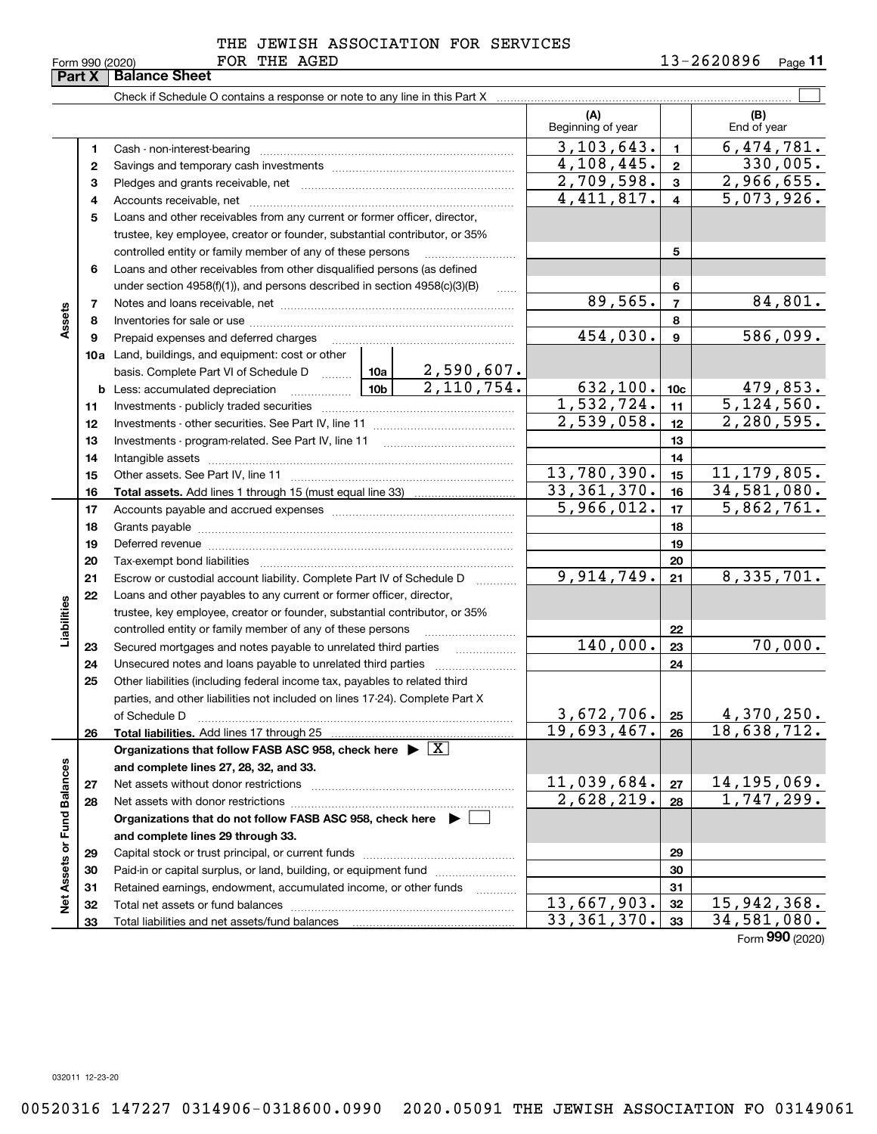# FOR THE AGED THE JEWISH ASSOCIATION FOR SERVICES

|                             | Part X | <b>Balance Sheet</b>                                                                                             |            |                         |                          |                 |                          |
|-----------------------------|--------|------------------------------------------------------------------------------------------------------------------|------------|-------------------------|--------------------------|-----------------|--------------------------|
|                             |        |                                                                                                                  |            |                         |                          |                 |                          |
|                             |        |                                                                                                                  |            |                         | (A)<br>Beginning of year |                 | (B)<br>End of year       |
|                             | 1      |                                                                                                                  |            |                         | 3, 103, 643.             | $\mathbf{1}$    | 6,474,781.               |
|                             | 2      |                                                                                                                  | 4,108,445. | $\mathbf{2}$            | 330,005.                 |                 |                          |
|                             | з      |                                                                                                                  |            |                         | 2,709,598.               | $\mathbf{3}$    | 2,966,655.               |
|                             | 4      |                                                                                                                  |            |                         | 4,411,817.               | $\overline{4}$  | 5,073,926.               |
|                             | 5      | Loans and other receivables from any current or former officer, director,                                        |            |                         |                          |                 |                          |
|                             |        | trustee, key employee, creator or founder, substantial contributor, or 35%                                       |            |                         |                          |                 |                          |
|                             |        | controlled entity or family member of any of these persons                                                       |            |                         |                          | 5               |                          |
|                             | 6      | Loans and other receivables from other disqualified persons (as defined                                          |            |                         |                          |                 |                          |
|                             |        | under section $4958(f)(1)$ , and persons described in section $4958(c)(3)(B)$                                    |            |                         |                          | 6               |                          |
|                             | 7      |                                                                                                                  |            |                         | 89,565.                  | $\overline{7}$  | 84,801.                  |
| Assets                      | 8      |                                                                                                                  |            |                         |                          | 8               |                          |
|                             | 9      | Prepaid expenses and deferred charges                                                                            |            |                         | 454,030.                 | $\mathbf{9}$    | 586,099.                 |
|                             |        | <b>10a</b> Land, buildings, and equipment: cost or other                                                         |            |                         |                          |                 |                          |
|                             |        | basis. Complete Part VI of Schedule D  10a                                                                       |            | <u>2,590,607.</u>       |                          |                 |                          |
|                             | b      | $\begin{array}{ c c c c c }\n\hline\n\textbf{10b} & \textbf{10b}\n\end{array}$<br>Less: accumulated depreciation |            | $\overline{2,110,754.}$ | 632,100.                 | 10 <sub>c</sub> | 479,853.                 |
|                             | 11     |                                                                                                                  |            |                         | 1,532,724.               | 11              | 5,124,560.               |
|                             | 12     |                                                                                                                  |            |                         | 2,539,058.               | 12              | 2,280,595.               |
|                             | 13     |                                                                                                                  |            |                         |                          | 13              |                          |
|                             | 14     |                                                                                                                  |            |                         |                          | 14              |                          |
|                             | 15     |                                                                                                                  |            |                         | 13,780,390.              | 15              | 11, 179, 805.            |
|                             | 16     |                                                                                                                  |            |                         | 33,361,370.              | 16              | 34,581,080.              |
|                             | 17     |                                                                                                                  |            |                         | 5,966,012.               | 17              | 5,862,761.               |
|                             | 18     |                                                                                                                  |            | 18                      |                          |                 |                          |
|                             | 19     | Deferred revenue material contracts and contracts are contracted revenue of the contract of the contract of the  |            | 19                      |                          |                 |                          |
|                             | 20     |                                                                                                                  |            |                         |                          | 20              |                          |
|                             | 21     | Escrow or custodial account liability. Complete Part IV of Schedule D                                            |            |                         | 9,914,749.               | 21              | 8,335,701.               |
|                             | 22     | Loans and other payables to any current or former officer, director,                                             |            |                         |                          |                 |                          |
| Liabilities                 |        | trustee, key employee, creator or founder, substantial contributor, or 35%                                       |            |                         |                          |                 |                          |
|                             |        | controlled entity or family member of any of these persons                                                       |            |                         |                          | 22              |                          |
|                             | 23     | Secured mortgages and notes payable to unrelated third parties                                                   |            | .                       | 140,000.                 | 23              | 70,000.                  |
|                             | 24     | Unsecured notes and loans payable to unrelated third parties                                                     |            |                         |                          | 24              |                          |
|                             | 25     | Other liabilities (including federal income tax, payables to related third                                       |            |                         |                          |                 |                          |
|                             |        | parties, and other liabilities not included on lines 17-24). Complete Part X                                     |            |                         |                          |                 |                          |
|                             |        | of Schedule D                                                                                                    |            |                         | 3,672,706.               | 25              | <u>4,370,250.</u>        |
|                             | 26     | Total liabilities. Add lines 17 through 25                                                                       |            |                         | 19,693,467.              | 26              | 18,638,712.              |
|                             |        | Organizations that follow FASB ASC 958, check here $\blacktriangleright \boxed{X}$                               |            |                         |                          |                 |                          |
|                             |        | and complete lines 27, 28, 32, and 33.                                                                           |            |                         |                          |                 |                          |
|                             | 27     |                                                                                                                  |            |                         | 11,039,684.              | 27              | 14, 195, 069.            |
|                             | 28     |                                                                                                                  |            |                         | 2,628,219.               | 28              | $\overline{1,747}, 299.$ |
|                             |        | Organizations that do not follow FASB ASC 958, check here $\blacktriangleright$                                  |            |                         |                          |                 |                          |
| Net Assets or Fund Balances |        | and complete lines 29 through 33.                                                                                |            |                         |                          |                 |                          |
|                             | 29     |                                                                                                                  |            |                         |                          | 29              |                          |
|                             | 30     | Paid-in or capital surplus, or land, building, or equipment fund                                                 |            |                         | 30                       |                 |                          |
|                             | 31     | Retained earnings, endowment, accumulated income, or other funds                                                 |            |                         |                          | 31              |                          |
|                             | 32     | Total net assets or fund balances                                                                                |            |                         | 13,667,903.              | 32              | 15,942,368.              |
|                             | 33     |                                                                                                                  |            |                         | 33, 361, 370.            | 33              | 34,581,080.              |

Form (2020) **990**

032011 12-23-20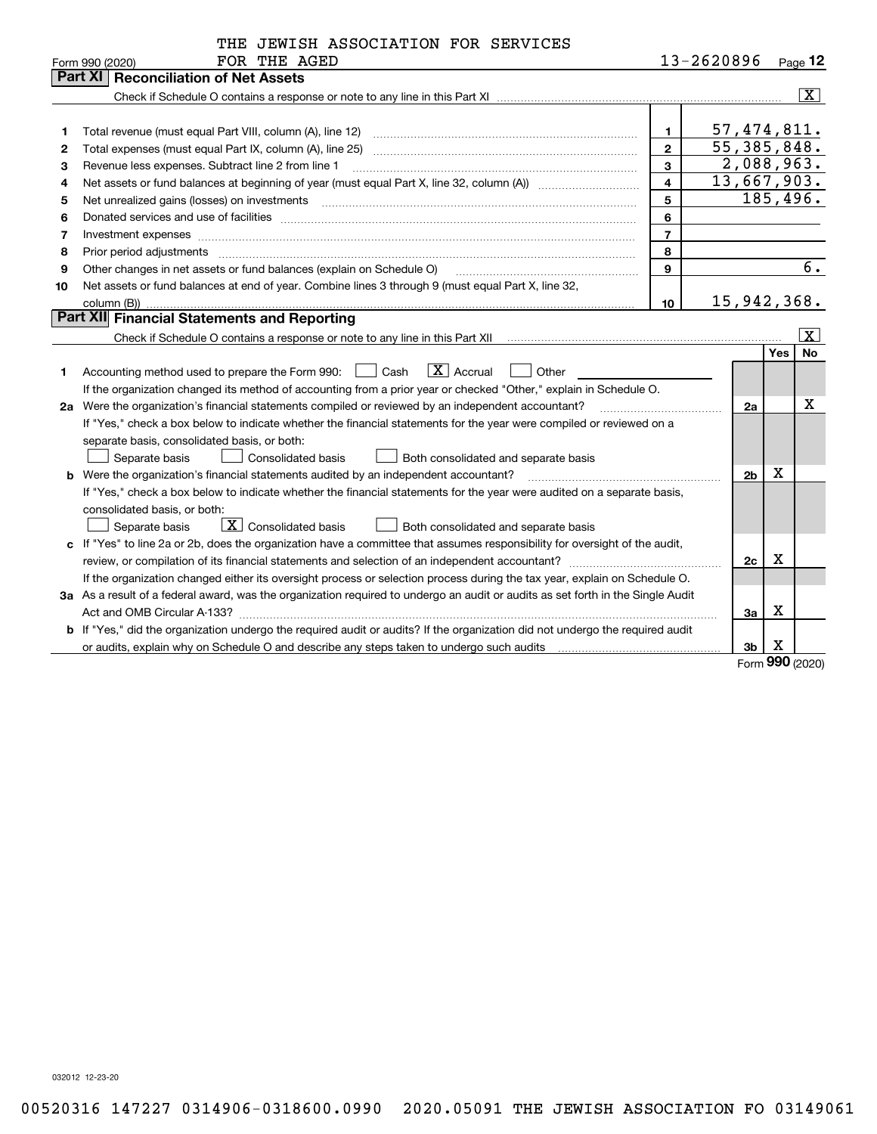| 13-2620896<br>Page $12$<br>Form 990 (2020)<br><b>Part XI   Reconciliation of Net Assets</b><br>$\overline{\mathbf{X}}$<br>57, 474, 811.<br>1<br>1<br>$\overline{55}$ , 385, 848.<br>$\mathbf{2}$<br>Total expenses (must equal Part IX, column (A), line 25)<br>2<br>2,088,963.<br>3<br>Revenue less expenses. Subtract line 2 from line 1<br>з<br>13,667,903.<br>$\overline{\mathbf{4}}$<br>Net assets or fund balances at beginning of year (must equal Part X, line 32, column (A)) manured manu-<br>4<br>185,496.<br>5<br>5<br>6<br>6<br>$\overline{7}$<br>Investment expenses www.communication.com/www.communication.com/www.communication.com/www.communication.com<br>7<br>8<br>Prior period adjustments<br>8<br>$\begin{minipage}{0.5\textwidth} \begin{tabular}{ l l l } \hline \multicolumn{1}{ l l l } \hline \multicolumn{1}{ l l } \hline \multicolumn{1}{ l } \multicolumn{1}{ l } \hline \multicolumn{1}{ l } \multicolumn{1}{ l } \multicolumn{1}{ l } \hline \multicolumn{1}{ l } \multicolumn{1}{ l } \multicolumn{1}{ l } \hline \multicolumn{1}{ l } \multicolumn{1}{ l } \hline \multicolumn{1}{ l } \multicolumn{1}{ l } \hline \multicolumn{1}{ $<br>6.<br>Other changes in net assets or fund balances (explain on Schedule O)<br>9<br>9<br>Net assets or fund balances at end of year. Combine lines 3 through 9 (must equal Part X, line 32,<br>10<br>15,942,368.<br>10<br>column (B))<br>Part XII Financial Statements and Reporting<br>$\overline{\mathbf{x}}$<br><b>Yes</b><br><b>No</b><br>$\boxed{\mathbf{X}}$ Accrual<br>Cash<br>Other<br>Accounting method used to prepare the Form 990:<br>1<br>If the organization changed its method of accounting from a prior year or checked "Other," explain in Schedule O.<br>X<br>2a Were the organization's financial statements compiled or reviewed by an independent accountant?<br>2a<br>If "Yes," check a box below to indicate whether the financial statements for the year were compiled or reviewed on a<br>separate basis, consolidated basis, or both:<br><b>Consolidated basis</b><br>Separate basis<br>Both consolidated and separate basis<br>Х<br><b>b</b> Were the organization's financial statements audited by an independent accountant?<br>2 <sub>b</sub><br>If "Yes," check a box below to indicate whether the financial statements for the year were audited on a separate basis,<br>consolidated basis, or both:<br>$\boxed{\textbf{X}}$ Consolidated basis<br>Separate basis<br>Both consolidated and separate basis<br>c If "Yes" to line 2a or 2b, does the organization have a committee that assumes responsibility for oversight of the audit,<br>Х<br>2c<br>If the organization changed either its oversight process or selection process during the tax year, explain on Schedule O.<br>3a As a result of a federal award, was the organization required to undergo an audit or audits as set forth in the Single Audit<br>X<br>Зa<br>b If "Yes," did the organization undergo the required audit or audits? If the organization did not undergo the required audit<br>х<br>3b<br>or audits, explain why on Schedule O and describe any steps taken to undergo such audits matured contains the successive or and the successive or and the successive or and the successive or and the successive or and the su<br>nnn | THE JEWISH ASSOCIATION FOR SERVICES |  |  |
|--------------------------------------------------------------------------------------------------------------------------------------------------------------------------------------------------------------------------------------------------------------------------------------------------------------------------------------------------------------------------------------------------------------------------------------------------------------------------------------------------------------------------------------------------------------------------------------------------------------------------------------------------------------------------------------------------------------------------------------------------------------------------------------------------------------------------------------------------------------------------------------------------------------------------------------------------------------------------------------------------------------------------------------------------------------------------------------------------------------------------------------------------------------------------------------------------------------------------------------------------------------------------------------------------------------------------------------------------------------------------------------------------------------------------------------------------------------------------------------------------------------------------------------------------------------------------------------------------------------------------------------------------------------------------------------------------------------------------------------------------------------------------------------------------------------------------------------------------------------------------------------------------------------------------------------------------------------------------------------------------------------------------------------------------------------------------------------------------------------------------------------------------------------------------------------------------------------------------------------------------------------------------------------------------------------------------------------------------------------------------------------------------------------------------------------------------------------------------------------------------------------------------------------------------------------------------------------------------------------------------------------------------------------------------------------------------------------------------------------------------------------------------------------------------------------------------------------------------------------------------------------------------------------------------------------------------------------------------------------------------------------------------------------------------------------------------------------------------------------------------------------------------------------------------------------------------------------------------------------------------------------------------------------------------------------------------------------|-------------------------------------|--|--|
|                                                                                                                                                                                                                                                                                                                                                                                                                                                                                                                                                                                                                                                                                                                                                                                                                                                                                                                                                                                                                                                                                                                                                                                                                                                                                                                                                                                                                                                                                                                                                                                                                                                                                                                                                                                                                                                                                                                                                                                                                                                                                                                                                                                                                                                                                                                                                                                                                                                                                                                                                                                                                                                                                                                                                                                                                                                                                                                                                                                                                                                                                                                                                                                                                                                                                                                                      | FOR THE AGED                        |  |  |
|                                                                                                                                                                                                                                                                                                                                                                                                                                                                                                                                                                                                                                                                                                                                                                                                                                                                                                                                                                                                                                                                                                                                                                                                                                                                                                                                                                                                                                                                                                                                                                                                                                                                                                                                                                                                                                                                                                                                                                                                                                                                                                                                                                                                                                                                                                                                                                                                                                                                                                                                                                                                                                                                                                                                                                                                                                                                                                                                                                                                                                                                                                                                                                                                                                                                                                                                      |                                     |  |  |
|                                                                                                                                                                                                                                                                                                                                                                                                                                                                                                                                                                                                                                                                                                                                                                                                                                                                                                                                                                                                                                                                                                                                                                                                                                                                                                                                                                                                                                                                                                                                                                                                                                                                                                                                                                                                                                                                                                                                                                                                                                                                                                                                                                                                                                                                                                                                                                                                                                                                                                                                                                                                                                                                                                                                                                                                                                                                                                                                                                                                                                                                                                                                                                                                                                                                                                                                      |                                     |  |  |
|                                                                                                                                                                                                                                                                                                                                                                                                                                                                                                                                                                                                                                                                                                                                                                                                                                                                                                                                                                                                                                                                                                                                                                                                                                                                                                                                                                                                                                                                                                                                                                                                                                                                                                                                                                                                                                                                                                                                                                                                                                                                                                                                                                                                                                                                                                                                                                                                                                                                                                                                                                                                                                                                                                                                                                                                                                                                                                                                                                                                                                                                                                                                                                                                                                                                                                                                      |                                     |  |  |
|                                                                                                                                                                                                                                                                                                                                                                                                                                                                                                                                                                                                                                                                                                                                                                                                                                                                                                                                                                                                                                                                                                                                                                                                                                                                                                                                                                                                                                                                                                                                                                                                                                                                                                                                                                                                                                                                                                                                                                                                                                                                                                                                                                                                                                                                                                                                                                                                                                                                                                                                                                                                                                                                                                                                                                                                                                                                                                                                                                                                                                                                                                                                                                                                                                                                                                                                      |                                     |  |  |
|                                                                                                                                                                                                                                                                                                                                                                                                                                                                                                                                                                                                                                                                                                                                                                                                                                                                                                                                                                                                                                                                                                                                                                                                                                                                                                                                                                                                                                                                                                                                                                                                                                                                                                                                                                                                                                                                                                                                                                                                                                                                                                                                                                                                                                                                                                                                                                                                                                                                                                                                                                                                                                                                                                                                                                                                                                                                                                                                                                                                                                                                                                                                                                                                                                                                                                                                      |                                     |  |  |
|                                                                                                                                                                                                                                                                                                                                                                                                                                                                                                                                                                                                                                                                                                                                                                                                                                                                                                                                                                                                                                                                                                                                                                                                                                                                                                                                                                                                                                                                                                                                                                                                                                                                                                                                                                                                                                                                                                                                                                                                                                                                                                                                                                                                                                                                                                                                                                                                                                                                                                                                                                                                                                                                                                                                                                                                                                                                                                                                                                                                                                                                                                                                                                                                                                                                                                                                      |                                     |  |  |
|                                                                                                                                                                                                                                                                                                                                                                                                                                                                                                                                                                                                                                                                                                                                                                                                                                                                                                                                                                                                                                                                                                                                                                                                                                                                                                                                                                                                                                                                                                                                                                                                                                                                                                                                                                                                                                                                                                                                                                                                                                                                                                                                                                                                                                                                                                                                                                                                                                                                                                                                                                                                                                                                                                                                                                                                                                                                                                                                                                                                                                                                                                                                                                                                                                                                                                                                      |                                     |  |  |
|                                                                                                                                                                                                                                                                                                                                                                                                                                                                                                                                                                                                                                                                                                                                                                                                                                                                                                                                                                                                                                                                                                                                                                                                                                                                                                                                                                                                                                                                                                                                                                                                                                                                                                                                                                                                                                                                                                                                                                                                                                                                                                                                                                                                                                                                                                                                                                                                                                                                                                                                                                                                                                                                                                                                                                                                                                                                                                                                                                                                                                                                                                                                                                                                                                                                                                                                      |                                     |  |  |
|                                                                                                                                                                                                                                                                                                                                                                                                                                                                                                                                                                                                                                                                                                                                                                                                                                                                                                                                                                                                                                                                                                                                                                                                                                                                                                                                                                                                                                                                                                                                                                                                                                                                                                                                                                                                                                                                                                                                                                                                                                                                                                                                                                                                                                                                                                                                                                                                                                                                                                                                                                                                                                                                                                                                                                                                                                                                                                                                                                                                                                                                                                                                                                                                                                                                                                                                      |                                     |  |  |
|                                                                                                                                                                                                                                                                                                                                                                                                                                                                                                                                                                                                                                                                                                                                                                                                                                                                                                                                                                                                                                                                                                                                                                                                                                                                                                                                                                                                                                                                                                                                                                                                                                                                                                                                                                                                                                                                                                                                                                                                                                                                                                                                                                                                                                                                                                                                                                                                                                                                                                                                                                                                                                                                                                                                                                                                                                                                                                                                                                                                                                                                                                                                                                                                                                                                                                                                      |                                     |  |  |
|                                                                                                                                                                                                                                                                                                                                                                                                                                                                                                                                                                                                                                                                                                                                                                                                                                                                                                                                                                                                                                                                                                                                                                                                                                                                                                                                                                                                                                                                                                                                                                                                                                                                                                                                                                                                                                                                                                                                                                                                                                                                                                                                                                                                                                                                                                                                                                                                                                                                                                                                                                                                                                                                                                                                                                                                                                                                                                                                                                                                                                                                                                                                                                                                                                                                                                                                      |                                     |  |  |
|                                                                                                                                                                                                                                                                                                                                                                                                                                                                                                                                                                                                                                                                                                                                                                                                                                                                                                                                                                                                                                                                                                                                                                                                                                                                                                                                                                                                                                                                                                                                                                                                                                                                                                                                                                                                                                                                                                                                                                                                                                                                                                                                                                                                                                                                                                                                                                                                                                                                                                                                                                                                                                                                                                                                                                                                                                                                                                                                                                                                                                                                                                                                                                                                                                                                                                                                      |                                     |  |  |
|                                                                                                                                                                                                                                                                                                                                                                                                                                                                                                                                                                                                                                                                                                                                                                                                                                                                                                                                                                                                                                                                                                                                                                                                                                                                                                                                                                                                                                                                                                                                                                                                                                                                                                                                                                                                                                                                                                                                                                                                                                                                                                                                                                                                                                                                                                                                                                                                                                                                                                                                                                                                                                                                                                                                                                                                                                                                                                                                                                                                                                                                                                                                                                                                                                                                                                                                      |                                     |  |  |
|                                                                                                                                                                                                                                                                                                                                                                                                                                                                                                                                                                                                                                                                                                                                                                                                                                                                                                                                                                                                                                                                                                                                                                                                                                                                                                                                                                                                                                                                                                                                                                                                                                                                                                                                                                                                                                                                                                                                                                                                                                                                                                                                                                                                                                                                                                                                                                                                                                                                                                                                                                                                                                                                                                                                                                                                                                                                                                                                                                                                                                                                                                                                                                                                                                                                                                                                      |                                     |  |  |
|                                                                                                                                                                                                                                                                                                                                                                                                                                                                                                                                                                                                                                                                                                                                                                                                                                                                                                                                                                                                                                                                                                                                                                                                                                                                                                                                                                                                                                                                                                                                                                                                                                                                                                                                                                                                                                                                                                                                                                                                                                                                                                                                                                                                                                                                                                                                                                                                                                                                                                                                                                                                                                                                                                                                                                                                                                                                                                                                                                                                                                                                                                                                                                                                                                                                                                                                      |                                     |  |  |
|                                                                                                                                                                                                                                                                                                                                                                                                                                                                                                                                                                                                                                                                                                                                                                                                                                                                                                                                                                                                                                                                                                                                                                                                                                                                                                                                                                                                                                                                                                                                                                                                                                                                                                                                                                                                                                                                                                                                                                                                                                                                                                                                                                                                                                                                                                                                                                                                                                                                                                                                                                                                                                                                                                                                                                                                                                                                                                                                                                                                                                                                                                                                                                                                                                                                                                                                      |                                     |  |  |
|                                                                                                                                                                                                                                                                                                                                                                                                                                                                                                                                                                                                                                                                                                                                                                                                                                                                                                                                                                                                                                                                                                                                                                                                                                                                                                                                                                                                                                                                                                                                                                                                                                                                                                                                                                                                                                                                                                                                                                                                                                                                                                                                                                                                                                                                                                                                                                                                                                                                                                                                                                                                                                                                                                                                                                                                                                                                                                                                                                                                                                                                                                                                                                                                                                                                                                                                      |                                     |  |  |
|                                                                                                                                                                                                                                                                                                                                                                                                                                                                                                                                                                                                                                                                                                                                                                                                                                                                                                                                                                                                                                                                                                                                                                                                                                                                                                                                                                                                                                                                                                                                                                                                                                                                                                                                                                                                                                                                                                                                                                                                                                                                                                                                                                                                                                                                                                                                                                                                                                                                                                                                                                                                                                                                                                                                                                                                                                                                                                                                                                                                                                                                                                                                                                                                                                                                                                                                      |                                     |  |  |
|                                                                                                                                                                                                                                                                                                                                                                                                                                                                                                                                                                                                                                                                                                                                                                                                                                                                                                                                                                                                                                                                                                                                                                                                                                                                                                                                                                                                                                                                                                                                                                                                                                                                                                                                                                                                                                                                                                                                                                                                                                                                                                                                                                                                                                                                                                                                                                                                                                                                                                                                                                                                                                                                                                                                                                                                                                                                                                                                                                                                                                                                                                                                                                                                                                                                                                                                      |                                     |  |  |
|                                                                                                                                                                                                                                                                                                                                                                                                                                                                                                                                                                                                                                                                                                                                                                                                                                                                                                                                                                                                                                                                                                                                                                                                                                                                                                                                                                                                                                                                                                                                                                                                                                                                                                                                                                                                                                                                                                                                                                                                                                                                                                                                                                                                                                                                                                                                                                                                                                                                                                                                                                                                                                                                                                                                                                                                                                                                                                                                                                                                                                                                                                                                                                                                                                                                                                                                      |                                     |  |  |
|                                                                                                                                                                                                                                                                                                                                                                                                                                                                                                                                                                                                                                                                                                                                                                                                                                                                                                                                                                                                                                                                                                                                                                                                                                                                                                                                                                                                                                                                                                                                                                                                                                                                                                                                                                                                                                                                                                                                                                                                                                                                                                                                                                                                                                                                                                                                                                                                                                                                                                                                                                                                                                                                                                                                                                                                                                                                                                                                                                                                                                                                                                                                                                                                                                                                                                                                      |                                     |  |  |
|                                                                                                                                                                                                                                                                                                                                                                                                                                                                                                                                                                                                                                                                                                                                                                                                                                                                                                                                                                                                                                                                                                                                                                                                                                                                                                                                                                                                                                                                                                                                                                                                                                                                                                                                                                                                                                                                                                                                                                                                                                                                                                                                                                                                                                                                                                                                                                                                                                                                                                                                                                                                                                                                                                                                                                                                                                                                                                                                                                                                                                                                                                                                                                                                                                                                                                                                      |                                     |  |  |
|                                                                                                                                                                                                                                                                                                                                                                                                                                                                                                                                                                                                                                                                                                                                                                                                                                                                                                                                                                                                                                                                                                                                                                                                                                                                                                                                                                                                                                                                                                                                                                                                                                                                                                                                                                                                                                                                                                                                                                                                                                                                                                                                                                                                                                                                                                                                                                                                                                                                                                                                                                                                                                                                                                                                                                                                                                                                                                                                                                                                                                                                                                                                                                                                                                                                                                                                      |                                     |  |  |
|                                                                                                                                                                                                                                                                                                                                                                                                                                                                                                                                                                                                                                                                                                                                                                                                                                                                                                                                                                                                                                                                                                                                                                                                                                                                                                                                                                                                                                                                                                                                                                                                                                                                                                                                                                                                                                                                                                                                                                                                                                                                                                                                                                                                                                                                                                                                                                                                                                                                                                                                                                                                                                                                                                                                                                                                                                                                                                                                                                                                                                                                                                                                                                                                                                                                                                                                      |                                     |  |  |
|                                                                                                                                                                                                                                                                                                                                                                                                                                                                                                                                                                                                                                                                                                                                                                                                                                                                                                                                                                                                                                                                                                                                                                                                                                                                                                                                                                                                                                                                                                                                                                                                                                                                                                                                                                                                                                                                                                                                                                                                                                                                                                                                                                                                                                                                                                                                                                                                                                                                                                                                                                                                                                                                                                                                                                                                                                                                                                                                                                                                                                                                                                                                                                                                                                                                                                                                      |                                     |  |  |
|                                                                                                                                                                                                                                                                                                                                                                                                                                                                                                                                                                                                                                                                                                                                                                                                                                                                                                                                                                                                                                                                                                                                                                                                                                                                                                                                                                                                                                                                                                                                                                                                                                                                                                                                                                                                                                                                                                                                                                                                                                                                                                                                                                                                                                                                                                                                                                                                                                                                                                                                                                                                                                                                                                                                                                                                                                                                                                                                                                                                                                                                                                                                                                                                                                                                                                                                      |                                     |  |  |
|                                                                                                                                                                                                                                                                                                                                                                                                                                                                                                                                                                                                                                                                                                                                                                                                                                                                                                                                                                                                                                                                                                                                                                                                                                                                                                                                                                                                                                                                                                                                                                                                                                                                                                                                                                                                                                                                                                                                                                                                                                                                                                                                                                                                                                                                                                                                                                                                                                                                                                                                                                                                                                                                                                                                                                                                                                                                                                                                                                                                                                                                                                                                                                                                                                                                                                                                      |                                     |  |  |
|                                                                                                                                                                                                                                                                                                                                                                                                                                                                                                                                                                                                                                                                                                                                                                                                                                                                                                                                                                                                                                                                                                                                                                                                                                                                                                                                                                                                                                                                                                                                                                                                                                                                                                                                                                                                                                                                                                                                                                                                                                                                                                                                                                                                                                                                                                                                                                                                                                                                                                                                                                                                                                                                                                                                                                                                                                                                                                                                                                                                                                                                                                                                                                                                                                                                                                                                      |                                     |  |  |
|                                                                                                                                                                                                                                                                                                                                                                                                                                                                                                                                                                                                                                                                                                                                                                                                                                                                                                                                                                                                                                                                                                                                                                                                                                                                                                                                                                                                                                                                                                                                                                                                                                                                                                                                                                                                                                                                                                                                                                                                                                                                                                                                                                                                                                                                                                                                                                                                                                                                                                                                                                                                                                                                                                                                                                                                                                                                                                                                                                                                                                                                                                                                                                                                                                                                                                                                      |                                     |  |  |
|                                                                                                                                                                                                                                                                                                                                                                                                                                                                                                                                                                                                                                                                                                                                                                                                                                                                                                                                                                                                                                                                                                                                                                                                                                                                                                                                                                                                                                                                                                                                                                                                                                                                                                                                                                                                                                                                                                                                                                                                                                                                                                                                                                                                                                                                                                                                                                                                                                                                                                                                                                                                                                                                                                                                                                                                                                                                                                                                                                                                                                                                                                                                                                                                                                                                                                                                      |                                     |  |  |
|                                                                                                                                                                                                                                                                                                                                                                                                                                                                                                                                                                                                                                                                                                                                                                                                                                                                                                                                                                                                                                                                                                                                                                                                                                                                                                                                                                                                                                                                                                                                                                                                                                                                                                                                                                                                                                                                                                                                                                                                                                                                                                                                                                                                                                                                                                                                                                                                                                                                                                                                                                                                                                                                                                                                                                                                                                                                                                                                                                                                                                                                                                                                                                                                                                                                                                                                      |                                     |  |  |
|                                                                                                                                                                                                                                                                                                                                                                                                                                                                                                                                                                                                                                                                                                                                                                                                                                                                                                                                                                                                                                                                                                                                                                                                                                                                                                                                                                                                                                                                                                                                                                                                                                                                                                                                                                                                                                                                                                                                                                                                                                                                                                                                                                                                                                                                                                                                                                                                                                                                                                                                                                                                                                                                                                                                                                                                                                                                                                                                                                                                                                                                                                                                                                                                                                                                                                                                      |                                     |  |  |
|                                                                                                                                                                                                                                                                                                                                                                                                                                                                                                                                                                                                                                                                                                                                                                                                                                                                                                                                                                                                                                                                                                                                                                                                                                                                                                                                                                                                                                                                                                                                                                                                                                                                                                                                                                                                                                                                                                                                                                                                                                                                                                                                                                                                                                                                                                                                                                                                                                                                                                                                                                                                                                                                                                                                                                                                                                                                                                                                                                                                                                                                                                                                                                                                                                                                                                                                      |                                     |  |  |
|                                                                                                                                                                                                                                                                                                                                                                                                                                                                                                                                                                                                                                                                                                                                                                                                                                                                                                                                                                                                                                                                                                                                                                                                                                                                                                                                                                                                                                                                                                                                                                                                                                                                                                                                                                                                                                                                                                                                                                                                                                                                                                                                                                                                                                                                                                                                                                                                                                                                                                                                                                                                                                                                                                                                                                                                                                                                                                                                                                                                                                                                                                                                                                                                                                                                                                                                      |                                     |  |  |

Form (2020) **990**

032012 12-23-20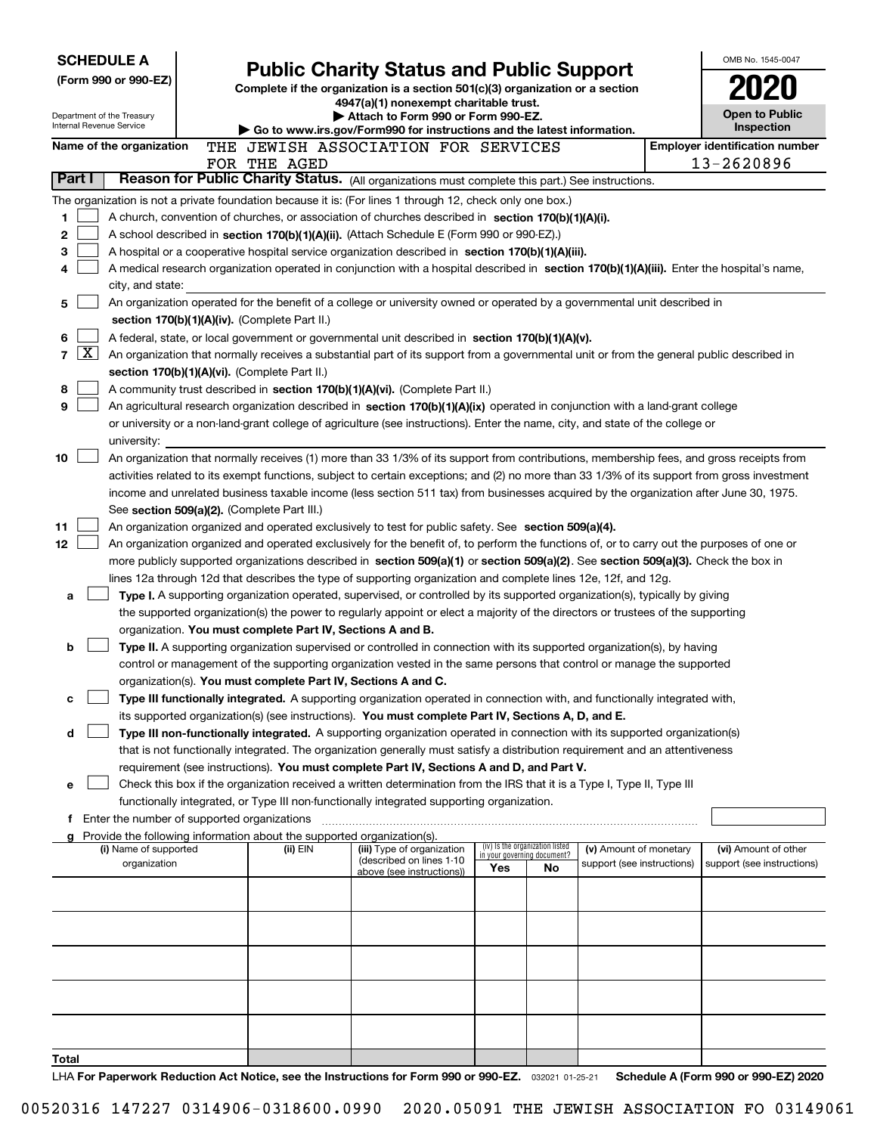| <b>Public Charity Status and Public Support</b><br>(Form 990 or 990-EZ)<br>Complete if the organization is a section $501(c)(3)$ organization or a section<br>4947(a)(1) nonexempt charitable trust.<br><b>Open to Public</b><br>Attach to Form 990 or Form 990-EZ.<br>Department of the Treasury<br>Internal Revenue Service<br>Inspection<br>Go to www.irs.gov/Form990 for instructions and the latest information.<br><b>Employer identification number</b><br>Name of the organization<br>THE JEWISH ASSOCIATION FOR SERVICES<br>13-2620896<br>FOR THE AGED<br>Part I<br>Reason for Public Charity Status. (All organizations must complete this part.) See instructions.<br>The organization is not a private foundation because it is: (For lines 1 through 12, check only one box.)<br>1<br>A church, convention of churches, or association of churches described in section 170(b)(1)(A)(i).<br>2<br>A school described in section 170(b)(1)(A)(ii). (Attach Schedule E (Form 990 or 990-EZ).)<br>з<br>A hospital or a cooperative hospital service organization described in section $170(b)(1)(A)(iii)$ .<br>A medical research organization operated in conjunction with a hospital described in section 170(b)(1)(A)(iii). Enter the hospital's name,<br>4<br>city, and state:<br>An organization operated for the benefit of a college or university owned or operated by a governmental unit described in<br>5<br>section 170(b)(1)(A)(iv). (Complete Part II.)<br>6<br>A federal, state, or local government or governmental unit described in section 170(b)(1)(A)(v).<br>$\mathbf{X}$<br>7<br>An organization that normally receives a substantial part of its support from a governmental unit or from the general public described in<br>section 170(b)(1)(A)(vi). (Complete Part II.)<br>8<br>A community trust described in section 170(b)(1)(A)(vi). (Complete Part II.)<br>9<br>An agricultural research organization described in section 170(b)(1)(A)(ix) operated in conjunction with a land-grant college<br>or university or a non-land-grant college of agriculture (see instructions). Enter the name, city, and state of the college or<br>university:<br>An organization that normally receives (1) more than 33 1/3% of its support from contributions, membership fees, and gross receipts from<br>10<br>activities related to its exempt functions, subject to certain exceptions; and (2) no more than 33 1/3% of its support from gross investment<br>income and unrelated business taxable income (less section 511 tax) from businesses acquired by the organization after June 30, 1975.<br>See section 509(a)(2). (Complete Part III.)<br>11<br>An organization organized and operated exclusively to test for public safety. See section 509(a)(4).<br>12<br>An organization organized and operated exclusively for the benefit of, to perform the functions of, or to carry out the purposes of one or<br>more publicly supported organizations described in section 509(a)(1) or section 509(a)(2). See section 509(a)(3). Check the box in<br>lines 12a through 12d that describes the type of supporting organization and complete lines 12e, 12f, and 12g.<br>Type I. A supporting organization operated, supervised, or controlled by its supported organization(s), typically by giving<br>a<br>the supported organization(s) the power to regularly appoint or elect a majority of the directors or trustees of the supporting<br>organization. You must complete Part IV, Sections A and B.<br>Type II. A supporting organization supervised or controlled in connection with its supported organization(s), by having<br>b<br>control or management of the supporting organization vested in the same persons that control or manage the supported<br>organization(s). You must complete Part IV, Sections A and C.<br>Type III functionally integrated. A supporting organization operated in connection with, and functionally integrated with,<br>c<br>its supported organization(s) (see instructions). You must complete Part IV, Sections A, D, and E.<br>Type III non-functionally integrated. A supporting organization operated in connection with its supported organization(s)<br>d<br>that is not functionally integrated. The organization generally must satisfy a distribution requirement and an attentiveness<br>requirement (see instructions). You must complete Part IV, Sections A and D, and Part V.<br>Check this box if the organization received a written determination from the IRS that it is a Type I, Type II, Type III<br>е<br>functionally integrated, or Type III non-functionally integrated supporting organization.<br>f Enter the number of supported organizations<br>Provide the following information about the supported organization(s).<br>(iv) Is the organization listed<br>(i) Name of supported<br>(iii) Type of organization<br>(v) Amount of monetary<br>(vi) Amount of other<br>(ii) EIN<br>in your governing document?<br>(described on lines 1-10<br>organization<br>support (see instructions)<br>support (see instructions)<br>Yes<br>No<br>above (see instructions))<br>Total | <b>SCHEDULE A</b> |  |  |  | OMB No. 1545-0047 |
|-------------------------------------------------------------------------------------------------------------------------------------------------------------------------------------------------------------------------------------------------------------------------------------------------------------------------------------------------------------------------------------------------------------------------------------------------------------------------------------------------------------------------------------------------------------------------------------------------------------------------------------------------------------------------------------------------------------------------------------------------------------------------------------------------------------------------------------------------------------------------------------------------------------------------------------------------------------------------------------------------------------------------------------------------------------------------------------------------------------------------------------------------------------------------------------------------------------------------------------------------------------------------------------------------------------------------------------------------------------------------------------------------------------------------------------------------------------------------------------------------------------------------------------------------------------------------------------------------------------------------------------------------------------------------------------------------------------------------------------------------------------------------------------------------------------------------------------------------------------------------------------------------------------------------------------------------------------------------------------------------------------------------------------------------------------------------------------------------------------------------------------------------------------------------------------------------------------------------------------------------------------------------------------------------------------------------------------------------------------------------------------------------------------------------------------------------------------------------------------------------------------------------------------------------------------------------------------------------------------------------------------------------------------------------------------------------------------------------------------------------------------------------------------------------------------------------------------------------------------------------------------------------------------------------------------------------------------------------------------------------------------------------------------------------------------------------------------------------------------------------------------------------------------------------------------------------------------------------------------------------------------------------------------------------------------------------------------------------------------------------------------------------------------------------------------------------------------------------------------------------------------------------------------------------------------------------------------------------------------------------------------------------------------------------------------------------------------------------------------------------------------------------------------------------------------------------------------------------------------------------------------------------------------------------------------------------------------------------------------------------------------------------------------------------------------------------------------------------------------------------------------------------------------------------------------------------------------------------------------------------------------------------------------------------------------------------------------------------------------------------------------------------------------------------------------------------------------------------------------------------------------------------------------------------------------------------------------------------------------------------------------------------------------------------------------------------------------------------------------------------------------------------------------------------------------------------------------------------------------------------------------------------------------------------------------------------------------------------------------------------------------------------------------------------------------------------------------------------------------------------------------------------------------------------------------------|-------------------|--|--|--|-------------------|
|                                                                                                                                                                                                                                                                                                                                                                                                                                                                                                                                                                                                                                                                                                                                                                                                                                                                                                                                                                                                                                                                                                                                                                                                                                                                                                                                                                                                                                                                                                                                                                                                                                                                                                                                                                                                                                                                                                                                                                                                                                                                                                                                                                                                                                                                                                                                                                                                                                                                                                                                                                                                                                                                                                                                                                                                                                                                                                                                                                                                                                                                                                                                                                                                                                                                                                                                                                                                                                                                                                                                                                                                                                                                                                                                                                                                                                                                                                                                                                                                                                                                                                                                                                                                                                                                                                                                                                                                                                                                                                                                                                                                                                                                                                                                                                                                                                                                                                                                                                                                                                                                                                                                                                                           |                   |  |  |  |                   |
|                                                                                                                                                                                                                                                                                                                                                                                                                                                                                                                                                                                                                                                                                                                                                                                                                                                                                                                                                                                                                                                                                                                                                                                                                                                                                                                                                                                                                                                                                                                                                                                                                                                                                                                                                                                                                                                                                                                                                                                                                                                                                                                                                                                                                                                                                                                                                                                                                                                                                                                                                                                                                                                                                                                                                                                                                                                                                                                                                                                                                                                                                                                                                                                                                                                                                                                                                                                                                                                                                                                                                                                                                                                                                                                                                                                                                                                                                                                                                                                                                                                                                                                                                                                                                                                                                                                                                                                                                                                                                                                                                                                                                                                                                                                                                                                                                                                                                                                                                                                                                                                                                                                                                                                           |                   |  |  |  |                   |
|                                                                                                                                                                                                                                                                                                                                                                                                                                                                                                                                                                                                                                                                                                                                                                                                                                                                                                                                                                                                                                                                                                                                                                                                                                                                                                                                                                                                                                                                                                                                                                                                                                                                                                                                                                                                                                                                                                                                                                                                                                                                                                                                                                                                                                                                                                                                                                                                                                                                                                                                                                                                                                                                                                                                                                                                                                                                                                                                                                                                                                                                                                                                                                                                                                                                                                                                                                                                                                                                                                                                                                                                                                                                                                                                                                                                                                                                                                                                                                                                                                                                                                                                                                                                                                                                                                                                                                                                                                                                                                                                                                                                                                                                                                                                                                                                                                                                                                                                                                                                                                                                                                                                                                                           |                   |  |  |  |                   |
|                                                                                                                                                                                                                                                                                                                                                                                                                                                                                                                                                                                                                                                                                                                                                                                                                                                                                                                                                                                                                                                                                                                                                                                                                                                                                                                                                                                                                                                                                                                                                                                                                                                                                                                                                                                                                                                                                                                                                                                                                                                                                                                                                                                                                                                                                                                                                                                                                                                                                                                                                                                                                                                                                                                                                                                                                                                                                                                                                                                                                                                                                                                                                                                                                                                                                                                                                                                                                                                                                                                                                                                                                                                                                                                                                                                                                                                                                                                                                                                                                                                                                                                                                                                                                                                                                                                                                                                                                                                                                                                                                                                                                                                                                                                                                                                                                                                                                                                                                                                                                                                                                                                                                                                           |                   |  |  |  |                   |
|                                                                                                                                                                                                                                                                                                                                                                                                                                                                                                                                                                                                                                                                                                                                                                                                                                                                                                                                                                                                                                                                                                                                                                                                                                                                                                                                                                                                                                                                                                                                                                                                                                                                                                                                                                                                                                                                                                                                                                                                                                                                                                                                                                                                                                                                                                                                                                                                                                                                                                                                                                                                                                                                                                                                                                                                                                                                                                                                                                                                                                                                                                                                                                                                                                                                                                                                                                                                                                                                                                                                                                                                                                                                                                                                                                                                                                                                                                                                                                                                                                                                                                                                                                                                                                                                                                                                                                                                                                                                                                                                                                                                                                                                                                                                                                                                                                                                                                                                                                                                                                                                                                                                                                                           |                   |  |  |  |                   |
|                                                                                                                                                                                                                                                                                                                                                                                                                                                                                                                                                                                                                                                                                                                                                                                                                                                                                                                                                                                                                                                                                                                                                                                                                                                                                                                                                                                                                                                                                                                                                                                                                                                                                                                                                                                                                                                                                                                                                                                                                                                                                                                                                                                                                                                                                                                                                                                                                                                                                                                                                                                                                                                                                                                                                                                                                                                                                                                                                                                                                                                                                                                                                                                                                                                                                                                                                                                                                                                                                                                                                                                                                                                                                                                                                                                                                                                                                                                                                                                                                                                                                                                                                                                                                                                                                                                                                                                                                                                                                                                                                                                                                                                                                                                                                                                                                                                                                                                                                                                                                                                                                                                                                                                           |                   |  |  |  |                   |
|                                                                                                                                                                                                                                                                                                                                                                                                                                                                                                                                                                                                                                                                                                                                                                                                                                                                                                                                                                                                                                                                                                                                                                                                                                                                                                                                                                                                                                                                                                                                                                                                                                                                                                                                                                                                                                                                                                                                                                                                                                                                                                                                                                                                                                                                                                                                                                                                                                                                                                                                                                                                                                                                                                                                                                                                                                                                                                                                                                                                                                                                                                                                                                                                                                                                                                                                                                                                                                                                                                                                                                                                                                                                                                                                                                                                                                                                                                                                                                                                                                                                                                                                                                                                                                                                                                                                                                                                                                                                                                                                                                                                                                                                                                                                                                                                                                                                                                                                                                                                                                                                                                                                                                                           |                   |  |  |  |                   |
|                                                                                                                                                                                                                                                                                                                                                                                                                                                                                                                                                                                                                                                                                                                                                                                                                                                                                                                                                                                                                                                                                                                                                                                                                                                                                                                                                                                                                                                                                                                                                                                                                                                                                                                                                                                                                                                                                                                                                                                                                                                                                                                                                                                                                                                                                                                                                                                                                                                                                                                                                                                                                                                                                                                                                                                                                                                                                                                                                                                                                                                                                                                                                                                                                                                                                                                                                                                                                                                                                                                                                                                                                                                                                                                                                                                                                                                                                                                                                                                                                                                                                                                                                                                                                                                                                                                                                                                                                                                                                                                                                                                                                                                                                                                                                                                                                                                                                                                                                                                                                                                                                                                                                                                           |                   |  |  |  |                   |
|                                                                                                                                                                                                                                                                                                                                                                                                                                                                                                                                                                                                                                                                                                                                                                                                                                                                                                                                                                                                                                                                                                                                                                                                                                                                                                                                                                                                                                                                                                                                                                                                                                                                                                                                                                                                                                                                                                                                                                                                                                                                                                                                                                                                                                                                                                                                                                                                                                                                                                                                                                                                                                                                                                                                                                                                                                                                                                                                                                                                                                                                                                                                                                                                                                                                                                                                                                                                                                                                                                                                                                                                                                                                                                                                                                                                                                                                                                                                                                                                                                                                                                                                                                                                                                                                                                                                                                                                                                                                                                                                                                                                                                                                                                                                                                                                                                                                                                                                                                                                                                                                                                                                                                                           |                   |  |  |  |                   |
|                                                                                                                                                                                                                                                                                                                                                                                                                                                                                                                                                                                                                                                                                                                                                                                                                                                                                                                                                                                                                                                                                                                                                                                                                                                                                                                                                                                                                                                                                                                                                                                                                                                                                                                                                                                                                                                                                                                                                                                                                                                                                                                                                                                                                                                                                                                                                                                                                                                                                                                                                                                                                                                                                                                                                                                                                                                                                                                                                                                                                                                                                                                                                                                                                                                                                                                                                                                                                                                                                                                                                                                                                                                                                                                                                                                                                                                                                                                                                                                                                                                                                                                                                                                                                                                                                                                                                                                                                                                                                                                                                                                                                                                                                                                                                                                                                                                                                                                                                                                                                                                                                                                                                                                           |                   |  |  |  |                   |
|                                                                                                                                                                                                                                                                                                                                                                                                                                                                                                                                                                                                                                                                                                                                                                                                                                                                                                                                                                                                                                                                                                                                                                                                                                                                                                                                                                                                                                                                                                                                                                                                                                                                                                                                                                                                                                                                                                                                                                                                                                                                                                                                                                                                                                                                                                                                                                                                                                                                                                                                                                                                                                                                                                                                                                                                                                                                                                                                                                                                                                                                                                                                                                                                                                                                                                                                                                                                                                                                                                                                                                                                                                                                                                                                                                                                                                                                                                                                                                                                                                                                                                                                                                                                                                                                                                                                                                                                                                                                                                                                                                                                                                                                                                                                                                                                                                                                                                                                                                                                                                                                                                                                                                                           |                   |  |  |  |                   |
|                                                                                                                                                                                                                                                                                                                                                                                                                                                                                                                                                                                                                                                                                                                                                                                                                                                                                                                                                                                                                                                                                                                                                                                                                                                                                                                                                                                                                                                                                                                                                                                                                                                                                                                                                                                                                                                                                                                                                                                                                                                                                                                                                                                                                                                                                                                                                                                                                                                                                                                                                                                                                                                                                                                                                                                                                                                                                                                                                                                                                                                                                                                                                                                                                                                                                                                                                                                                                                                                                                                                                                                                                                                                                                                                                                                                                                                                                                                                                                                                                                                                                                                                                                                                                                                                                                                                                                                                                                                                                                                                                                                                                                                                                                                                                                                                                                                                                                                                                                                                                                                                                                                                                                                           |                   |  |  |  |                   |
|                                                                                                                                                                                                                                                                                                                                                                                                                                                                                                                                                                                                                                                                                                                                                                                                                                                                                                                                                                                                                                                                                                                                                                                                                                                                                                                                                                                                                                                                                                                                                                                                                                                                                                                                                                                                                                                                                                                                                                                                                                                                                                                                                                                                                                                                                                                                                                                                                                                                                                                                                                                                                                                                                                                                                                                                                                                                                                                                                                                                                                                                                                                                                                                                                                                                                                                                                                                                                                                                                                                                                                                                                                                                                                                                                                                                                                                                                                                                                                                                                                                                                                                                                                                                                                                                                                                                                                                                                                                                                                                                                                                                                                                                                                                                                                                                                                                                                                                                                                                                                                                                                                                                                                                           |                   |  |  |  |                   |
|                                                                                                                                                                                                                                                                                                                                                                                                                                                                                                                                                                                                                                                                                                                                                                                                                                                                                                                                                                                                                                                                                                                                                                                                                                                                                                                                                                                                                                                                                                                                                                                                                                                                                                                                                                                                                                                                                                                                                                                                                                                                                                                                                                                                                                                                                                                                                                                                                                                                                                                                                                                                                                                                                                                                                                                                                                                                                                                                                                                                                                                                                                                                                                                                                                                                                                                                                                                                                                                                                                                                                                                                                                                                                                                                                                                                                                                                                                                                                                                                                                                                                                                                                                                                                                                                                                                                                                                                                                                                                                                                                                                                                                                                                                                                                                                                                                                                                                                                                                                                                                                                                                                                                                                           |                   |  |  |  |                   |
|                                                                                                                                                                                                                                                                                                                                                                                                                                                                                                                                                                                                                                                                                                                                                                                                                                                                                                                                                                                                                                                                                                                                                                                                                                                                                                                                                                                                                                                                                                                                                                                                                                                                                                                                                                                                                                                                                                                                                                                                                                                                                                                                                                                                                                                                                                                                                                                                                                                                                                                                                                                                                                                                                                                                                                                                                                                                                                                                                                                                                                                                                                                                                                                                                                                                                                                                                                                                                                                                                                                                                                                                                                                                                                                                                                                                                                                                                                                                                                                                                                                                                                                                                                                                                                                                                                                                                                                                                                                                                                                                                                                                                                                                                                                                                                                                                                                                                                                                                                                                                                                                                                                                                                                           |                   |  |  |  |                   |
|                                                                                                                                                                                                                                                                                                                                                                                                                                                                                                                                                                                                                                                                                                                                                                                                                                                                                                                                                                                                                                                                                                                                                                                                                                                                                                                                                                                                                                                                                                                                                                                                                                                                                                                                                                                                                                                                                                                                                                                                                                                                                                                                                                                                                                                                                                                                                                                                                                                                                                                                                                                                                                                                                                                                                                                                                                                                                                                                                                                                                                                                                                                                                                                                                                                                                                                                                                                                                                                                                                                                                                                                                                                                                                                                                                                                                                                                                                                                                                                                                                                                                                                                                                                                                                                                                                                                                                                                                                                                                                                                                                                                                                                                                                                                                                                                                                                                                                                                                                                                                                                                                                                                                                                           |                   |  |  |  |                   |
|                                                                                                                                                                                                                                                                                                                                                                                                                                                                                                                                                                                                                                                                                                                                                                                                                                                                                                                                                                                                                                                                                                                                                                                                                                                                                                                                                                                                                                                                                                                                                                                                                                                                                                                                                                                                                                                                                                                                                                                                                                                                                                                                                                                                                                                                                                                                                                                                                                                                                                                                                                                                                                                                                                                                                                                                                                                                                                                                                                                                                                                                                                                                                                                                                                                                                                                                                                                                                                                                                                                                                                                                                                                                                                                                                                                                                                                                                                                                                                                                                                                                                                                                                                                                                                                                                                                                                                                                                                                                                                                                                                                                                                                                                                                                                                                                                                                                                                                                                                                                                                                                                                                                                                                           |                   |  |  |  |                   |
|                                                                                                                                                                                                                                                                                                                                                                                                                                                                                                                                                                                                                                                                                                                                                                                                                                                                                                                                                                                                                                                                                                                                                                                                                                                                                                                                                                                                                                                                                                                                                                                                                                                                                                                                                                                                                                                                                                                                                                                                                                                                                                                                                                                                                                                                                                                                                                                                                                                                                                                                                                                                                                                                                                                                                                                                                                                                                                                                                                                                                                                                                                                                                                                                                                                                                                                                                                                                                                                                                                                                                                                                                                                                                                                                                                                                                                                                                                                                                                                                                                                                                                                                                                                                                                                                                                                                                                                                                                                                                                                                                                                                                                                                                                                                                                                                                                                                                                                                                                                                                                                                                                                                                                                           |                   |  |  |  |                   |
|                                                                                                                                                                                                                                                                                                                                                                                                                                                                                                                                                                                                                                                                                                                                                                                                                                                                                                                                                                                                                                                                                                                                                                                                                                                                                                                                                                                                                                                                                                                                                                                                                                                                                                                                                                                                                                                                                                                                                                                                                                                                                                                                                                                                                                                                                                                                                                                                                                                                                                                                                                                                                                                                                                                                                                                                                                                                                                                                                                                                                                                                                                                                                                                                                                                                                                                                                                                                                                                                                                                                                                                                                                                                                                                                                                                                                                                                                                                                                                                                                                                                                                                                                                                                                                                                                                                                                                                                                                                                                                                                                                                                                                                                                                                                                                                                                                                                                                                                                                                                                                                                                                                                                                                           |                   |  |  |  |                   |
|                                                                                                                                                                                                                                                                                                                                                                                                                                                                                                                                                                                                                                                                                                                                                                                                                                                                                                                                                                                                                                                                                                                                                                                                                                                                                                                                                                                                                                                                                                                                                                                                                                                                                                                                                                                                                                                                                                                                                                                                                                                                                                                                                                                                                                                                                                                                                                                                                                                                                                                                                                                                                                                                                                                                                                                                                                                                                                                                                                                                                                                                                                                                                                                                                                                                                                                                                                                                                                                                                                                                                                                                                                                                                                                                                                                                                                                                                                                                                                                                                                                                                                                                                                                                                                                                                                                                                                                                                                                                                                                                                                                                                                                                                                                                                                                                                                                                                                                                                                                                                                                                                                                                                                                           |                   |  |  |  |                   |
|                                                                                                                                                                                                                                                                                                                                                                                                                                                                                                                                                                                                                                                                                                                                                                                                                                                                                                                                                                                                                                                                                                                                                                                                                                                                                                                                                                                                                                                                                                                                                                                                                                                                                                                                                                                                                                                                                                                                                                                                                                                                                                                                                                                                                                                                                                                                                                                                                                                                                                                                                                                                                                                                                                                                                                                                                                                                                                                                                                                                                                                                                                                                                                                                                                                                                                                                                                                                                                                                                                                                                                                                                                                                                                                                                                                                                                                                                                                                                                                                                                                                                                                                                                                                                                                                                                                                                                                                                                                                                                                                                                                                                                                                                                                                                                                                                                                                                                                                                                                                                                                                                                                                                                                           |                   |  |  |  |                   |
|                                                                                                                                                                                                                                                                                                                                                                                                                                                                                                                                                                                                                                                                                                                                                                                                                                                                                                                                                                                                                                                                                                                                                                                                                                                                                                                                                                                                                                                                                                                                                                                                                                                                                                                                                                                                                                                                                                                                                                                                                                                                                                                                                                                                                                                                                                                                                                                                                                                                                                                                                                                                                                                                                                                                                                                                                                                                                                                                                                                                                                                                                                                                                                                                                                                                                                                                                                                                                                                                                                                                                                                                                                                                                                                                                                                                                                                                                                                                                                                                                                                                                                                                                                                                                                                                                                                                                                                                                                                                                                                                                                                                                                                                                                                                                                                                                                                                                                                                                                                                                                                                                                                                                                                           |                   |  |  |  |                   |
|                                                                                                                                                                                                                                                                                                                                                                                                                                                                                                                                                                                                                                                                                                                                                                                                                                                                                                                                                                                                                                                                                                                                                                                                                                                                                                                                                                                                                                                                                                                                                                                                                                                                                                                                                                                                                                                                                                                                                                                                                                                                                                                                                                                                                                                                                                                                                                                                                                                                                                                                                                                                                                                                                                                                                                                                                                                                                                                                                                                                                                                                                                                                                                                                                                                                                                                                                                                                                                                                                                                                                                                                                                                                                                                                                                                                                                                                                                                                                                                                                                                                                                                                                                                                                                                                                                                                                                                                                                                                                                                                                                                                                                                                                                                                                                                                                                                                                                                                                                                                                                                                                                                                                                                           |                   |  |  |  |                   |
|                                                                                                                                                                                                                                                                                                                                                                                                                                                                                                                                                                                                                                                                                                                                                                                                                                                                                                                                                                                                                                                                                                                                                                                                                                                                                                                                                                                                                                                                                                                                                                                                                                                                                                                                                                                                                                                                                                                                                                                                                                                                                                                                                                                                                                                                                                                                                                                                                                                                                                                                                                                                                                                                                                                                                                                                                                                                                                                                                                                                                                                                                                                                                                                                                                                                                                                                                                                                                                                                                                                                                                                                                                                                                                                                                                                                                                                                                                                                                                                                                                                                                                                                                                                                                                                                                                                                                                                                                                                                                                                                                                                                                                                                                                                                                                                                                                                                                                                                                                                                                                                                                                                                                                                           |                   |  |  |  |                   |
|                                                                                                                                                                                                                                                                                                                                                                                                                                                                                                                                                                                                                                                                                                                                                                                                                                                                                                                                                                                                                                                                                                                                                                                                                                                                                                                                                                                                                                                                                                                                                                                                                                                                                                                                                                                                                                                                                                                                                                                                                                                                                                                                                                                                                                                                                                                                                                                                                                                                                                                                                                                                                                                                                                                                                                                                                                                                                                                                                                                                                                                                                                                                                                                                                                                                                                                                                                                                                                                                                                                                                                                                                                                                                                                                                                                                                                                                                                                                                                                                                                                                                                                                                                                                                                                                                                                                                                                                                                                                                                                                                                                                                                                                                                                                                                                                                                                                                                                                                                                                                                                                                                                                                                                           |                   |  |  |  |                   |
|                                                                                                                                                                                                                                                                                                                                                                                                                                                                                                                                                                                                                                                                                                                                                                                                                                                                                                                                                                                                                                                                                                                                                                                                                                                                                                                                                                                                                                                                                                                                                                                                                                                                                                                                                                                                                                                                                                                                                                                                                                                                                                                                                                                                                                                                                                                                                                                                                                                                                                                                                                                                                                                                                                                                                                                                                                                                                                                                                                                                                                                                                                                                                                                                                                                                                                                                                                                                                                                                                                                                                                                                                                                                                                                                                                                                                                                                                                                                                                                                                                                                                                                                                                                                                                                                                                                                                                                                                                                                                                                                                                                                                                                                                                                                                                                                                                                                                                                                                                                                                                                                                                                                                                                           |                   |  |  |  |                   |
|                                                                                                                                                                                                                                                                                                                                                                                                                                                                                                                                                                                                                                                                                                                                                                                                                                                                                                                                                                                                                                                                                                                                                                                                                                                                                                                                                                                                                                                                                                                                                                                                                                                                                                                                                                                                                                                                                                                                                                                                                                                                                                                                                                                                                                                                                                                                                                                                                                                                                                                                                                                                                                                                                                                                                                                                                                                                                                                                                                                                                                                                                                                                                                                                                                                                                                                                                                                                                                                                                                                                                                                                                                                                                                                                                                                                                                                                                                                                                                                                                                                                                                                                                                                                                                                                                                                                                                                                                                                                                                                                                                                                                                                                                                                                                                                                                                                                                                                                                                                                                                                                                                                                                                                           |                   |  |  |  |                   |
|                                                                                                                                                                                                                                                                                                                                                                                                                                                                                                                                                                                                                                                                                                                                                                                                                                                                                                                                                                                                                                                                                                                                                                                                                                                                                                                                                                                                                                                                                                                                                                                                                                                                                                                                                                                                                                                                                                                                                                                                                                                                                                                                                                                                                                                                                                                                                                                                                                                                                                                                                                                                                                                                                                                                                                                                                                                                                                                                                                                                                                                                                                                                                                                                                                                                                                                                                                                                                                                                                                                                                                                                                                                                                                                                                                                                                                                                                                                                                                                                                                                                                                                                                                                                                                                                                                                                                                                                                                                                                                                                                                                                                                                                                                                                                                                                                                                                                                                                                                                                                                                                                                                                                                                           |                   |  |  |  |                   |
|                                                                                                                                                                                                                                                                                                                                                                                                                                                                                                                                                                                                                                                                                                                                                                                                                                                                                                                                                                                                                                                                                                                                                                                                                                                                                                                                                                                                                                                                                                                                                                                                                                                                                                                                                                                                                                                                                                                                                                                                                                                                                                                                                                                                                                                                                                                                                                                                                                                                                                                                                                                                                                                                                                                                                                                                                                                                                                                                                                                                                                                                                                                                                                                                                                                                                                                                                                                                                                                                                                                                                                                                                                                                                                                                                                                                                                                                                                                                                                                                                                                                                                                                                                                                                                                                                                                                                                                                                                                                                                                                                                                                                                                                                                                                                                                                                                                                                                                                                                                                                                                                                                                                                                                           |                   |  |  |  |                   |
|                                                                                                                                                                                                                                                                                                                                                                                                                                                                                                                                                                                                                                                                                                                                                                                                                                                                                                                                                                                                                                                                                                                                                                                                                                                                                                                                                                                                                                                                                                                                                                                                                                                                                                                                                                                                                                                                                                                                                                                                                                                                                                                                                                                                                                                                                                                                                                                                                                                                                                                                                                                                                                                                                                                                                                                                                                                                                                                                                                                                                                                                                                                                                                                                                                                                                                                                                                                                                                                                                                                                                                                                                                                                                                                                                                                                                                                                                                                                                                                                                                                                                                                                                                                                                                                                                                                                                                                                                                                                                                                                                                                                                                                                                                                                                                                                                                                                                                                                                                                                                                                                                                                                                                                           |                   |  |  |  |                   |
|                                                                                                                                                                                                                                                                                                                                                                                                                                                                                                                                                                                                                                                                                                                                                                                                                                                                                                                                                                                                                                                                                                                                                                                                                                                                                                                                                                                                                                                                                                                                                                                                                                                                                                                                                                                                                                                                                                                                                                                                                                                                                                                                                                                                                                                                                                                                                                                                                                                                                                                                                                                                                                                                                                                                                                                                                                                                                                                                                                                                                                                                                                                                                                                                                                                                                                                                                                                                                                                                                                                                                                                                                                                                                                                                                                                                                                                                                                                                                                                                                                                                                                                                                                                                                                                                                                                                                                                                                                                                                                                                                                                                                                                                                                                                                                                                                                                                                                                                                                                                                                                                                                                                                                                           |                   |  |  |  |                   |
|                                                                                                                                                                                                                                                                                                                                                                                                                                                                                                                                                                                                                                                                                                                                                                                                                                                                                                                                                                                                                                                                                                                                                                                                                                                                                                                                                                                                                                                                                                                                                                                                                                                                                                                                                                                                                                                                                                                                                                                                                                                                                                                                                                                                                                                                                                                                                                                                                                                                                                                                                                                                                                                                                                                                                                                                                                                                                                                                                                                                                                                                                                                                                                                                                                                                                                                                                                                                                                                                                                                                                                                                                                                                                                                                                                                                                                                                                                                                                                                                                                                                                                                                                                                                                                                                                                                                                                                                                                                                                                                                                                                                                                                                                                                                                                                                                                                                                                                                                                                                                                                                                                                                                                                           |                   |  |  |  |                   |
|                                                                                                                                                                                                                                                                                                                                                                                                                                                                                                                                                                                                                                                                                                                                                                                                                                                                                                                                                                                                                                                                                                                                                                                                                                                                                                                                                                                                                                                                                                                                                                                                                                                                                                                                                                                                                                                                                                                                                                                                                                                                                                                                                                                                                                                                                                                                                                                                                                                                                                                                                                                                                                                                                                                                                                                                                                                                                                                                                                                                                                                                                                                                                                                                                                                                                                                                                                                                                                                                                                                                                                                                                                                                                                                                                                                                                                                                                                                                                                                                                                                                                                                                                                                                                                                                                                                                                                                                                                                                                                                                                                                                                                                                                                                                                                                                                                                                                                                                                                                                                                                                                                                                                                                           |                   |  |  |  |                   |
|                                                                                                                                                                                                                                                                                                                                                                                                                                                                                                                                                                                                                                                                                                                                                                                                                                                                                                                                                                                                                                                                                                                                                                                                                                                                                                                                                                                                                                                                                                                                                                                                                                                                                                                                                                                                                                                                                                                                                                                                                                                                                                                                                                                                                                                                                                                                                                                                                                                                                                                                                                                                                                                                                                                                                                                                                                                                                                                                                                                                                                                                                                                                                                                                                                                                                                                                                                                                                                                                                                                                                                                                                                                                                                                                                                                                                                                                                                                                                                                                                                                                                                                                                                                                                                                                                                                                                                                                                                                                                                                                                                                                                                                                                                                                                                                                                                                                                                                                                                                                                                                                                                                                                                                           |                   |  |  |  |                   |
|                                                                                                                                                                                                                                                                                                                                                                                                                                                                                                                                                                                                                                                                                                                                                                                                                                                                                                                                                                                                                                                                                                                                                                                                                                                                                                                                                                                                                                                                                                                                                                                                                                                                                                                                                                                                                                                                                                                                                                                                                                                                                                                                                                                                                                                                                                                                                                                                                                                                                                                                                                                                                                                                                                                                                                                                                                                                                                                                                                                                                                                                                                                                                                                                                                                                                                                                                                                                                                                                                                                                                                                                                                                                                                                                                                                                                                                                                                                                                                                                                                                                                                                                                                                                                                                                                                                                                                                                                                                                                                                                                                                                                                                                                                                                                                                                                                                                                                                                                                                                                                                                                                                                                                                           |                   |  |  |  |                   |
|                                                                                                                                                                                                                                                                                                                                                                                                                                                                                                                                                                                                                                                                                                                                                                                                                                                                                                                                                                                                                                                                                                                                                                                                                                                                                                                                                                                                                                                                                                                                                                                                                                                                                                                                                                                                                                                                                                                                                                                                                                                                                                                                                                                                                                                                                                                                                                                                                                                                                                                                                                                                                                                                                                                                                                                                                                                                                                                                                                                                                                                                                                                                                                                                                                                                                                                                                                                                                                                                                                                                                                                                                                                                                                                                                                                                                                                                                                                                                                                                                                                                                                                                                                                                                                                                                                                                                                                                                                                                                                                                                                                                                                                                                                                                                                                                                                                                                                                                                                                                                                                                                                                                                                                           |                   |  |  |  |                   |
|                                                                                                                                                                                                                                                                                                                                                                                                                                                                                                                                                                                                                                                                                                                                                                                                                                                                                                                                                                                                                                                                                                                                                                                                                                                                                                                                                                                                                                                                                                                                                                                                                                                                                                                                                                                                                                                                                                                                                                                                                                                                                                                                                                                                                                                                                                                                                                                                                                                                                                                                                                                                                                                                                                                                                                                                                                                                                                                                                                                                                                                                                                                                                                                                                                                                                                                                                                                                                                                                                                                                                                                                                                                                                                                                                                                                                                                                                                                                                                                                                                                                                                                                                                                                                                                                                                                                                                                                                                                                                                                                                                                                                                                                                                                                                                                                                                                                                                                                                                                                                                                                                                                                                                                           |                   |  |  |  |                   |
|                                                                                                                                                                                                                                                                                                                                                                                                                                                                                                                                                                                                                                                                                                                                                                                                                                                                                                                                                                                                                                                                                                                                                                                                                                                                                                                                                                                                                                                                                                                                                                                                                                                                                                                                                                                                                                                                                                                                                                                                                                                                                                                                                                                                                                                                                                                                                                                                                                                                                                                                                                                                                                                                                                                                                                                                                                                                                                                                                                                                                                                                                                                                                                                                                                                                                                                                                                                                                                                                                                                                                                                                                                                                                                                                                                                                                                                                                                                                                                                                                                                                                                                                                                                                                                                                                                                                                                                                                                                                                                                                                                                                                                                                                                                                                                                                                                                                                                                                                                                                                                                                                                                                                                                           |                   |  |  |  |                   |
|                                                                                                                                                                                                                                                                                                                                                                                                                                                                                                                                                                                                                                                                                                                                                                                                                                                                                                                                                                                                                                                                                                                                                                                                                                                                                                                                                                                                                                                                                                                                                                                                                                                                                                                                                                                                                                                                                                                                                                                                                                                                                                                                                                                                                                                                                                                                                                                                                                                                                                                                                                                                                                                                                                                                                                                                                                                                                                                                                                                                                                                                                                                                                                                                                                                                                                                                                                                                                                                                                                                                                                                                                                                                                                                                                                                                                                                                                                                                                                                                                                                                                                                                                                                                                                                                                                                                                                                                                                                                                                                                                                                                                                                                                                                                                                                                                                                                                                                                                                                                                                                                                                                                                                                           |                   |  |  |  |                   |
|                                                                                                                                                                                                                                                                                                                                                                                                                                                                                                                                                                                                                                                                                                                                                                                                                                                                                                                                                                                                                                                                                                                                                                                                                                                                                                                                                                                                                                                                                                                                                                                                                                                                                                                                                                                                                                                                                                                                                                                                                                                                                                                                                                                                                                                                                                                                                                                                                                                                                                                                                                                                                                                                                                                                                                                                                                                                                                                                                                                                                                                                                                                                                                                                                                                                                                                                                                                                                                                                                                                                                                                                                                                                                                                                                                                                                                                                                                                                                                                                                                                                                                                                                                                                                                                                                                                                                                                                                                                                                                                                                                                                                                                                                                                                                                                                                                                                                                                                                                                                                                                                                                                                                                                           |                   |  |  |  |                   |
|                                                                                                                                                                                                                                                                                                                                                                                                                                                                                                                                                                                                                                                                                                                                                                                                                                                                                                                                                                                                                                                                                                                                                                                                                                                                                                                                                                                                                                                                                                                                                                                                                                                                                                                                                                                                                                                                                                                                                                                                                                                                                                                                                                                                                                                                                                                                                                                                                                                                                                                                                                                                                                                                                                                                                                                                                                                                                                                                                                                                                                                                                                                                                                                                                                                                                                                                                                                                                                                                                                                                                                                                                                                                                                                                                                                                                                                                                                                                                                                                                                                                                                                                                                                                                                                                                                                                                                                                                                                                                                                                                                                                                                                                                                                                                                                                                                                                                                                                                                                                                                                                                                                                                                                           |                   |  |  |  |                   |
|                                                                                                                                                                                                                                                                                                                                                                                                                                                                                                                                                                                                                                                                                                                                                                                                                                                                                                                                                                                                                                                                                                                                                                                                                                                                                                                                                                                                                                                                                                                                                                                                                                                                                                                                                                                                                                                                                                                                                                                                                                                                                                                                                                                                                                                                                                                                                                                                                                                                                                                                                                                                                                                                                                                                                                                                                                                                                                                                                                                                                                                                                                                                                                                                                                                                                                                                                                                                                                                                                                                                                                                                                                                                                                                                                                                                                                                                                                                                                                                                                                                                                                                                                                                                                                                                                                                                                                                                                                                                                                                                                                                                                                                                                                                                                                                                                                                                                                                                                                                                                                                                                                                                                                                           |                   |  |  |  |                   |
|                                                                                                                                                                                                                                                                                                                                                                                                                                                                                                                                                                                                                                                                                                                                                                                                                                                                                                                                                                                                                                                                                                                                                                                                                                                                                                                                                                                                                                                                                                                                                                                                                                                                                                                                                                                                                                                                                                                                                                                                                                                                                                                                                                                                                                                                                                                                                                                                                                                                                                                                                                                                                                                                                                                                                                                                                                                                                                                                                                                                                                                                                                                                                                                                                                                                                                                                                                                                                                                                                                                                                                                                                                                                                                                                                                                                                                                                                                                                                                                                                                                                                                                                                                                                                                                                                                                                                                                                                                                                                                                                                                                                                                                                                                                                                                                                                                                                                                                                                                                                                                                                                                                                                                                           |                   |  |  |  |                   |
|                                                                                                                                                                                                                                                                                                                                                                                                                                                                                                                                                                                                                                                                                                                                                                                                                                                                                                                                                                                                                                                                                                                                                                                                                                                                                                                                                                                                                                                                                                                                                                                                                                                                                                                                                                                                                                                                                                                                                                                                                                                                                                                                                                                                                                                                                                                                                                                                                                                                                                                                                                                                                                                                                                                                                                                                                                                                                                                                                                                                                                                                                                                                                                                                                                                                                                                                                                                                                                                                                                                                                                                                                                                                                                                                                                                                                                                                                                                                                                                                                                                                                                                                                                                                                                                                                                                                                                                                                                                                                                                                                                                                                                                                                                                                                                                                                                                                                                                                                                                                                                                                                                                                                                                           |                   |  |  |  |                   |
|                                                                                                                                                                                                                                                                                                                                                                                                                                                                                                                                                                                                                                                                                                                                                                                                                                                                                                                                                                                                                                                                                                                                                                                                                                                                                                                                                                                                                                                                                                                                                                                                                                                                                                                                                                                                                                                                                                                                                                                                                                                                                                                                                                                                                                                                                                                                                                                                                                                                                                                                                                                                                                                                                                                                                                                                                                                                                                                                                                                                                                                                                                                                                                                                                                                                                                                                                                                                                                                                                                                                                                                                                                                                                                                                                                                                                                                                                                                                                                                                                                                                                                                                                                                                                                                                                                                                                                                                                                                                                                                                                                                                                                                                                                                                                                                                                                                                                                                                                                                                                                                                                                                                                                                           |                   |  |  |  |                   |
|                                                                                                                                                                                                                                                                                                                                                                                                                                                                                                                                                                                                                                                                                                                                                                                                                                                                                                                                                                                                                                                                                                                                                                                                                                                                                                                                                                                                                                                                                                                                                                                                                                                                                                                                                                                                                                                                                                                                                                                                                                                                                                                                                                                                                                                                                                                                                                                                                                                                                                                                                                                                                                                                                                                                                                                                                                                                                                                                                                                                                                                                                                                                                                                                                                                                                                                                                                                                                                                                                                                                                                                                                                                                                                                                                                                                                                                                                                                                                                                                                                                                                                                                                                                                                                                                                                                                                                                                                                                                                                                                                                                                                                                                                                                                                                                                                                                                                                                                                                                                                                                                                                                                                                                           |                   |  |  |  |                   |
|                                                                                                                                                                                                                                                                                                                                                                                                                                                                                                                                                                                                                                                                                                                                                                                                                                                                                                                                                                                                                                                                                                                                                                                                                                                                                                                                                                                                                                                                                                                                                                                                                                                                                                                                                                                                                                                                                                                                                                                                                                                                                                                                                                                                                                                                                                                                                                                                                                                                                                                                                                                                                                                                                                                                                                                                                                                                                                                                                                                                                                                                                                                                                                                                                                                                                                                                                                                                                                                                                                                                                                                                                                                                                                                                                                                                                                                                                                                                                                                                                                                                                                                                                                                                                                                                                                                                                                                                                                                                                                                                                                                                                                                                                                                                                                                                                                                                                                                                                                                                                                                                                                                                                                                           |                   |  |  |  |                   |
|                                                                                                                                                                                                                                                                                                                                                                                                                                                                                                                                                                                                                                                                                                                                                                                                                                                                                                                                                                                                                                                                                                                                                                                                                                                                                                                                                                                                                                                                                                                                                                                                                                                                                                                                                                                                                                                                                                                                                                                                                                                                                                                                                                                                                                                                                                                                                                                                                                                                                                                                                                                                                                                                                                                                                                                                                                                                                                                                                                                                                                                                                                                                                                                                                                                                                                                                                                                                                                                                                                                                                                                                                                                                                                                                                                                                                                                                                                                                                                                                                                                                                                                                                                                                                                                                                                                                                                                                                                                                                                                                                                                                                                                                                                                                                                                                                                                                                                                                                                                                                                                                                                                                                                                           |                   |  |  |  |                   |
|                                                                                                                                                                                                                                                                                                                                                                                                                                                                                                                                                                                                                                                                                                                                                                                                                                                                                                                                                                                                                                                                                                                                                                                                                                                                                                                                                                                                                                                                                                                                                                                                                                                                                                                                                                                                                                                                                                                                                                                                                                                                                                                                                                                                                                                                                                                                                                                                                                                                                                                                                                                                                                                                                                                                                                                                                                                                                                                                                                                                                                                                                                                                                                                                                                                                                                                                                                                                                                                                                                                                                                                                                                                                                                                                                                                                                                                                                                                                                                                                                                                                                                                                                                                                                                                                                                                                                                                                                                                                                                                                                                                                                                                                                                                                                                                                                                                                                                                                                                                                                                                                                                                                                                                           |                   |  |  |  |                   |
|                                                                                                                                                                                                                                                                                                                                                                                                                                                                                                                                                                                                                                                                                                                                                                                                                                                                                                                                                                                                                                                                                                                                                                                                                                                                                                                                                                                                                                                                                                                                                                                                                                                                                                                                                                                                                                                                                                                                                                                                                                                                                                                                                                                                                                                                                                                                                                                                                                                                                                                                                                                                                                                                                                                                                                                                                                                                                                                                                                                                                                                                                                                                                                                                                                                                                                                                                                                                                                                                                                                                                                                                                                                                                                                                                                                                                                                                                                                                                                                                                                                                                                                                                                                                                                                                                                                                                                                                                                                                                                                                                                                                                                                                                                                                                                                                                                                                                                                                                                                                                                                                                                                                                                                           |                   |  |  |  |                   |

LHA For Paperwork Reduction Act Notice, see the Instructions for Form 990 or 990-EZ. <sub>032021</sub> o1-25-21 Schedule A (Form 990 or 990-EZ) 2020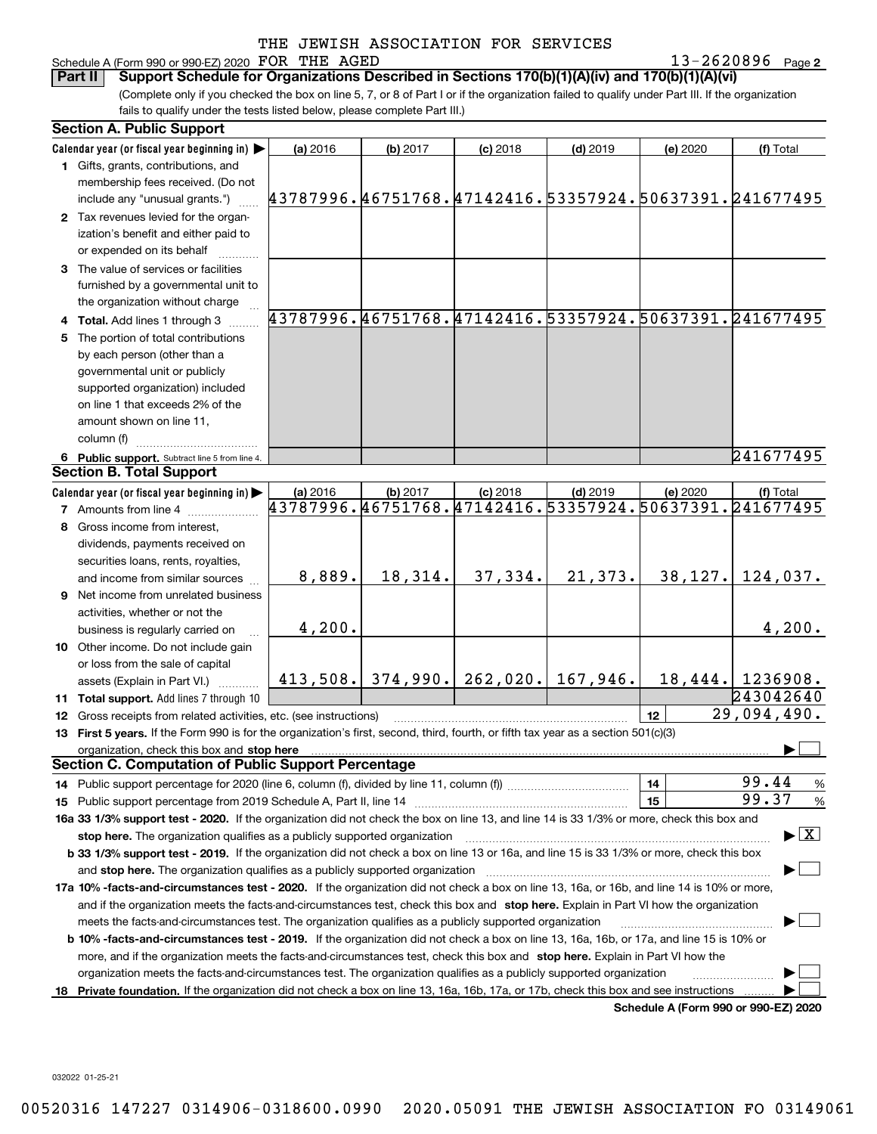# Schedule A (Form 990 or 990-EZ) 2020 Page FOR THE AGED 13-2620896

13-2620896 Page 2

(Complete only if you checked the box on line 5, 7, or 8 of Part I or if the organization failed to qualify under Part III. If the organization fails to qualify under the tests listed below, please complete Part III.) **Part II** Support Schedule for Organizations Described in Sections 170(b)(1)(A)(iv) and 170(b)(1)(A)(vi)

| <b>Section A. Public Support</b>                                                                                                                                              |                                                        |          |                                       |            |                 |                    |  |  |
|-------------------------------------------------------------------------------------------------------------------------------------------------------------------------------|--------------------------------------------------------|----------|---------------------------------------|------------|-----------------|--------------------|--|--|
| Calendar year (or fiscal year beginning in)                                                                                                                                   | (a) 2016                                               | (b) 2017 | $(c)$ 2018                            | $(d)$ 2019 | (e) 2020        | (f) Total          |  |  |
| 1 Gifts, grants, contributions, and                                                                                                                                           |                                                        |          |                                       |            |                 |                    |  |  |
| membership fees received. (Do not                                                                                                                                             |                                                        |          |                                       |            |                 |                    |  |  |
| include any "unusual grants.")                                                                                                                                                | 43787996.46751768.47142416.53357924.50637391.241677495 |          |                                       |            |                 |                    |  |  |
| 2 Tax revenues levied for the organ-                                                                                                                                          |                                                        |          |                                       |            |                 |                    |  |  |
| ization's benefit and either paid to                                                                                                                                          |                                                        |          |                                       |            |                 |                    |  |  |
| or expended on its behalf                                                                                                                                                     |                                                        |          |                                       |            |                 |                    |  |  |
| 3 The value of services or facilities                                                                                                                                         |                                                        |          |                                       |            |                 |                    |  |  |
| furnished by a governmental unit to                                                                                                                                           |                                                        |          |                                       |            |                 |                    |  |  |
| the organization without charge                                                                                                                                               |                                                        |          |                                       |            |                 |                    |  |  |
| 4 Total. Add lines 1 through 3                                                                                                                                                | 43787996.46751768.47142416.53357924.50637391.241677495 |          |                                       |            |                 |                    |  |  |
| 5 The portion of total contributions                                                                                                                                          |                                                        |          |                                       |            |                 |                    |  |  |
| by each person (other than a                                                                                                                                                  |                                                        |          |                                       |            |                 |                    |  |  |
| governmental unit or publicly                                                                                                                                                 |                                                        |          |                                       |            |                 |                    |  |  |
| supported organization) included                                                                                                                                              |                                                        |          |                                       |            |                 |                    |  |  |
| on line 1 that exceeds 2% of the                                                                                                                                              |                                                        |          |                                       |            |                 |                    |  |  |
| amount shown on line 11,                                                                                                                                                      |                                                        |          |                                       |            |                 |                    |  |  |
| column (f)                                                                                                                                                                    |                                                        |          |                                       |            |                 |                    |  |  |
| 6 Public support. Subtract line 5 from line 4.                                                                                                                                |                                                        |          |                                       |            |                 | 241677495          |  |  |
| <b>Section B. Total Support</b>                                                                                                                                               |                                                        |          |                                       |            |                 |                    |  |  |
| Calendar year (or fiscal year beginning in)                                                                                                                                   | (a) 2016                                               | (b) 2017 | $(c)$ 2018                            | $(d)$ 2019 | (e) 2020        | (f) Total          |  |  |
| <b>7</b> Amounts from line 4                                                                                                                                                  | 43787996.46751768.47142416.53357924.50637391.241677495 |          |                                       |            |                 |                    |  |  |
| 8 Gross income from interest,                                                                                                                                                 |                                                        |          |                                       |            |                 |                    |  |  |
| dividends, payments received on                                                                                                                                               |                                                        |          |                                       |            |                 |                    |  |  |
| securities loans, rents, royalties,                                                                                                                                           |                                                        |          |                                       |            |                 |                    |  |  |
| and income from similar sources                                                                                                                                               | 8,889.                                                 | 18,314.  | 37,334.                               | 21,373.    | 38,127.         | 124,037.           |  |  |
| 9 Net income from unrelated business                                                                                                                                          |                                                        |          |                                       |            |                 |                    |  |  |
| activities, whether or not the                                                                                                                                                |                                                        |          |                                       |            |                 |                    |  |  |
| business is regularly carried on                                                                                                                                              | 4,200.                                                 |          |                                       |            |                 | 4,200.             |  |  |
| 10 Other income. Do not include gain                                                                                                                                          |                                                        |          |                                       |            |                 |                    |  |  |
| or loss from the sale of capital                                                                                                                                              |                                                        |          |                                       |            |                 |                    |  |  |
| assets (Explain in Part VI.)                                                                                                                                                  |                                                        |          | $413,508.$ 374,990. 262,020. 167,946. |            |                 | $18,444.$ 1236908. |  |  |
| 11 Total support. Add lines 7 through 10                                                                                                                                      |                                                        |          |                                       |            |                 | 243042640          |  |  |
| 12 Gross receipts from related activities, etc. (see instructions)                                                                                                            |                                                        |          |                                       |            | 12 <sup>2</sup> | 29,094,490.        |  |  |
| 13 First 5 years. If the Form 990 is for the organization's first, second, third, fourth, or fifth tax year as a section 501(c)(3)                                            |                                                        |          |                                       |            |                 |                    |  |  |
| organization, check this box and stop here                                                                                                                                    |                                                        |          |                                       |            |                 |                    |  |  |
| <b>Section C. Computation of Public Support Percentage</b>                                                                                                                    |                                                        |          |                                       |            |                 |                    |  |  |
| 14 Public support percentage for 2020 (line 6, column (f), divided by line 11, column (f) <i>mummumumum</i>                                                                   |                                                        |          |                                       |            | 14              | 99.44<br>%         |  |  |
|                                                                                                                                                                               |                                                        |          |                                       |            | 15              | 99.37<br>%         |  |  |
| 16a 33 1/3% support test - 2020. If the organization did not check the box on line 13, and line 14 is 33 1/3% or more, check this box and                                     |                                                        |          |                                       |            |                 |                    |  |  |
| $\blacktriangleright$ $\boxed{\text{X}}$<br>stop here. The organization qualifies as a publicly supported organization                                                        |                                                        |          |                                       |            |                 |                    |  |  |
| b 33 1/3% support test - 2019. If the organization did not check a box on line 13 or 16a, and line 15 is 33 1/3% or more, check this box                                      |                                                        |          |                                       |            |                 |                    |  |  |
| and stop here. The organization qualifies as a publicly supported organization                                                                                                |                                                        |          |                                       |            |                 |                    |  |  |
| 17a 10% -facts-and-circumstances test - 2020. If the organization did not check a box on line 13, 16a, or 16b, and line 14 is 10% or more,                                    |                                                        |          |                                       |            |                 |                    |  |  |
| and if the organization meets the facts-and-circumstances test, check this box and stop here. Explain in Part VI how the organization                                         |                                                        |          |                                       |            |                 |                    |  |  |
| meets the facts-and-circumstances test. The organization qualifies as a publicly supported organization                                                                       |                                                        |          |                                       |            |                 |                    |  |  |
| <b>b 10% -facts-and-circumstances test - 2019.</b> If the organization did not check a box on line 13, 16a, 16b, or 17a, and line 15 is 10% or                                |                                                        |          |                                       |            |                 |                    |  |  |
| more, and if the organization meets the facts-and-circumstances test, check this box and stop here. Explain in Part VI how the                                                |                                                        |          |                                       |            |                 |                    |  |  |
| organization meets the facts-and-circumstances test. The organization qualifies as a publicly supported organization                                                          |                                                        |          |                                       |            |                 |                    |  |  |
|                                                                                                                                                                               |                                                        |          |                                       |            |                 |                    |  |  |
| 18 Private foundation. If the organization did not check a box on line 13, 16a, 16b, 17a, or 17b, check this box and see instructions<br>Schodule A (Form 000 or 000 EZ) 2020 |                                                        |          |                                       |            |                 |                    |  |  |

**Schedule A (Form 990 or 990-EZ) 2020**

032022 01-25-21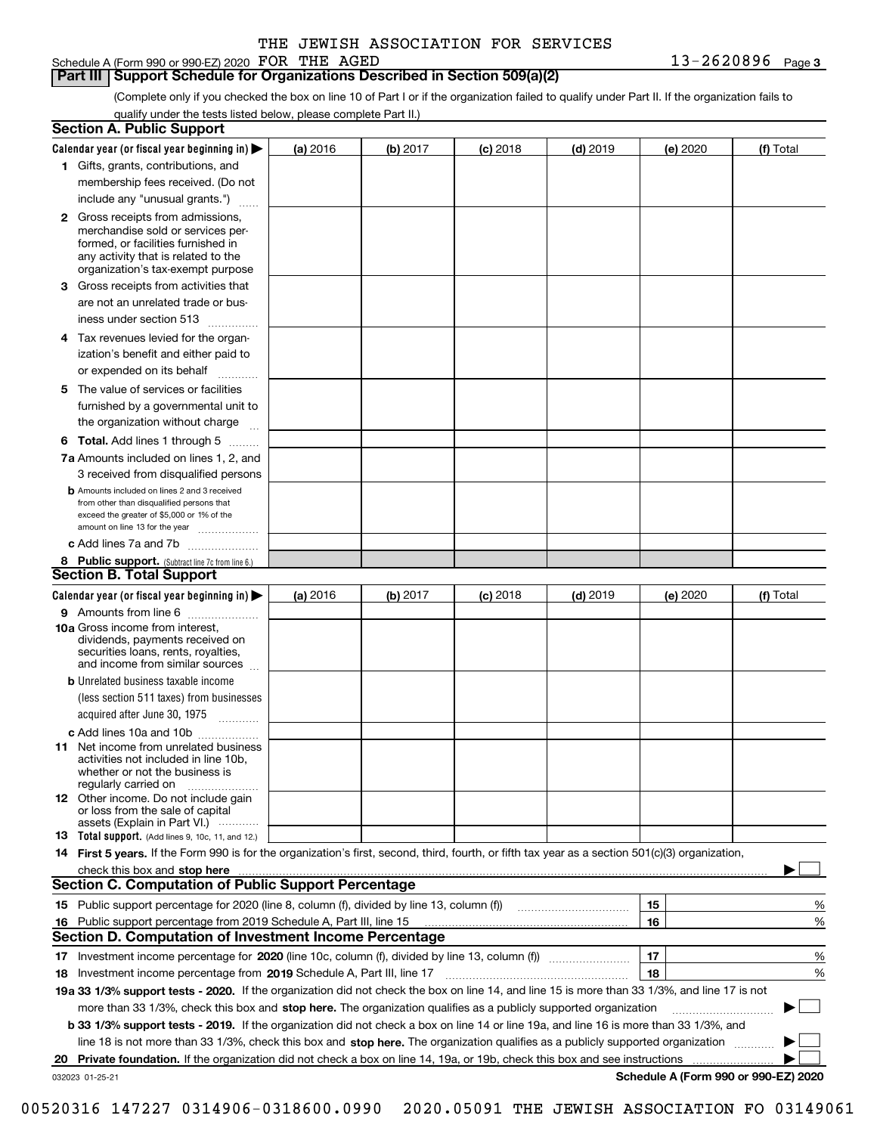Schedule A (Form 990 or 990-EZ) 2020 Page FOR THE AGED 13-2620896

**Part III Support Schedule for Organizations Described in Section 509(a)(2)** 

(Complete only if you checked the box on line 10 of Part I or if the organization failed to qualify under Part II. If the organization fails to qualify under the tests listed below, please complete Part II.)

|    | <b>Section A. Public Support</b>                                                                                                                                                                                               |          |          |                 |            |    |          |                                      |   |
|----|--------------------------------------------------------------------------------------------------------------------------------------------------------------------------------------------------------------------------------|----------|----------|-----------------|------------|----|----------|--------------------------------------|---|
|    | Calendar year (or fiscal year beginning in) $\blacktriangleright$                                                                                                                                                              | (a) 2016 | (b) 2017 | <b>(c)</b> 2018 | $(d)$ 2019 |    | (e) 2020 | (f) Total                            |   |
|    | 1 Gifts, grants, contributions, and                                                                                                                                                                                            |          |          |                 |            |    |          |                                      |   |
|    | membership fees received. (Do not                                                                                                                                                                                              |          |          |                 |            |    |          |                                      |   |
|    | include any "unusual grants.")                                                                                                                                                                                                 |          |          |                 |            |    |          |                                      |   |
|    | 2 Gross receipts from admissions,<br>merchandise sold or services per-<br>formed, or facilities furnished in<br>any activity that is related to the<br>organization's tax-exempt purpose                                       |          |          |                 |            |    |          |                                      |   |
|    | 3 Gross receipts from activities that<br>are not an unrelated trade or bus-                                                                                                                                                    |          |          |                 |            |    |          |                                      |   |
|    | iness under section 513                                                                                                                                                                                                        |          |          |                 |            |    |          |                                      |   |
|    | 4 Tax revenues levied for the organ-<br>ization's benefit and either paid to                                                                                                                                                   |          |          |                 |            |    |          |                                      |   |
|    | or expended on its behalf                                                                                                                                                                                                      |          |          |                 |            |    |          |                                      |   |
|    | 5 The value of services or facilities<br>furnished by a governmental unit to<br>the organization without charge                                                                                                                |          |          |                 |            |    |          |                                      |   |
|    | <b>6 Total.</b> Add lines 1 through 5                                                                                                                                                                                          |          |          |                 |            |    |          |                                      |   |
|    | 7a Amounts included on lines 1, 2, and                                                                                                                                                                                         |          |          |                 |            |    |          |                                      |   |
|    | 3 received from disqualified persons                                                                                                                                                                                           |          |          |                 |            |    |          |                                      |   |
|    | <b>b</b> Amounts included on lines 2 and 3 received<br>from other than disqualified persons that<br>exceed the greater of \$5,000 or 1% of the<br>amount on line 13 for the year                                               |          |          |                 |            |    |          |                                      |   |
|    | c Add lines 7a and 7b                                                                                                                                                                                                          |          |          |                 |            |    |          |                                      |   |
|    | 8 Public support. (Subtract line 7c from line 6.)                                                                                                                                                                              |          |          |                 |            |    |          |                                      |   |
|    | <b>Section B. Total Support</b>                                                                                                                                                                                                |          |          |                 |            |    |          |                                      |   |
|    | Calendar year (or fiscal year beginning in) $\blacktriangleright$                                                                                                                                                              | (a) 2016 | (b) 2017 | $(c)$ 2018      | $(d)$ 2019 |    | (e) 2020 | (f) Total                            |   |
|    | 9 Amounts from line 6                                                                                                                                                                                                          |          |          |                 |            |    |          |                                      |   |
|    | <b>10a</b> Gross income from interest,<br>dividends, payments received on<br>securities loans, rents, royalties,<br>and income from similar sources                                                                            |          |          |                 |            |    |          |                                      |   |
|    | <b>b</b> Unrelated business taxable income                                                                                                                                                                                     |          |          |                 |            |    |          |                                      |   |
|    | (less section 511 taxes) from businesses<br>acquired after June 30, 1975 [10001]                                                                                                                                               |          |          |                 |            |    |          |                                      |   |
|    | c Add lines 10a and 10b                                                                                                                                                                                                        |          |          |                 |            |    |          |                                      |   |
|    | 11 Net income from unrelated business<br>activities not included in line 10b.<br>whether or not the business is<br>regularly carried on                                                                                        |          |          |                 |            |    |          |                                      |   |
|    | 12 Other income. Do not include gain<br>or loss from the sale of capital<br>assets (Explain in Part VI.)                                                                                                                       |          |          |                 |            |    |          |                                      |   |
|    | <b>13</b> Total support. (Add lines 9, 10c, 11, and 12.)                                                                                                                                                                       |          |          |                 |            |    |          |                                      |   |
|    | 14 First 5 years. If the Form 990 is for the organization's first, second, third, fourth, or fifth tax year as a section 501(c)(3) organization,                                                                               |          |          |                 |            |    |          |                                      |   |
|    | check this box and stop here measurement content to the state of the state of the state of the state of the state of the state of the state of the state of the state of the state of the state of the state of the state of t |          |          |                 |            |    |          |                                      |   |
|    | <b>Section C. Computation of Public Support Percentage</b>                                                                                                                                                                     |          |          |                 |            |    |          |                                      |   |
|    |                                                                                                                                                                                                                                |          |          |                 |            | 15 |          |                                      | % |
|    | 16 Public support percentage from 2019 Schedule A, Part III, line 15                                                                                                                                                           |          |          |                 |            | 16 |          |                                      | % |
|    | <b>Section D. Computation of Investment Income Percentage</b>                                                                                                                                                                  |          |          |                 |            |    |          |                                      |   |
|    | 17 Investment income percentage for 2020 (line 10c, column (f), divided by line 13, column (f))                                                                                                                                |          |          |                 |            | 17 |          |                                      | % |
|    | 18 Investment income percentage from 2019 Schedule A, Part III, line 17                                                                                                                                                        |          |          |                 |            | 18 |          |                                      | % |
|    | 19a 33 1/3% support tests - 2020. If the organization did not check the box on line 14, and line 15 is more than 33 1/3%, and line 17 is not                                                                                   |          |          |                 |            |    |          |                                      |   |
|    | more than 33 1/3%, check this box and stop here. The organization qualifies as a publicly supported organization                                                                                                               |          |          |                 |            |    |          | ▶                                    |   |
|    | b 33 1/3% support tests - 2019. If the organization did not check a box on line 14 or line 19a, and line 16 is more than 33 1/3%, and                                                                                          |          |          |                 |            |    |          |                                      |   |
|    | line 18 is not more than 33 1/3%, check this box and stop here. The organization qualifies as a publicly supported organization                                                                                                |          |          |                 |            |    |          |                                      |   |
| 20 | <b>Private foundation.</b> If the organization did not check a box on line 14, 19a, or 19b, check this box and see instructions                                                                                                |          |          |                 |            |    |          |                                      |   |
|    | 032023 01-25-21                                                                                                                                                                                                                |          |          |                 |            |    |          | Schedule A (Form 990 or 990-EZ) 2020 |   |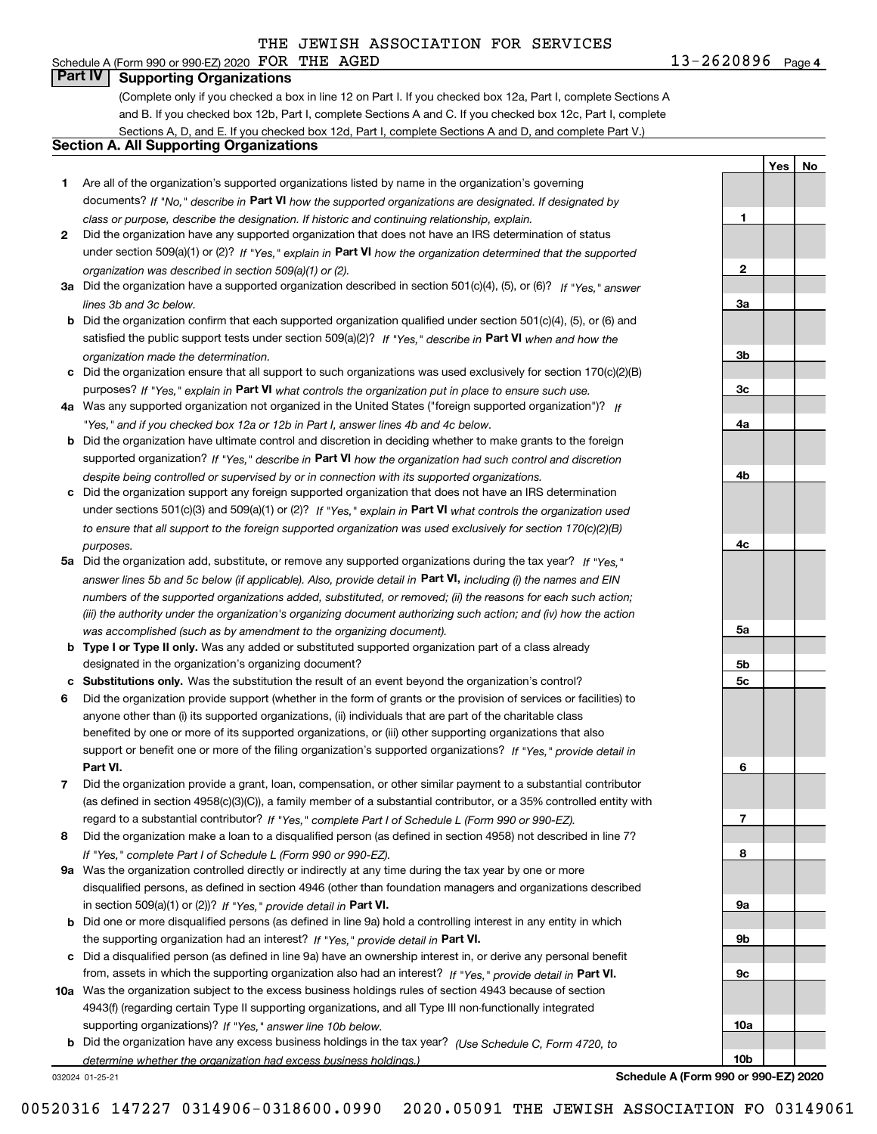# Schedule A (Form 990 or 990-EZ) 2020 Page FOR THE AGED 13-2620896

**Part IV Supporting Organizations**

(Complete only if you checked a box in line 12 on Part I. If you checked box 12a, Part I, complete Sections A and B. If you checked box 12b, Part I, complete Sections A and C. If you checked box 12c, Part I, complete Sections A, D, and E. If you checked box 12d, Part I, complete Sections A and D, and complete Part V.)

# **Section A. All Supporting Organizations**

- **1** Are all of the organization's supported organizations listed by name in the organization's governing documents? If "No," describe in **Part VI** how the supported organizations are designated. If designated by *class or purpose, describe the designation. If historic and continuing relationship, explain.*
- **2** Did the organization have any supported organization that does not have an IRS determination of status under section 509(a)(1) or (2)? If "Yes," explain in Part VI how the organization determined that the supported *organization was described in section 509(a)(1) or (2).*
- **3a** Did the organization have a supported organization described in section 501(c)(4), (5), or (6)? If "Yes," answer *lines 3b and 3c below.*
- **b** Did the organization confirm that each supported organization qualified under section 501(c)(4), (5), or (6) and satisfied the public support tests under section 509(a)(2)? If "Yes," describe in **Part VI** when and how the *organization made the determination.*
- **c**Did the organization ensure that all support to such organizations was used exclusively for section 170(c)(2)(B) purposes? If "Yes," explain in **Part VI** what controls the organization put in place to ensure such use.
- **4a***If* Was any supported organization not organized in the United States ("foreign supported organization")? *"Yes," and if you checked box 12a or 12b in Part I, answer lines 4b and 4c below.*
- **b** Did the organization have ultimate control and discretion in deciding whether to make grants to the foreign supported organization? If "Yes," describe in **Part VI** how the organization had such control and discretion *despite being controlled or supervised by or in connection with its supported organizations.*
- **c** Did the organization support any foreign supported organization that does not have an IRS determination under sections 501(c)(3) and 509(a)(1) or (2)? If "Yes," explain in **Part VI** what controls the organization used *to ensure that all support to the foreign supported organization was used exclusively for section 170(c)(2)(B) purposes.*
- **5a** Did the organization add, substitute, or remove any supported organizations during the tax year? If "Yes," answer lines 5b and 5c below (if applicable). Also, provide detail in **Part VI,** including (i) the names and EIN *numbers of the supported organizations added, substituted, or removed; (ii) the reasons for each such action; (iii) the authority under the organization's organizing document authorizing such action; and (iv) how the action was accomplished (such as by amendment to the organizing document).*
- **b** Type I or Type II only. Was any added or substituted supported organization part of a class already designated in the organization's organizing document?
- **cSubstitutions only.**  Was the substitution the result of an event beyond the organization's control?
- **6** Did the organization provide support (whether in the form of grants or the provision of services or facilities) to **Part VI.** *If "Yes," provide detail in* support or benefit one or more of the filing organization's supported organizations? anyone other than (i) its supported organizations, (ii) individuals that are part of the charitable class benefited by one or more of its supported organizations, or (iii) other supporting organizations that also
- **7**Did the organization provide a grant, loan, compensation, or other similar payment to a substantial contributor *If "Yes," complete Part I of Schedule L (Form 990 or 990-EZ).* regard to a substantial contributor? (as defined in section 4958(c)(3)(C)), a family member of a substantial contributor, or a 35% controlled entity with
- **8** Did the organization make a loan to a disqualified person (as defined in section 4958) not described in line 7? *If "Yes," complete Part I of Schedule L (Form 990 or 990-EZ).*
- **9a** Was the organization controlled directly or indirectly at any time during the tax year by one or more in section 509(a)(1) or (2))? If "Yes," *provide detail in* <code>Part VI.</code> disqualified persons, as defined in section 4946 (other than foundation managers and organizations described
- **b**the supporting organization had an interest? If "Yes," provide detail in P**art VI**. Did one or more disqualified persons (as defined in line 9a) hold a controlling interest in any entity in which
- **c**Did a disqualified person (as defined in line 9a) have an ownership interest in, or derive any personal benefit from, assets in which the supporting organization also had an interest? If "Yes," provide detail in P**art VI.**
- **10a** Was the organization subject to the excess business holdings rules of section 4943 because of section supporting organizations)? If "Yes," answer line 10b below. 4943(f) (regarding certain Type II supporting organizations, and all Type III non-functionally integrated
	- **b** Did the organization have any excess business holdings in the tax year? (Use Schedule C, Form 4720, to *determine whether the organization had excess business holdings.)*

032024 01-25-21

**Schedule A (Form 990 or 990-EZ) 2020**

13-2620896 Page 4

**1**

**2**

**3a**

**3b**

**3c**

**4a**

**4b**

**4c**

**5a**

**5b5c**

**6**

**7**

**8**

**9a**

**9b**

**9c**

**10a**

**10b**

**YesNo**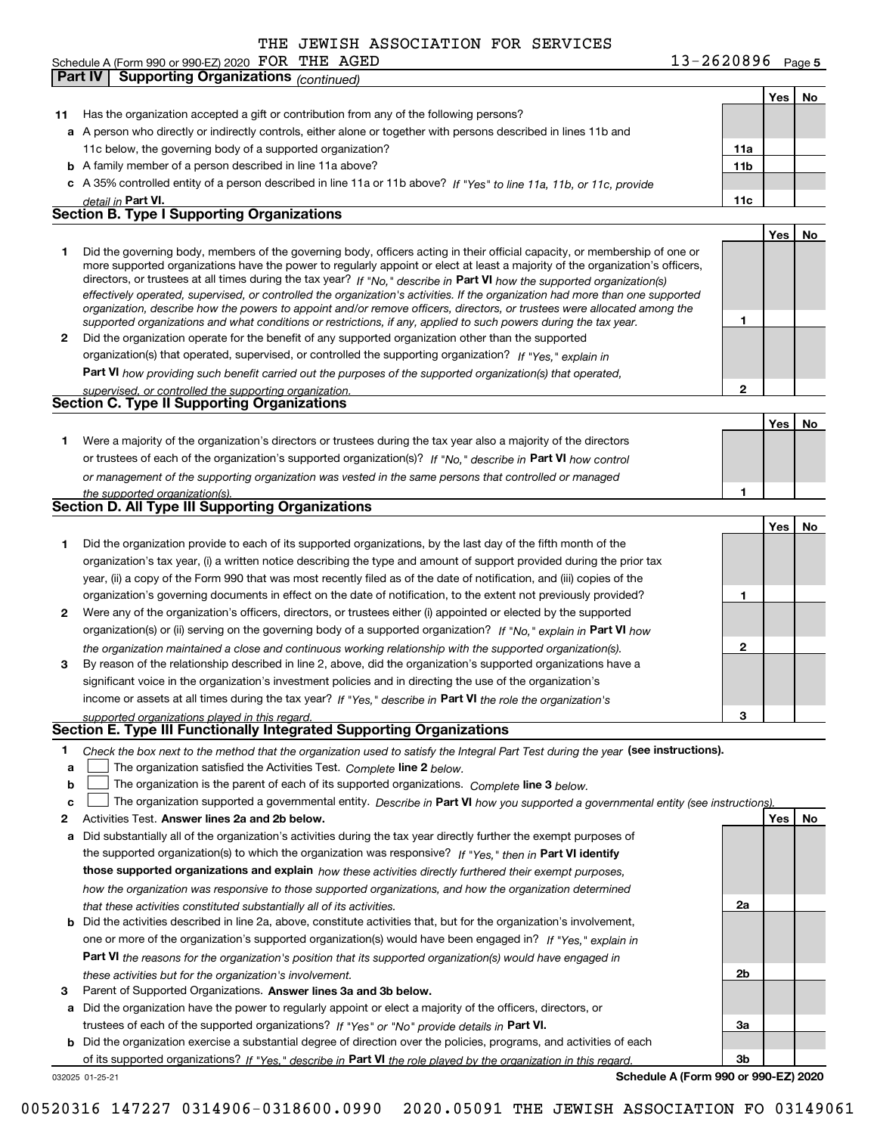**Part IV Supporting Organizations** *(continued)*

**5** Schedule A (Form 990 or 990-EZ) 2020 Page FOR THE AGED 13-2620896

|              |                                                                                                                                                                                                                                                                                                                                                                                                                                                                                                                          |             | Yes | No |
|--------------|--------------------------------------------------------------------------------------------------------------------------------------------------------------------------------------------------------------------------------------------------------------------------------------------------------------------------------------------------------------------------------------------------------------------------------------------------------------------------------------------------------------------------|-------------|-----|----|
| 11           | Has the organization accepted a gift or contribution from any of the following persons?                                                                                                                                                                                                                                                                                                                                                                                                                                  |             |     |    |
|              | a A person who directly or indirectly controls, either alone or together with persons described in lines 11b and                                                                                                                                                                                                                                                                                                                                                                                                         |             |     |    |
|              | 11c below, the governing body of a supported organization?                                                                                                                                                                                                                                                                                                                                                                                                                                                               | 11a         |     |    |
|              | <b>b</b> A family member of a person described in line 11a above?                                                                                                                                                                                                                                                                                                                                                                                                                                                        | 11b         |     |    |
|              | c A 35% controlled entity of a person described in line 11a or 11b above? If "Yes" to line 11a, 11b, or 11c, provide                                                                                                                                                                                                                                                                                                                                                                                                     |             |     |    |
|              | detail in Part VI.                                                                                                                                                                                                                                                                                                                                                                                                                                                                                                       | 11c         |     |    |
|              | <b>Section B. Type I Supporting Organizations</b>                                                                                                                                                                                                                                                                                                                                                                                                                                                                        |             |     |    |
|              |                                                                                                                                                                                                                                                                                                                                                                                                                                                                                                                          |             | Yes | No |
| 1            | Did the governing body, members of the governing body, officers acting in their official capacity, or membership of one or<br>more supported organizations have the power to regularly appoint or elect at least a majority of the organization's officers,<br>directors, or trustees at all times during the tax year? If "No," describe in Part VI how the supported organization(s)<br>effectively operated, supervised, or controlled the organization's activities. If the organization had more than one supported |             |     |    |
|              | organization, describe how the powers to appoint and/or remove officers, directors, or trustees were allocated among the<br>supported organizations and what conditions or restrictions, if any, applied to such powers during the tax year.                                                                                                                                                                                                                                                                             | 1           |     |    |
| $\mathbf{2}$ | Did the organization operate for the benefit of any supported organization other than the supported                                                                                                                                                                                                                                                                                                                                                                                                                      |             |     |    |
|              | organization(s) that operated, supervised, or controlled the supporting organization? If "Yes," explain in                                                                                                                                                                                                                                                                                                                                                                                                               |             |     |    |
|              | Part VI how providing such benefit carried out the purposes of the supported organization(s) that operated,                                                                                                                                                                                                                                                                                                                                                                                                              |             |     |    |
|              | supervised, or controlled the supporting organization.                                                                                                                                                                                                                                                                                                                                                                                                                                                                   | $\mathbf 2$ |     |    |
|              | Section C. Type II Supporting Organizations                                                                                                                                                                                                                                                                                                                                                                                                                                                                              |             |     |    |
|              |                                                                                                                                                                                                                                                                                                                                                                                                                                                                                                                          |             | Yes | No |
| 1            | Were a majority of the organization's directors or trustees during the tax year also a majority of the directors                                                                                                                                                                                                                                                                                                                                                                                                         |             |     |    |
|              | or trustees of each of the organization's supported organization(s)? If "No," describe in Part VI how control                                                                                                                                                                                                                                                                                                                                                                                                            |             |     |    |
|              | or management of the supporting organization was vested in the same persons that controlled or managed                                                                                                                                                                                                                                                                                                                                                                                                                   |             |     |    |
|              | the supported organization(s).                                                                                                                                                                                                                                                                                                                                                                                                                                                                                           | 1           |     |    |
|              | Section D. All Type III Supporting Organizations                                                                                                                                                                                                                                                                                                                                                                                                                                                                         |             |     |    |
|              |                                                                                                                                                                                                                                                                                                                                                                                                                                                                                                                          |             | Yes | No |
| 1            | Did the organization provide to each of its supported organizations, by the last day of the fifth month of the                                                                                                                                                                                                                                                                                                                                                                                                           |             |     |    |
|              | organization's tax year, (i) a written notice describing the type and amount of support provided during the prior tax                                                                                                                                                                                                                                                                                                                                                                                                    |             |     |    |
|              | year, (ii) a copy of the Form 990 that was most recently filed as of the date of notification, and (iii) copies of the                                                                                                                                                                                                                                                                                                                                                                                                   |             |     |    |
|              | organization's governing documents in effect on the date of notification, to the extent not previously provided?                                                                                                                                                                                                                                                                                                                                                                                                         | 1           |     |    |
| 2            | Were any of the organization's officers, directors, or trustees either (i) appointed or elected by the supported                                                                                                                                                                                                                                                                                                                                                                                                         |             |     |    |
|              | organization(s) or (ii) serving on the governing body of a supported organization? If "No," explain in Part VI how                                                                                                                                                                                                                                                                                                                                                                                                       |             |     |    |
|              |                                                                                                                                                                                                                                                                                                                                                                                                                                                                                                                          | 2           |     |    |
| 3            | the organization maintained a close and continuous working relationship with the supported organization(s).<br>By reason of the relationship described in line 2, above, did the organization's supported organizations have a                                                                                                                                                                                                                                                                                           |             |     |    |
|              | significant voice in the organization's investment policies and in directing the use of the organization's                                                                                                                                                                                                                                                                                                                                                                                                               |             |     |    |
|              |                                                                                                                                                                                                                                                                                                                                                                                                                                                                                                                          |             |     |    |
|              | income or assets at all times during the tax year? If "Yes," describe in Part VI the role the organization's                                                                                                                                                                                                                                                                                                                                                                                                             |             |     |    |
|              | supported organizations played in this regard.<br>Section E. Type III Functionally Integrated Supporting Organizations                                                                                                                                                                                                                                                                                                                                                                                                   | з           |     |    |
|              |                                                                                                                                                                                                                                                                                                                                                                                                                                                                                                                          |             |     |    |
| 1            | Check the box next to the method that the organization used to satisfy the Integral Part Test during the year (see instructions).                                                                                                                                                                                                                                                                                                                                                                                        |             |     |    |
| a            | The organization satisfied the Activities Test. Complete line 2 below.                                                                                                                                                                                                                                                                                                                                                                                                                                                   |             |     |    |
| b            | The organization is the parent of each of its supported organizations. Complete line 3 below.                                                                                                                                                                                                                                                                                                                                                                                                                            |             |     |    |
| c            | The organization supported a governmental entity. Describe in Part VI how you supported a governmental entity (see instructions).                                                                                                                                                                                                                                                                                                                                                                                        |             |     |    |
| 2            | Activities Test. Answer lines 2a and 2b below.                                                                                                                                                                                                                                                                                                                                                                                                                                                                           |             | Yes | No |
| а            | Did substantially all of the organization's activities during the tax year directly further the exempt purposes of                                                                                                                                                                                                                                                                                                                                                                                                       |             |     |    |
|              | the supported organization(s) to which the organization was responsive? If "Yes," then in Part VI identify                                                                                                                                                                                                                                                                                                                                                                                                               |             |     |    |
|              | those supported organizations and explain how these activities directly furthered their exempt purposes,                                                                                                                                                                                                                                                                                                                                                                                                                 |             |     |    |
|              | how the organization was responsive to those supported organizations, and how the organization determined                                                                                                                                                                                                                                                                                                                                                                                                                |             |     |    |
|              | that these activities constituted substantially all of its activities.                                                                                                                                                                                                                                                                                                                                                                                                                                                   | 2a          |     |    |
|              | <b>b</b> Did the activities described in line 2a, above, constitute activities that, but for the organization's involvement,                                                                                                                                                                                                                                                                                                                                                                                             |             |     |    |
|              | one or more of the organization's supported organization(s) would have been engaged in? If "Yes," explain in                                                                                                                                                                                                                                                                                                                                                                                                             |             |     |    |
|              | <b>Part VI</b> the reasons for the organization's position that its supported organization(s) would have engaged in                                                                                                                                                                                                                                                                                                                                                                                                      |             |     |    |
|              | these activities but for the organization's involvement.                                                                                                                                                                                                                                                                                                                                                                                                                                                                 | 2b          |     |    |
| з            | Parent of Supported Organizations. Answer lines 3a and 3b below.                                                                                                                                                                                                                                                                                                                                                                                                                                                         |             |     |    |
| а            | Did the organization have the power to regularly appoint or elect a majority of the officers, directors, or                                                                                                                                                                                                                                                                                                                                                                                                              |             |     |    |
|              | trustees of each of the supported organizations? If "Yes" or "No" provide details in Part VI.                                                                                                                                                                                                                                                                                                                                                                                                                            | За          |     |    |
|              | <b>b</b> Did the organization exercise a substantial degree of direction over the policies, programs, and activities of each                                                                                                                                                                                                                                                                                                                                                                                             |             |     |    |
|              | of its supported organizations? If "Yes." describe in Part VI the role played by the organization in this regard.                                                                                                                                                                                                                                                                                                                                                                                                        | Зb          |     |    |
|              | Schedule A (Form 990 or 990-EZ) 2020<br>032025 01-25-21                                                                                                                                                                                                                                                                                                                                                                                                                                                                  |             |     |    |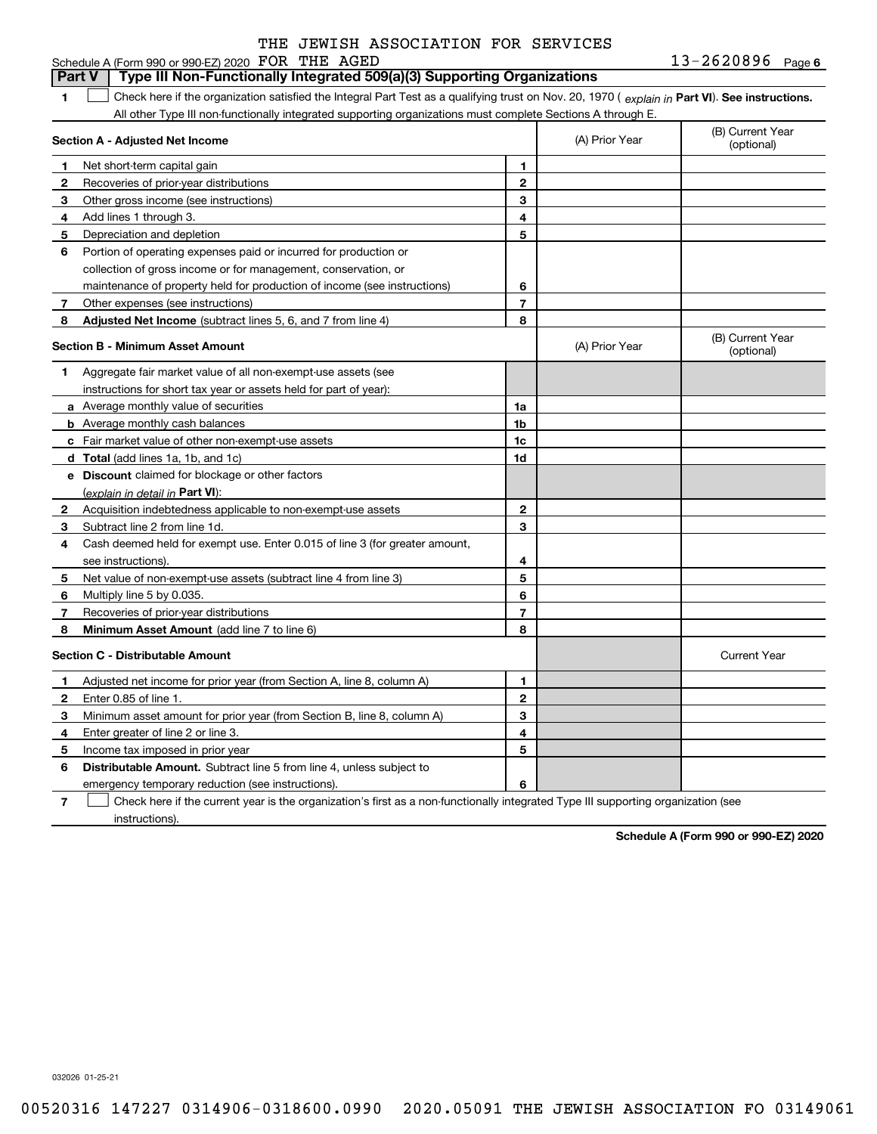#### **1Part VI** Check here if the organization satisfied the Integral Part Test as a qualifying trust on Nov. 20, 1970 ( explain in Part **VI**). See instructions. **Section A - Adjusted Net Income 12** Recoveries of prior-year distributions **3** Other gross income (see instructions) **456** Portion of operating expenses paid or incurred for production or **7** Other expenses (see instructions) **8** Adjusted Net Income (subtract lines 5, 6, and 7 from line 4) **8 8 1234567Section B - Minimum Asset Amount 1**Aggregate fair market value of all non-exempt-use assets (see **2**Acquisition indebtedness applicable to non-exempt-use assets **3** Subtract line 2 from line 1d. **4**Cash deemed held for exempt use. Enter 0.015 of line 3 (for greater amount, **5** Net value of non-exempt-use assets (subtract line 4 from line 3) **678a** Average monthly value of securities **b** Average monthly cash balances **c**Fair market value of other non-exempt-use assets **dTotal**  (add lines 1a, 1b, and 1c) **eDiscount** claimed for blockage or other factors **1a1b1c1d2345678**(explain in detail in Part VI): **Minimum Asset Amount**  (add line 7 to line 6) **Section C - Distributable Amount 12**Enter 0.85 of line 1. **3456** Distributable Amount. Subtract line 5 from line 4, unless subject to **123456**Schedule A (Form 990 or 990-EZ) 2020 Page FOR THE AGED 13-2620896 All other Type III non-functionally integrated supporting organizations must complete Sections A through E. (B) Current Year (optional)(A) Prior Year Net short-term capital gain Add lines 1 through 3. Depreciation and depletion collection of gross income or for management, conservation, or maintenance of property held for production of income (see instructions) (B) Current Year (optional)(A) Prior Year instructions for short tax year or assets held for part of year): see instructions). Multiply line 5 by 0.035. Recoveries of prior-year distributions Current Year Adjusted net income for prior year (from Section A, line 8, column A) Minimum asset amount for prior year (from Section B, line 8, column A) Enter greater of line 2 or line 3. Income tax imposed in prior year emergency temporary reduction (see instructions). **Part V Type III Non-Functionally Integrated 509(a)(3) Supporting Organizations**   $\mathcal{L}^{\text{max}}$

**7**Check here if the current year is the organization's first as a non-functionally integrated Type III supporting organization (see instructions). $\mathcal{L}^{\text{max}}$ 

**Schedule A (Form 990 or 990-EZ) 2020**

032026 01-25-21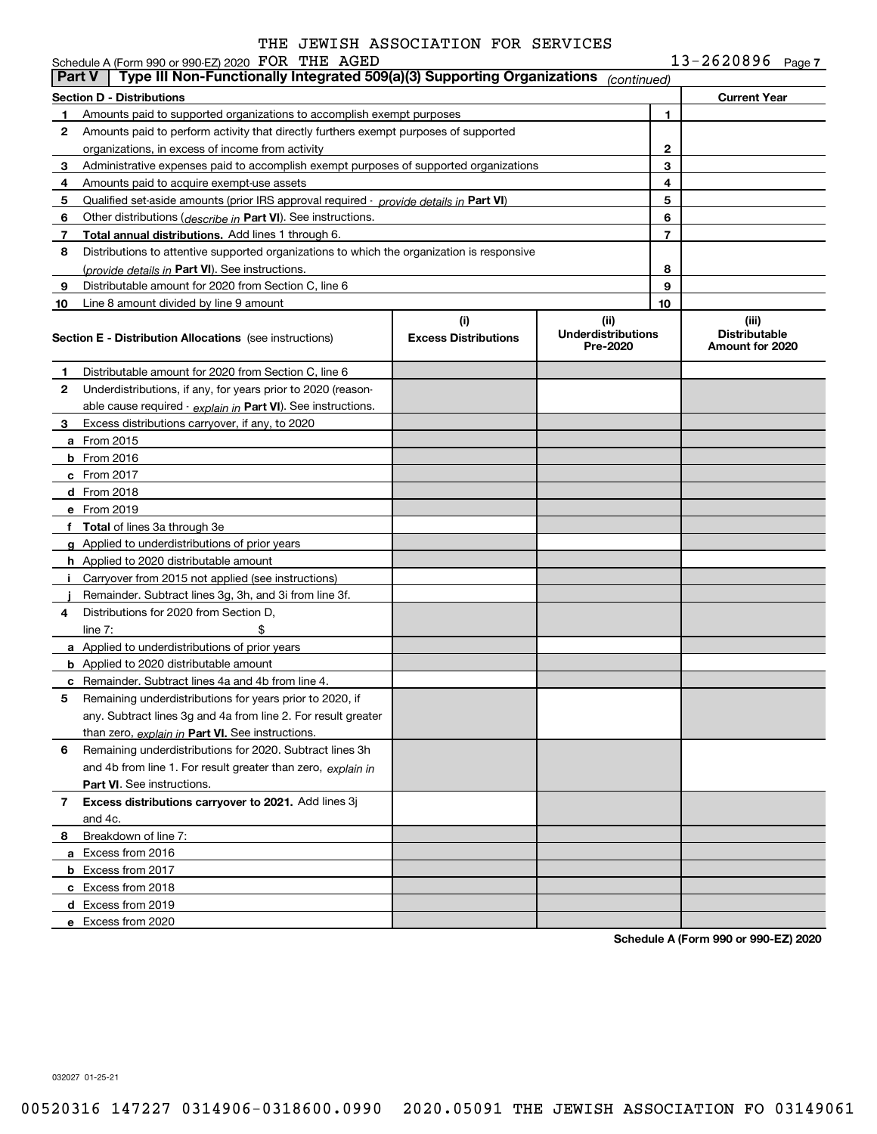|               | Schedule A (Form 990 or 990-EZ) 2020 FOR THE AGED                                          |                                    |                                               |                          | $13 - 2620896$ Page 7                            |  |
|---------------|--------------------------------------------------------------------------------------------|------------------------------------|-----------------------------------------------|--------------------------|--------------------------------------------------|--|
| <b>Part V</b> | Type III Non-Functionally Integrated 509(a)(3) Supporting Organizations                    |                                    | (continued)                                   |                          |                                                  |  |
|               | <b>Section D - Distributions</b>                                                           |                                    |                                               |                          | <b>Current Year</b>                              |  |
| 1             | Amounts paid to supported organizations to accomplish exempt purposes                      |                                    |                                               | 1                        |                                                  |  |
| 2             | Amounts paid to perform activity that directly furthers exempt purposes of supported       |                                    |                                               |                          |                                                  |  |
|               | organizations, in excess of income from activity                                           |                                    |                                               | 2                        |                                                  |  |
| 3             | Administrative expenses paid to accomplish exempt purposes of supported organizations      |                                    |                                               | 3                        |                                                  |  |
| 4             | Amounts paid to acquire exempt-use assets                                                  |                                    |                                               | 4                        |                                                  |  |
| 5             | Qualified set-aside amounts (prior IRS approval required - provide details in Part VI)     |                                    |                                               | 5                        |                                                  |  |
| 6             | Other distributions ( <i>describe in</i> Part VI). See instructions.                       |                                    |                                               | 6                        |                                                  |  |
| 7             | Total annual distributions. Add lines 1 through 6.                                         |                                    |                                               | $\overline{\phantom{a}}$ |                                                  |  |
| 8             | Distributions to attentive supported organizations to which the organization is responsive |                                    |                                               |                          |                                                  |  |
|               | (provide details in Part VI). See instructions.                                            |                                    |                                               | 8                        |                                                  |  |
| 9             | Distributable amount for 2020 from Section C, line 6                                       |                                    |                                               | 9                        |                                                  |  |
| 10            | Line 8 amount divided by line 9 amount                                                     |                                    |                                               | 10                       |                                                  |  |
|               | <b>Section E - Distribution Allocations</b> (see instructions)                             | (i)<br><b>Excess Distributions</b> | (ii)<br><b>Underdistributions</b><br>Pre-2020 |                          | (iii)<br><b>Distributable</b><br>Amount for 2020 |  |
| 1             | Distributable amount for 2020 from Section C, line 6                                       |                                    |                                               |                          |                                                  |  |
| 2             | Underdistributions, if any, for years prior to 2020 (reason-                               |                                    |                                               |                          |                                                  |  |
|               | able cause required - explain in Part VI). See instructions.                               |                                    |                                               |                          |                                                  |  |
| 3             | Excess distributions carryover, if any, to 2020                                            |                                    |                                               |                          |                                                  |  |
|               | a From 2015                                                                                |                                    |                                               |                          |                                                  |  |
|               | <b>b</b> From 2016                                                                         |                                    |                                               |                          |                                                  |  |
|               | $c$ From 2017                                                                              |                                    |                                               |                          |                                                  |  |
|               | d From 2018                                                                                |                                    |                                               |                          |                                                  |  |
|               | e From 2019                                                                                |                                    |                                               |                          |                                                  |  |
|               | f Total of lines 3a through 3e                                                             |                                    |                                               |                          |                                                  |  |
|               | g Applied to underdistributions of prior years                                             |                                    |                                               |                          |                                                  |  |
|               | <b>h</b> Applied to 2020 distributable amount                                              |                                    |                                               |                          |                                                  |  |
|               | i Carryover from 2015 not applied (see instructions)                                       |                                    |                                               |                          |                                                  |  |
|               | Remainder. Subtract lines 3g, 3h, and 3i from line 3f.                                     |                                    |                                               |                          |                                                  |  |
| 4             | Distributions for 2020 from Section D.                                                     |                                    |                                               |                          |                                                  |  |
|               | \$<br>line $7:$                                                                            |                                    |                                               |                          |                                                  |  |
|               | a Applied to underdistributions of prior years                                             |                                    |                                               |                          |                                                  |  |
|               | <b>b</b> Applied to 2020 distributable amount                                              |                                    |                                               |                          |                                                  |  |
|               | <b>c</b> Remainder. Subtract lines 4a and 4b from line 4.                                  |                                    |                                               |                          |                                                  |  |
|               | Remaining underdistributions for years prior to 2020, if                                   |                                    |                                               |                          |                                                  |  |
|               | any. Subtract lines 3g and 4a from line 2. For result greater                              |                                    |                                               |                          |                                                  |  |
|               | than zero, explain in Part VI. See instructions.                                           |                                    |                                               |                          |                                                  |  |
| 6             | Remaining underdistributions for 2020. Subtract lines 3h                                   |                                    |                                               |                          |                                                  |  |
|               | and 4b from line 1. For result greater than zero, explain in                               |                                    |                                               |                          |                                                  |  |
|               | <b>Part VI.</b> See instructions.                                                          |                                    |                                               |                          |                                                  |  |
| 7             | Excess distributions carryover to 2021. Add lines 3j                                       |                                    |                                               |                          |                                                  |  |
|               | and 4c.                                                                                    |                                    |                                               |                          |                                                  |  |
| 8             | Breakdown of line 7:                                                                       |                                    |                                               |                          |                                                  |  |
|               | a Excess from 2016                                                                         |                                    |                                               |                          |                                                  |  |
|               | <b>b</b> Excess from 2017                                                                  |                                    |                                               |                          |                                                  |  |
|               | c Excess from 2018                                                                         |                                    |                                               |                          |                                                  |  |
|               | d Excess from 2019                                                                         |                                    |                                               |                          |                                                  |  |
|               | e Excess from 2020                                                                         |                                    |                                               |                          |                                                  |  |

**Schedule A (Form 990 or 990-EZ) 2020**

032027 01-25-21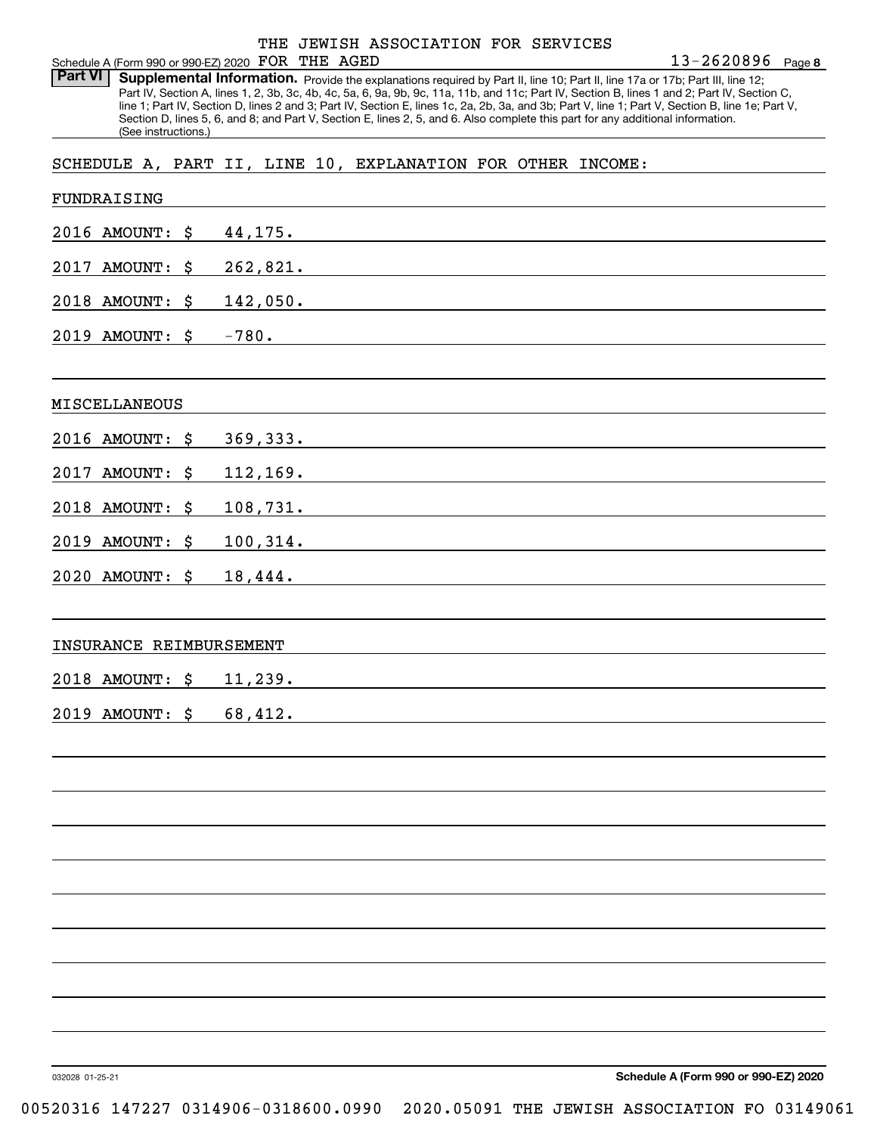Part VI | Supplemental Information. Provide the explanations required by Part II, line 10; Part II, line 17a or 17b; Part III, line 12; Part IV, Section A, lines 1, 2, 3b, 3c, 4b, 4c, 5a, 6, 9a, 9b, 9c, 11a, 11b, and 11c; Part IV, Section B, lines 1 and 2; Part IV, Section C, line 1; Part IV, Section D, lines 2 and 3; Part IV, Section E, lines 1c, 2a, 2b, 3a, and 3b; Part V, line 1; Part V, Section B, line 1e; Part V, Section D, lines 5, 6, and 8; and Part V, Section E, lines 2, 5, and 6. Also complete this part for any additional information. (See instructions.)

SCHEDULE A, PART II, LINE 10, EXPLANATION FOR OTHER INCOME:

| FUNDRAISING             |                                                                                                                                                                                                                                          |
|-------------------------|------------------------------------------------------------------------------------------------------------------------------------------------------------------------------------------------------------------------------------------|
| 2016 AMOUNT: \$         | 44,175.                                                                                                                                                                                                                                  |
| 2017 AMOUNT: \$         | 262,821.                                                                                                                                                                                                                                 |
| 2018 AMOUNT: \$         | 142,050.                                                                                                                                                                                                                                 |
| 2019 AMOUNT: \$         | $-780.$                                                                                                                                                                                                                                  |
|                         |                                                                                                                                                                                                                                          |
| MISCELLANEOUS           |                                                                                                                                                                                                                                          |
| 2016 AMOUNT: \$         | 369, 333.                                                                                                                                                                                                                                |
| 2017 AMOUNT: \$         | 112, 169.<br><u> 1989 - John Stein, mars and de Britain and de Britain and de Britain and de Britain and de Britain and de Br</u>                                                                                                        |
| 2018 AMOUNT: \$         | 108,731.<br>and the control of the control of the control of the control of the control of the control of the control of the                                                                                                             |
| 2019 AMOUNT: \$         | 100, 314.                                                                                                                                                                                                                                |
| 2020 AMOUNT: \$         | 18,444.<br>the control of the control of the control of the control of the control of the control of the control of the control of the control of the control of the control of the control of the control of the control of the control |
|                         |                                                                                                                                                                                                                                          |
| INSURANCE REIMBURSEMENT |                                                                                                                                                                                                                                          |
| 2018 AMOUNT: \$         | 11,239.<br><u> 1989 - Johann Harry Barn, mars ar breist fan de Amerikaanske kommunenter oan de Fryske kommunente fan de Frys</u>                                                                                                         |
| 2019 AMOUNT: \$         | 68,412.<br>the control of the control of the control of the control of the control of the control of the control of the control of the control of the control of the control of the control of the control of the control of the control |
|                         |                                                                                                                                                                                                                                          |
|                         |                                                                                                                                                                                                                                          |
|                         |                                                                                                                                                                                                                                          |
|                         |                                                                                                                                                                                                                                          |
|                         |                                                                                                                                                                                                                                          |
|                         |                                                                                                                                                                                                                                          |
|                         |                                                                                                                                                                                                                                          |
|                         |                                                                                                                                                                                                                                          |
|                         |                                                                                                                                                                                                                                          |
|                         | Schodule A (Form 000 or 000 EZ) 2020                                                                                                                                                                                                     |

032028 01-25-21

**Schedule A (Form 990 or 990-EZ) 2020**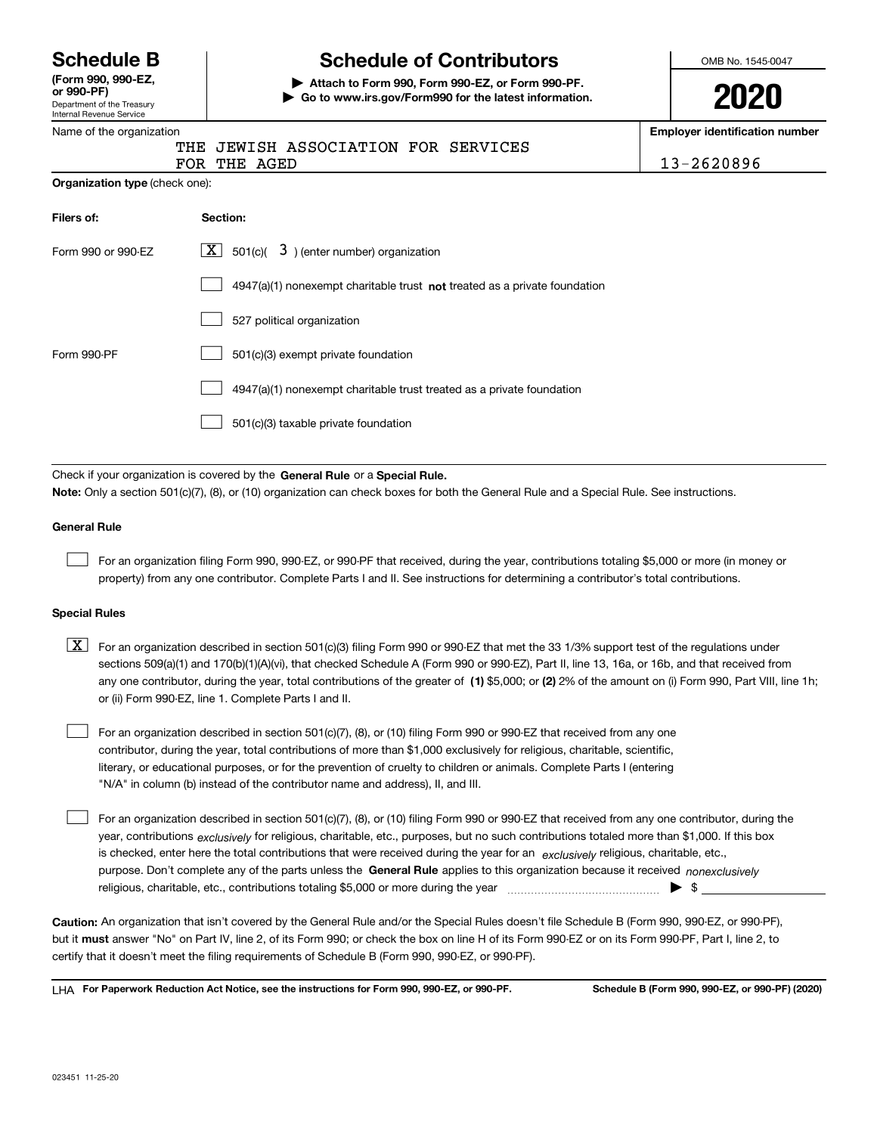Department of the Treasury Internal Revenue Service **(Form 990, 990-EZ, or 990-PF)**

# **Schedule B Schedule of Contributors**

**| Attach to Form 990, Form 990-EZ, or Form 990-PF. | Go to www.irs.gov/Form990 for the latest information.** OMB No. 1545-0047

| ₽<br>Л | Λ | ÷<br>J<br>17 | I |
|--------|---|--------------|---|
|        |   |              |   |

**Employer identification number**

**Organization type** (check one):

|  | THE JEWISH ASSOCIATION FOR SERVICES |  |
|--|-------------------------------------|--|
|  |                                     |  |

|  | FOR THE AGED |  |
|--|--------------|--|
|  |              |  |

13-2620896

| Filers of:         | Section:                                                                    |
|--------------------|-----------------------------------------------------------------------------|
| Form 990 or 990-EZ | $\boxed{\text{X}}$ 501(c)( 3) (enter number) organization                   |
|                    | $4947(a)(1)$ nonexempt charitable trust not treated as a private foundation |
|                    | 527 political organization                                                  |
| Form 990-PF        | 501(c)(3) exempt private foundation                                         |
|                    | 4947(a)(1) nonexempt charitable trust treated as a private foundation       |
|                    | 501(c)(3) taxable private foundation                                        |

Check if your organization is covered by the **General Rule** or a **Special Rule. Note:**  Only a section 501(c)(7), (8), or (10) organization can check boxes for both the General Rule and a Special Rule. See instructions.

### **General Rule**

 $\mathcal{L}^{\text{max}}$ 

For an organization filing Form 990, 990-EZ, or 990-PF that received, during the year, contributions totaling \$5,000 or more (in money or property) from any one contributor. Complete Parts I and II. See instructions for determining a contributor's total contributions.

#### **Special Rules**

any one contributor, during the year, total contributions of the greater of  $\,$  (1) \$5,000; or **(2)** 2% of the amount on (i) Form 990, Part VIII, line 1h;  $\boxed{\textbf{X}}$  For an organization described in section 501(c)(3) filing Form 990 or 990-EZ that met the 33 1/3% support test of the regulations under sections 509(a)(1) and 170(b)(1)(A)(vi), that checked Schedule A (Form 990 or 990-EZ), Part II, line 13, 16a, or 16b, and that received from or (ii) Form 990-EZ, line 1. Complete Parts I and II.

For an organization described in section 501(c)(7), (8), or (10) filing Form 990 or 990-EZ that received from any one contributor, during the year, total contributions of more than \$1,000 exclusively for religious, charitable, scientific, literary, or educational purposes, or for the prevention of cruelty to children or animals. Complete Parts I (entering "N/A" in column (b) instead of the contributor name and address), II, and III.  $\mathcal{L}^{\text{max}}$ 

purpose. Don't complete any of the parts unless the **General Rule** applies to this organization because it received *nonexclusively* year, contributions <sub>exclusively</sub> for religious, charitable, etc., purposes, but no such contributions totaled more than \$1,000. If this box is checked, enter here the total contributions that were received during the year for an  $\;$ exclusively religious, charitable, etc., For an organization described in section 501(c)(7), (8), or (10) filing Form 990 or 990-EZ that received from any one contributor, during the religious, charitable, etc., contributions totaling \$5,000 or more during the year  $\Box$ — $\Box$   $\Box$  $\mathcal{L}^{\text{max}}$ 

**Caution:**  An organization that isn't covered by the General Rule and/or the Special Rules doesn't file Schedule B (Form 990, 990-EZ, or 990-PF),  **must** but it answer "No" on Part IV, line 2, of its Form 990; or check the box on line H of its Form 990-EZ or on its Form 990-PF, Part I, line 2, to certify that it doesn't meet the filing requirements of Schedule B (Form 990, 990-EZ, or 990-PF).

**For Paperwork Reduction Act Notice, see the instructions for Form 990, 990-EZ, or 990-PF. Schedule B (Form 990, 990-EZ, or 990-PF) (2020)** LHA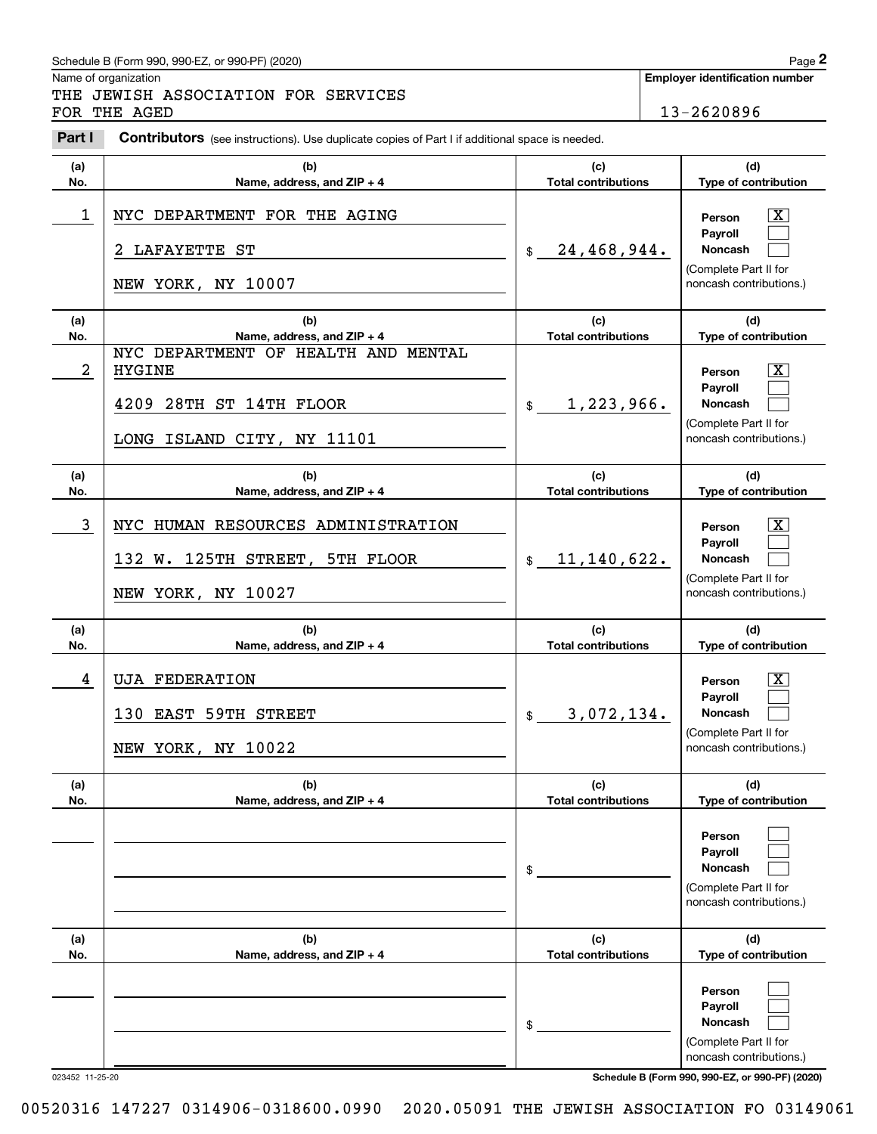# Schedule B (Form 990, 990-EZ, or 990-PF) (2020) **Page 2** Page 2

|                       | Schedule B (Form 990, 990-EZ, or 990-PF) (2020)                                                                  |                                                                     | Page 2                                                                                                  |
|-----------------------|------------------------------------------------------------------------------------------------------------------|---------------------------------------------------------------------|---------------------------------------------------------------------------------------------------------|
|                       | Name of organization<br>THE JEWISH ASSOCIATION FOR SERVICES<br>FOR THE AGED                                      |                                                                     | <b>Employer identification number</b><br>13-2620896                                                     |
| Part I                | Contributors (see instructions). Use duplicate copies of Part I if additional space is needed.                   |                                                                     |                                                                                                         |
| (a)<br>No.            | (b)<br>Name, address, and ZIP + 4                                                                                | (c)<br><b>Total contributions</b>                                   | (d)<br>Type of contribution                                                                             |
| 1                     | NYC DEPARTMENT FOR THE AGING<br><b>LAFAYETTE ST</b><br>2.<br>NEW YORK, NY 10007                                  | 24,468,944.<br>\$                                                   | $\mathbf{X}$<br>Person<br>Payroll<br>Noncash<br>(Complete Part II for<br>noncash contributions.)        |
| (a)                   | (b)                                                                                                              | (c)                                                                 | (d)                                                                                                     |
| No.<br>$\overline{a}$ | Name, address, and ZIP + 4<br>NYC DEPARTMENT OF HEALTH AND MENTAL<br><b>HYGINE</b><br>28TH ST 14TH FLOOR<br>4209 | <b>Total contributions</b><br>1,223,966.<br>$$\tilde{\phantom{a}}$$ | Type of contribution<br>$\mathbf{X}$<br>Person<br>Payroll<br>Noncash                                    |
|                       | LONG ISLAND CITY, NY 11101                                                                                       |                                                                     | (Complete Part II for<br>noncash contributions.)                                                        |
| (a)<br>No.            | (b)<br>Name, address, and ZIP + 4                                                                                | (c)<br><b>Total contributions</b>                                   | (d)<br>Type of contribution                                                                             |
| 3                     | NYC HUMAN RESOURCES ADMINISTRATION<br>132 W. 125TH STREET, 5TH FLOOR<br>NEW YORK, NY 10027                       | \$11,140,622.                                                       | $\mathbf{X}$<br>Person<br>Payroll<br>Noncash<br>(Complete Part II for<br>noncash contributions.)        |
| (a)<br>No.            | (b)<br>Name, address, and ZIP + 4                                                                                | (c)<br><b>Total contributions</b>                                   | (d)<br>Type of contribution                                                                             |
| 4                     | <b>UJA FEDERATION</b><br><b>EAST 59TH STREET</b><br>130<br>NEW YORK, NY 10022                                    | 3,072,134.<br>\$                                                    | $\mathbf{X}$<br>Person<br><b>Payroll</b><br>Noncash<br>(Complete Part II for<br>noncash contributions.) |
| (a)<br>No.            | (b)<br>Name, address, and ZIP + 4                                                                                | (c)<br><b>Total contributions</b>                                   | (d)<br>Type of contribution                                                                             |
|                       |                                                                                                                  | \$                                                                  | Person<br>Payroll<br>Noncash<br>(Complete Part II for<br>noncash contributions.)                        |
| (a)<br>No.            | (b)<br>Name, address, and ZIP + 4                                                                                | (c)<br><b>Total contributions</b>                                   | (d)<br>Type of contribution                                                                             |
|                       |                                                                                                                  | \$                                                                  | Person<br>Payroll<br>Noncash<br>(Complete Part II for<br>noncash contributions.)                        |

023452 11-25-20 **Schedule B (Form 990, 990-EZ, or 990-PF) (2020)**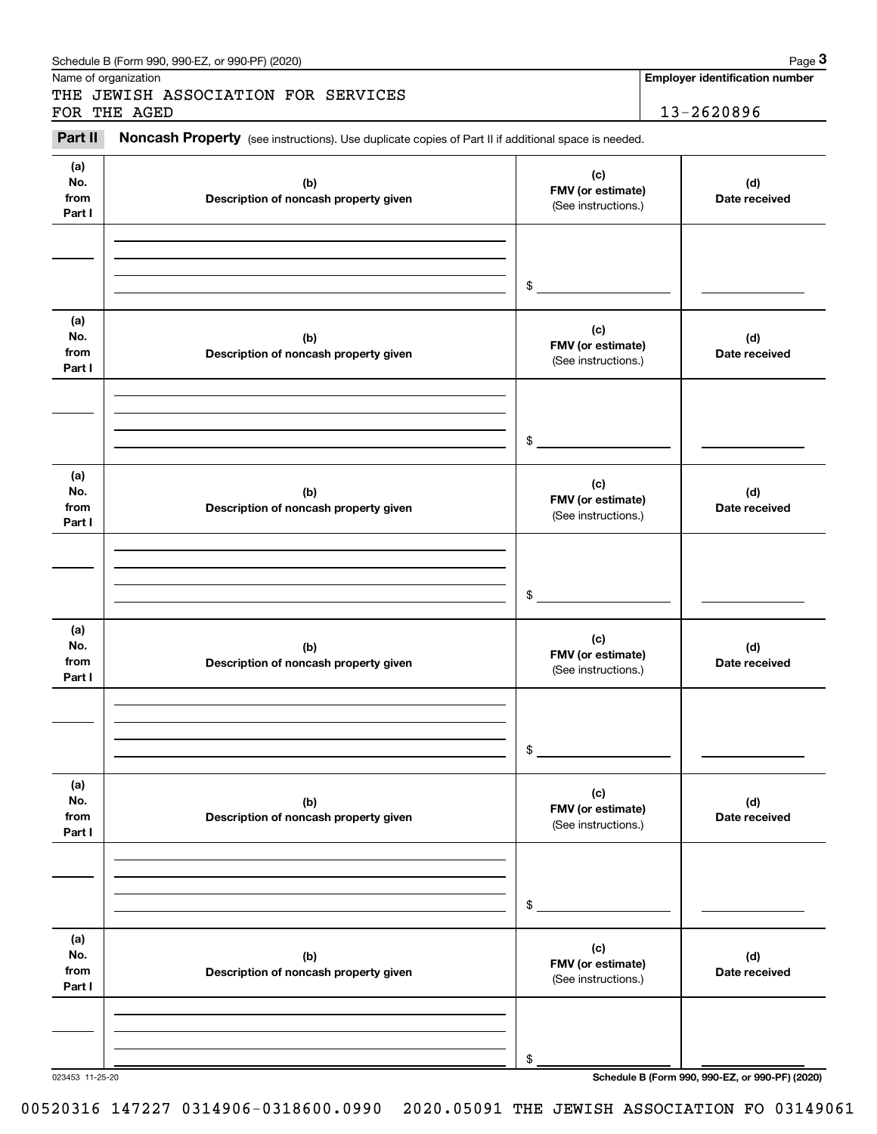| Name of organization         | Schedule B (Form 990, 990-EZ, or 990-PF) (2020)<br>THE JEWISH ASSOCIATION FOR SERVICES              |                                                 | Page 3<br><b>Employer identification number</b> |  |
|------------------------------|-----------------------------------------------------------------------------------------------------|-------------------------------------------------|-------------------------------------------------|--|
|                              | FOR THE AGED                                                                                        |                                                 | 13-2620896                                      |  |
| Part II                      | Noncash Property (see instructions). Use duplicate copies of Part II if additional space is needed. |                                                 |                                                 |  |
| (a)<br>No.<br>from<br>Part I | (b)<br>Description of noncash property given                                                        | (c)<br>FMV (or estimate)<br>(See instructions.) | (d)<br>Date received                            |  |
|                              |                                                                                                     | \$                                              |                                                 |  |
| (a)<br>No.<br>from<br>Part I | (b)<br>Description of noncash property given                                                        | (c)<br>FMV (or estimate)<br>(See instructions.) | (d)<br>Date received                            |  |
|                              |                                                                                                     | \$                                              |                                                 |  |
| (a)<br>No.<br>from<br>Part I | (b)<br>Description of noncash property given                                                        | (c)<br>FMV (or estimate)<br>(See instructions.) | (d)<br>Date received                            |  |
|                              |                                                                                                     | \$                                              |                                                 |  |
| (a)<br>No.<br>from<br>Part I | (b)<br>Description of noncash property given                                                        | (c)<br>FMV (or estimate)<br>(See instructions.) | (d)<br>Date received                            |  |
|                              |                                                                                                     | \$                                              |                                                 |  |
| (a)<br>No.<br>from<br>Part I | (b)<br>Description of noncash property given                                                        | (c)<br>FMV (or estimate)<br>(See instructions.) | (d)<br>Date received                            |  |
|                              |                                                                                                     | \$                                              |                                                 |  |
| (a)<br>No.<br>from<br>Part I | (b)<br>Description of noncash property given                                                        | (c)<br>FMV (or estimate)<br>(See instructions.) | (d)<br>Date received                            |  |
|                              |                                                                                                     | \$                                              |                                                 |  |

023453 11-25-20 **Schedule B (Form 990, 990-EZ, or 990-PF) (2020)**

00520316 147227 0314906-0318600.0990 2020.05091 THE JEWISH ASSOCIATION FO 03149061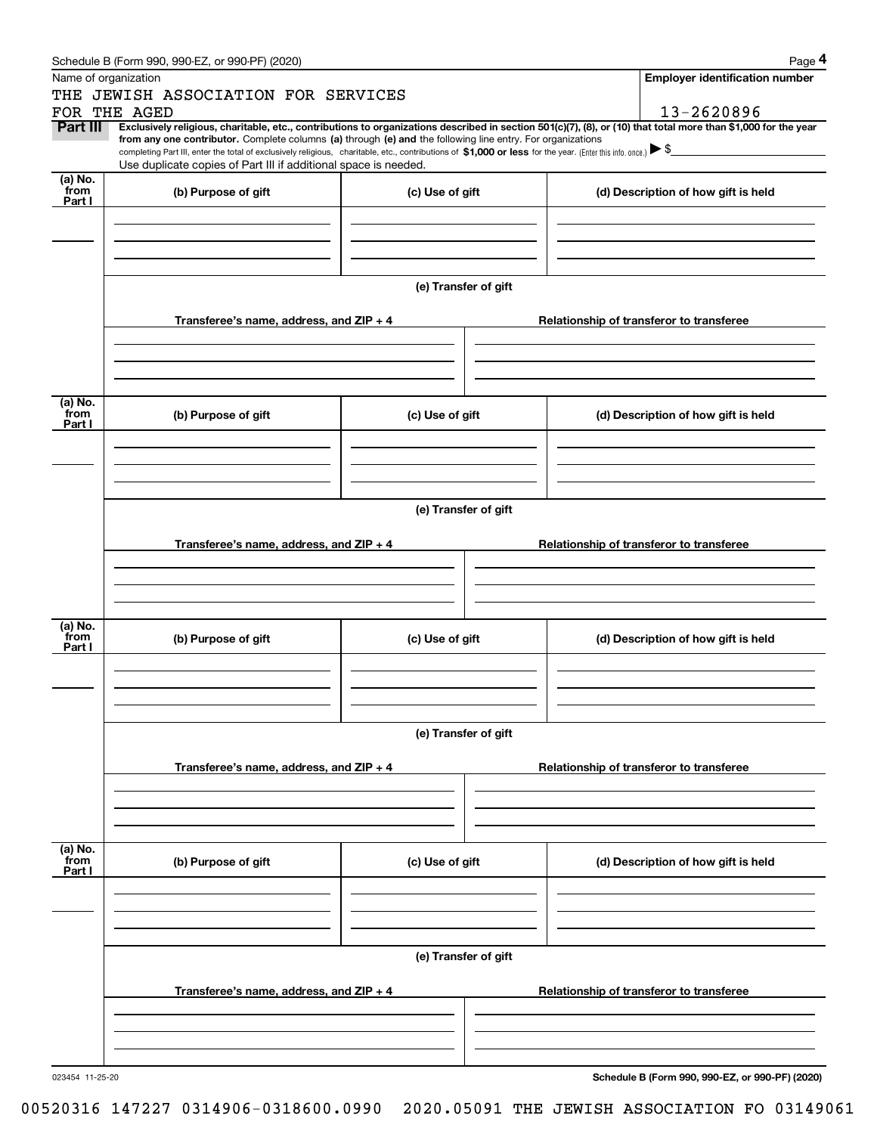|                           | Schedule B (Form 990, 990-EZ, or 990-PF) (2020)                                                                                                                                                                                                                                                 |                      | Page 4                                                                                                                                                         |
|---------------------------|-------------------------------------------------------------------------------------------------------------------------------------------------------------------------------------------------------------------------------------------------------------------------------------------------|----------------------|----------------------------------------------------------------------------------------------------------------------------------------------------------------|
|                           | Name of organization                                                                                                                                                                                                                                                                            |                      | <b>Employer identification number</b>                                                                                                                          |
|                           | THE JEWISH ASSOCIATION FOR SERVICES                                                                                                                                                                                                                                                             |                      |                                                                                                                                                                |
|                           | FOR THE AGED                                                                                                                                                                                                                                                                                    |                      | 13-2620896                                                                                                                                                     |
| Part III                  | from any one contributor. Complete columns (a) through (e) and the following line entry. For organizations<br>completing Part III, enter the total of exclusively religious, charitable, etc., contributions of \$1,000 or less for the year. (Enter this info. once.) $\blacktriangleright$ \$ |                      | Exclusively religious, charitable, etc., contributions to organizations described in section 501(c)(7), (8), or (10) that total more than \$1,000 for the year |
|                           | Use duplicate copies of Part III if additional space is needed.                                                                                                                                                                                                                                 |                      |                                                                                                                                                                |
| (a) No.<br>from<br>Part I | (b) Purpose of gift                                                                                                                                                                                                                                                                             | (c) Use of gift      | (d) Description of how gift is held                                                                                                                            |
|                           |                                                                                                                                                                                                                                                                                                 |                      |                                                                                                                                                                |
|                           |                                                                                                                                                                                                                                                                                                 | (e) Transfer of gift |                                                                                                                                                                |
|                           | Transferee's name, address, and ZIP + 4                                                                                                                                                                                                                                                         |                      | Relationship of transferor to transferee                                                                                                                       |
|                           |                                                                                                                                                                                                                                                                                                 |                      |                                                                                                                                                                |
| (a) No.<br>from<br>Part I | (b) Purpose of gift                                                                                                                                                                                                                                                                             | (c) Use of gift      | (d) Description of how gift is held                                                                                                                            |
|                           |                                                                                                                                                                                                                                                                                                 |                      |                                                                                                                                                                |
|                           |                                                                                                                                                                                                                                                                                                 | (e) Transfer of gift |                                                                                                                                                                |
|                           | Transferee's name, address, and ZIP + 4                                                                                                                                                                                                                                                         |                      | Relationship of transferor to transferee                                                                                                                       |
|                           |                                                                                                                                                                                                                                                                                                 |                      |                                                                                                                                                                |
|                           |                                                                                                                                                                                                                                                                                                 |                      |                                                                                                                                                                |
| (a) No.<br>from<br>Part I | (b) Purpose of gift                                                                                                                                                                                                                                                                             | (c) Use of gift      | (d) Description of how gift is held                                                                                                                            |
|                           |                                                                                                                                                                                                                                                                                                 |                      |                                                                                                                                                                |
|                           |                                                                                                                                                                                                                                                                                                 | (e) Transfer of gift |                                                                                                                                                                |
|                           | Transferee's name, address, and $ZIP + 4$                                                                                                                                                                                                                                                       |                      | Relationship of transferor to transferee                                                                                                                       |
|                           |                                                                                                                                                                                                                                                                                                 |                      |                                                                                                                                                                |
|                           |                                                                                                                                                                                                                                                                                                 |                      |                                                                                                                                                                |
| (a) No.<br>from<br>Part I | (b) Purpose of gift                                                                                                                                                                                                                                                                             | (c) Use of gift      | (d) Description of how gift is held                                                                                                                            |
|                           |                                                                                                                                                                                                                                                                                                 |                      |                                                                                                                                                                |
|                           |                                                                                                                                                                                                                                                                                                 | (e) Transfer of gift |                                                                                                                                                                |
|                           | Transferee's name, address, and $ZIP + 4$                                                                                                                                                                                                                                                       |                      | Relationship of transferor to transferee                                                                                                                       |
|                           |                                                                                                                                                                                                                                                                                                 |                      |                                                                                                                                                                |

Schedule B (Form 990, 990-EZ, or 990-PF) (2020) Page 4

**Schedule B (Form 990, 990-EZ, or 990-PF) (2020)**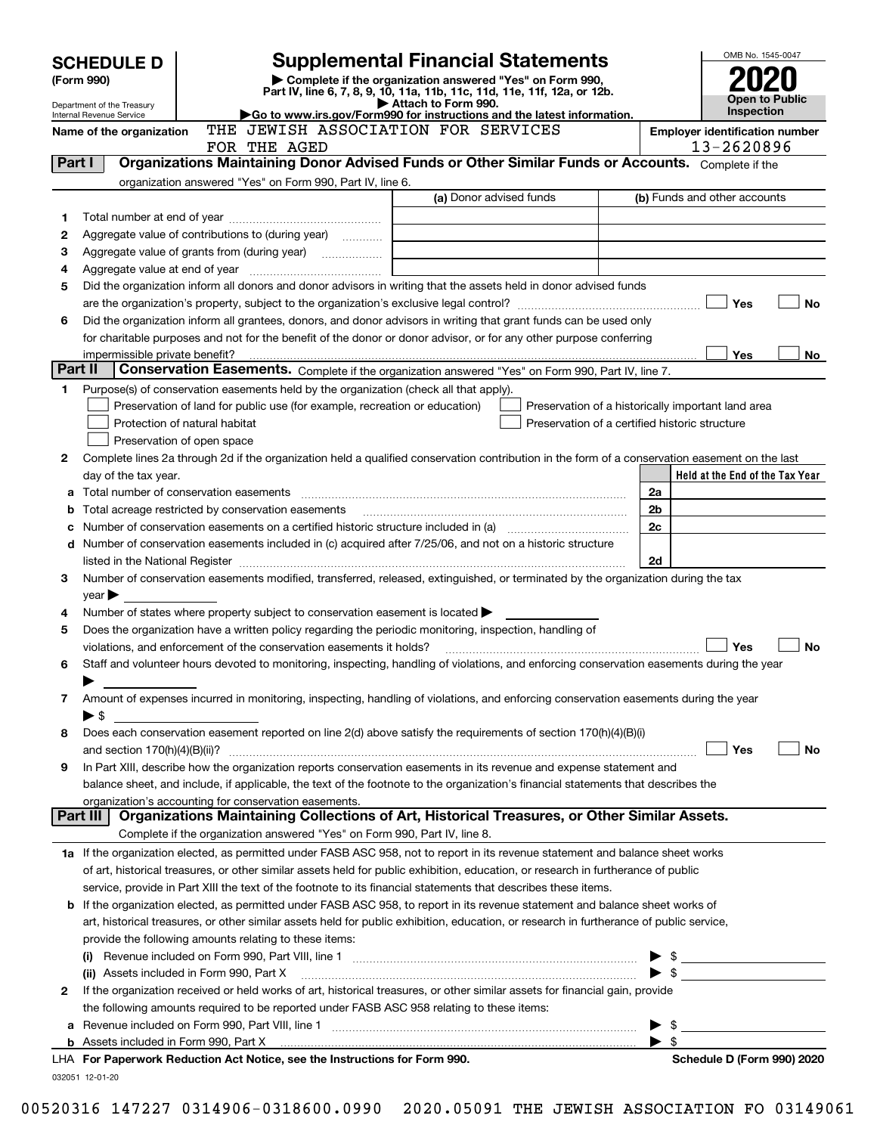|                | <b>SCHEDULE D</b>                                      |                                                                                                        | <b>Supplemental Financial Statements</b>                                                                                                                                                                                                      | OMB No. 1545-0047                                  |
|----------------|--------------------------------------------------------|--------------------------------------------------------------------------------------------------------|-----------------------------------------------------------------------------------------------------------------------------------------------------------------------------------------------------------------------------------------------|----------------------------------------------------|
|                | (Form 990)                                             |                                                                                                        | Complete if the organization answered "Yes" on Form 990,<br>Part IV, line 6, 7, 8, 9, 10, 11a, 11b, 11c, 11d, 11e, 11f, 12a, or 12b.                                                                                                          |                                                    |
|                | Department of the Treasury<br>Internal Revenue Service |                                                                                                        | Attach to Form 990.<br>Go to www.irs.gov/Form990 for instructions and the latest information.                                                                                                                                                 | Open to Public<br>Inspection                       |
|                | Name of the organization                               | THE JEWISH ASSOCIATION FOR SERVICES                                                                    |                                                                                                                                                                                                                                               | <b>Employer identification number</b>              |
|                |                                                        | FOR THE AGED                                                                                           |                                                                                                                                                                                                                                               | 13-2620896                                         |
| Part I         |                                                        |                                                                                                        | Organizations Maintaining Donor Advised Funds or Other Similar Funds or Accounts. Complete if the                                                                                                                                             |                                                    |
|                |                                                        | organization answered "Yes" on Form 990, Part IV, line 6.                                              |                                                                                                                                                                                                                                               |                                                    |
|                |                                                        |                                                                                                        | (a) Donor advised funds                                                                                                                                                                                                                       | (b) Funds and other accounts                       |
| 1<br>2         |                                                        | Aggregate value of contributions to (during year)                                                      |                                                                                                                                                                                                                                               |                                                    |
| з              |                                                        | Aggregate value of grants from (during year)                                                           |                                                                                                                                                                                                                                               |                                                    |
| 4              |                                                        |                                                                                                        |                                                                                                                                                                                                                                               |                                                    |
| 5              |                                                        |                                                                                                        | Did the organization inform all donors and donor advisors in writing that the assets held in donor advised funds                                                                                                                              |                                                    |
|                |                                                        |                                                                                                        |                                                                                                                                                                                                                                               | Yes<br>No                                          |
| 6              |                                                        |                                                                                                        | Did the organization inform all grantees, donors, and donor advisors in writing that grant funds can be used only                                                                                                                             |                                                    |
|                |                                                        |                                                                                                        | for charitable purposes and not for the benefit of the donor or donor advisor, or for any other purpose conferring                                                                                                                            |                                                    |
|                | impermissible private benefit?                         |                                                                                                        |                                                                                                                                                                                                                                               | Yes<br>No.                                         |
| <b>Part II</b> |                                                        |                                                                                                        | Conservation Easements. Complete if the organization answered "Yes" on Form 990, Part IV, line 7.                                                                                                                                             |                                                    |
| 1              |                                                        | Purpose(s) of conservation easements held by the organization (check all that apply).                  |                                                                                                                                                                                                                                               |                                                    |
|                |                                                        | Preservation of land for public use (for example, recreation or education)                             |                                                                                                                                                                                                                                               | Preservation of a historically important land area |
|                |                                                        | Protection of natural habitat                                                                          | Preservation of a certified historic structure                                                                                                                                                                                                |                                                    |
|                |                                                        | Preservation of open space                                                                             |                                                                                                                                                                                                                                               |                                                    |
| 2              |                                                        |                                                                                                        | Complete lines 2a through 2d if the organization held a qualified conservation contribution in the form of a conservation easement on the last                                                                                                |                                                    |
| а              | day of the tax year.                                   |                                                                                                        |                                                                                                                                                                                                                                               | Held at the End of the Tax Year<br>2a              |
| b              |                                                        | Total acreage restricted by conservation easements                                                     |                                                                                                                                                                                                                                               | 2b                                                 |
| с              |                                                        |                                                                                                        |                                                                                                                                                                                                                                               | 2c                                                 |
| d              |                                                        |                                                                                                        | Number of conservation easements included in (c) acquired after 7/25/06, and not on a historic structure                                                                                                                                      |                                                    |
|                |                                                        |                                                                                                        | listed in the National Register [111] Marshall Register [11] Marshall Register [11] Marshall Register [11] Marshall Register [11] Marshall Register [11] Marshall Register [11] Marshall Register [11] Marshall Register [11]                 | 2d                                                 |
| 3              |                                                        |                                                                                                        | Number of conservation easements modified, transferred, released, extinguished, or terminated by the organization during the tax                                                                                                              |                                                    |
|                | $year \triangleright$                                  |                                                                                                        |                                                                                                                                                                                                                                               |                                                    |
| 4              |                                                        | Number of states where property subject to conservation easement is located                            |                                                                                                                                                                                                                                               |                                                    |
| 5              |                                                        | Does the organization have a written policy regarding the periodic monitoring, inspection, handling of |                                                                                                                                                                                                                                               |                                                    |
|                |                                                        | violations, and enforcement of the conservation easements it holds?                                    |                                                                                                                                                                                                                                               | No<br>Yes                                          |
| 6              |                                                        |                                                                                                        | Staff and volunteer hours devoted to monitoring, inspecting, handling of violations, and enforcing conservation easements during the year                                                                                                     |                                                    |
|                |                                                        |                                                                                                        | Amount of expenses incurred in monitoring, inspecting, handling of violations, and enforcing conservation easements during the year                                                                                                           |                                                    |
| 7              | $\blacktriangleright$ \$                               |                                                                                                        |                                                                                                                                                                                                                                               |                                                    |
| 8              |                                                        |                                                                                                        | Does each conservation easement reported on line 2(d) above satisfy the requirements of section 170(h)(4)(B)(i)                                                                                                                               |                                                    |
|                |                                                        |                                                                                                        |                                                                                                                                                                                                                                               | Yes<br>No                                          |
| 9              |                                                        |                                                                                                        | In Part XIII, describe how the organization reports conservation easements in its revenue and expense statement and                                                                                                                           |                                                    |
|                |                                                        |                                                                                                        | balance sheet, and include, if applicable, the text of the footnote to the organization's financial statements that describes the                                                                                                             |                                                    |
|                |                                                        | organization's accounting for conservation easements.                                                  |                                                                                                                                                                                                                                               |                                                    |
|                | Part III                                               |                                                                                                        | Organizations Maintaining Collections of Art, Historical Treasures, or Other Similar Assets.                                                                                                                                                  |                                                    |
|                |                                                        | Complete if the organization answered "Yes" on Form 990, Part IV, line 8.                              |                                                                                                                                                                                                                                               |                                                    |
|                |                                                        |                                                                                                        | 1a If the organization elected, as permitted under FASB ASC 958, not to report in its revenue statement and balance sheet works                                                                                                               |                                                    |
|                |                                                        |                                                                                                        | of art, historical treasures, or other similar assets held for public exhibition, education, or research in furtherance of public                                                                                                             |                                                    |
| b              |                                                        |                                                                                                        | service, provide in Part XIII the text of the footnote to its financial statements that describes these items.<br>If the organization elected, as permitted under FASB ASC 958, to report in its revenue statement and balance sheet works of |                                                    |
|                |                                                        |                                                                                                        | art, historical treasures, or other similar assets held for public exhibition, education, or research in furtherance of public service,                                                                                                       |                                                    |
|                |                                                        | provide the following amounts relating to these items:                                                 |                                                                                                                                                                                                                                               |                                                    |
|                |                                                        |                                                                                                        |                                                                                                                                                                                                                                               | $\frac{1}{2}$                                      |
|                |                                                        | (ii) Assets included in Form 990, Part X                                                               |                                                                                                                                                                                                                                               | $\blacktriangleright$ s                            |
| 2              |                                                        |                                                                                                        | If the organization received or held works of art, historical treasures, or other similar assets for financial gain, provide                                                                                                                  |                                                    |
|                |                                                        | the following amounts required to be reported under FASB ASC 958 relating to these items:              |                                                                                                                                                                                                                                               |                                                    |
| а              |                                                        |                                                                                                        |                                                                                                                                                                                                                                               | \$                                                 |
|                |                                                        |                                                                                                        |                                                                                                                                                                                                                                               | -\$                                                |
|                |                                                        | LHA For Paperwork Reduction Act Notice, see the Instructions for Form 990.                             |                                                                                                                                                                                                                                               | Schedule D (Form 990) 2020                         |
|                | 032051 12-01-20                                        |                                                                                                        |                                                                                                                                                                                                                                               |                                                    |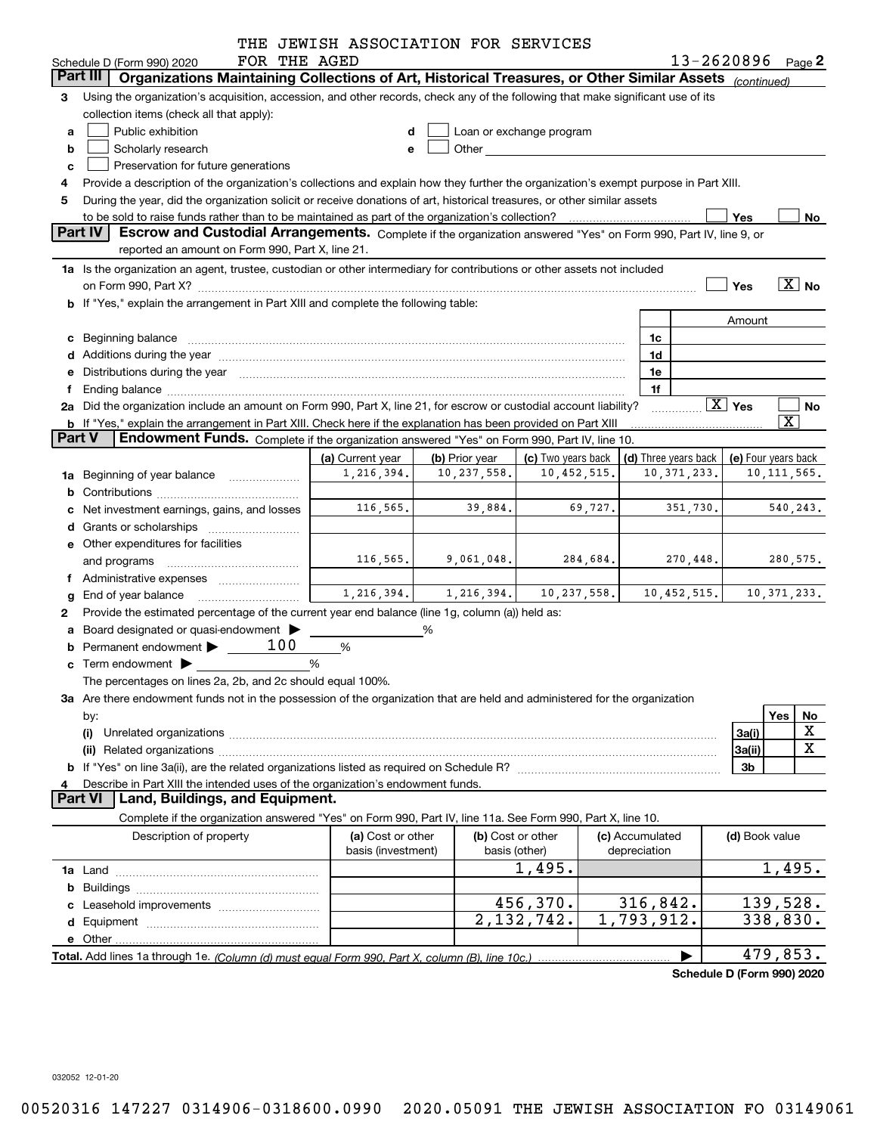|               |                                                                                                                                                                                                                                | THE JEWISH ASSOCIATION FOR SERVICES     |                               |                                                                                                                                                                                                                                |                                 |          |               |                                              |                         |
|---------------|--------------------------------------------------------------------------------------------------------------------------------------------------------------------------------------------------------------------------------|-----------------------------------------|-------------------------------|--------------------------------------------------------------------------------------------------------------------------------------------------------------------------------------------------------------------------------|---------------------------------|----------|---------------|----------------------------------------------|-------------------------|
|               | FOR THE AGED<br>Schedule D (Form 990) 2020                                                                                                                                                                                     |                                         |                               |                                                                                                                                                                                                                                |                                 |          |               | $13 - 2620896$ Page 2                        |                         |
|               | Organizations Maintaining Collections of Art, Historical Treasures, or Other Similar Assets (continued)<br>Part III                                                                                                            |                                         |                               |                                                                                                                                                                                                                                |                                 |          |               |                                              |                         |
| 3             | Using the organization's acquisition, accession, and other records, check any of the following that make significant use of its                                                                                                |                                         |                               |                                                                                                                                                                                                                                |                                 |          |               |                                              |                         |
|               | collection items (check all that apply):                                                                                                                                                                                       |                                         |                               |                                                                                                                                                                                                                                |                                 |          |               |                                              |                         |
| a             | Public exhibition                                                                                                                                                                                                              |                                         |                               | Loan or exchange program                                                                                                                                                                                                       |                                 |          |               |                                              |                         |
| b             | Scholarly research                                                                                                                                                                                                             | е                                       |                               | Other and the control of the control of the control of the control of the control of the control of the control of the control of the control of the control of the control of the control of the control of the control of th |                                 |          |               |                                              |                         |
| c             | Preservation for future generations                                                                                                                                                                                            |                                         |                               |                                                                                                                                                                                                                                |                                 |          |               |                                              |                         |
|               | Provide a description of the organization's collections and explain how they further the organization's exempt purpose in Part XIII.                                                                                           |                                         |                               |                                                                                                                                                                                                                                |                                 |          |               |                                              |                         |
| 5             | During the year, did the organization solicit or receive donations of art, historical treasures, or other similar assets                                                                                                       |                                         |                               |                                                                                                                                                                                                                                |                                 |          |               |                                              |                         |
|               | to be sold to raise funds rather than to be maintained as part of the organization's collection?                                                                                                                               |                                         |                               |                                                                                                                                                                                                                                |                                 |          |               | Yes                                          | No                      |
|               | Part IV<br>Escrow and Custodial Arrangements. Complete if the organization answered "Yes" on Form 990, Part IV, line 9, or<br>reported an amount on Form 990, Part X, line 21.                                                 |                                         |                               |                                                                                                                                                                                                                                |                                 |          |               |                                              |                         |
|               |                                                                                                                                                                                                                                |                                         |                               |                                                                                                                                                                                                                                |                                 |          |               |                                              |                         |
|               | 1a Is the organization an agent, trustee, custodian or other intermediary for contributions or other assets not included                                                                                                       |                                         |                               |                                                                                                                                                                                                                                |                                 |          |               |                                              | $\boxed{\text{X}}$ No   |
|               | b If "Yes," explain the arrangement in Part XIII and complete the following table:                                                                                                                                             |                                         |                               |                                                                                                                                                                                                                                |                                 |          |               | Yes                                          |                         |
|               |                                                                                                                                                                                                                                |                                         |                               |                                                                                                                                                                                                                                |                                 |          |               |                                              |                         |
|               |                                                                                                                                                                                                                                |                                         |                               |                                                                                                                                                                                                                                |                                 | 1c       |               | Amount                                       |                         |
|               | c Beginning balance measurements and the contract of the contract of the contract of the contract of the contract of the contract of the contract of the contract of the contract of the contract of the contract of the contr |                                         |                               |                                                                                                                                                                                                                                |                                 | 1d       |               |                                              |                         |
|               |                                                                                                                                                                                                                                |                                         |                               |                                                                                                                                                                                                                                |                                 | 1e       |               |                                              |                         |
|               | Distributions during the year manufactured and an according to the control of the control of the set of the set of the set of the set of the set of the set of the set of the set of the set of the set of the set of the set  |                                         |                               |                                                                                                                                                                                                                                |                                 | 1f       |               |                                              |                         |
|               | 2a Did the organization include an amount on Form 990, Part X, line 21, for escrow or custodial account liability?                                                                                                             |                                         |                               |                                                                                                                                                                                                                                |                                 |          |               | $\boxed{\text{X}}$ Yes                       | No                      |
|               | <b>b</b> If "Yes," explain the arrangement in Part XIII. Check here if the explanation has been provided on Part XIII                                                                                                          |                                         |                               |                                                                                                                                                                                                                                |                                 |          |               |                                              | $\overline{\mathbf{X}}$ |
| <b>Part V</b> | Endowment Funds. Complete if the organization answered "Yes" on Form 990, Part IV, line 10.                                                                                                                                    |                                         |                               |                                                                                                                                                                                                                                |                                 |          |               |                                              |                         |
|               |                                                                                                                                                                                                                                | (a) Current year                        | (b) Prior year                | (c) Two years back                                                                                                                                                                                                             |                                 |          |               | (d) Three years back $ $ (e) Four years back |                         |
| 1a            | Beginning of year balance                                                                                                                                                                                                      | 1,216,394.                              | 10,237,558.                   | 10,452,515.                                                                                                                                                                                                                    |                                 |          | 10, 371, 233. |                                              | 10, 111, 565.           |
|               |                                                                                                                                                                                                                                |                                         |                               |                                                                                                                                                                                                                                |                                 |          |               |                                              |                         |
|               | Net investment earnings, gains, and losses                                                                                                                                                                                     | 116,565.                                | 39,884.                       | 69,727.                                                                                                                                                                                                                        |                                 |          | 351,730.      |                                              | 540, 243.               |
|               | Grants or scholarships                                                                                                                                                                                                         |                                         |                               |                                                                                                                                                                                                                                |                                 |          |               |                                              |                         |
|               | e Other expenditures for facilities                                                                                                                                                                                            |                                         |                               |                                                                                                                                                                                                                                |                                 |          |               |                                              |                         |
|               |                                                                                                                                                                                                                                | 116, 565.                               | 9,061,048.                    | 284,684.                                                                                                                                                                                                                       |                                 |          | 270,448.      |                                              | 280,575.                |
|               |                                                                                                                                                                                                                                |                                         |                               |                                                                                                                                                                                                                                |                                 |          |               |                                              |                         |
|               | End of year balance                                                                                                                                                                                                            |                                         | $1, 216, 394.$ $1, 216, 394.$ | 10, 237, 558.                                                                                                                                                                                                                  |                                 |          | 10,452,515.   |                                              | 10, 371, 233.           |
| 2             | Provide the estimated percentage of the current year end balance (line 1g, column (a)) held as:                                                                                                                                |                                         |                               |                                                                                                                                                                                                                                |                                 |          |               |                                              |                         |
|               | Board designated or quasi-endowment                                                                                                                                                                                            |                                         | %                             |                                                                                                                                                                                                                                |                                 |          |               |                                              |                         |
|               | Permanent endowment $\blacktriangleright$ _____ 100                                                                                                                                                                            | $\%$                                    |                               |                                                                                                                                                                                                                                |                                 |          |               |                                              |                         |
|               | $\mathbf c$ Term endowment $\blacktriangleright$                                                                                                                                                                               | %                                       |                               |                                                                                                                                                                                                                                |                                 |          |               |                                              |                         |
|               | The percentages on lines 2a, 2b, and 2c should equal 100%.                                                                                                                                                                     |                                         |                               |                                                                                                                                                                                                                                |                                 |          |               |                                              |                         |
|               | 3a Are there endowment funds not in the possession of the organization that are held and administered for the organization                                                                                                     |                                         |                               |                                                                                                                                                                                                                                |                                 |          |               |                                              |                         |
|               | by:                                                                                                                                                                                                                            |                                         |                               |                                                                                                                                                                                                                                |                                 |          |               |                                              | Yes<br><u>No</u>        |
|               | (i)                                                                                                                                                                                                                            |                                         |                               |                                                                                                                                                                                                                                |                                 |          |               | 3a(i)                                        | X                       |
|               |                                                                                                                                                                                                                                |                                         |                               |                                                                                                                                                                                                                                |                                 |          |               | 3a(ii)                                       | $\overline{\mathbf{X}}$ |
|               |                                                                                                                                                                                                                                |                                         |                               |                                                                                                                                                                                                                                |                                 |          |               | 3b                                           |                         |
| 4             | Describe in Part XIII the intended uses of the organization's endowment funds.                                                                                                                                                 |                                         |                               |                                                                                                                                                                                                                                |                                 |          |               |                                              |                         |
|               | Land, Buildings, and Equipment.<br><b>Part VI</b>                                                                                                                                                                              |                                         |                               |                                                                                                                                                                                                                                |                                 |          |               |                                              |                         |
|               | Complete if the organization answered "Yes" on Form 990, Part IV, line 11a. See Form 990, Part X, line 10.                                                                                                                     |                                         |                               |                                                                                                                                                                                                                                |                                 |          |               |                                              |                         |
|               | Description of property                                                                                                                                                                                                        | (a) Cost or other<br>basis (investment) | basis (other)                 | (b) Cost or other                                                                                                                                                                                                              | (c) Accumulated<br>depreciation |          |               | (d) Book value                               |                         |
|               |                                                                                                                                                                                                                                |                                         |                               | 1,495.                                                                                                                                                                                                                         |                                 |          |               |                                              | 1,495.                  |
| b             |                                                                                                                                                                                                                                |                                         |                               |                                                                                                                                                                                                                                |                                 |          |               |                                              |                         |
|               |                                                                                                                                                                                                                                |                                         |                               | 456,370.                                                                                                                                                                                                                       |                                 | 316,842. |               |                                              | 139,528.                |
|               |                                                                                                                                                                                                                                |                                         |                               | 2, 132, 742.                                                                                                                                                                                                                   | 1,793,912.                      |          |               |                                              | 338,830.                |
|               |                                                                                                                                                                                                                                |                                         |                               |                                                                                                                                                                                                                                |                                 |          |               |                                              |                         |
|               |                                                                                                                                                                                                                                |                                         |                               |                                                                                                                                                                                                                                |                                 |          |               | <b>Calcadole D. (Fause 000) 0000</b>         | 479,853.                |
|               |                                                                                                                                                                                                                                |                                         |                               |                                                                                                                                                                                                                                |                                 |          |               |                                              |                         |

**Schedule D (Form 990) 2020**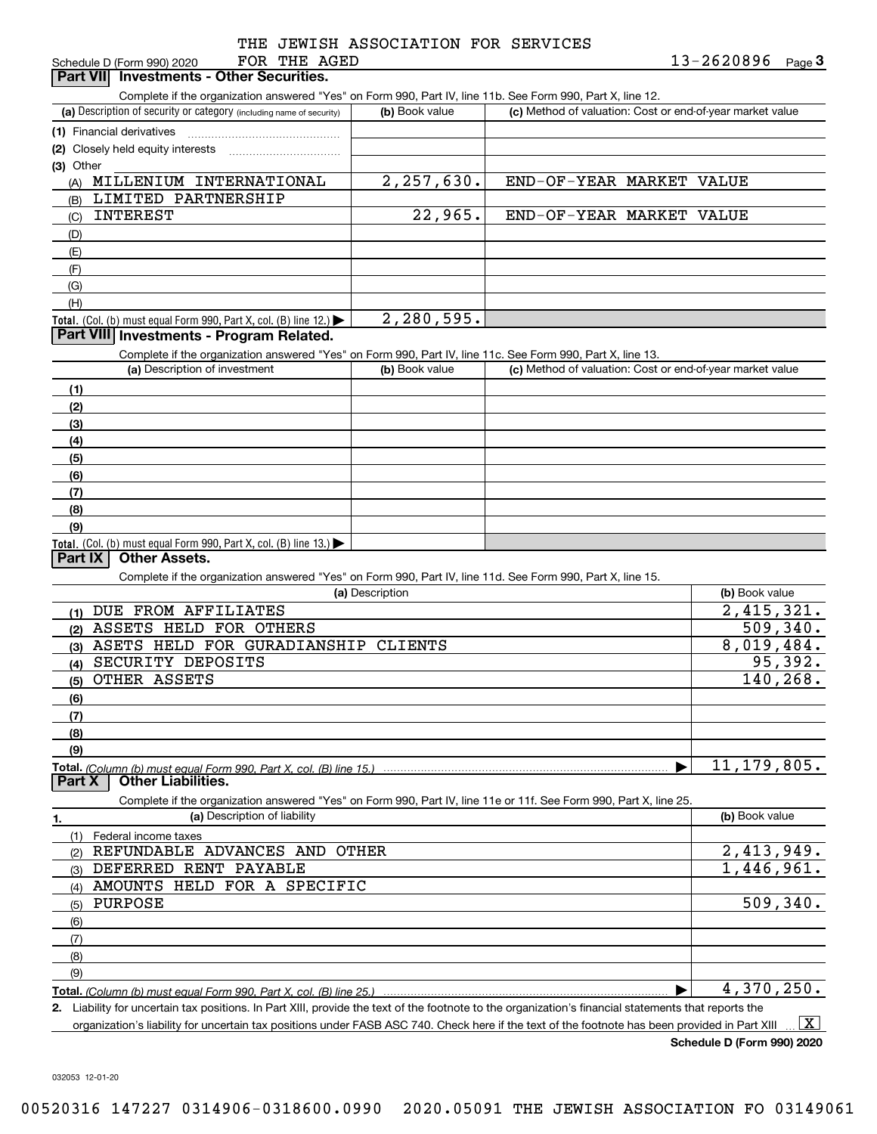|  |  | THE JEWISH ASSOCIATION FOR SERVICES |  |  |
|--|--|-------------------------------------|--|--|
|--|--|-------------------------------------|--|--|

| FOR THE AGED<br>Schedule D (Form 990) 2020                                                                                                           | $13 - 2620896$ Page 3 |  |                                                           |  |
|------------------------------------------------------------------------------------------------------------------------------------------------------|-----------------------|--|-----------------------------------------------------------|--|
| <b>Investments - Other Securities.</b><br><b>Part VIII</b>                                                                                           |                       |  |                                                           |  |
| Complete if the organization answered "Yes" on Form 990, Part IV, line 11b. See Form 990, Part X, line 12.                                           |                       |  |                                                           |  |
| (a) Description of security or category (including name of security)                                                                                 | (b) Book value        |  | (c) Method of valuation: Cost or end-of-year market value |  |
| (1) Financial derivatives                                                                                                                            |                       |  |                                                           |  |
| (2) Closely held equity interests<br>.                                                                                                               |                       |  |                                                           |  |
| $(3)$ Other                                                                                                                                          |                       |  |                                                           |  |
| (A) MILLENIUM INTERNATIONAL                                                                                                                          | 2, 257, 630.          |  | END-OF-YEAR MARKET VALUE                                  |  |
| LIMITED PARTNERSHIP<br>(B)                                                                                                                           |                       |  |                                                           |  |
| <b>INTEREST</b><br>(C)                                                                                                                               | 22,965.               |  | END-OF-YEAR MARKET VALUE                                  |  |
| (D)                                                                                                                                                  |                       |  |                                                           |  |
| (E)                                                                                                                                                  |                       |  |                                                           |  |
| (F)                                                                                                                                                  |                       |  |                                                           |  |
| (G)                                                                                                                                                  |                       |  |                                                           |  |
| (H)                                                                                                                                                  |                       |  |                                                           |  |
| <b>Total.</b> (Col. (b) must equal Form 990, Part X, col. (B) line 12.)                                                                              | 2,280,595.            |  |                                                           |  |
| Part VIII Investments - Program Related.                                                                                                             |                       |  |                                                           |  |
| Complete if the organization answered "Yes" on Form 990, Part IV, line 11c. See Form 990, Part X, line 13.                                           |                       |  |                                                           |  |
| (a) Description of investment                                                                                                                        | (b) Book value        |  | (c) Method of valuation: Cost or end-of-year market value |  |
| (1)                                                                                                                                                  |                       |  |                                                           |  |
| (2)                                                                                                                                                  |                       |  |                                                           |  |
| (3)                                                                                                                                                  |                       |  |                                                           |  |
| (4)                                                                                                                                                  |                       |  |                                                           |  |
| (5)                                                                                                                                                  |                       |  |                                                           |  |
| (6)                                                                                                                                                  |                       |  |                                                           |  |
| (7)                                                                                                                                                  |                       |  |                                                           |  |
| (8)                                                                                                                                                  |                       |  |                                                           |  |
| (9)                                                                                                                                                  |                       |  |                                                           |  |
| <b>Total.</b> (Col. (b) must equal Form 990, Part X, col. (B) line 13.)<br><b>Other Assets.</b>                                                      |                       |  |                                                           |  |
| Part IX                                                                                                                                              |                       |  |                                                           |  |
| Complete if the organization answered "Yes" on Form 990, Part IV, line 11d. See Form 990, Part X, line 15.                                           |                       |  |                                                           |  |
|                                                                                                                                                      | (a) Description       |  | (b) Book value                                            |  |
| (1) DUE FROM AFFILIATES<br>(2) ASSETS HELD FOR OTHERS                                                                                                |                       |  | $\overline{2,415,321}$ .<br>509, 340.                     |  |
| (3) ASETS HELD FOR GURADIANSHIP CLIENTS                                                                                                              |                       |  | 8,019,484.                                                |  |
| (4) SECURITY DEPOSITS                                                                                                                                |                       |  | 95,392.                                                   |  |
| (5) OTHER ASSETS                                                                                                                                     |                       |  | 140,268.                                                  |  |
|                                                                                                                                                      |                       |  |                                                           |  |
| (6)                                                                                                                                                  |                       |  |                                                           |  |
| (7)                                                                                                                                                  |                       |  |                                                           |  |
| (8)                                                                                                                                                  |                       |  |                                                           |  |
| (9)                                                                                                                                                  |                       |  | 11, 179, 805.                                             |  |
| <b>Other Liabilities.</b><br>Part X                                                                                                                  |                       |  |                                                           |  |
| Complete if the organization answered "Yes" on Form 990, Part IV, line 11e or 11f. See Form 990, Part X, line 25.                                    |                       |  |                                                           |  |
| (a) Description of liability<br>1.                                                                                                                   |                       |  | (b) Book value                                            |  |
| Federal income taxes<br>(1)                                                                                                                          |                       |  |                                                           |  |
| REFUNDABLE ADVANCES AND<br>(2)                                                                                                                       | OTHER                 |  | 2,413,949.                                                |  |
| DEFERRED RENT PAYABLE<br>(3)                                                                                                                         |                       |  | $\overline{1,446,961}$ .                                  |  |
| AMOUNTS HELD FOR A SPECIFIC                                                                                                                          |                       |  |                                                           |  |
| (4)<br>PURPOSE<br>(5)                                                                                                                                |                       |  | 509, 340.                                                 |  |
|                                                                                                                                                      |                       |  |                                                           |  |
| (6)                                                                                                                                                  |                       |  |                                                           |  |
| (7)                                                                                                                                                  |                       |  |                                                           |  |
| (8)                                                                                                                                                  |                       |  |                                                           |  |
| (9)                                                                                                                                                  |                       |  | 4,370,250.                                                |  |
| 2. Liability for uncertain tax positions. In Part XIII, provide the text of the footnote to the organization's financial statements that reports the |                       |  |                                                           |  |
| organization's liability for uncertain tax positions under FASB ASC 740. Check here if the text of the footnote has been provided in Part XIII       |                       |  | X                                                         |  |
|                                                                                                                                                      |                       |  |                                                           |  |

**Schedule D (Form 990) 2020**

032053 12-01-20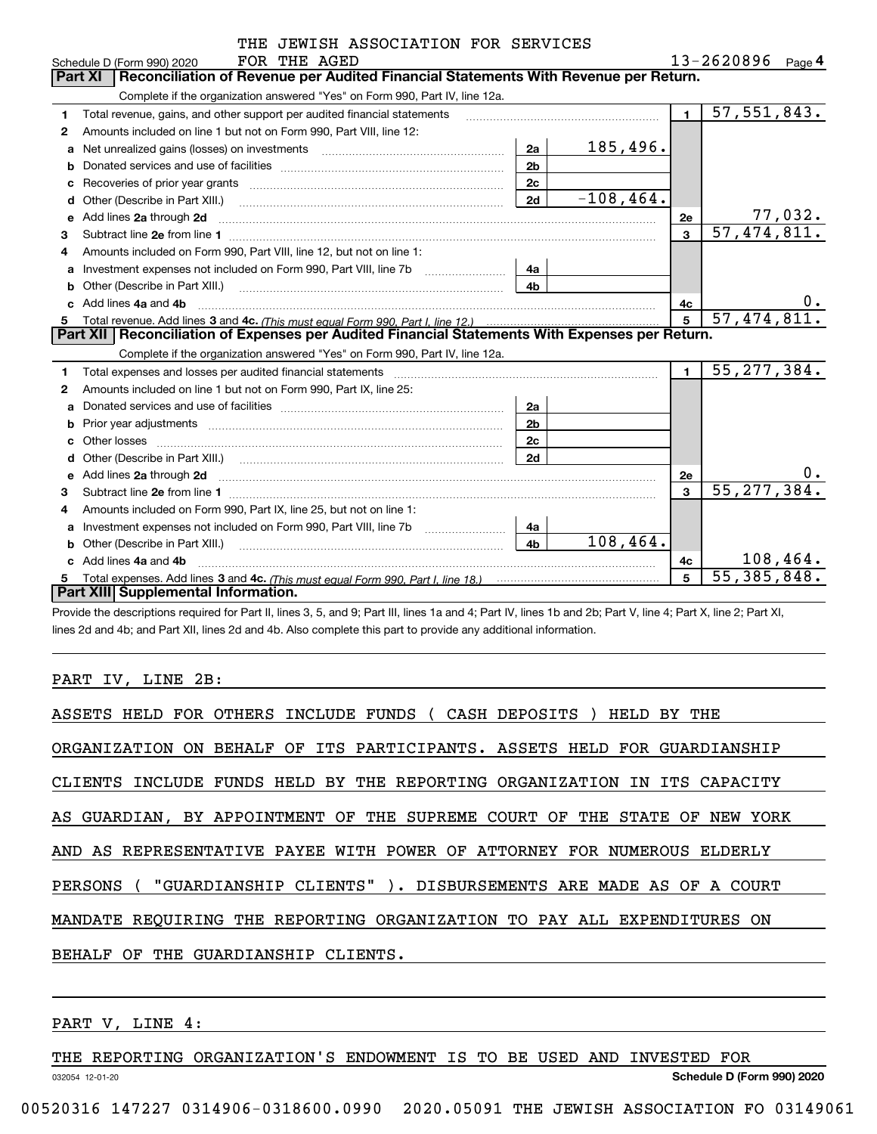|   | THE JEWISH ASSOCIATION FOR SERVICES                                                                                                                                                                                                |                |              |                |                             |
|---|------------------------------------------------------------------------------------------------------------------------------------------------------------------------------------------------------------------------------------|----------------|--------------|----------------|-----------------------------|
|   | FOR THE AGED<br>Schedule D (Form 990) 2020                                                                                                                                                                                         |                |              |                | $13 - 2620896$ Page 4       |
|   | Reconciliation of Revenue per Audited Financial Statements With Revenue per Return.<br>Part XI                                                                                                                                     |                |              |                |                             |
|   | Complete if the organization answered "Yes" on Form 990, Part IV, line 12a.                                                                                                                                                        |                |              |                |                             |
| 1 | Total revenue, gains, and other support per audited financial statements                                                                                                                                                           |                |              | $\blacksquare$ | 57, 551, 843.               |
| 2 | Amounts included on line 1 but not on Form 990, Part VIII, line 12:                                                                                                                                                                |                |              |                |                             |
| a | Net unrealized gains (losses) on investments [11] matter contracts and the unrealized gains (losses) on investments                                                                                                                | 2a             | 185,496.     |                |                             |
| b |                                                                                                                                                                                                                                    | 2 <sub>b</sub> |              |                |                             |
|   |                                                                                                                                                                                                                                    | 2c             |              |                |                             |
| d |                                                                                                                                                                                                                                    | 2d             | $-108, 464.$ |                |                             |
| e | Add lines 2a through 2d                                                                                                                                                                                                            |                |              | 2e             | 77,032.                     |
| 3 |                                                                                                                                                                                                                                    |                |              | $\mathbf{a}$   | 57,474,811.                 |
| 4 | Amounts included on Form 990, Part VIII, line 12, but not on line 1:                                                                                                                                                               |                |              |                |                             |
| a |                                                                                                                                                                                                                                    | 4a             |              |                |                             |
|   |                                                                                                                                                                                                                                    | 4h             |              |                |                             |
|   | Add lines 4a and 4b                                                                                                                                                                                                                |                |              | 4с             | 0.                          |
| 5 |                                                                                                                                                                                                                                    |                |              | 5              | 57, 474, 811.               |
|   | Part XII   Reconciliation of Expenses per Audited Financial Statements With Expenses per Return.                                                                                                                                   |                |              |                |                             |
|   | Complete if the organization answered "Yes" on Form 990, Part IV, line 12a.                                                                                                                                                        |                |              |                |                             |
| 1 | Total expenses and losses per audited financial statements [11] [12] contain an intervention and contain a statements [13] [13] and the statements [13] [13] and the statements [13] and the statements [13] and the statement     |                |              | $\blacksquare$ | 55, 277, 384.               |
| 2 | Amounts included on line 1 but not on Form 990, Part IX, line 25:                                                                                                                                                                  |                |              |                |                             |
| a |                                                                                                                                                                                                                                    | 2a             |              |                |                             |
|   |                                                                                                                                                                                                                                    | 2 <sub>b</sub> |              |                |                             |
|   |                                                                                                                                                                                                                                    | 2c             |              |                |                             |
| d |                                                                                                                                                                                                                                    | 2d             |              |                |                             |
| е | Add lines 2a through 2d <b>manufactures</b> in the contract of the contract of the contract of the contract of the contract of the contract of the contract of the contract of the contract of the contract of the contract of the |                |              | <b>2e</b>      | $0$ .                       |
| 3 |                                                                                                                                                                                                                                    |                |              | 3              | 55, 277, 384.               |
| 4 | Amounts included on Form 990, Part IX, line 25, but not on line 1:                                                                                                                                                                 |                |              |                |                             |
| a |                                                                                                                                                                                                                                    | 4a             |              |                |                             |
|   |                                                                                                                                                                                                                                    | 4 <sub>b</sub> | 108,464.     |                |                             |
|   | c Add lines 4a and 4b                                                                                                                                                                                                              |                |              | 4c             | 108,464.                    |
|   |                                                                                                                                                                                                                                    |                |              | 5              | $\overline{55}$ , 385, 848. |
|   | Part XIII Supplemental Information.                                                                                                                                                                                                |                |              |                |                             |

Provide the descriptions required for Part II, lines 3, 5, and 9; Part III, lines 1a and 4; Part IV, lines 1b and 2b; Part V, line 4; Part X, line 2; Part XI, lines 2d and 4b; and Part XII, lines 2d and 4b. Also complete this part to provide any additional information.

### PART IV, LINE 2B:

| ASSETS HELD FOR OTHERS INCLUDE FUNDS ( CASH DEPOSITS ) HELD BY THE        |
|---------------------------------------------------------------------------|
| ORGANIZATION ON BEHALF OF ITS PARTICIPANTS. ASSETS HELD FOR GUARDIANSHIP  |
| CLIENTS INCLUDE FUNDS HELD BY THE REPORTING ORGANIZATION IN ITS CAPACITY  |
| AS GUARDIAN, BY APPOINTMENT OF THE SUPREME COURT OF THE STATE OF NEW YORK |
| AND AS REPRESENTATIVE PAYEE WITH POWER OF ATTORNEY FOR NUMEROUS ELDERLY   |
| PERSONS ( "GUARDIANSHIP CLIENTS" ). DISBURSEMENTS ARE MADE AS OF A COURT  |
| MANDATE REOUIRING THE REPORTING ORGANIZATION TO PAY ALL EXPENDITURES ON   |
| THE GUARDIANSHIP CLIENTS.<br>BEHALF OF                                    |
|                                                                           |

# PART V, LINE 4:

032054 12-01-20 **Schedule D (Form 990) 2020** THE REPORTING ORGANIZATION'S ENDOWMENT IS TO BE USED AND INVESTED FOR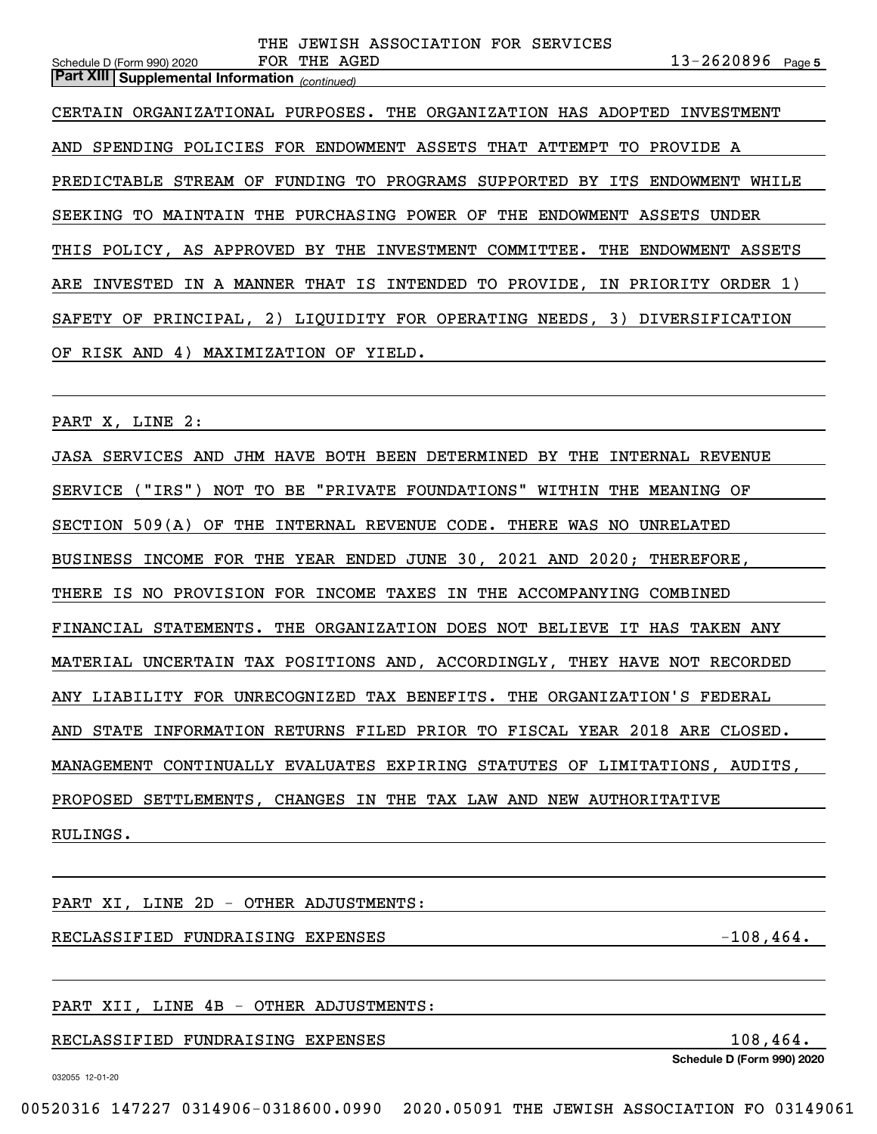**5**Schedule D (Form 990) 2020 Page *(continued)* **Part XIII Supplemental Information**  CERTAIN ORGANIZATIONAL PURPOSES. THE ORGANIZATION HAS ADOPTED INVESTMENT AND SPENDING POLICIES FOR ENDOWMENT ASSETS THAT ATTEMPT TO PROVIDE A PREDICTABLE STREAM OF FUNDING TO PROGRAMS SUPPORTED BY ITS ENDOWMENT WHILE SEEKING TO MAINTAIN THE PURCHASING POWER OF THE ENDOWMENT ASSETS UNDER THIS POLICY, AS APPROVED BY THE INVESTMENT COMMITTEE. THE ENDOWMENT ASSETS ARE INVESTED IN A MANNER THAT IS INTENDED TO PROVIDE, IN PRIORITY ORDER 1) SAFETY OF PRINCIPAL, 2) LIQUIDITY FOR OPERATING NEEDS, 3) DIVERSIFICATION OF RISK AND 4) MAXIMIZATION OF YIELD.

THE JEWISH ASSOCIATION FOR SERVICES

FOR THE AGED

PART X, LINE 2:

JASA SERVICES AND JHM HAVE BOTH BEEN DETERMINED BY THE INTERNAL REVENUE SERVICE ("IRS") NOT TO BE "PRIVATE FOUNDATIONS" WITHIN THE MEANING OF SECTION 509(A) OF THE INTERNAL REVENUE CODE. THERE WAS NO UNRELATED BUSINESS INCOME FOR THE YEAR ENDED JUNE 30, 2021 AND 2020; THEREFORE, THERE IS NO PROVISION FOR INCOME TAXES IN THE ACCOMPANYING COMBINED FINANCIAL STATEMENTS. THE ORGANIZATION DOES NOT BELIEVE IT HAS TAKEN ANY MATERIAL UNCERTAIN TAX POSITIONS AND, ACCORDINGLY, THEY HAVE NOT RECORDED ANY LIABILITY FOR UNRECOGNIZED TAX BENEFITS. THE ORGANIZATION'S FEDERAL AND STATE INFORMATION RETURNS FILED PRIOR TO FISCAL YEAR 2018 ARE CLOSED. MANAGEMENT CONTINUALLY EVALUATES EXPIRING STATUTES OF LIMITATIONS, AUDITS, PROPOSED SETTLEMENTS, CHANGES IN THE TAX LAW AND NEW AUTHORITATIVE RULINGS.

PART XI, LINE 2D - OTHER ADJUSTMENTS:

RECLASSIFIED FUNDRAISING EXPENSES -108,464.

PART XII, LINE 4B - OTHER ADJUSTMENTS:

RECLASSIFIED FUNDRAISING EXPENSES 108,464.

**Schedule D (Form 990) 2020**

032055 12-01-20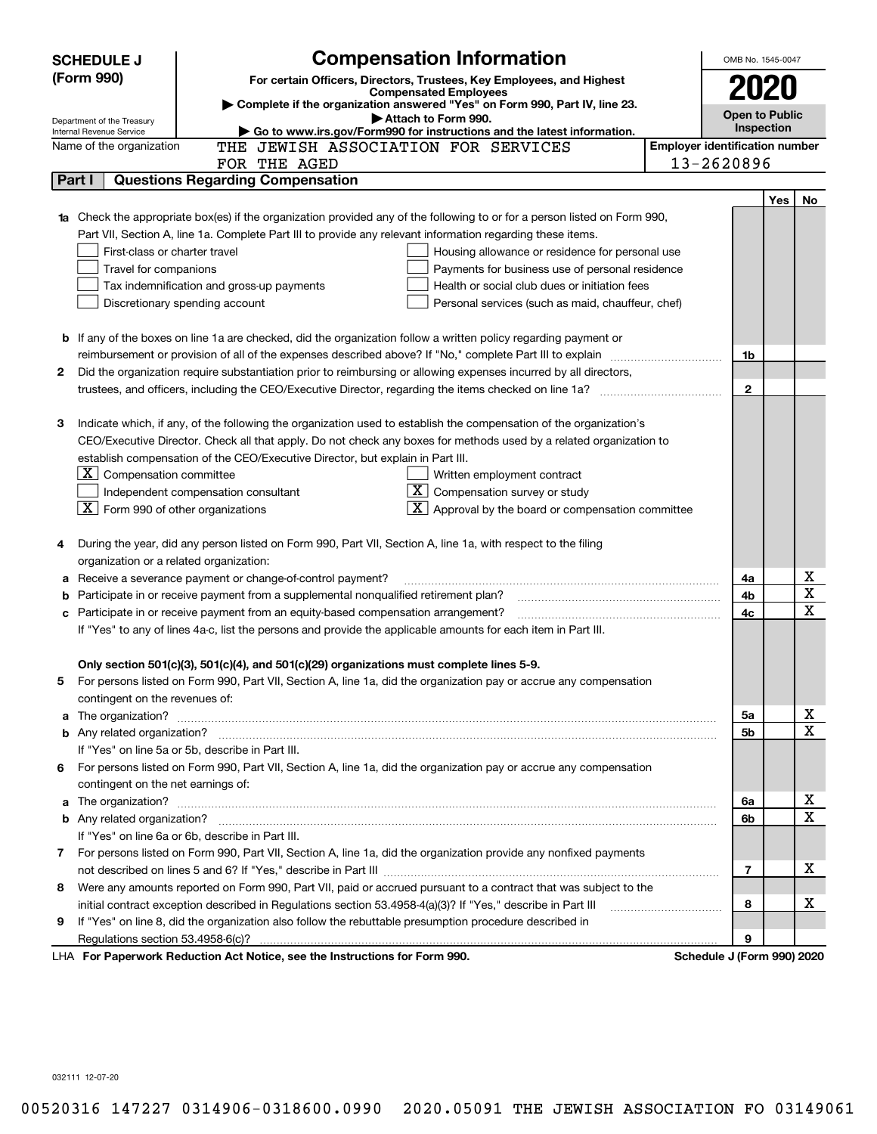| <b>SCHEDULE J</b>          | <b>Compensation Information</b>                                                                                                                              |                                       | OMB No. 1545-0047     |    |
|----------------------------|--------------------------------------------------------------------------------------------------------------------------------------------------------------|---------------------------------------|-----------------------|----|
| (Form 990)                 | For certain Officers, Directors, Trustees, Key Employees, and Highest                                                                                        |                                       | 2020                  |    |
|                            | <b>Compensated Employees</b><br>Complete if the organization answered "Yes" on Form 990, Part IV, line 23.                                                   |                                       |                       |    |
| Department of the Treasury | Attach to Form 990.                                                                                                                                          |                                       | <b>Open to Public</b> |    |
| Internal Revenue Service   | Go to www.irs.gov/Form990 for instructions and the latest information.                                                                                       |                                       | <b>Inspection</b>     |    |
|                            | THE JEWISH ASSOCIATION FOR SERVICES<br>Name of the organization                                                                                              | <b>Employer identification number</b> |                       |    |
|                            | FOR THE AGED<br><b>Questions Regarding Compensation</b>                                                                                                      | 13-2620896                            |                       |    |
| Part I                     |                                                                                                                                                              |                                       |                       |    |
|                            |                                                                                                                                                              |                                       | Yes                   | No |
|                            | Check the appropriate box(es) if the organization provided any of the following to or for a person listed on Form 990,                                       |                                       |                       |    |
|                            | Part VII, Section A, line 1a. Complete Part III to provide any relevant information regarding these items.                                                   |                                       |                       |    |
|                            | First-class or charter travel<br>Housing allowance or residence for personal use<br>Travel for companions<br>Payments for business use of personal residence |                                       |                       |    |
|                            | Tax indemnification and gross-up payments<br>Health or social club dues or initiation fees                                                                   |                                       |                       |    |
|                            | Discretionary spending account<br>Personal services (such as maid, chauffeur, chef)                                                                          |                                       |                       |    |
|                            |                                                                                                                                                              |                                       |                       |    |
|                            | <b>b</b> If any of the boxes on line 1a are checked, did the organization follow a written policy regarding payment or                                       |                                       |                       |    |
|                            |                                                                                                                                                              |                                       | 1b                    |    |
| 2                          | Did the organization require substantiation prior to reimbursing or allowing expenses incurred by all directors,                                             |                                       |                       |    |
|                            |                                                                                                                                                              |                                       | $\mathbf{2}$          |    |
|                            |                                                                                                                                                              |                                       |                       |    |
| з                          | Indicate which, if any, of the following the organization used to establish the compensation of the organization's                                           |                                       |                       |    |
|                            | CEO/Executive Director. Check all that apply. Do not check any boxes for methods used by a related organization to                                           |                                       |                       |    |
|                            | establish compensation of the CEO/Executive Director, but explain in Part III.                                                                               |                                       |                       |    |
|                            | $X$ Compensation committee<br>Written employment contract                                                                                                    |                                       |                       |    |
|                            | $X$ Compensation survey or study<br>Independent compensation consultant                                                                                      |                                       |                       |    |
|                            | $\boxed{\textbf{X}}$ Form 990 of other organizations<br>$\overline{\mathbf{X}}$ Approval by the board or compensation committee                              |                                       |                       |    |
|                            |                                                                                                                                                              |                                       |                       |    |
| 4                          | During the year, did any person listed on Form 990, Part VII, Section A, line 1a, with respect to the filing                                                 |                                       |                       |    |
|                            | organization or a related organization:                                                                                                                      |                                       |                       |    |
| а                          | Receive a severance payment or change-of-control payment?                                                                                                    |                                       | 4a                    | х  |
| b                          | Participate in or receive payment from a supplemental nonqualified retirement plan?                                                                          |                                       | 4b                    | X  |
| с                          | Participate in or receive payment from an equity-based compensation arrangement?                                                                             |                                       | 4с                    | х  |
|                            | If "Yes" to any of lines 4a-c, list the persons and provide the applicable amounts for each item in Part III.                                                |                                       |                       |    |
|                            |                                                                                                                                                              |                                       |                       |    |
|                            | Only section 501(c)(3), 501(c)(4), and 501(c)(29) organizations must complete lines 5-9.                                                                     |                                       |                       |    |
| 5                          | For persons listed on Form 990, Part VII, Section A, line 1a, did the organization pay or accrue any compensation                                            |                                       |                       |    |
|                            | contingent on the revenues of:                                                                                                                               |                                       |                       |    |
| a                          |                                                                                                                                                              |                                       | 5а                    | х  |
|                            |                                                                                                                                                              |                                       | 5b                    | х  |
|                            | If "Yes" on line 5a or 5b, describe in Part III.                                                                                                             |                                       |                       |    |
|                            | 6 For persons listed on Form 990, Part VII, Section A, line 1a, did the organization pay or accrue any compensation                                          |                                       |                       |    |
|                            | contingent on the net earnings of:                                                                                                                           |                                       |                       | х  |
| a                          |                                                                                                                                                              |                                       | 6a                    | Х  |
|                            | If "Yes" on line 6a or 6b, describe in Part III.                                                                                                             |                                       | 6b                    |    |
|                            | 7 For persons listed on Form 990, Part VII, Section A, line 1a, did the organization provide any nonfixed payments                                           |                                       |                       |    |
|                            |                                                                                                                                                              |                                       | 7                     | x  |
| 8                          | Were any amounts reported on Form 990, Part VII, paid or accrued pursuant to a contract that was subject to the                                              |                                       |                       |    |
|                            | initial contract exception described in Regulations section 53.4958-4(a)(3)? If "Yes," describe in Part III                                                  |                                       | 8                     | x  |
| 9                          | If "Yes" on line 8, did the organization also follow the rebuttable presumption procedure described in                                                       |                                       |                       |    |
|                            |                                                                                                                                                              |                                       | 9                     |    |
|                            | LHA For Paperwork Reduction Act Notice, see the Instructions for Form 990.                                                                                   | Schedule J (Form 990) 2020            |                       |    |
|                            |                                                                                                                                                              |                                       |                       |    |

032111 12-07-20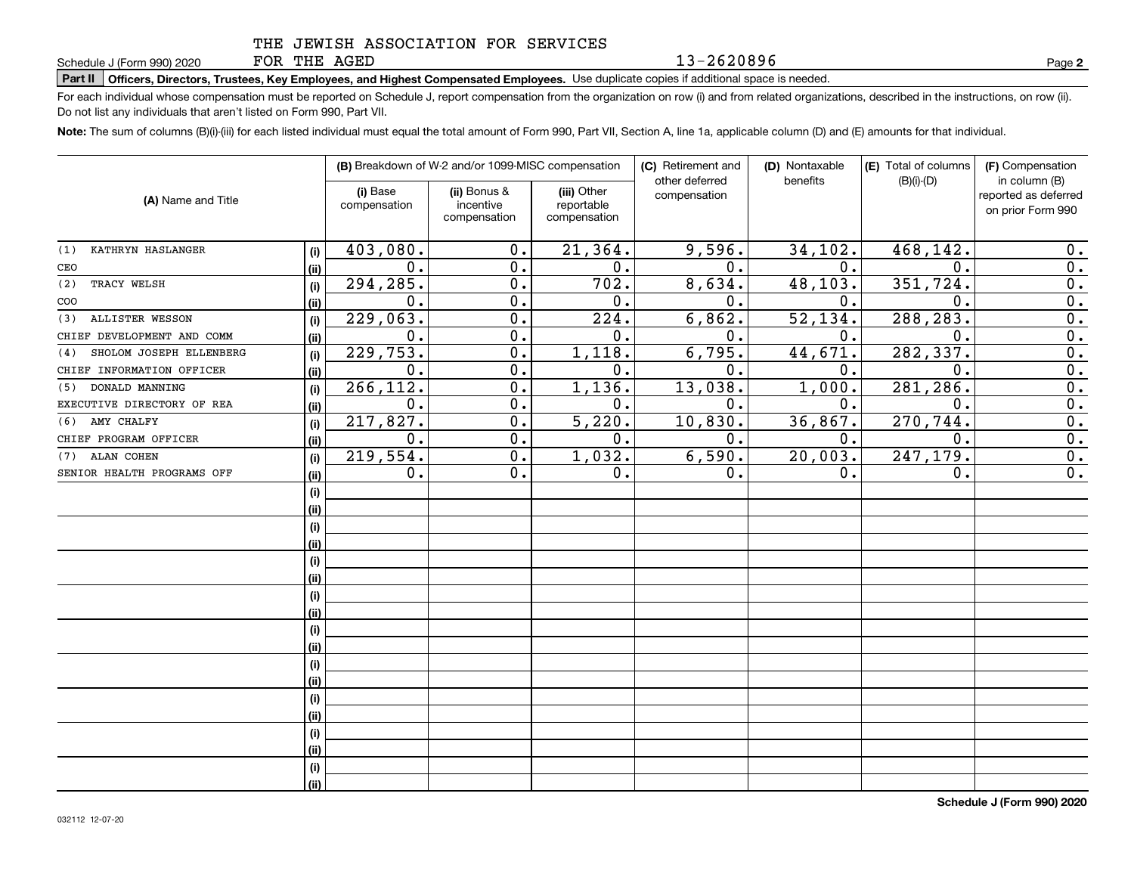FOR THE AGED

13-2620896

**2**

# **Part II Officers, Directors, Trustees, Key Employees, and Highest Compensated Employees.**  Schedule J (Form 990) 2020 Page Use duplicate copies if additional space is needed.

For each individual whose compensation must be reported on Schedule J, report compensation from the organization on row (i) and from related organizations, described in the instructions, on row (ii). Do not list any individuals that aren't listed on Form 990, Part VII.

**Note:**  The sum of columns (B)(i)-(iii) for each listed individual must equal the total amount of Form 990, Part VII, Section A, line 1a, applicable column (D) and (E) amounts for that individual.

|                                | (B) Breakdown of W-2 and/or 1099-MISC compensation |                          |                                           | (C) Retirement and<br>(D) Nontaxable<br>other deferred<br>benefits |               | (E) Total of columns<br>$(B)(i)-(D)$ | (F) Compensation<br>in column (B) |                                           |
|--------------------------------|----------------------------------------------------|--------------------------|-------------------------------------------|--------------------------------------------------------------------|---------------|--------------------------------------|-----------------------------------|-------------------------------------------|
| (A) Name and Title             |                                                    | (i) Base<br>compensation | (ii) Bonus &<br>incentive<br>compensation | (iii) Other<br>reportable<br>compensation                          | compensation  |                                      |                                   | reported as deferred<br>on prior Form 990 |
| KATHRYN HASLANGER<br>(1)       | (i)                                                | 403,080.                 | 0.                                        | 21,364.                                                            | 9,596.        | 34, 102.                             | 468,142.                          | 0.                                        |
| CEO                            | (ii)                                               | 0.                       | 0.                                        | 0.                                                                 | 0.            | 0.                                   | $\mathbf 0$ .                     | $\overline{0}$ .                          |
| (2)<br>TRACY WELSH             | (i)                                                | 294, 285.                | 0.                                        | 702.                                                               | 8,634.        | 48,103.                              | 351, 724.                         | $\overline{0}$ .                          |
| COO                            | (ii)                                               | 0.                       | 0.                                        | 0.                                                                 | 0.            | $\mathbf 0$ .                        | $\mathbf 0$ .                     | 0.                                        |
| ALLISTER WESSON<br>(3)         | (i)                                                | 229,063.                 | 0.                                        | 224.                                                               | 6,862.        | 52, 134.                             | 288,283.                          | 0.                                        |
| CHIEF DEVELOPMENT AND COMM     | (ii)                                               | 0.                       | 0.                                        | 0.                                                                 | 0.            | 0.                                   | $\mathbf 0$ .                     | 0.                                        |
| SHOLOM JOSEPH ELLENBERG<br>(4) | (i)                                                | 229, 753.                | $\mathbf 0$ .                             | 1,118.                                                             | 6,795.        | 44,671.                              | 282, 337.                         | 0.                                        |
| CHIEF INFORMATION OFFICER      | (ii)                                               | 0.                       | 0.                                        | 0.                                                                 | $\mathbf 0$ . | $\mathbf 0$ .                        | 0.                                | 0.                                        |
| DONALD MANNING<br>(5)          | (i)                                                | 266, 112.                | $\overline{0}$ .                          | 1,136.                                                             | 13,038.       | 1,000.                               | 281,286.                          | $\overline{0}$ .                          |
| EXECUTIVE DIRECTORY OF REA     | (ii)                                               | 0.                       | $\overline{0}$ .                          | 0.                                                                 | 0.            | 0.                                   | $\mathbf 0$ .                     | $\overline{0}$ .                          |
| AMY CHALFY<br>(6)              | (i)                                                | 217,827.                 | $\overline{0}$ .                          | 5,220.                                                             | 10,830.       | 36,867.                              | 270,744.                          | $\overline{0}$ .                          |
| CHIEF PROGRAM OFFICER          | (ii)                                               | 0.                       | 0.                                        | 0.                                                                 | 0.            | 0.                                   | 0.                                | $\overline{0}$ .                          |
| ALAN COHEN<br>(7)              | (i)                                                | 219,554.                 | 0.                                        | 1,032.                                                             | 6,590.        | 20,003.                              | 247,179.                          | $\overline{0}$ .                          |
| SENIOR HEALTH PROGRAMS OFF     | (ii)                                               | 0.                       | 0.                                        | 0.                                                                 | 0.            | 0.                                   | 0.                                | 0.                                        |
|                                | (i)                                                |                          |                                           |                                                                    |               |                                      |                                   |                                           |
|                                | (ii)                                               |                          |                                           |                                                                    |               |                                      |                                   |                                           |
|                                | (i)                                                |                          |                                           |                                                                    |               |                                      |                                   |                                           |
|                                | (ii)                                               |                          |                                           |                                                                    |               |                                      |                                   |                                           |
|                                | (i)                                                |                          |                                           |                                                                    |               |                                      |                                   |                                           |
|                                | (ii)                                               |                          |                                           |                                                                    |               |                                      |                                   |                                           |
|                                | (i)                                                |                          |                                           |                                                                    |               |                                      |                                   |                                           |
|                                | (ii)                                               |                          |                                           |                                                                    |               |                                      |                                   |                                           |
|                                | (i)                                                |                          |                                           |                                                                    |               |                                      |                                   |                                           |
|                                | (ii)                                               |                          |                                           |                                                                    |               |                                      |                                   |                                           |
|                                | (i)                                                |                          |                                           |                                                                    |               |                                      |                                   |                                           |
|                                | (ii)                                               |                          |                                           |                                                                    |               |                                      |                                   |                                           |
|                                | (i)                                                |                          |                                           |                                                                    |               |                                      |                                   |                                           |
|                                | (ii)                                               |                          |                                           |                                                                    |               |                                      |                                   |                                           |
|                                | (i)                                                |                          |                                           |                                                                    |               |                                      |                                   |                                           |
|                                | (ii)                                               |                          |                                           |                                                                    |               |                                      |                                   |                                           |
|                                | (i)                                                |                          |                                           |                                                                    |               |                                      |                                   |                                           |
|                                | (ii)                                               |                          |                                           |                                                                    |               |                                      |                                   |                                           |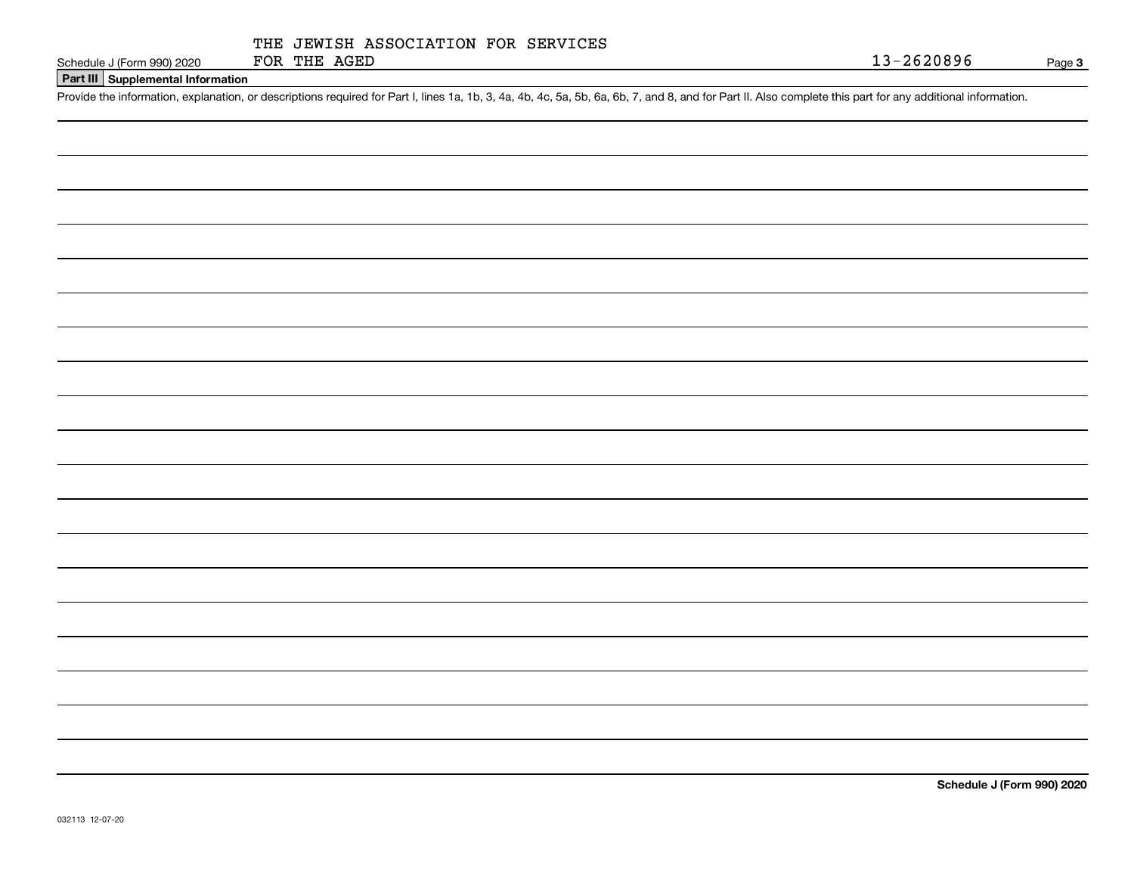| Schedule J (Form 990) 202 |  |  |
|---------------------------|--|--|

# **Part III Supplemental Information**

Schedule J (Form 990) 2020 FOR THE AGED<br>Part III Supplemental Information<br>Provide the information, explanation, or descriptions required for Part I, lines 1a, 1b, 3, 4a, 4b, 4c, 5a, 5b, 6a, 6b, 7, and 8, and for Part II. A

**Schedule J (Form 990) 2020**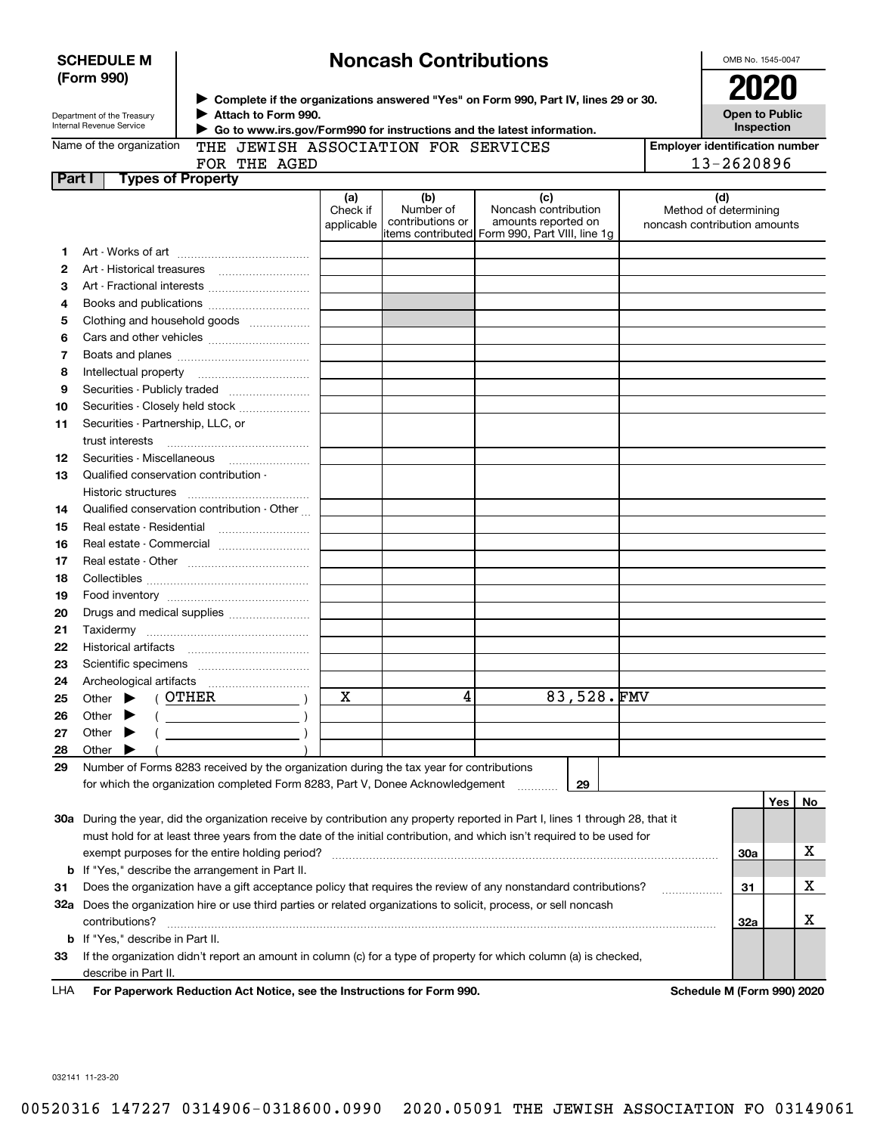|               | (Form 990)<br>► Complete if the organizations answered "Yes" on Form 990, Part IV, lines 29 or 30. |                                                                                         |                               |                                      |                                                                                                                                |  | 2020                                                         |    |
|---------------|----------------------------------------------------------------------------------------------------|-----------------------------------------------------------------------------------------|-------------------------------|--------------------------------------|--------------------------------------------------------------------------------------------------------------------------------|--|--------------------------------------------------------------|----|
|               | Department of the Treasury<br>Internal Revenue Service                                             | Attach to Form 990.                                                                     |                               |                                      | ► Go to www.irs.gov/Form990 for instructions and the latest information.                                                       |  | <b>Open to Public</b><br>Inspection                          |    |
|               | Name of the organization                                                                           | THE JEWISH ASSOCIATION FOR SERVICES                                                     |                               |                                      |                                                                                                                                |  | <b>Employer identification number</b>                        |    |
|               |                                                                                                    | FOR THE AGED                                                                            |                               |                                      |                                                                                                                                |  | 13-2620896                                                   |    |
| <b>Part I</b> |                                                                                                    | <b>Types of Property</b>                                                                |                               |                                      |                                                                                                                                |  |                                                              |    |
|               |                                                                                                    |                                                                                         | (a)<br>Check if<br>applicable | (b)<br>Number of<br>contributions or | (c)<br>Noncash contribution<br>amounts reported on<br>litems contributed Form 990, Part VIII, line 1q                          |  | (d)<br>Method of determining<br>noncash contribution amounts |    |
| 1.            |                                                                                                    |                                                                                         |                               |                                      |                                                                                                                                |  |                                                              |    |
| 2             |                                                                                                    |                                                                                         |                               |                                      |                                                                                                                                |  |                                                              |    |
| З             |                                                                                                    | Art - Fractional interests                                                              |                               |                                      |                                                                                                                                |  |                                                              |    |
| 4             |                                                                                                    |                                                                                         |                               |                                      |                                                                                                                                |  |                                                              |    |
| 5             |                                                                                                    | Clothing and household goods                                                            |                               |                                      |                                                                                                                                |  |                                                              |    |
| 6             |                                                                                                    |                                                                                         |                               |                                      |                                                                                                                                |  |                                                              |    |
| 7             |                                                                                                    |                                                                                         |                               |                                      |                                                                                                                                |  |                                                              |    |
| 8             | Intellectual property                                                                              |                                                                                         |                               |                                      |                                                                                                                                |  |                                                              |    |
| 9             |                                                                                                    | Securities - Publicly traded                                                            |                               |                                      |                                                                                                                                |  |                                                              |    |
| 10            |                                                                                                    | Securities - Closely held stock                                                         |                               |                                      |                                                                                                                                |  |                                                              |    |
| 11            | Securities - Partnership, LLC, or                                                                  |                                                                                         |                               |                                      |                                                                                                                                |  |                                                              |    |
|               | trust interests                                                                                    |                                                                                         |                               |                                      |                                                                                                                                |  |                                                              |    |
| 12            |                                                                                                    |                                                                                         |                               |                                      |                                                                                                                                |  |                                                              |    |
| 13            | Qualified conservation contribution                                                                |                                                                                         |                               |                                      |                                                                                                                                |  |                                                              |    |
|               | Historic structures                                                                                |                                                                                         |                               |                                      |                                                                                                                                |  |                                                              |    |
| 14            |                                                                                                    | Qualified conservation contribution - Other                                             |                               |                                      |                                                                                                                                |  |                                                              |    |
| 15            | Real estate - Residential                                                                          |                                                                                         |                               |                                      |                                                                                                                                |  |                                                              |    |
| 16<br>17      |                                                                                                    | Real estate - Commercial                                                                |                               |                                      |                                                                                                                                |  |                                                              |    |
| 18            |                                                                                                    |                                                                                         |                               |                                      |                                                                                                                                |  |                                                              |    |
| 19            |                                                                                                    |                                                                                         |                               |                                      |                                                                                                                                |  |                                                              |    |
| 20            |                                                                                                    | Drugs and medical supplies                                                              |                               |                                      |                                                                                                                                |  |                                                              |    |
| 21            |                                                                                                    |                                                                                         |                               |                                      |                                                                                                                                |  |                                                              |    |
| 22            |                                                                                                    |                                                                                         |                               |                                      |                                                                                                                                |  |                                                              |    |
| 23            |                                                                                                    |                                                                                         |                               |                                      |                                                                                                                                |  |                                                              |    |
| 24            |                                                                                                    |                                                                                         |                               |                                      |                                                                                                                                |  |                                                              |    |
| 25            | Other $\blacktriangleright$ ( OTHER                                                                |                                                                                         | X                             | 4                                    | 83,528.FMV                                                                                                                     |  |                                                              |    |
| 26            | Other $\blacktriangleright$ (                                                                      | $\mathcal{N}$                                                                           |                               |                                      |                                                                                                                                |  |                                                              |    |
| 27            | Other                                                                                              |                                                                                         |                               |                                      |                                                                                                                                |  |                                                              |    |
| 28            | Other                                                                                              |                                                                                         |                               |                                      |                                                                                                                                |  |                                                              |    |
| 29            |                                                                                                    | Number of Forms 8283 received by the organization during the tax year for contributions |                               |                                      |                                                                                                                                |  |                                                              |    |
|               |                                                                                                    | for which the organization completed Form 8283, Part V, Donee Acknowledgement           |                               |                                      | 29                                                                                                                             |  |                                                              |    |
|               |                                                                                                    |                                                                                         |                               |                                      |                                                                                                                                |  | Yes                                                          | No |
|               |                                                                                                    |                                                                                         |                               |                                      | 30a During the year, did the organization receive by contribution any property reported in Part I, lines 1 through 28, that it |  |                                                              |    |
|               |                                                                                                    |                                                                                         |                               |                                      | must hold for at least three years from the date of the initial contribution, and which isn't required to be used for          |  |                                                              |    |
|               |                                                                                                    | exempt purposes for the entire holding period?                                          |                               |                                      |                                                                                                                                |  | <b>30a</b>                                                   | х  |
|               |                                                                                                    | <b>b</b> If "Yes," describe the arrangement in Part II.                                 |                               |                                      |                                                                                                                                |  |                                                              |    |
| 31            |                                                                                                    |                                                                                         |                               |                                      | Does the organization have a gift acceptance policy that requires the review of any nonstandard contributions?                 |  | 31                                                           | х  |
|               |                                                                                                    |                                                                                         |                               |                                      | 32a Does the organization hire or use third parties or related organizations to solicit, process, or sell noncash              |  |                                                              |    |
|               | contributions?                                                                                     |                                                                                         |                               |                                      |                                                                                                                                |  | <b>32a</b>                                                   | x  |
|               | <b>b</b> If "Yes," describe in Part II.                                                            |                                                                                         |                               |                                      |                                                                                                                                |  |                                                              |    |
| 33            |                                                                                                    |                                                                                         |                               |                                      | If the organization didn't report an amount in column (c) for a type of property for which column (a) is checked,              |  |                                                              |    |
|               | describe in Part II.                                                                               |                                                                                         |                               |                                      |                                                                                                                                |  |                                                              |    |

### **For Paperwork Reduction Act Notice, see the Instructions for Form 990. Schedule M (Form 990) 2020** LHA

032141 11-23-20

# **Noncash Contributions**

OMB No. 1545-0047

| SCHEDULE M |  |
|------------|--|
| (Form 990) |  |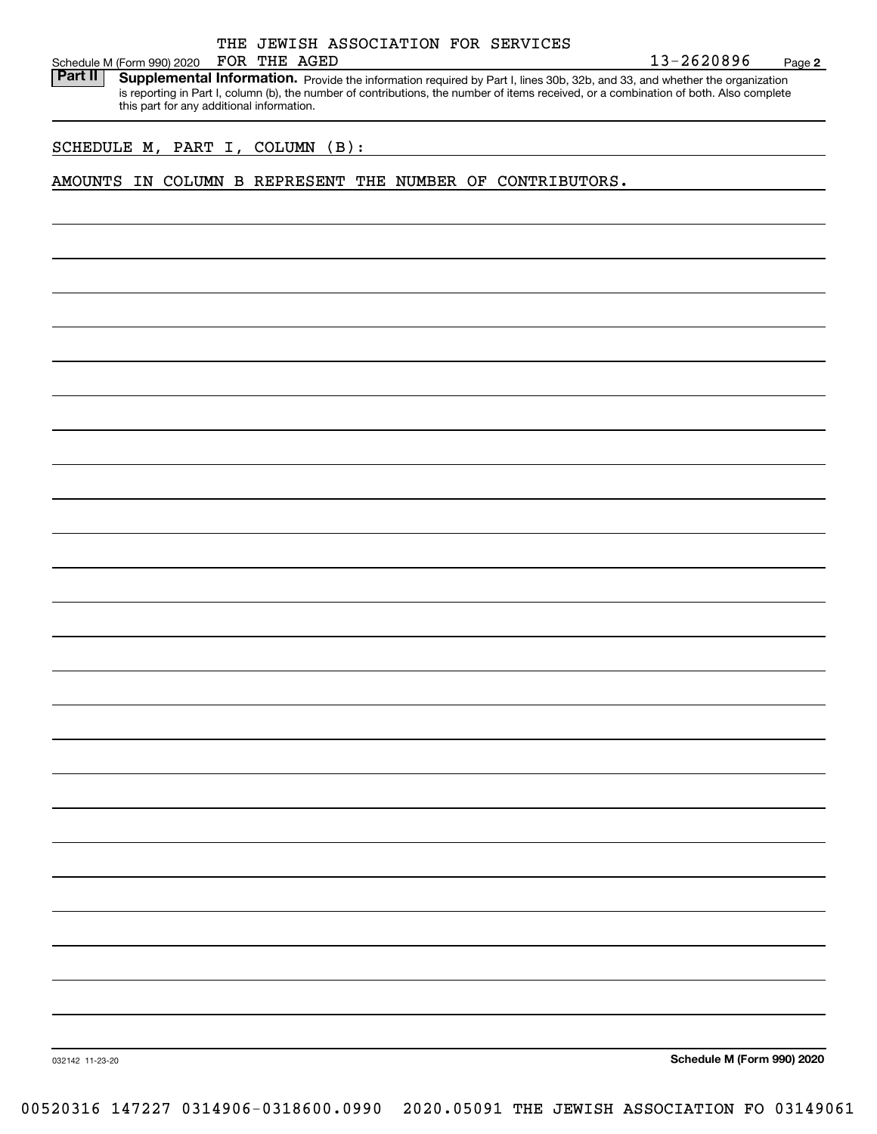|  | THE JEWISH ASSOCIATION FOR SERVICES |  |
|--|-------------------------------------|--|

FOR THE AGED

Schedule M (Form 990) 2020 FOR THE AGED<br>**Part II** Supplemental Information. Provide the information required by Part I. lines 30b. 32b. and 33. and whether the organ Part II | Supplemental Information. Provide the information required by Part I, lines 30b, 32b, and 33, and whether the organization is reporting in Part I, column (b), the number of contributions, the number of items received, or a combination of both. Also complete this part for any additional information.

SCHEDULE M, PART I, COLUMN (B):

AMOUNTS IN COLUMN B REPRESENT THE NUMBER OF CONTRIBUTORS.

**Schedule M (Form 990) 2020**

**2**

032142 11-23-20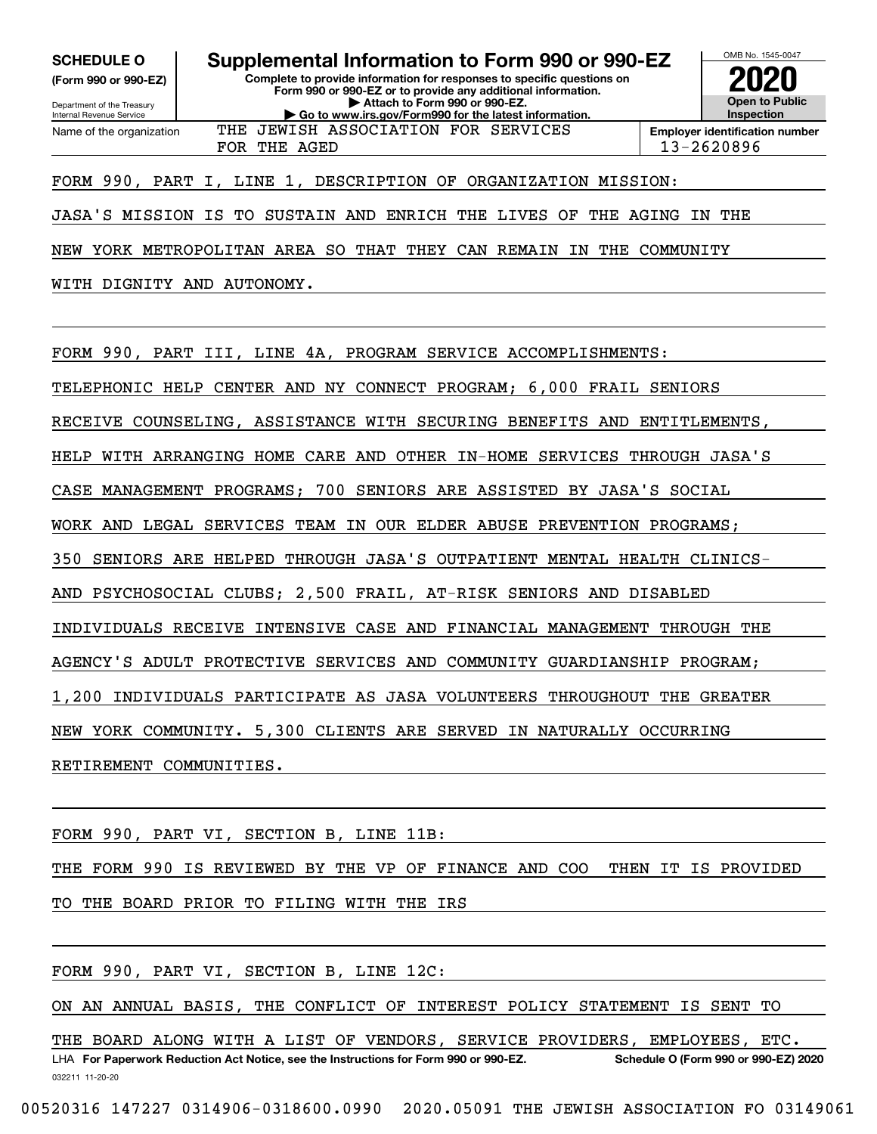**(Form 990 or 990-EZ)**

Department of the Treasury Internal Revenue Service Name of the organization

**Complete to provide information for responses to specific questions on Form 990 or 990-EZ or to provide any additional information. | Attach to Form 990 or 990-EZ. | Go to www.irs.gov/Form990 for the latest information. SCHEDULE O Supplemental Information to Form 990 or 990-EZ** THE JEWISH ASSOCIATION FOR SERVICES



FOR THE AGED 13-2620896

# FORM 990, PART I, LINE 1, DESCRIPTION OF ORGANIZATION MISSION:

JASA'S MISSION IS TO SUSTAIN AND ENRICH THE LIVES OF THE AGING IN THE

NEW YORK METROPOLITAN AREA SO THAT THEY CAN REMAIN IN THE COMMUNITY

WITH DIGNITY AND AUTONOMY.

FORM 990, PART III, LINE 4A, PROGRAM SERVICE ACCOMPLISHMENTS:

TELEPHONIC HELP CENTER AND NY CONNECT PROGRAM; 6,000 FRAIL SENIORS

RECEIVE COUNSELING, ASSISTANCE WITH SECURING BENEFITS AND ENTITLEMENTS,

HELP WITH ARRANGING HOME CARE AND OTHER IN-HOME SERVICES THROUGH JASA'S

CASE MANAGEMENT PROGRAMS; 700 SENIORS ARE ASSISTED BY JASA'S SOCIAL

WORK AND LEGAL SERVICES TEAM IN OUR ELDER ABUSE PREVENTION PROGRAMS;

350 SENIORS ARE HELPED THROUGH JASA'S OUTPATIENT MENTAL HEALTH CLINICS-

AND PSYCHOSOCIAL CLUBS; 2,500 FRAIL, AT-RISK SENIORS AND DISABLED

INDIVIDUALS RECEIVE INTENSIVE CASE AND FINANCIAL MANAGEMENT THROUGH THE

AGENCY'S ADULT PROTECTIVE SERVICES AND COMMUNITY GUARDIANSHIP PROGRAM;

1,200 INDIVIDUALS PARTICIPATE AS JASA VOLUNTEERS THROUGHOUT THE GREATER

NEW YORK COMMUNITY. 5,300 CLIENTS ARE SERVED IN NATURALLY OCCURRING

RETIREMENT COMMUNITIES.

FORM 990, PART VI, SECTION B, LINE 11B:

THE FORM 990 IS REVIEWED BY THE VP OF FINANCE AND COO THEN IT IS PROVIDED

TO THE BOARD PRIOR TO FILING WITH THE IRS

FORM 990, PART VI, SECTION B, LINE 12C:

ON AN ANNUAL BASIS, THE CONFLICT OF INTEREST POLICY STATEMENT IS SENT TO

032211 11-20-20 LHA For Paperwork Reduction Act Notice, see the Instructions for Form 990 or 990-EZ. Schedule O (Form 990 or 990-EZ) 2020 THE BOARD ALONG WITH A LIST OF VENDORS, SERVICE PROVIDERS, EMPLOYEES, ETC.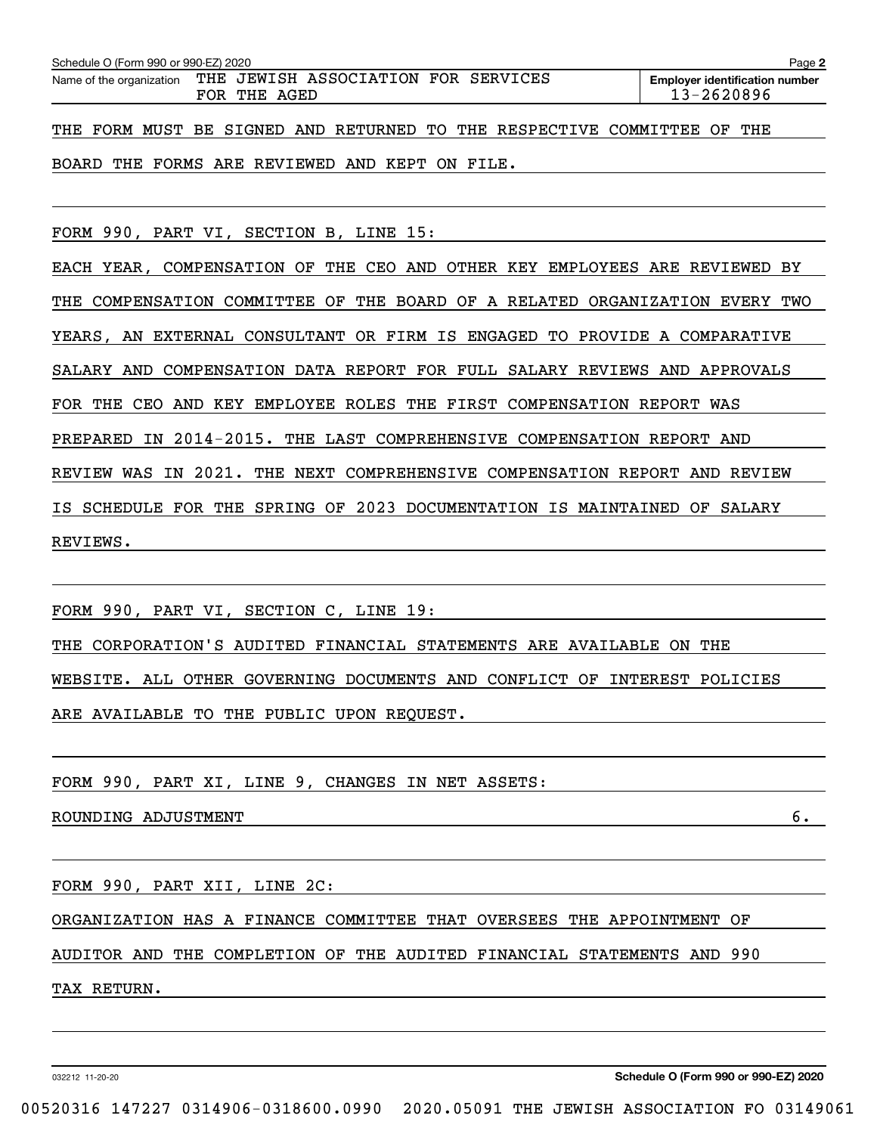| Schedule O (Form 990 or 990-EZ) 2020<br>Page 2 |                                                                              |                                                     |  |  |  |  |  |  |  |
|------------------------------------------------|------------------------------------------------------------------------------|-----------------------------------------------------|--|--|--|--|--|--|--|
|                                                | Name of the organization THE JEWISH ASSOCIATION FOR SERVICES<br>FOR THE AGED | <b>Employer identification number</b><br>13-2620896 |  |  |  |  |  |  |  |
|                                                | THE FORM MUST BE SIGNED AND RETURNED TO THE RESPECTIVE COMMITTEE OF THE      |                                                     |  |  |  |  |  |  |  |

BOARD THE FORMS ARE REVIEWED AND KEPT ON FILE.

FORM 990, PART VI, SECTION B, LINE 15:

EACH YEAR, COMPENSATION OF THE CEO AND OTHER KEY EMPLOYEES ARE REVIEWED BY THE COMPENSATION COMMITTEE OF THE BOARD OF A RELATED ORGANIZATION EVERY TWO YEARS, AN EXTERNAL CONSULTANT OR FIRM IS ENGAGED TO PROVIDE A COMPARATIVE SALARY AND COMPENSATION DATA REPORT FOR FULL SALARY REVIEWS AND APPROVALS FOR THE CEO AND KEY EMPLOYEE ROLES THE FIRST COMPENSATION REPORT WAS PREPARED IN 2014-2015. THE LAST COMPREHENSIVE COMPENSATION REPORT AND REVIEW WAS IN 2021. THE NEXT COMPREHENSIVE COMPENSATION REPORT AND REVIEW IS SCHEDULE FOR THE SPRING OF 2023 DOCUMENTATION IS MAINTAINED OF SALARY REVIEWS.

FORM 990, PART VI, SECTION C, LINE 19:

THE CORPORATION'S AUDITED FINANCIAL STATEMENTS ARE AVAILABLE ON THE WEBSITE. ALL OTHER GOVERNING DOCUMENTS AND CONFLICT OF INTEREST POLICIES ARE AVAILABLE TO THE PUBLIC UPON REQUEST.

FORM 990, PART XI, LINE 9, CHANGES IN NET ASSETS:

ROUNDING ADJUSTMENT 6.

FORM 990, PART XII, LINE 2C:

ORGANIZATION HAS A FINANCE COMMITTEE THAT OVERSEES THE APPOINTMENT OF

AUDITOR AND THE COMPLETION OF THE AUDITED FINANCIAL STATEMENTS AND 990

TAX RETURN.

032212 11-20-20

**Schedule O (Form 990 or 990-EZ) 2020**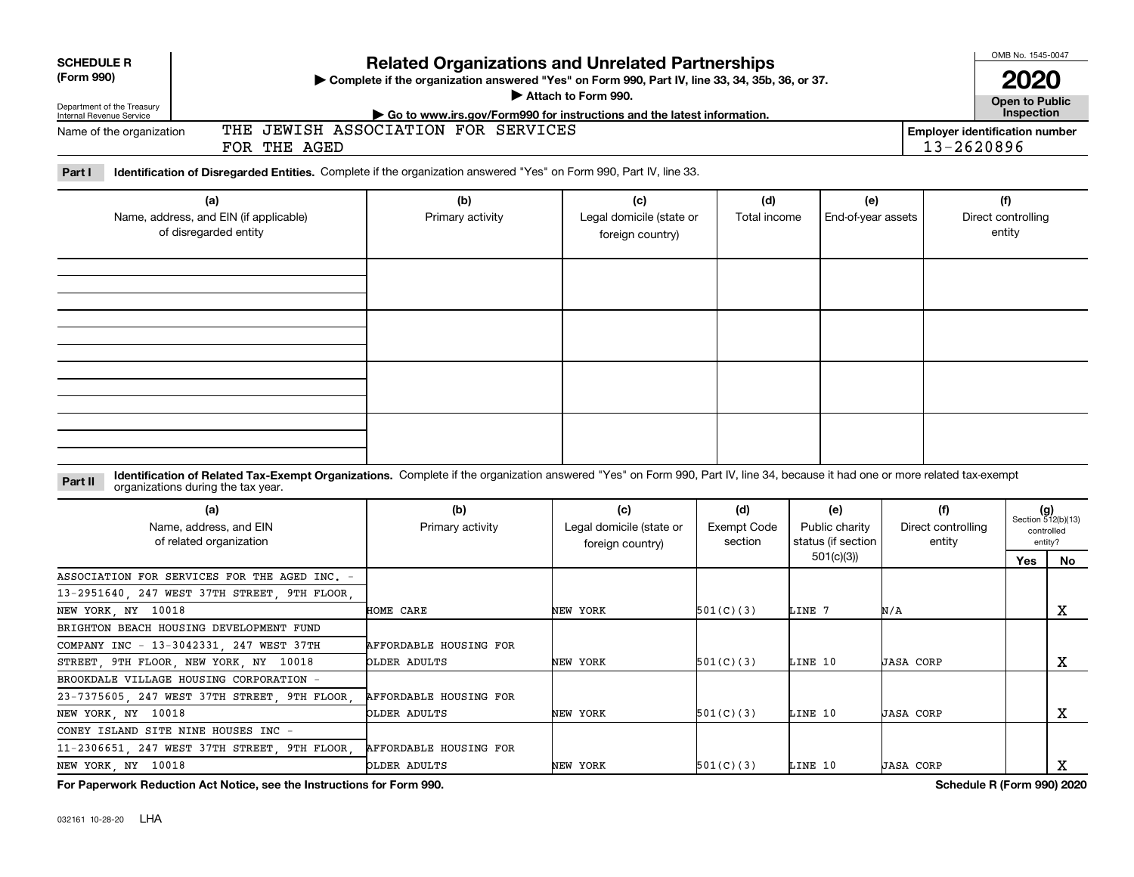| <b>SCHEDULE R</b><br>(Form 990)<br>Department of the Treasury<br>Internal Revenue Service | Complete if the organization answered "Yes" on Form 990, Part IV, line 33, 34, 35b, 36, or 37.                                                                                                                     |                                        | OMB No. 1545-0047                                   | <b>Open to Public</b><br>Inspection |                                                          |                                     |                                                     |                                                            |
|-------------------------------------------------------------------------------------------|--------------------------------------------------------------------------------------------------------------------------------------------------------------------------------------------------------------------|----------------------------------------|-----------------------------------------------------|-------------------------------------|----------------------------------------------------------|-------------------------------------|-----------------------------------------------------|------------------------------------------------------------|
| Name of the organization                                                                  | FOR THE AGED                                                                                                                                                                                                       | THE JEWISH ASSOCIATION FOR SERVICES    |                                                     |                                     |                                                          |                                     | <b>Employer identification number</b><br>13-2620896 |                                                            |
| Part I                                                                                    | Identification of Disregarded Entities. Complete if the organization answered "Yes" on Form 990, Part IV, line 33.                                                                                                 |                                        |                                                     |                                     |                                                          |                                     |                                                     |                                                            |
| (a)<br>Name, address, and EIN (if applicable)<br>of disregarded entity                    |                                                                                                                                                                                                                    | (b)<br>Primary activity                | (c)<br>Legal domicile (state or<br>foreign country) | (d)<br>Total income                 | (e)<br>End-of-year assets                                |                                     | (f)<br>Direct controlling<br>entity                 |                                                            |
|                                                                                           |                                                                                                                                                                                                                    |                                        |                                                     |                                     |                                                          |                                     |                                                     |                                                            |
|                                                                                           |                                                                                                                                                                                                                    |                                        |                                                     |                                     |                                                          |                                     |                                                     |                                                            |
| Part II                                                                                   | Identification of Related Tax-Exempt Organizations. Complete if the organization answered "Yes" on Form 990, Part IV, line 34, because it had one or more related tax-exempt<br>organizations during the tax year. |                                        |                                                     |                                     |                                                          |                                     |                                                     |                                                            |
|                                                                                           | (a)<br>Name, address, and EIN<br>of related organization                                                                                                                                                           | (b)<br>Primary activity                | (c)<br>Legal domicile (state or<br>foreign country) | (d)<br>Exempt Code<br>section       | (e)<br>Public charity<br>status (if section<br>501(c)(3) | (f)<br>Direct controlling<br>entity | Yes                                                 | $(g)$<br>Section 512(b)(13)<br>controlled<br>entity?<br>No |
| NEW YORK, NY 10018                                                                        | ASSOCIATION FOR SERVICES FOR THE AGED INC.<br>13-2951640, 247 WEST 37TH STREET, 9TH FLOOR                                                                                                                          | HOME CARE                              | NEW YORK                                            | 501(C)(3)                           | LINE 7                                                   | N/A                                 |                                                     | X                                                          |
|                                                                                           | BRIGHTON BEACH HOUSING DEVELOPMENT FUND<br>COMPANY INC - 13-3042331, 247 WEST 37TH<br>STREET 9TH FLOOR NEW YORK NY 10018                                                                                           | AFFORDABLE HOUSING FOR<br>OLDER ADULTS | NEW YORK                                            | 501(C)(3)                           | LINE 10                                                  | <b>JASA CORP</b>                    |                                                     | x                                                          |
| NEW YORK, NY 10018                                                                        | BROOKDALE VILLAGE HOUSING CORPORATION -<br>23-7375605, 247 WEST 37TH STREET, 9TH FLOOR,                                                                                                                            | AFFORDABLE HOUSING FOR<br>OLDER ADULTS | NEW YORK                                            | 501(C)(3)                           | LINE 10                                                  | <b>JASA CORP</b>                    |                                                     | x                                                          |
| NEW YORK, NY 10018                                                                        | CONEY ISLAND SITE NINE HOUSES INC<br>$\overline{a}$<br>11-2306651, 247 WEST 37TH STREET, 9TH FLOOR                                                                                                                 | AFFORDABLE HOUSING FOR<br>OLDER ADULTS | NEW YORK                                            | 501(C)(3)                           | LINE 10                                                  | JASA CORP                           |                                                     | X                                                          |

**For Paperwork Reduction Act Notice, see the Instructions for Form 990. Schedule R (Form 990) 2020**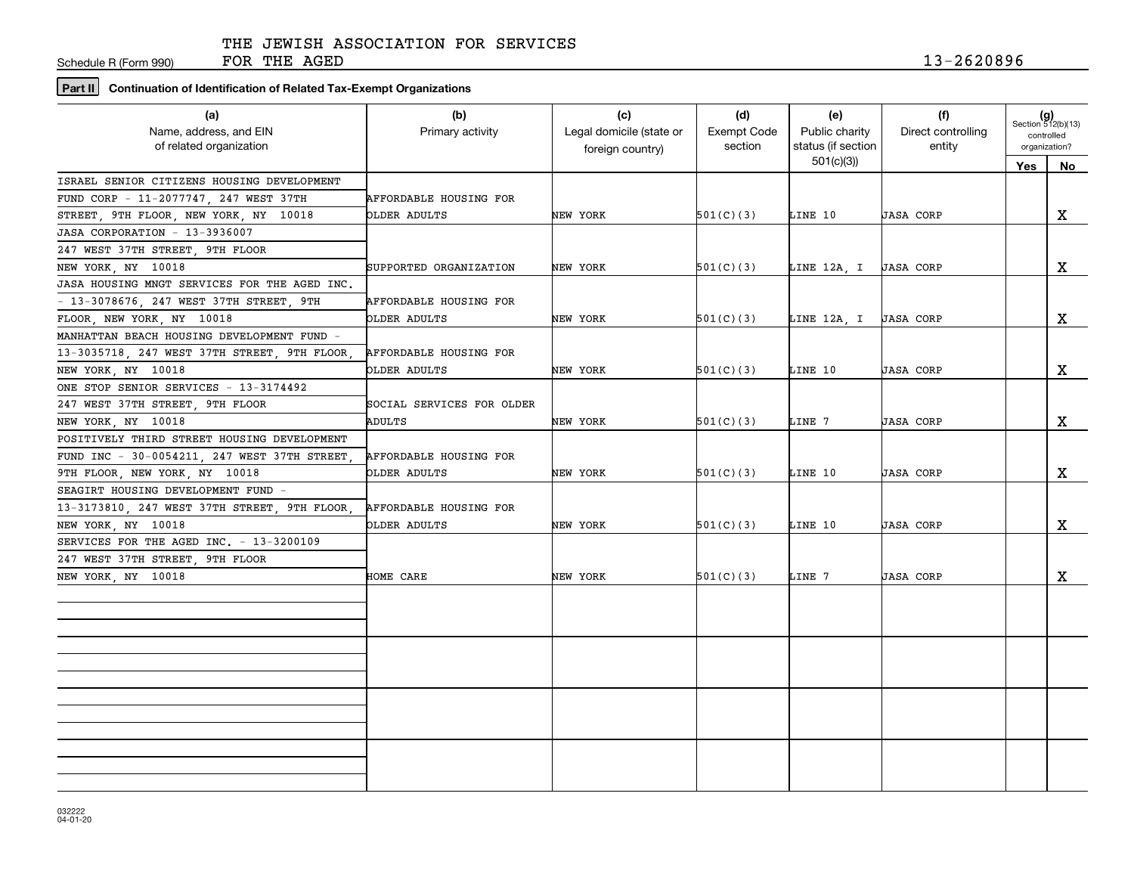Schedule R (Form 990)

# **Part II Continuation of Identification of Related Tax-Exempt Organizations**

| (a)<br>Name, address, and EIN<br>of related organization | (b)<br>Primary activity       | (c)<br>Legal domicile (state or<br>foreign country) | (d)<br><b>Exempt Code</b><br>section | (e)<br>Public charity<br>status (if section | (f)<br>Direct controlling<br>entity | $(g)$<br>Section 512(b)(13)<br>controlled<br>organization? |              |
|----------------------------------------------------------|-------------------------------|-----------------------------------------------------|--------------------------------------|---------------------------------------------|-------------------------------------|------------------------------------------------------------|--------------|
|                                                          |                               |                                                     |                                      | 501(c)(3)                                   |                                     | <b>Yes</b>                                                 | <b>No</b>    |
| ISRAEL SENIOR CITIZENS HOUSING DEVELOPMENT               |                               |                                                     |                                      |                                             |                                     |                                                            |              |
| FUND CORP - 11-2077747, 247 WEST 37TH                    | <b>AFFORDABLE HOUSING FOR</b> |                                                     |                                      |                                             |                                     |                                                            |              |
| STREET, 9TH FLOOR, NEW YORK, NY 10018                    | OLDER ADULTS                  | NEW YORK                                            | 501(C)(3)                            | LINE 10                                     | <b>JASA CORP</b>                    |                                                            | X            |
| JASA CORPORATION - 13-3936007                            |                               |                                                     |                                      |                                             |                                     |                                                            |              |
| 247 WEST 37TH STREET, 9TH FLOOR                          |                               |                                                     |                                      |                                             |                                     |                                                            |              |
| NEW YORK, NY 10018                                       | SUPPORTED ORGANIZATION        | NEW YORK                                            | 501(C)(3)                            | LINE 12A, I   JASA CORP                     |                                     |                                                            | X            |
| JASA HOUSING MNGT SERVICES FOR THE AGED INC.             |                               |                                                     |                                      |                                             |                                     |                                                            |              |
| - 13-3078676, 247 WEST 37TH STREET, 9TH                  | AFFORDABLE HOUSING FOR        |                                                     |                                      |                                             |                                     |                                                            |              |
| FLOOR, NEW YORK, NY 10018                                | OLDER ADULTS                  | NEW YORK                                            | 501(C)(3)                            | LINE 12A, I   JASA CORP                     |                                     |                                                            | X            |
| MANHATTAN BEACH HOUSING DEVELOPMENT FUND -               |                               |                                                     |                                      |                                             |                                     |                                                            |              |
| 13-3035718, 247 WEST 37TH STREET, 9TH FLOOR,             | AFFORDABLE HOUSING FOR        |                                                     |                                      |                                             |                                     |                                                            |              |
| NEW YORK, NY 10018                                       | OLDER ADULTS                  | NEW YORK                                            | 501(C)(3)                            | LINE 10                                     | <b>JASA CORP</b>                    |                                                            | $\mathbf{x}$ |
| ONE STOP SENIOR SERVICES - 13-3174492                    |                               |                                                     |                                      |                                             |                                     |                                                            |              |
| 247 WEST 37TH STREET, 9TH FLOOR                          | SOCIAL SERVICES FOR OLDER     |                                                     |                                      |                                             |                                     |                                                            |              |
| NEW YORK, NY 10018                                       | ADULTS                        | NEW YORK                                            | 501(C)(3)                            | LINE 7                                      | <b>JASA CORP</b>                    |                                                            | X            |
| POSITIVELY THIRD STREET HOUSING DEVELOPMENT              |                               |                                                     |                                      |                                             |                                     |                                                            |              |
| FUND INC - 30-0054211, 247 WEST 37TH STREET,             | AFFORDABLE HOUSING FOR        |                                                     |                                      |                                             |                                     |                                                            |              |
| 9TH FLOOR, NEW YORK, NY 10018                            | OLDER ADULTS                  | NEW YORK                                            | 501(C)(3)                            | LINE 10                                     | <b>JASA CORP</b>                    |                                                            | X            |
| SEAGIRT HOUSING DEVELOPMENT FUND -                       |                               |                                                     |                                      |                                             |                                     |                                                            |              |
| 13-3173810, 247 WEST 37TH STREET, 9TH FLOOR,             | AFFORDABLE HOUSING FOR        |                                                     |                                      |                                             |                                     |                                                            |              |
| NEW YORK, NY 10018                                       | OLDER ADULTS                  | NEW YORK                                            | 501(C)(3)                            | LINE 10                                     | <b>JASA CORP</b>                    |                                                            | X            |
| SERVICES FOR THE AGED INC. - 13-3200109                  |                               |                                                     |                                      |                                             |                                     |                                                            |              |
| 247 WEST 37TH STREET 9TH FLOOR                           |                               |                                                     |                                      |                                             |                                     |                                                            |              |
| NEW YORK, NY 10018                                       | HOME CARE                     | NEW YORK                                            | 501(C)(3)                            | LINE 7                                      | <b>JASA CORP</b>                    |                                                            | X            |
|                                                          |                               |                                                     |                                      |                                             |                                     |                                                            |              |
|                                                          |                               |                                                     |                                      |                                             |                                     |                                                            |              |
|                                                          |                               |                                                     |                                      |                                             |                                     |                                                            |              |
|                                                          |                               |                                                     |                                      |                                             |                                     |                                                            |              |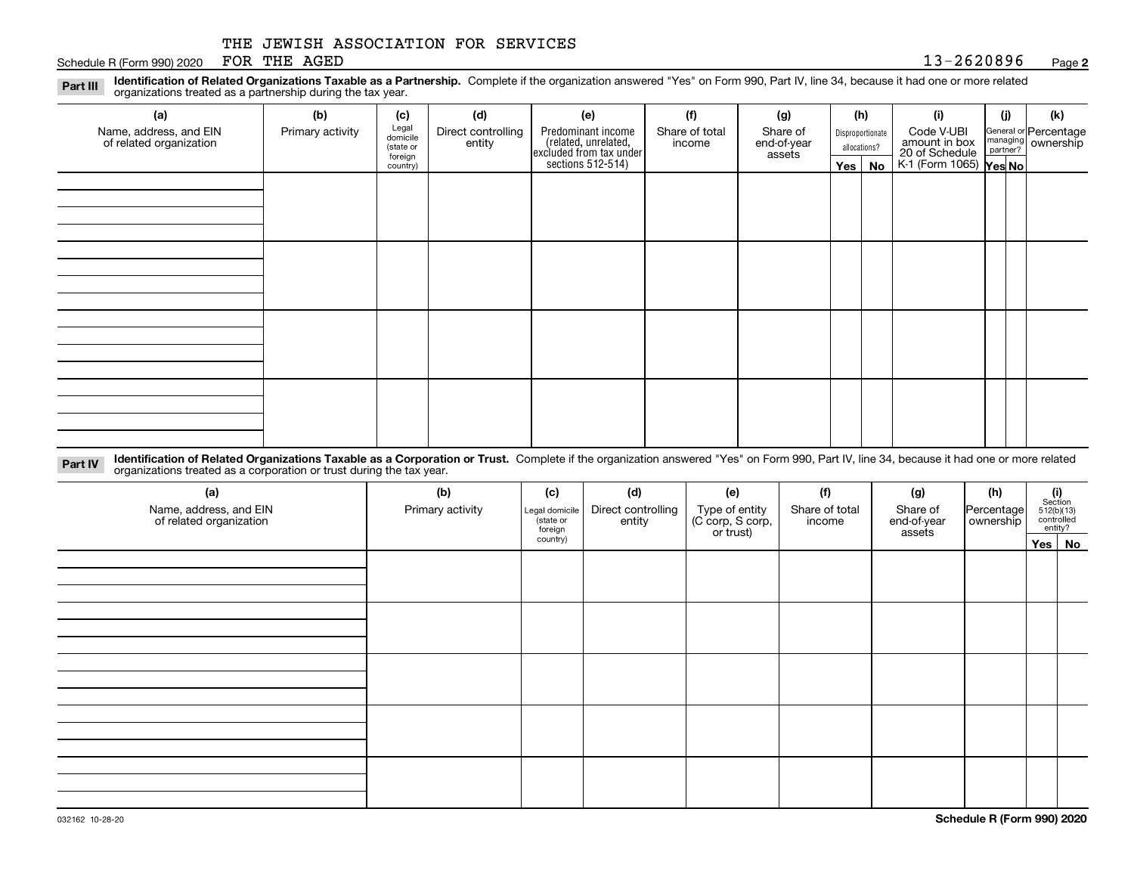Schedule R (Form 990) 2020 POR THE AGED  $13-2620896$ FOR THE AGED

**2**

**Identification of Related Organizations Taxable as a Partnership.** Complete if the organization answered "Yes" on Form 990, Part IV, line 34, because it had one or more related **Part III** organizations treated as a partnership during the tax year.

| (a)                                               | (b)              | (c)                  | (d)                | (e)                                                                 | (f)            | (g)                   |              | (h)              | (i)                                                       | (i) | (k)                                                       |
|---------------------------------------------------|------------------|----------------------|--------------------|---------------------------------------------------------------------|----------------|-----------------------|--------------|------------------|-----------------------------------------------------------|-----|-----------------------------------------------------------|
| Name, address, and EIN<br>of related organization | Primary activity | Legal<br>domicile    | Direct controlling | Predominant income                                                  | Share of total | Share of              |              | Disproportionate | Code V-UBI                                                |     | General or Percentage<br>managing<br>partner?<br>partner? |
|                                                   |                  | (state or<br>foreign | entity             | related, unrelated,<br>excluded from tax under<br>sections 512-514) | income         | end-of-year<br>assets | allocations? |                  | amount in box<br>20 of Schedule<br>K-1 (Form 1065) Yes No |     |                                                           |
|                                                   |                  | country)             |                    |                                                                     |                |                       | Yes $ $      | No               |                                                           |     |                                                           |
|                                                   |                  |                      |                    |                                                                     |                |                       |              |                  |                                                           |     |                                                           |
|                                                   |                  |                      |                    |                                                                     |                |                       |              |                  |                                                           |     |                                                           |
|                                                   |                  |                      |                    |                                                                     |                |                       |              |                  |                                                           |     |                                                           |
|                                                   |                  |                      |                    |                                                                     |                |                       |              |                  |                                                           |     |                                                           |
|                                                   |                  |                      |                    |                                                                     |                |                       |              |                  |                                                           |     |                                                           |
|                                                   |                  |                      |                    |                                                                     |                |                       |              |                  |                                                           |     |                                                           |
|                                                   |                  |                      |                    |                                                                     |                |                       |              |                  |                                                           |     |                                                           |
|                                                   |                  |                      |                    |                                                                     |                |                       |              |                  |                                                           |     |                                                           |
|                                                   |                  |                      |                    |                                                                     |                |                       |              |                  |                                                           |     |                                                           |
|                                                   |                  |                      |                    |                                                                     |                |                       |              |                  |                                                           |     |                                                           |
|                                                   |                  |                      |                    |                                                                     |                |                       |              |                  |                                                           |     |                                                           |
|                                                   |                  |                      |                    |                                                                     |                |                       |              |                  |                                                           |     |                                                           |
|                                                   |                  |                      |                    |                                                                     |                |                       |              |                  |                                                           |     |                                                           |
|                                                   |                  |                      |                    |                                                                     |                |                       |              |                  |                                                           |     |                                                           |
|                                                   |                  |                      |                    |                                                                     |                |                       |              |                  |                                                           |     |                                                           |
|                                                   |                  |                      |                    |                                                                     |                |                       |              |                  |                                                           |     |                                                           |
|                                                   |                  |                      |                    |                                                                     |                |                       |              |                  |                                                           |     |                                                           |

**Identification of Related Organizations Taxable as a Corporation or Trust.** Complete if the organization answered "Yes" on Form 990, Part IV, line 34, because it had one or more related **Part IV** organizations treated as a corporation or trust during the tax year.

| (a)<br>Name, address, and EIN<br>of related organization | (b)<br>Primary activity | (c)<br>Legal domicile<br>(state or<br>foreign | (d)<br>Direct controlling<br>entity | (e)<br>Type of entity<br>(C corp, S corp,<br>or trust) | (f)<br>Share of total<br>income | (g)<br>Share of<br>end-of-year<br>assets | (h)<br> Percentage <br>ownership | $\begin{array}{c} \textbf{(i)}\\ \text{Section}\\ 512 \text{(b)} \text{(13)}\\ \text{controlled}\\ \text{entity?} \end{array}$ |
|----------------------------------------------------------|-------------------------|-----------------------------------------------|-------------------------------------|--------------------------------------------------------|---------------------------------|------------------------------------------|----------------------------------|--------------------------------------------------------------------------------------------------------------------------------|
|                                                          |                         | country)                                      |                                     |                                                        |                                 |                                          |                                  | Yes No                                                                                                                         |
|                                                          |                         |                                               |                                     |                                                        |                                 |                                          |                                  |                                                                                                                                |
|                                                          |                         |                                               |                                     |                                                        |                                 |                                          |                                  |                                                                                                                                |
|                                                          |                         |                                               |                                     |                                                        |                                 |                                          |                                  |                                                                                                                                |
|                                                          |                         |                                               |                                     |                                                        |                                 |                                          |                                  |                                                                                                                                |
|                                                          |                         |                                               |                                     |                                                        |                                 |                                          |                                  |                                                                                                                                |
|                                                          |                         |                                               |                                     |                                                        |                                 |                                          |                                  |                                                                                                                                |
|                                                          |                         |                                               |                                     |                                                        |                                 |                                          |                                  |                                                                                                                                |
|                                                          |                         |                                               |                                     |                                                        |                                 |                                          |                                  |                                                                                                                                |
|                                                          |                         |                                               |                                     |                                                        |                                 |                                          |                                  |                                                                                                                                |
|                                                          |                         |                                               |                                     |                                                        |                                 |                                          |                                  |                                                                                                                                |
|                                                          |                         |                                               |                                     |                                                        |                                 |                                          |                                  |                                                                                                                                |
|                                                          |                         |                                               |                                     |                                                        |                                 |                                          |                                  |                                                                                                                                |
|                                                          |                         |                                               |                                     |                                                        |                                 |                                          |                                  |                                                                                                                                |
|                                                          |                         |                                               |                                     |                                                        |                                 |                                          |                                  |                                                                                                                                |
|                                                          |                         |                                               |                                     |                                                        |                                 |                                          |                                  |                                                                                                                                |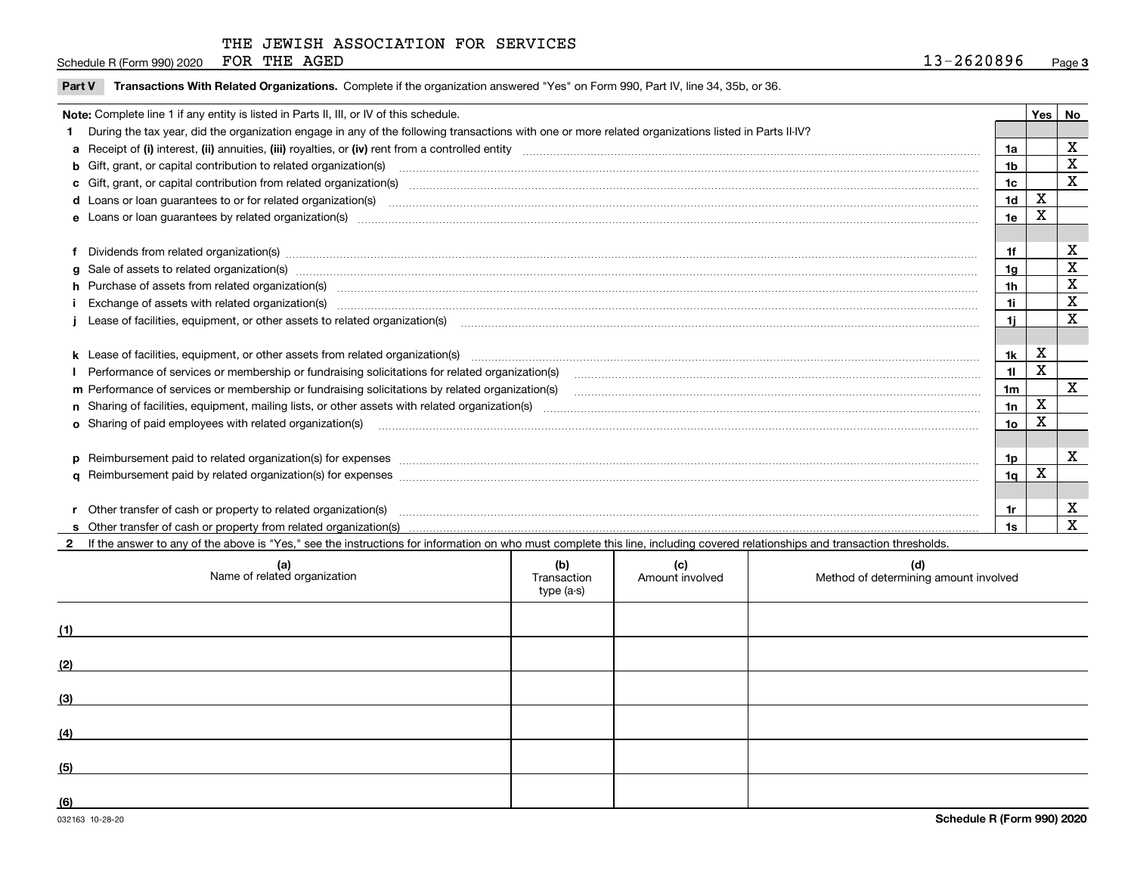FOR THE AGED

Page 3 Schedule R (Form 990) 2020 POR THE AGED  $13-2620896$ 

**Part V** T**ransactions With Related Organizations.** Complete if the organization answered "Yes" on Form 990, Part IV, line 34, 35b, or 36.

| Note: Complete line 1 if any entity is listed in Parts II, III, or IV of this schedule.                                                                                                                                        |                 |   | Yes   No    |
|--------------------------------------------------------------------------------------------------------------------------------------------------------------------------------------------------------------------------------|-----------------|---|-------------|
| During the tax year, did the organization engage in any of the following transactions with one or more related organizations listed in Parts II-IV?                                                                            |                 |   |             |
|                                                                                                                                                                                                                                | 1a              |   | X           |
| b Gift, grant, or capital contribution to related organization(s) manufaction contracts and contribution to related organization(s) manufaction contribution to related organization(s)                                        | 1b              |   | $\mathbf X$ |
| c Gift, grant, or capital contribution from related organization(s) mature material contract contribution from related organization(s) matured contents of mature material contribution from related organization(s) material  | 1 <sub>c</sub>  |   | X           |
|                                                                                                                                                                                                                                | 1 <sub>d</sub>  | х |             |
|                                                                                                                                                                                                                                | 1e              | Χ |             |
|                                                                                                                                                                                                                                |                 |   |             |
| Dividends from related organization(s) manufactured and contract and contract and contract and contract and contract and contract and contract and contract and contract and contract and contract and contract and contract a | 1f              |   | X           |
|                                                                                                                                                                                                                                | 1a              |   | $\mathbf x$ |
| h Purchase of assets from related organization(s) manufactured content to content the content of the content of the content of the content of the content of the content of the content of the content of the content of the c | 1h              |   | X           |
|                                                                                                                                                                                                                                | 1i              |   | $\mathbf x$ |
| Lease of facilities, equipment, or other assets to related organization(s) manufactured content and content and content and content and content and content and content and content and content and content and content and co | 1i.             |   | X           |
|                                                                                                                                                                                                                                |                 |   |             |
| k Lease of facilities, equipment, or other assets from related organization(s) manufaction content and content to content and an analyzing content and an analyzing content and an analyzing content and content and content a | 1k              | X |             |
|                                                                                                                                                                                                                                | 11              | Χ |             |
|                                                                                                                                                                                                                                | 1 <sub>m</sub>  |   | X           |
|                                                                                                                                                                                                                                | 1n              | X |             |
| <b>o</b> Sharing of paid employees with related organization(s)                                                                                                                                                                | 10 <sub>o</sub> | x |             |
|                                                                                                                                                                                                                                |                 |   |             |
| p Reimbursement paid to related organization(s) for expenses [11111] [12] reasonal content of the separation (s) for expenses [11111] [12] reasonal content in the separation (s) for expenses [1111] [12] reasonal content in | 1p              |   | X           |
|                                                                                                                                                                                                                                | 1 <sub>q</sub>  | х |             |
|                                                                                                                                                                                                                                |                 |   |             |
| Other transfer of cash or property to related organization(s)                                                                                                                                                                  | 1r              |   | X           |
|                                                                                                                                                                                                                                | 1s              |   | X           |
| If the answer to any of the above is "Yes," see the instructions for information on who must complete this line, including covered relationships and transaction thresholds.                                                   |                 |   |             |

|     | (a)<br>Name of related organization | (b)<br>Transaction<br>type (a-s) | (c)<br>Amount involved | (d)<br>Method of determining amount involved |
|-----|-------------------------------------|----------------------------------|------------------------|----------------------------------------------|
| (1) |                                     |                                  |                        |                                              |
| (2) |                                     |                                  |                        |                                              |
| (3) |                                     |                                  |                        |                                              |
| (4) |                                     |                                  |                        |                                              |
| (5) |                                     |                                  |                        |                                              |
| (6) |                                     |                                  |                        |                                              |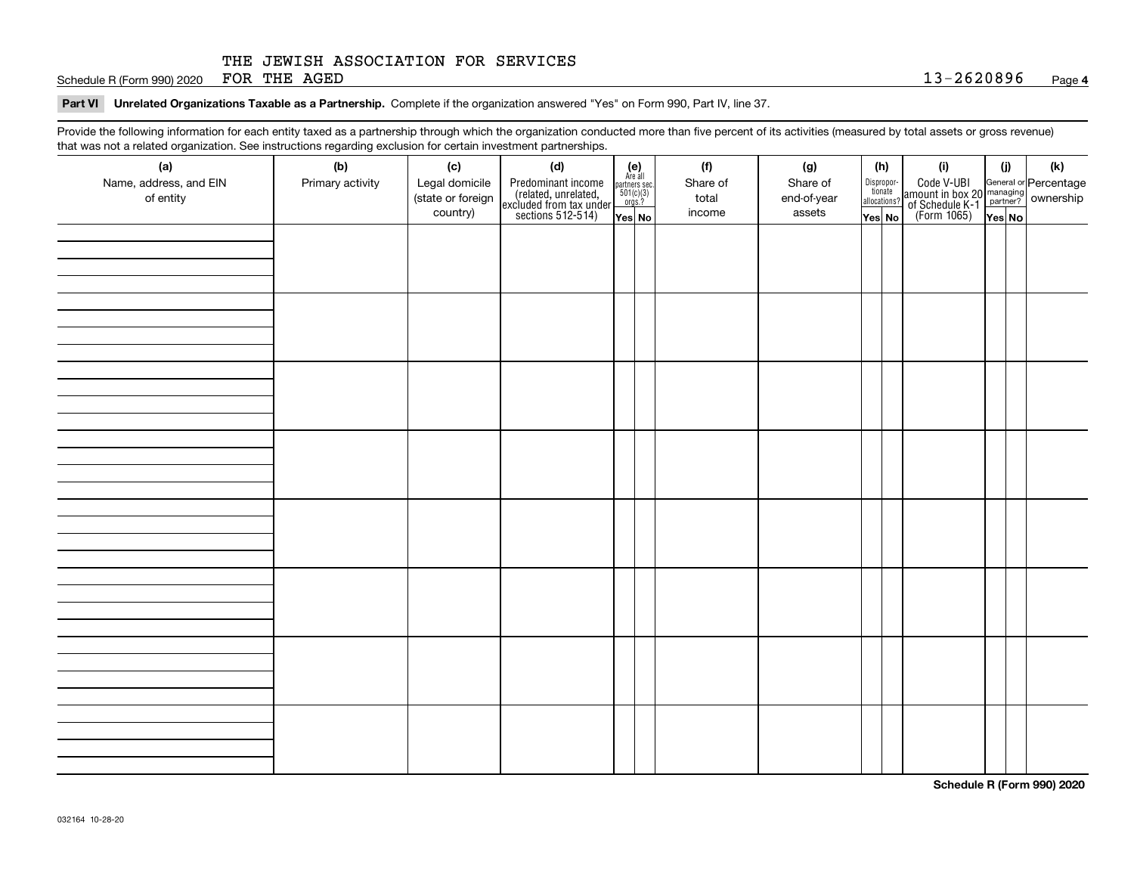Schedule R (Form 990) 2020 Page FOR THE AGED 13-2620896

#### **Part VI Unrelated Organizations Taxable as a Partnership. Complete if the organization answered "Yes" on Form 990, Part IV, line 37.**

Provide the following information for each entity taxed as a partnership through which the organization conducted more than five percent of its activities (measured by total assets or gross revenue) that was not a related organization. See instructions regarding exclusion for certain investment partnerships.

| that was not a related erganization. See includitions regarding excludion for contain invectment partnerompe.<br>(a) | (b)              | (c)               | (d)                                                                                        |                                                                                                                  | (f)      | (g)         | (h)                              |  | (i)                                                                                          | (i)    | (k) |  |
|----------------------------------------------------------------------------------------------------------------------|------------------|-------------------|--------------------------------------------------------------------------------------------|------------------------------------------------------------------------------------------------------------------|----------|-------------|----------------------------------|--|----------------------------------------------------------------------------------------------|--------|-----|--|
| Name, address, and EIN                                                                                               | Primary activity | Legal domicile    |                                                                                            | $\begin{array}{c} \textbf{(e)}\\ \text{Are all} \\ \text{partners sec.}\\ 501(c)(3)\\ \text{orgs.?} \end{array}$ | Share of | Share of    |                                  |  |                                                                                              |        |     |  |
| of entity                                                                                                            |                  | (state or foreign | Predominant income<br>(related, unrelated,<br>excluded from tax under<br>sections 512-514) |                                                                                                                  | total    | end-of-year | Disproportionate<br>allocations? |  | Code V-UBI<br>amount in box 20 managing<br>of Schedule K-1 partner?<br>(Form 1065)<br>ves No |        |     |  |
|                                                                                                                      |                  | country)          |                                                                                            |                                                                                                                  | income   | assets      |                                  |  |                                                                                              |        |     |  |
|                                                                                                                      |                  |                   |                                                                                            | Yes No                                                                                                           |          |             | Yes No                           |  |                                                                                              | Yes No |     |  |
|                                                                                                                      |                  |                   |                                                                                            |                                                                                                                  |          |             |                                  |  |                                                                                              |        |     |  |
|                                                                                                                      |                  |                   |                                                                                            |                                                                                                                  |          |             |                                  |  |                                                                                              |        |     |  |
|                                                                                                                      |                  |                   |                                                                                            |                                                                                                                  |          |             |                                  |  |                                                                                              |        |     |  |
|                                                                                                                      |                  |                   |                                                                                            |                                                                                                                  |          |             |                                  |  |                                                                                              |        |     |  |
|                                                                                                                      |                  |                   |                                                                                            |                                                                                                                  |          |             |                                  |  |                                                                                              |        |     |  |
|                                                                                                                      |                  |                   |                                                                                            |                                                                                                                  |          |             |                                  |  |                                                                                              |        |     |  |
|                                                                                                                      |                  |                   |                                                                                            |                                                                                                                  |          |             |                                  |  |                                                                                              |        |     |  |
|                                                                                                                      |                  |                   |                                                                                            |                                                                                                                  |          |             |                                  |  |                                                                                              |        |     |  |
|                                                                                                                      |                  |                   |                                                                                            |                                                                                                                  |          |             |                                  |  |                                                                                              |        |     |  |
|                                                                                                                      |                  |                   |                                                                                            |                                                                                                                  |          |             |                                  |  |                                                                                              |        |     |  |
|                                                                                                                      |                  |                   |                                                                                            |                                                                                                                  |          |             |                                  |  |                                                                                              |        |     |  |
|                                                                                                                      |                  |                   |                                                                                            |                                                                                                                  |          |             |                                  |  |                                                                                              |        |     |  |
|                                                                                                                      |                  |                   |                                                                                            |                                                                                                                  |          |             |                                  |  |                                                                                              |        |     |  |
|                                                                                                                      |                  |                   |                                                                                            |                                                                                                                  |          |             |                                  |  |                                                                                              |        |     |  |
|                                                                                                                      |                  |                   |                                                                                            |                                                                                                                  |          |             |                                  |  |                                                                                              |        |     |  |
|                                                                                                                      |                  |                   |                                                                                            |                                                                                                                  |          |             |                                  |  |                                                                                              |        |     |  |
|                                                                                                                      |                  |                   |                                                                                            |                                                                                                                  |          |             |                                  |  |                                                                                              |        |     |  |
|                                                                                                                      |                  |                   |                                                                                            |                                                                                                                  |          |             |                                  |  |                                                                                              |        |     |  |
|                                                                                                                      |                  |                   |                                                                                            |                                                                                                                  |          |             |                                  |  |                                                                                              |        |     |  |
|                                                                                                                      |                  |                   |                                                                                            |                                                                                                                  |          |             |                                  |  |                                                                                              |        |     |  |
|                                                                                                                      |                  |                   |                                                                                            |                                                                                                                  |          |             |                                  |  |                                                                                              |        |     |  |
|                                                                                                                      |                  |                   |                                                                                            |                                                                                                                  |          |             |                                  |  |                                                                                              |        |     |  |
|                                                                                                                      |                  |                   |                                                                                            |                                                                                                                  |          |             |                                  |  |                                                                                              |        |     |  |
|                                                                                                                      |                  |                   |                                                                                            |                                                                                                                  |          |             |                                  |  |                                                                                              |        |     |  |
|                                                                                                                      |                  |                   |                                                                                            |                                                                                                                  |          |             |                                  |  |                                                                                              |        |     |  |
|                                                                                                                      |                  |                   |                                                                                            |                                                                                                                  |          |             |                                  |  |                                                                                              |        |     |  |
|                                                                                                                      |                  |                   |                                                                                            |                                                                                                                  |          |             |                                  |  |                                                                                              |        |     |  |
|                                                                                                                      |                  |                   |                                                                                            |                                                                                                                  |          |             |                                  |  |                                                                                              |        |     |  |
|                                                                                                                      |                  |                   |                                                                                            |                                                                                                                  |          |             |                                  |  |                                                                                              |        |     |  |
|                                                                                                                      |                  |                   |                                                                                            |                                                                                                                  |          |             |                                  |  |                                                                                              |        |     |  |
|                                                                                                                      |                  |                   |                                                                                            |                                                                                                                  |          |             |                                  |  |                                                                                              |        |     |  |
|                                                                                                                      |                  |                   |                                                                                            |                                                                                                                  |          |             |                                  |  |                                                                                              |        |     |  |
|                                                                                                                      |                  |                   |                                                                                            |                                                                                                                  |          |             |                                  |  |                                                                                              |        |     |  |
|                                                                                                                      |                  |                   |                                                                                            |                                                                                                                  |          |             |                                  |  |                                                                                              |        |     |  |

**Schedule R (Form 990) 2020**